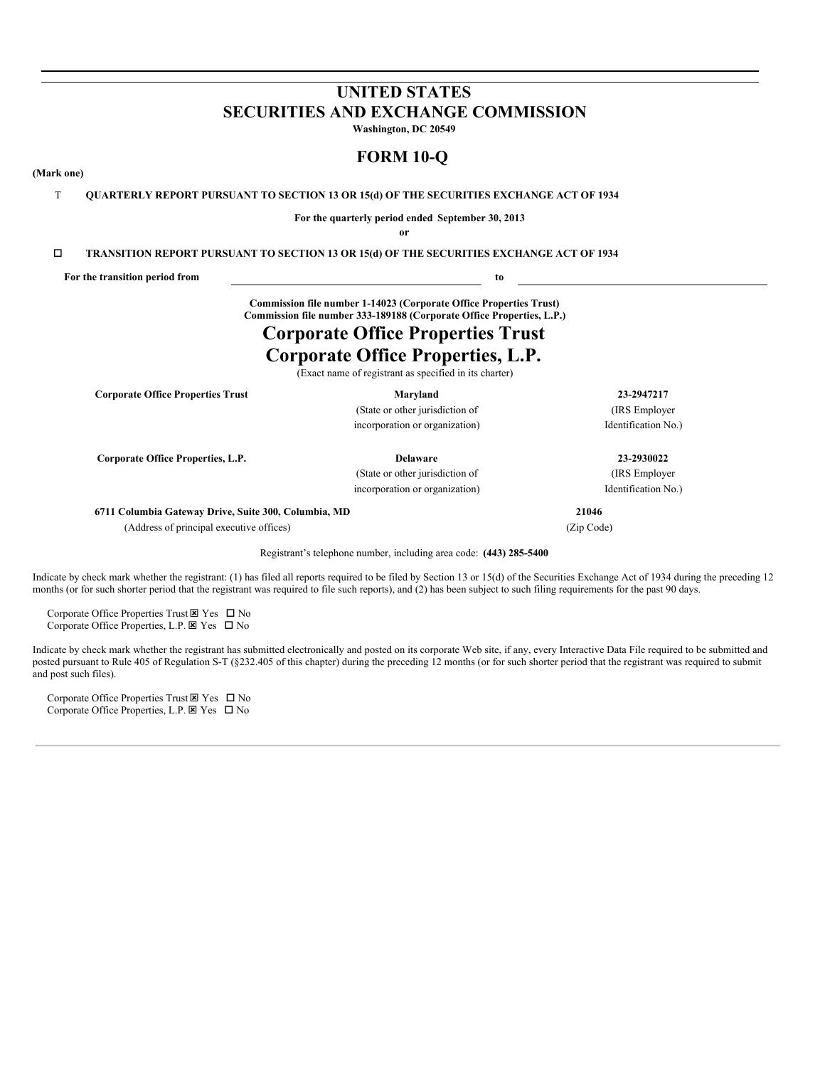# **UNITED STATES SECURITIES AND EXCHANGE COMMISSION Washington, DC 20549**

**FORM 10-Q**

#### **(Mark one)**

T **QUARTERLY REPORT PURSUANT TO SECTION 13 OR 15(d) OF THE SECURITIES EXCHANGE ACT OF 1934**

**For the quarterly period ended September 30, 2013 or**

o **TRANSITION REPORT PURSUANT TO SECTION 13 OR 15(d) OF THE SECURITIES EXCHANGE ACT OF 1934**

**For the transition period from to**

**Commission file number 1-14023 (Corporate Office Properties Trust) Commission file number 333-189188 (Corporate Office Properties, L.P.)**

# **Corporate Office Properties Trust**

**Corporate Office Properties, L.P.**

(Exact name of registrant as specified in its charter)

**Corporate Office Properties Trust Corporate Constant Maryland 23-2947217** 

(State or other jurisdiction of (IRS Employer incorporation or organization) Identification No.)

**Corporate Office Properties, L.P. Delaware 23-2930022**

(State or other jurisdiction of (IRS Employer

incorporation or organization) Identification No.)

**6711 Columbia Gateway Drive, Suite 300, Columbia, MD 21046**

(Address of principal executive offices) (Zip Code)

Registrant's telephone number, including area code: **(443) 285-5400**

Indicate by check mark whether the registrant: (1) has filed all reports required to be filed by Section 13 or 15(d) of the Securities Exchange Act of 1934 during the preceding 12 months (or for such shorter period that the registrant was required to file such reports), and (2) has been subject to such filing requirements for the past 90 days.

Corporate Office Properties Trust  $\boxtimes$  Yes  $\Box$  No Corporate Office Properties, L.P.  $\boxtimes$  Yes  $\Box$  No

Indicate by check mark whether the registrant has submitted electronically and posted on its corporate Web site, if any, every Interactive Data File required to be submitted and posted pursuant to Rule 405 of Regulation S-T (§232.405 of this chapter) during the preceding 12 months (or for such shorter period that the registrant was required to submit and post such files).

Corporate Office Properties Trust  $\boxtimes$  Yes  $\Box$  No Corporate Office Properties, L.P.  $\boxtimes$  Yes  $\Box$  No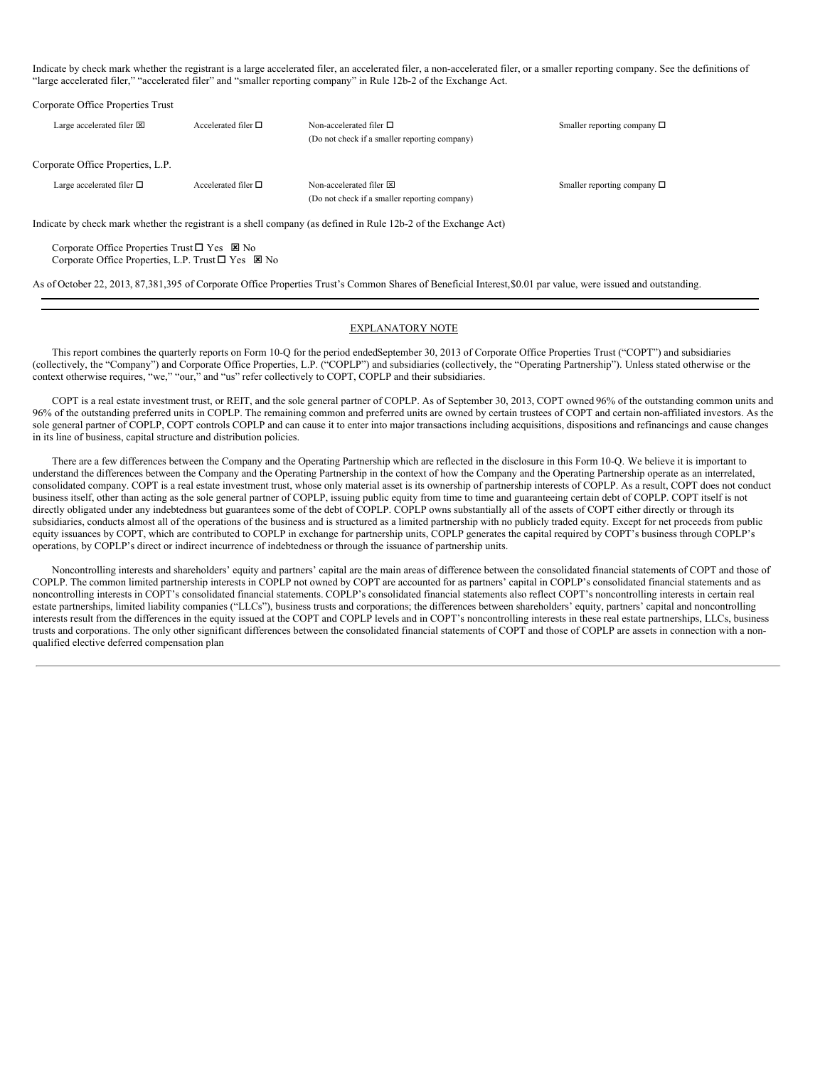Indicate by check mark whether the registrant is a large accelerated filer, an accelerated filer, a non-accelerated filer, or a smaller reporting company. See the definitions of "large accelerated filer," "accelerated filer" and "smaller reporting company" in Rule 12b-2 of the Exchange Act.

Corporate Office Properties Trust

| Large accelerated filer $\boxtimes$                                 | Accelerated filer $\Box$ | Non-accelerated filer $\Box$<br>(Do not check if a smaller reporting company)      | Smaller reporting company $\Box$ |
|---------------------------------------------------------------------|--------------------------|------------------------------------------------------------------------------------|----------------------------------|
| Corporate Office Properties, L.P.<br>Large accelerated filer $\Box$ | Accelerated filer $\Box$ | Non-accelerated filer $\boxtimes$<br>(Do not check if a smaller reporting company) | Smaller reporting company $\Box$ |

Indicate by check mark whether the registrant is a shell company (as defined in Rule 12b-2 of the Exchange Act)

Corporate Office Properties Trust  $\Box$  Yes  $\boxtimes$  No Corporate Office Properties, L.P. Trust $\square$  Yes  $\square$  No

As of October 22, 2013, 87,381,395 of Corporate Office Properties Trust's Common Shares of Beneficial Interest,\$0.01 par value, were issued and outstanding.

#### EXPLANATORY NOTE

This report combines the quarterly reports on Form 10-Q for the period endedSeptember 30, 2013 of Corporate Office Properties Trust ("COPT") and subsidiaries (collectively, the "Company") and Corporate Office Properties, L.P. ("COPLP") and subsidiaries (collectively, the "Operating Partnership"). Unless stated otherwise or the context otherwise requires, "we," "our," and "us" refer collectively to COPT, COPLP and their subsidiaries.

COPT is a real estate investment trust, or REIT, and the sole general partner of COPLP. As of September 30, 2013, COPT owned 96% of the outstanding common units and 96% of the outstanding preferred units in COPLP. The remaining common and preferred units are owned by certain trustees of COPT and certain non-affiliated investors. As the sole general partner of COPLP, COPT controls COPLP and can cause it to enter into major transactions including acquisitions, dispositions and refinancings and cause changes in its line of business, capital structure and distribution policies.

There are a few differences between the Company and the Operating Partnership which are reflected in the disclosure in this Form 10-Q. We believe it is important to understand the differences between the Company and the Operating Partnership in the context of how the Company and the Operating Partnership operate as an interrelated, consolidated company. COPT is a real estate investment trust, whose only material asset is its ownership of partnership interests of COPLP. As a result, COPT does not conduct business itself, other than acting as the sole general partner of COPLP, issuing public equity from time to time and guaranteeing certain debt of COPLP. COPT itself is not directly obligated under any indebtedness but guarantees some of the debt of COPLP. COPLP owns substantially all of the assets of COPT either directly or through its subsidiaries, conducts almost all of the operations of the business and is structured as a limited partnership with no publicly traded equity. Except for net proceeds from public equity issuances by COPT, which are contributed to COPLP in exchange for partnership units, COPLP generates the capital required by COPT's business through COPLP's operations, by COPLP's direct or indirect incurrence of indebtedness or through the issuance of partnership units.

Noncontrolling interests and shareholders' equity and partners' capital are the main areas of difference between the consolidated financial statements of COPT and those of COPLP. The common limited partnership interests in COPLP not owned by COPT are accounted for as partners' capital in COPLP's consolidated financial statements and as noncontrolling interests in COPT's consolidated financial statements. COPLP's consolidated financial statements also reflect COPT's noncontrolling interests in certain real estate partnerships, limited liability companies ("LLCs"), business trusts and corporations; the differences between shareholders' equity, partners' capital and noncontrolling interests result from the differences in the equity issued at the COPT and COPLP levels and in COPT's noncontrolling interests in these real estate partnerships, LLCs, business trusts and corporations. The only other significant differences between the consolidated financial statements of COPT and those of COPLP are assets in connection with a nonqualified elective deferred compensation plan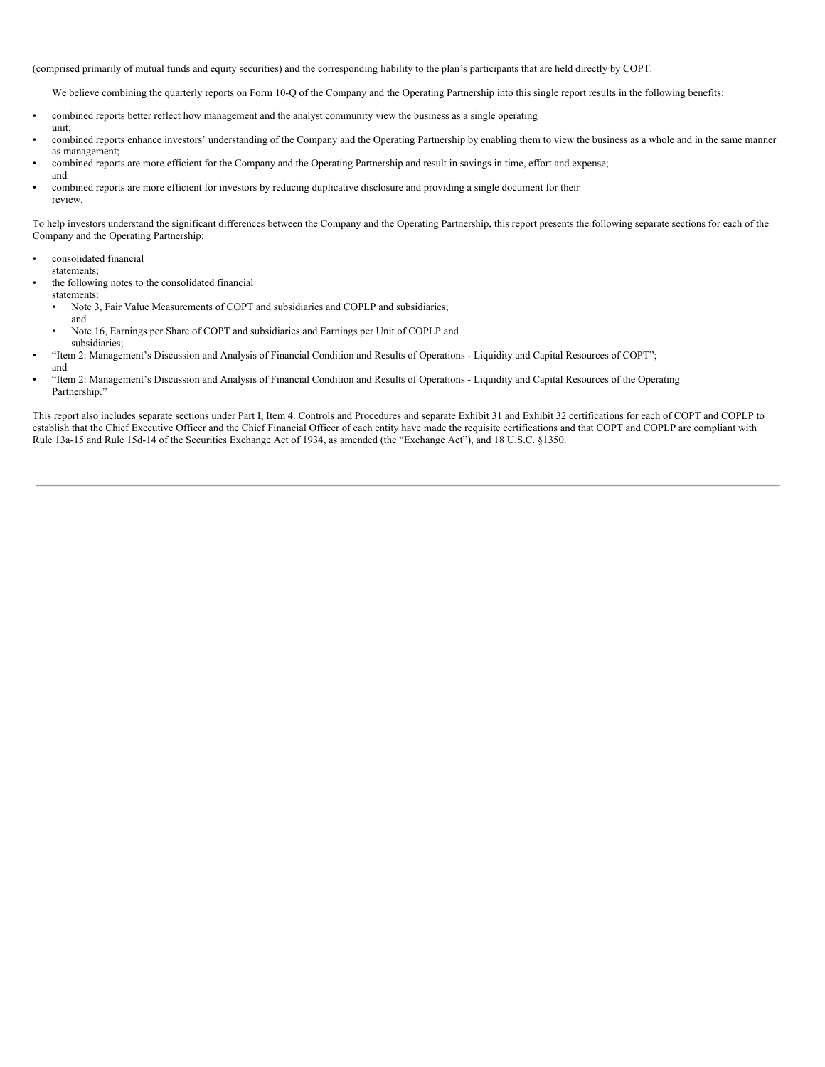(comprised primarily of mutual funds and equity securities) and the corresponding liability to the plan's participants that are held directly by COPT.

We believe combining the quarterly reports on Form 10-Q of the Company and the Operating Partnership into this single report results in the following benefits:

- combined reports better reflect how management and the analyst community view the business as a single operating
- combined reports enhance investors' understanding of the Company and the Operating Partnership by enabling them to view the business as a whole and in the same manner as management;
- combined reports are more efficient for the Company and the Operating Partnership and result in savings in time, effort and expense;
- combined reports are more efficient for investors by reducing duplicative disclosure and providing a single document for their review.

To help investors understand the significant differences between the Company and the Operating Partnership, this report presents the following separate sections for each of the Company and the Operating Partnership:

- consolidated financial statements;
- the following notes to the consolidated financial
- statements:

unit;

and

- Note 3, Fair Value Measurements of COPT and subsidiaries and COPLP and subsidiaries;
	- and
- Note 16, Earnings per Share of COPT and subsidiaries and Earnings per Unit of COPLP and subsidiaries;
- "Item 2: Management's Discussion and Analysis of Financial Condition and Results of Operations Liquidity and Capital Resources of COPT"; and
- "Item 2: Management's Discussion and Analysis of Financial Condition and Results of Operations Liquidity and Capital Resources of the Operating Partnership."

This report also includes separate sections under Part I, Item 4. Controls and Procedures and separate Exhibit 31 and Exhibit 32 certifications for each of COPT and COPLP to establish that the Chief Executive Officer and the Chief Financial Officer of each entity have made the requisite certifications and that COPT and COPLP are compliant with Rule 13a-15 and Rule 15d-14 of the Securities Exchange Act of 1934, as amended (the "Exchange Act"), and 18 U.S.C. §1350.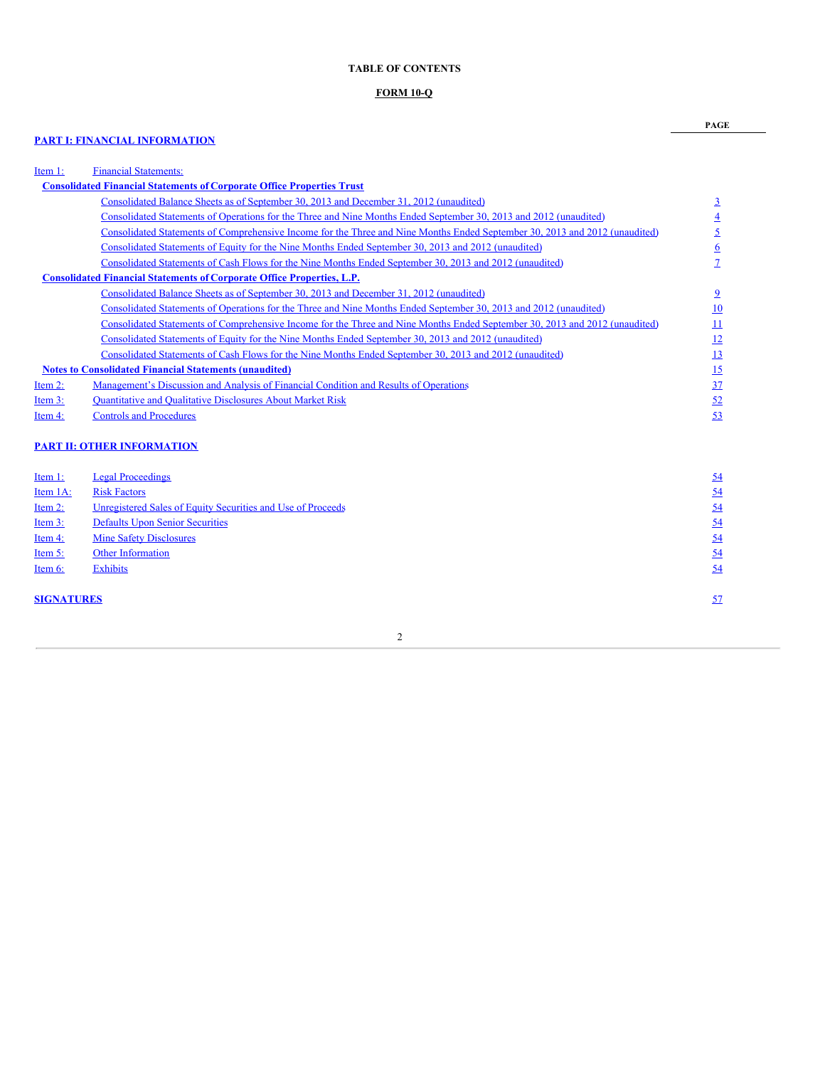# **TABLE OF CONTENTS**

# **FORM 10-Q**

# **PART I: FINANCIAL [INFORMATION](#page-4-0)**

**PAGE**

| Item 1:  | <b>Financial Statements:</b>                                                                                                |                 |
|----------|-----------------------------------------------------------------------------------------------------------------------------|-----------------|
|          | <b>Consolidated Financial Statements of Corporate Office Properties Trust</b>                                               |                 |
|          | Consolidated Balance Sheets as of September 30, 2013 and December 31, 2012 (unaudited)                                      | $\overline{3}$  |
|          | Consolidated Statements of Operations for the Three and Nine Months Ended September 30, 2013 and 2012 (unaudited)           | $\overline{4}$  |
|          | Consolidated Statements of Comprehensive Income for the Three and Nine Months Ended September 30, 2013 and 2012 (unaudited) | <u>5</u>        |
|          | Consolidated Statements of Equity for the Nine Months Ended September 30, 2013 and 2012 (unaudited)                         | $\overline{6}$  |
|          | Consolidated Statements of Cash Flows for the Nine Months Ended September 30, 2013 and 2012 (unaudited)                     | $\mathcal{I}$   |
|          | <b>Consolidated Financial Statements of Corporate Office Properties, L.P.</b>                                               |                 |
|          | Consolidated Balance Sheets as of September 30, 2013 and December 31, 2012 (unaudited)                                      | $\overline{2}$  |
|          | Consolidated Statements of Operations for the Three and Nine Months Ended September 30, 2013 and 2012 (unaudited)           | 10              |
|          | Consolidated Statements of Comprehensive Income for the Three and Nine Months Ended September 30, 2013 and 2012 (unaudited) | $\overline{11}$ |
|          | Consolidated Statements of Equity for the Nine Months Ended September 30, 2013 and 2012 (unaudited)                         | $\overline{12}$ |
|          | Consolidated Statements of Cash Flows for the Nine Months Ended September 30, 2013 and 2012 (unaudited)                     | 13              |
|          | <b>Notes to Consolidated Financial Statements (unaudited)</b>                                                               | $\overline{15}$ |
| Item 2:  | Management's Discussion and Analysis of Financial Condition and Results of Operations                                       | 37              |
| Item 3:  | Quantitative and Qualitative Disclosures About Market Risk                                                                  | 52              |
| Item 4:  | <b>Controls and Procedures</b>                                                                                              | <u>53</u>       |
|          | <b>PART II: OTHER INFORMATION</b>                                                                                           |                 |
| Item 1:  | <b>Legal Proceedings</b>                                                                                                    | <u>54</u>       |
| Item 1A: | <b>Risk Factors</b>                                                                                                         | <u>54</u>       |
| Item 2:  | Unregistered Sales of Equity Securities and Use of Proceeds                                                                 | 54              |

| $\mathop{\rm ncm}\nolimits$ $\mathbb{Z}$ : | Unregistered Sales of Equity Securities and Use of Proceeds | <u>24</u> |
|--------------------------------------------|-------------------------------------------------------------|-----------|
| Item 3:                                    | <b>Defaults Upon Senior Securities</b>                      | 54        |
| Item 4:                                    | <b>Mine Safety Disclosures</b>                              | 54        |
| Item 5:                                    | Other Information                                           | 54        |
| Item 6:                                    | <b>Exhibits</b>                                             | 54        |
|                                            |                                                             |           |
| <b>SIGNATURES</b>                          |                                                             | <u>57</u> |
|                                            |                                                             |           |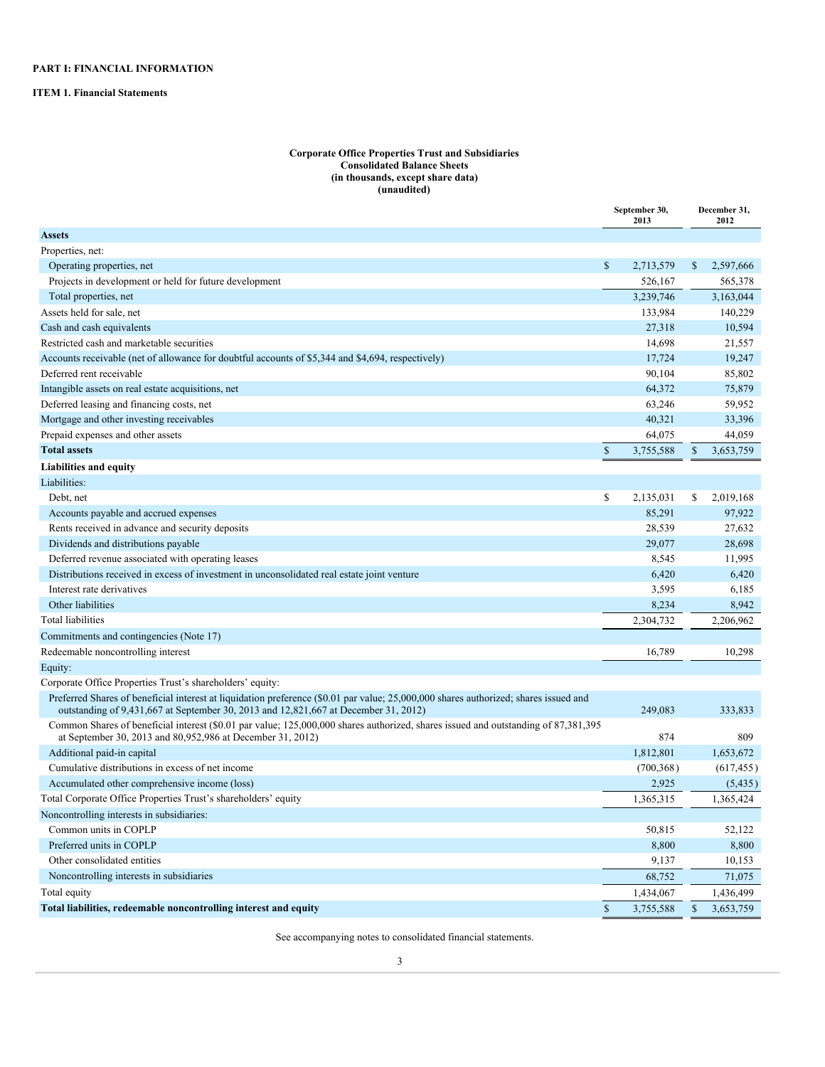<span id="page-4-3"></span><span id="page-4-2"></span><span id="page-4-1"></span><span id="page-4-0"></span>**ITEM 1. Financial Statements**

#### **Corporate Office Properties Trust and Subsidiaries Consolidated Balance Sheets (in thousands, except share data) (unaudited)**

|                                                                                                                                                                                                                             |              | September 30,<br>2013 |    | December 31,<br>2012 |  |
|-----------------------------------------------------------------------------------------------------------------------------------------------------------------------------------------------------------------------------|--------------|-----------------------|----|----------------------|--|
| <b>Assets</b>                                                                                                                                                                                                               |              |                       |    |                      |  |
| Properties, net:                                                                                                                                                                                                            |              |                       |    |                      |  |
| Operating properties, net                                                                                                                                                                                                   | $\mathbb{S}$ | 2,713,579             | \$ | 2,597,666            |  |
| Projects in development or held for future development                                                                                                                                                                      |              | 526,167               |    | 565,378              |  |
| Total properties, net                                                                                                                                                                                                       |              | 3,239,746             |    | 3,163,044            |  |
| Assets held for sale, net                                                                                                                                                                                                   |              | 133,984               |    | 140,229              |  |
| Cash and cash equivalents                                                                                                                                                                                                   |              | 27,318                |    | 10,594               |  |
| Restricted cash and marketable securities                                                                                                                                                                                   |              | 14,698                |    | 21,557               |  |
| Accounts receivable (net of allowance for doubtful accounts of \$5,344 and \$4,694, respectively)                                                                                                                           |              | 17,724                |    | 19,247               |  |
| Deferred rent receivable                                                                                                                                                                                                    |              | 90,104                |    | 85,802               |  |
| Intangible assets on real estate acquisitions, net                                                                                                                                                                          |              | 64,372                |    | 75,879               |  |
| Deferred leasing and financing costs, net                                                                                                                                                                                   |              | 63,246                |    | 59,952               |  |
| Mortgage and other investing receivables                                                                                                                                                                                    |              | 40,321                |    | 33,396               |  |
| Prepaid expenses and other assets                                                                                                                                                                                           |              | 64,075                |    | 44,059               |  |
| <b>Total assets</b>                                                                                                                                                                                                         | $\mathbb{S}$ | 3,755,588             | \$ | 3,653,759            |  |
| Liabilities and equity                                                                                                                                                                                                      |              |                       |    |                      |  |
| Liabilities:                                                                                                                                                                                                                |              |                       |    |                      |  |
| Debt, net                                                                                                                                                                                                                   | S            | 2,135,031             | S  | 2,019,168            |  |
| Accounts payable and accrued expenses                                                                                                                                                                                       |              | 85,291                |    | 97,922               |  |
| Rents received in advance and security deposits                                                                                                                                                                             |              | 28,539                |    | 27,632               |  |
| Dividends and distributions payable                                                                                                                                                                                         |              | 29,077                |    | 28,698               |  |
| Deferred revenue associated with operating leases                                                                                                                                                                           |              | 8,545                 |    | 11,995               |  |
| Distributions received in excess of investment in unconsolidated real estate joint venture                                                                                                                                  |              | 6,420                 |    | 6,420                |  |
| Interest rate derivatives                                                                                                                                                                                                   |              | 3,595                 |    | 6,185                |  |
| Other liabilities                                                                                                                                                                                                           |              | 8,234                 |    | 8,942                |  |
| <b>Total liabilities</b>                                                                                                                                                                                                    |              | 2,304,732             |    | 2,206,962            |  |
| Commitments and contingencies (Note 17)                                                                                                                                                                                     |              |                       |    |                      |  |
| Redeemable noncontrolling interest                                                                                                                                                                                          |              | 16,789                |    | 10,298               |  |
| Equity:                                                                                                                                                                                                                     |              |                       |    |                      |  |
| Corporate Office Properties Trust's shareholders' equity:                                                                                                                                                                   |              |                       |    |                      |  |
| Preferred Shares of beneficial interest at liquidation preference (\$0.01 par value; 25,000,000 shares authorized; shares issued and<br>outstanding of 9,431,667 at September 30, 2013 and 12,821,667 at December 31, 2012) |              | 249,083               |    | 333,833              |  |
| Common Shares of beneficial interest (\$0.01 par value; 125,000,000 shares authorized, shares issued and outstanding of 87,381,395<br>at September 30, 2013 and 80,952,986 at December 31, 2012)                            |              | 874                   |    | 809                  |  |
| Additional paid-in capital                                                                                                                                                                                                  |              | 1,812,801             |    | 1,653,672            |  |
| Cumulative distributions in excess of net income                                                                                                                                                                            |              | (700, 368)            |    | (617, 455)           |  |
| Accumulated other comprehensive income (loss)                                                                                                                                                                               |              | 2,925                 |    | (5, 435)             |  |
| Total Corporate Office Properties Trust's shareholders' equity                                                                                                                                                              |              | 1,365,315             |    | 1,365,424            |  |
| Noncontrolling interests in subsidiaries:                                                                                                                                                                                   |              |                       |    |                      |  |
| Common units in COPLP                                                                                                                                                                                                       |              | 50,815                |    | 52,122               |  |
| Preferred units in COPLP                                                                                                                                                                                                    |              | 8,800                 |    | 8,800                |  |
| Other consolidated entities                                                                                                                                                                                                 |              | 9,137                 |    | 10,153               |  |
| Noncontrolling interests in subsidiaries                                                                                                                                                                                    |              | 68,752                |    | 71,075               |  |
| Total equity                                                                                                                                                                                                                |              | 1,434,067             |    | 1,436,499            |  |
| Total liabilities, redeemable noncontrolling interest and equity                                                                                                                                                            | $\mathbb{S}$ | 3,755,588             | \$ | 3,653,759            |  |

See accompanying notes to consolidated financial statements.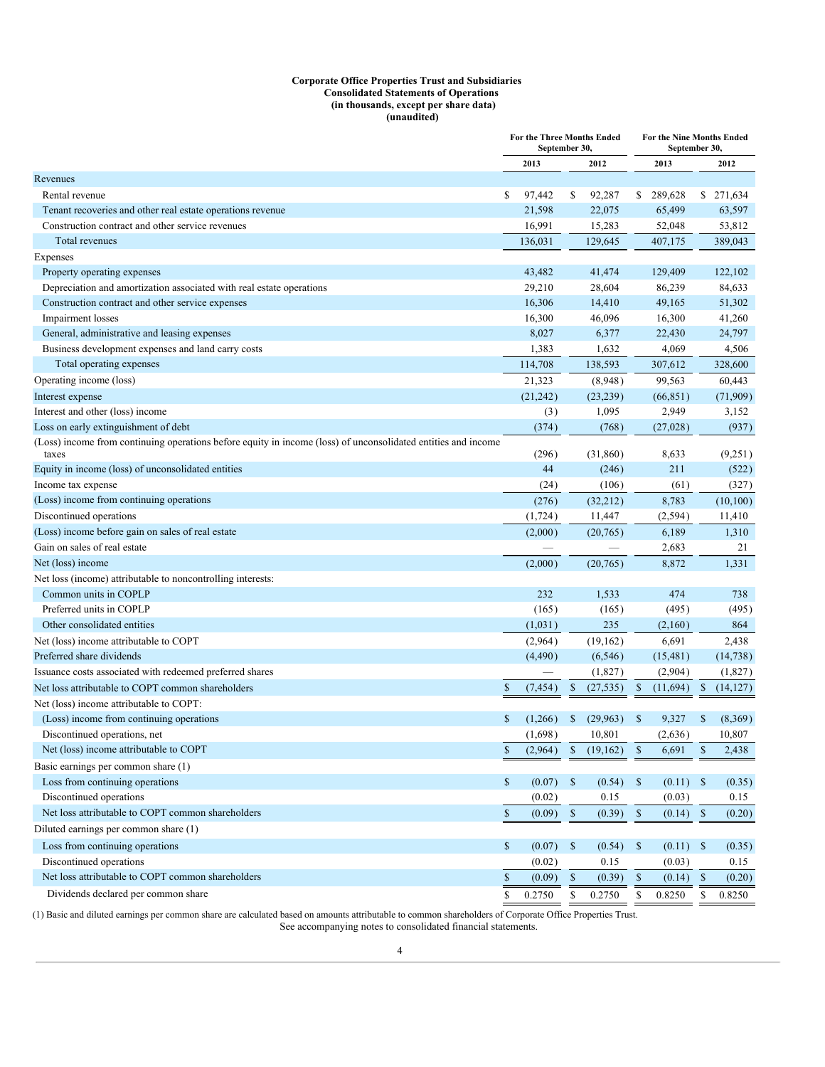#### **Corporate Office Properties Trust and Subsidiaries Consolidated Statements of Operations (in thousands, except per share data) (unaudited)**

<span id="page-5-0"></span>

|                                                                                                               |              | For the Three Months Ended<br>September 30, |                    |           | For the Nine Months Ended<br>September 30, |             |              |           |  |
|---------------------------------------------------------------------------------------------------------------|--------------|---------------------------------------------|--------------------|-----------|--------------------------------------------|-------------|--------------|-----------|--|
|                                                                                                               |              | 2013                                        |                    | 2012      |                                            | 2013        |              | 2012      |  |
| Revenues                                                                                                      |              |                                             |                    |           |                                            |             |              |           |  |
| Rental revenue                                                                                                | \$           | 97,442                                      | \$                 | 92,287    | \$                                         | 289,628     |              | \$271,634 |  |
| Tenant recoveries and other real estate operations revenue                                                    |              | 21,598                                      |                    | 22,075    |                                            | 65,499      |              | 63,597    |  |
| Construction contract and other service revenues                                                              |              | 16,991                                      |                    | 15,283    |                                            | 52,048      |              | 53,812    |  |
| <b>Total revenues</b>                                                                                         |              | 136,031                                     |                    | 129,645   |                                            | 407,175     |              | 389,043   |  |
| Expenses                                                                                                      |              |                                             |                    |           |                                            |             |              |           |  |
| Property operating expenses                                                                                   |              | 43,482                                      |                    | 41,474    |                                            | 129,409     |              | 122,102   |  |
| Depreciation and amortization associated with real estate operations                                          |              | 29,210                                      |                    | 28,604    |                                            | 86,239      |              | 84,633    |  |
| Construction contract and other service expenses                                                              |              | 16,306                                      |                    | 14,410    |                                            | 49,165      |              | 51,302    |  |
| Impairment losses                                                                                             |              | 16,300                                      |                    | 46,096    |                                            | 16,300      |              | 41,260    |  |
| General, administrative and leasing expenses                                                                  |              | 8,027                                       |                    | 6,377     |                                            | 22,430      |              | 24,797    |  |
| Business development expenses and land carry costs                                                            |              | 1,383                                       |                    | 1,632     |                                            | 4,069       |              | 4,506     |  |
| Total operating expenses                                                                                      |              | 114,708                                     |                    | 138,593   |                                            | 307,612     |              | 328,600   |  |
| Operating income (loss)                                                                                       |              | 21,323                                      |                    | (8,948)   |                                            | 99,563      |              | 60,443    |  |
| Interest expense                                                                                              |              | (21, 242)                                   |                    | (23, 239) |                                            | (66, 851)   |              | (71,909)  |  |
| Interest and other (loss) income                                                                              |              | (3)                                         |                    | 1,095     |                                            | 2,949       |              | 3,152     |  |
| Loss on early extinguishment of debt                                                                          |              | (374)                                       |                    | (768)     |                                            | (27,028)    |              | (937)     |  |
| (Loss) income from continuing operations before equity in income (loss) of unconsolidated entities and income |              |                                             |                    |           |                                            |             |              |           |  |
| taxes                                                                                                         |              | (296)                                       |                    | (31,860)  |                                            | 8,633       |              | (9,251)   |  |
| Equity in income (loss) of unconsolidated entities                                                            |              | 44                                          |                    | (246)     |                                            | 211         |              | (522)     |  |
| Income tax expense                                                                                            |              | (24)                                        |                    | (106)     |                                            | (61)        |              | (327)     |  |
| (Loss) income from continuing operations                                                                      |              | (276)                                       |                    | (32,212)  |                                            | 8,783       |              | (10,100)  |  |
| Discontinued operations                                                                                       |              | (1,724)                                     |                    | 11,447    |                                            | (2, 594)    |              | 11,410    |  |
| (Loss) income before gain on sales of real estate                                                             |              | (2,000)                                     |                    | (20,765)  |                                            | 6,189       |              | 1,310     |  |
| Gain on sales of real estate                                                                                  |              |                                             |                    |           |                                            | 2,683       |              | 21        |  |
| Net (loss) income                                                                                             |              | (2,000)                                     |                    | (20,765)  |                                            | 8,872       |              | 1,331     |  |
| Net loss (income) attributable to noncontrolling interests:                                                   |              |                                             |                    |           |                                            |             |              |           |  |
| Common units in COPLP                                                                                         |              | 232                                         |                    | 1,533     |                                            | 474         |              | 738       |  |
| Preferred units in COPLP                                                                                      |              | (165)                                       |                    | (165)     |                                            | (495)       |              | (495)     |  |
| Other consolidated entities                                                                                   |              | (1,031)                                     |                    | 235       |                                            | (2,160)     |              | 864       |  |
| Net (loss) income attributable to COPT                                                                        |              | (2,964)                                     |                    | (19, 162) |                                            | 6,691       |              | 2,438     |  |
| Preferred share dividends                                                                                     |              | (4,490)                                     |                    | (6, 546)  |                                            | (15, 481)   |              | (14, 738) |  |
| Issuance costs associated with redeemed preferred shares                                                      |              |                                             |                    | (1,827)   |                                            | (2,904)     |              | (1,827)   |  |
| Net loss attributable to COPT common shareholders                                                             | \$           | (7, 454)                                    | $\mathbb S$        | (27, 535) | $\mathbb{S}$                               | (11,694)    | $\mathbb{S}$ | (14, 127) |  |
| Net (loss) income attributable to COPT:                                                                       |              |                                             |                    |           |                                            |             |              |           |  |
| (Loss) income from continuing operations                                                                      | \$           | (1,266)                                     |                    | (29,963)  | -S                                         | 9,327       | $\mathbb{S}$ | (8,369)   |  |
| Discontinued operations, net                                                                                  |              | (1,698)                                     |                    | 10,801    |                                            | (2,636)     |              | 10,807    |  |
| Net (loss) income attributable to COPT                                                                        | $\$$         | (2,964)                                     | \$                 | (19,162)  | $\mathbb{S}$                               | 6,691       | \$           | 2,438     |  |
| Basic earnings per common share (1)                                                                           |              |                                             |                    |           |                                            |             |              |           |  |
| Loss from continuing operations                                                                               | \$           | (0.07)                                      | $\mathbb{S}$       | (0.54)    | $\mathbf{s}$                               | $(0.11)$ \$ |              | (0.35)    |  |
| Discontinued operations                                                                                       |              | (0.02)                                      |                    | 0.15      |                                            | (0.03)      |              | 0.15      |  |
| Net loss attributable to COPT common shareholders                                                             | $\mathbb{S}$ | (0.09)                                      | $\mathbb{S}$       | (0.39)    | $\boldsymbol{\mathsf{S}}$                  | (0.14)      | $\mathbb{S}$ | (0.20)    |  |
| Diluted earnings per common share (1)                                                                         |              |                                             |                    |           |                                            |             |              |           |  |
| Loss from continuing operations                                                                               | \$           | (0.07)                                      | $\mathbf{\hat{s}}$ | (0.54)    | - \$                                       | $(0.11)$ \$ |              | (0.35)    |  |
| Discontinued operations                                                                                       |              | (0.02)                                      |                    | 0.15      |                                            | (0.03)      |              | 0.15      |  |
| Net loss attributable to COPT common shareholders                                                             | \$           | (0.09)                                      | $\mathbb S$        | (0.39)    | $\boldsymbol{\mathsf{S}}$                  | (0.14)      | \$           | (0.20)    |  |
| Dividends declared per common share                                                                           | \$           | 0.2750                                      | \$                 | 0.2750    | <sup>\$</sup>                              | 0.8250      | S            | 0.8250    |  |
|                                                                                                               |              |                                             |                    |           |                                            |             |              |           |  |

(1) Basic and diluted earnings per common share are calculated based on amounts attributable to common shareholders of Corporate Office Properties Trust. See accompanying notes to consolidated financial statements.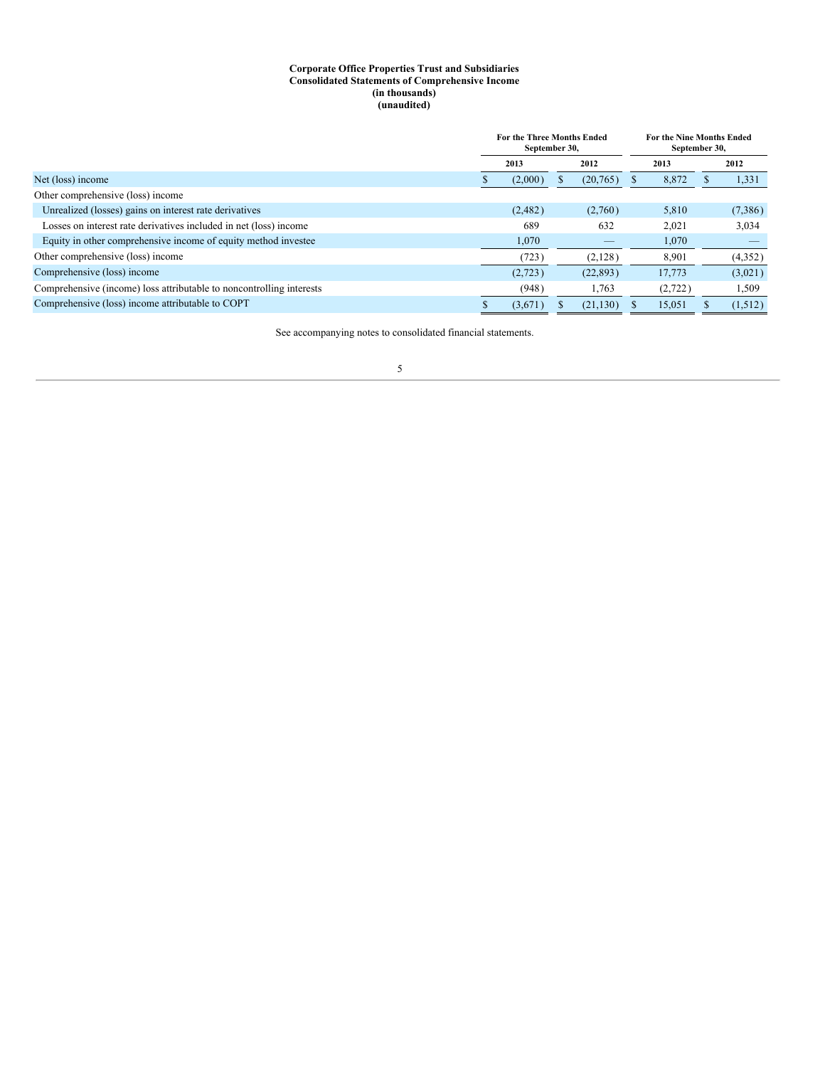#### **Corporate Office Properties Trust and Subsidiaries Consolidated Statements of Comprehensive Income (in thousands) (unaudited)**

<span id="page-6-0"></span>

|                                                                      | <b>For the Three Months Ended</b><br>September 30, |  |           |   | <b>For the Nine Months Ended</b><br>September 30, |  |         |
|----------------------------------------------------------------------|----------------------------------------------------|--|-----------|---|---------------------------------------------------|--|---------|
|                                                                      | 2013                                               |  | 2012      |   | 2013                                              |  | 2012    |
| Net (loss) income                                                    | (2,000)                                            |  | (20,765)  | æ | 8,872                                             |  | 1,331   |
| Other comprehensive (loss) income                                    |                                                    |  |           |   |                                                   |  |         |
| Unrealized (losses) gains on interest rate derivatives               | (2,482)                                            |  | (2,760)   |   | 5,810                                             |  | (7,386) |
| Losses on interest rate derivatives included in net (loss) income    | 689                                                |  | 632       |   | 2,021                                             |  | 3,034   |
| Equity in other comprehensive income of equity method investee       | 1,070                                              |  |           |   | 1,070                                             |  |         |
| Other comprehensive (loss) income                                    | (723)                                              |  | (2,128)   |   | 8,901                                             |  | (4,352) |
| Comprehensive (loss) income                                          | (2,723)                                            |  | (22, 893) |   | 17,773                                            |  | (3,021) |
| Comprehensive (income) loss attributable to noncontrolling interests | (948)                                              |  | 1,763     |   | (2, 722)                                          |  | 1,509   |
| Comprehensive (loss) income attributable to COPT                     | (3,671)                                            |  | (21, 130) |   | 15,051                                            |  | (1,512) |

See accompanying notes to consolidated financial statements.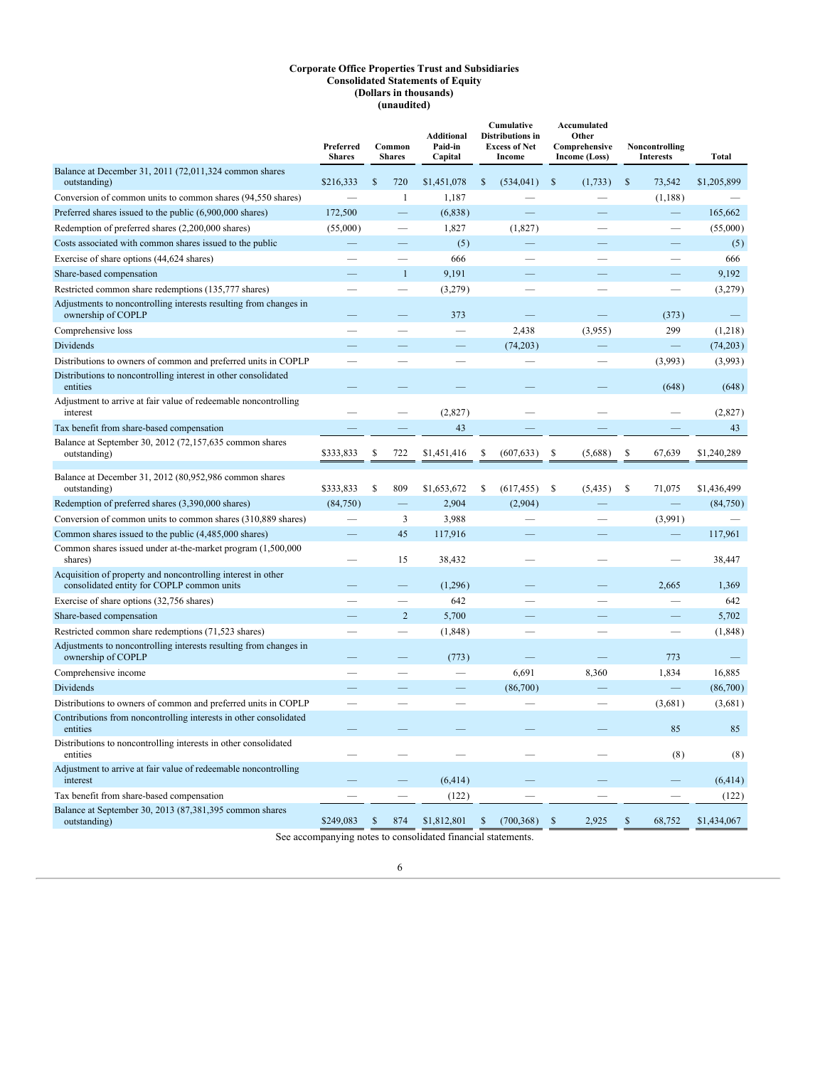#### **Corporate Office Properties Trust and Subsidiaries Consolidated Statements of Equity (Dollars in thousands) (unaudited)**

<span id="page-7-0"></span>

|                                                                                                            | Preferred<br><b>Shares</b> |    | Common<br><b>Shares</b>  | <b>Additional</b><br>Paid-in<br>Capital | Cumulative<br><b>Distributions</b> in<br><b>Excess of Net</b><br>Income | Accumulated<br>Other<br>Comprehensive<br>Income (Loss) |          |              | Noncontrolling<br><b>Interests</b> | Total       |
|------------------------------------------------------------------------------------------------------------|----------------------------|----|--------------------------|-----------------------------------------|-------------------------------------------------------------------------|--------------------------------------------------------|----------|--------------|------------------------------------|-------------|
| Balance at December 31, 2011 (72,011,324 common shares<br>outstanding)                                     | \$216,333                  | \$ | 720                      | \$1,451,078                             | \$<br>(534, 041)                                                        | $\mathcal{S}$                                          | (1,733)  | $\mathbb{S}$ | 73,542                             | \$1,205,899 |
| Conversion of common units to common shares (94,550 shares)                                                |                            |    | $\mathbf{1}$             | 1,187                                   |                                                                         |                                                        |          |              | (1, 188)                           |             |
| Preferred shares issued to the public (6,900,000 shares)                                                   | 172,500                    |    | $\qquad \qquad$          | (6,838)                                 |                                                                         |                                                        |          |              | $\equiv$                           | 165,662     |
| Redemption of preferred shares (2,200,000 shares)                                                          | (55,000)                   |    |                          | 1,827                                   | (1,827)                                                                 |                                                        |          |              |                                    | (55,000)    |
| Costs associated with common shares issued to the public                                                   |                            |    |                          | (5)                                     |                                                                         |                                                        |          |              |                                    | (5)         |
| Exercise of share options (44,624 shares)                                                                  |                            |    |                          | 666                                     |                                                                         |                                                        |          |              | e e c                              | 666         |
| Share-based compensation                                                                                   |                            |    | $\mathbf{1}$             | 9,191                                   |                                                                         |                                                        |          |              |                                    | 9,192       |
| Restricted common share redemptions (135,777 shares)                                                       |                            |    |                          | (3,279)                                 |                                                                         |                                                        |          |              |                                    | (3,279)     |
| Adjustments to noncontrolling interests resulting from changes in<br>ownership of COPLP                    |                            |    |                          | 373                                     |                                                                         |                                                        |          |              | (373)                              |             |
| Comprehensive loss                                                                                         |                            |    |                          |                                         | 2,438                                                                   |                                                        | (3,955)  |              | 299                                | (1,218)     |
| Dividends                                                                                                  |                            |    |                          |                                         | (74,203)                                                                |                                                        |          |              | $\equiv$                           | (74, 203)   |
| Distributions to owners of common and preferred units in COPLP                                             |                            |    |                          |                                         |                                                                         |                                                        |          |              | (3,993)                            | (3,993)     |
| Distributions to noncontrolling interest in other consolidated<br>entities                                 |                            |    |                          |                                         |                                                                         |                                                        |          |              | (648)                              | (648)       |
| Adjustment to arrive at fair value of redeemable noncontrolling<br>interest                                |                            |    |                          | (2,827)                                 |                                                                         |                                                        |          |              |                                    | (2,827)     |
| Tax benefit from share-based compensation                                                                  |                            |    |                          | 43                                      |                                                                         |                                                        |          |              |                                    | 43          |
| Balance at September 30, 2012 (72,157,635 common shares<br>outstanding)                                    | \$333,833                  | S  | 722                      | \$1,451,416                             | \$<br>(607, 633)                                                        | \$                                                     | (5,688)  | S            | 67,639                             | \$1,240,289 |
| Balance at December 31, 2012 (80,952,986 common shares<br>outstanding)                                     | \$333,833                  | \$ | 809                      | \$1,653,672                             | \$<br>(617, 455)                                                        | -S                                                     | (5, 435) | <b>S</b>     | 71,075                             | \$1,436,499 |
| Redemption of preferred shares (3,390,000 shares)                                                          | (84,750)                   |    | $\overline{\phantom{0}}$ | 2,904                                   | (2,904)                                                                 |                                                        |          |              |                                    | (84,750)    |
| Conversion of common units to common shares (310,889 shares)                                               | $\overline{\phantom{0}}$   |    | 3                        | 3,988                                   |                                                                         |                                                        |          |              | (3,991)                            |             |
| Common shares issued to the public (4,485,000 shares)                                                      |                            |    | 45                       | 117,916                                 |                                                                         |                                                        |          |              |                                    | 117,961     |
| Common shares issued under at-the-market program (1,500,000<br>shares)                                     |                            |    | 15                       | 38,432                                  |                                                                         |                                                        |          |              |                                    | 38,447      |
| Acquisition of property and noncontrolling interest in other<br>consolidated entity for COPLP common units |                            |    |                          | (1,296)                                 |                                                                         |                                                        |          |              | 2,665                              | 1,369       |
| Exercise of share options (32,756 shares)                                                                  |                            |    |                          | 642                                     |                                                                         |                                                        |          |              |                                    | 642         |
| Share-based compensation                                                                                   |                            |    | $\overline{2}$           | 5,700                                   |                                                                         |                                                        |          |              |                                    | 5,702       |
| Restricted common share redemptions (71,523 shares)                                                        |                            |    |                          | (1, 848)                                |                                                                         |                                                        |          |              |                                    | (1, 848)    |
| Adjustments to noncontrolling interests resulting from changes in<br>ownership of COPLP                    |                            |    |                          | (773)                                   |                                                                         |                                                        |          |              | 773                                |             |
| Comprehensive income                                                                                       |                            |    |                          |                                         | 6,691                                                                   |                                                        | 8,360    |              | 1,834                              | 16,885      |
| Dividends                                                                                                  |                            |    |                          | $\overline{\phantom{0}}$                | (86,700)                                                                |                                                        |          |              | –                                  | (86,700)    |
| Distributions to owners of common and preferred units in COPLP                                             |                            |    |                          |                                         |                                                                         |                                                        |          |              | (3,681)                            | (3,681)     |
| Contributions from noncontrolling interests in other consolidated<br>entities                              |                            |    |                          |                                         |                                                                         |                                                        |          |              | 85                                 | 85          |
| Distributions to noncontrolling interests in other consolidated<br>entities                                |                            |    |                          |                                         |                                                                         |                                                        |          |              | (8)                                | (8)         |
| Adjustment to arrive at fair value of redeemable noncontrolling<br>interest                                |                            |    |                          | (6, 414)                                |                                                                         |                                                        |          |              |                                    | (6, 414)    |
| Tax benefit from share-based compensation                                                                  |                            |    |                          | (122)                                   |                                                                         |                                                        |          |              |                                    | (122)       |
| Balance at September 30, 2013 (87,381,395 common shares<br>outstanding)                                    | \$249,083                  | S  | 874                      | \$1,812,801                             | \$<br>(700, 368)                                                        | - \$                                                   | 2,925    | \$           | 68,752                             | \$1,434,067 |

See accompanying notes to consolidated financial statements.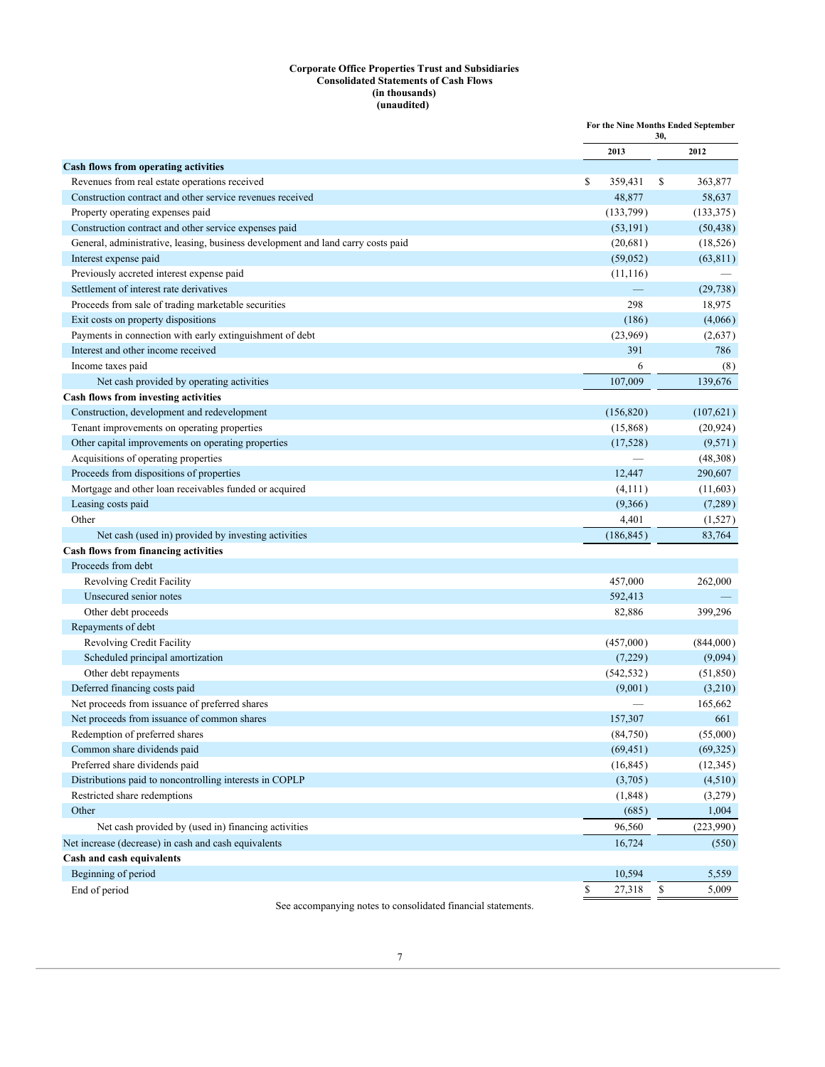#### **Corporate Office Properties Trust and Subsidiaries Consolidated Statements of Cash Flows (in thousands) (unaudited)**

<span id="page-8-0"></span>

|                                                                                  |               | For the Nine Months Ended September<br>30, |
|----------------------------------------------------------------------------------|---------------|--------------------------------------------|
|                                                                                  | 2013          | 2012                                       |
| Cash flows from operating activities                                             |               |                                            |
| Revenues from real estate operations received                                    | \$<br>359,431 | \$<br>363,877                              |
| Construction contract and other service revenues received                        | 48,877        | 58,637                                     |
| Property operating expenses paid                                                 | (133,799)     | (133, 375)                                 |
| Construction contract and other service expenses paid                            | (53, 191)     | (50, 438)                                  |
| General, administrative, leasing, business development and land carry costs paid | (20,681)      | (18, 526)                                  |
| Interest expense paid                                                            | (59,052)      | (63, 811)                                  |
| Previously accreted interest expense paid                                        | (11, 116)     |                                            |
| Settlement of interest rate derivatives                                          |               | (29, 738)                                  |
| Proceeds from sale of trading marketable securities                              | 298           | 18,975                                     |
| Exit costs on property dispositions                                              | (186)         | (4,066)                                    |
| Payments in connection with early extinguishment of debt                         | (23,969)      | (2,637)                                    |
| Interest and other income received                                               | 391           | 786                                        |
| Income taxes paid                                                                | 6             | (8)                                        |
| Net cash provided by operating activities                                        | 107,009       | 139,676                                    |
| Cash flows from investing activities                                             |               |                                            |
| Construction, development and redevelopment                                      | (156, 820)    | (107,621)                                  |
| Tenant improvements on operating properties                                      | (15, 868)     | (20, 924)                                  |
| Other capital improvements on operating properties                               | (17, 528)     | (9,571)                                    |
| Acquisitions of operating properties                                             |               | (48,308)                                   |
| Proceeds from dispositions of properties                                         | 12,447        | 290,607                                    |
| Mortgage and other loan receivables funded or acquired                           | (4,111)       | (11,603)                                   |
| Leasing costs paid                                                               | (9,366)       | (7,289)                                    |
| Other                                                                            | 4,401         | (1,527)                                    |
| Net cash (used in) provided by investing activities                              | (186, 845)    | 83,764                                     |
| Cash flows from financing activities                                             |               |                                            |
| Proceeds from debt                                                               |               |                                            |
| Revolving Credit Facility                                                        | 457,000       | 262,000                                    |
| Unsecured senior notes                                                           | 592,413       |                                            |
| Other debt proceeds                                                              | 82,886        | 399,296                                    |
| Repayments of debt                                                               |               |                                            |
| <b>Revolving Credit Facility</b>                                                 | (457,000)     | (844,000)                                  |
| Scheduled principal amortization                                                 | (7,229)       | (9,094)                                    |
| Other debt repayments                                                            | (542, 532)    | (51, 850)                                  |
| Deferred financing costs paid                                                    | (9,001)       | (3,210)                                    |
| Net proceeds from issuance of preferred shares                                   |               | 165,662                                    |
| Net proceeds from issuance of common shares                                      | 157,307       | 661                                        |
| Redemption of preferred shares                                                   | (84,750)      | (55,000)                                   |
| Common share dividends paid                                                      | (69, 451)     | (69, 325)                                  |
| Preferred share dividends paid                                                   | (16, 845)     | (12, 345)                                  |
| Distributions paid to noncontrolling interests in COPLP                          | (3,705)       | (4,510)                                    |
| Restricted share redemptions                                                     | (1, 848)      | (3,279)                                    |
| Other                                                                            | (685)         | 1,004                                      |
| Net cash provided by (used in) financing activities                              | 96,560        | (223,990)                                  |
| Net increase (decrease) in cash and cash equivalents                             | 16,724        | (550)                                      |
| Cash and cash equivalents                                                        |               |                                            |
| Beginning of period                                                              | 10,594        | 5,559                                      |
| End of period                                                                    | \$<br>27,318  | \$<br>5,009                                |
|                                                                                  |               |                                            |

See accompanying notes to consolidated financial statements.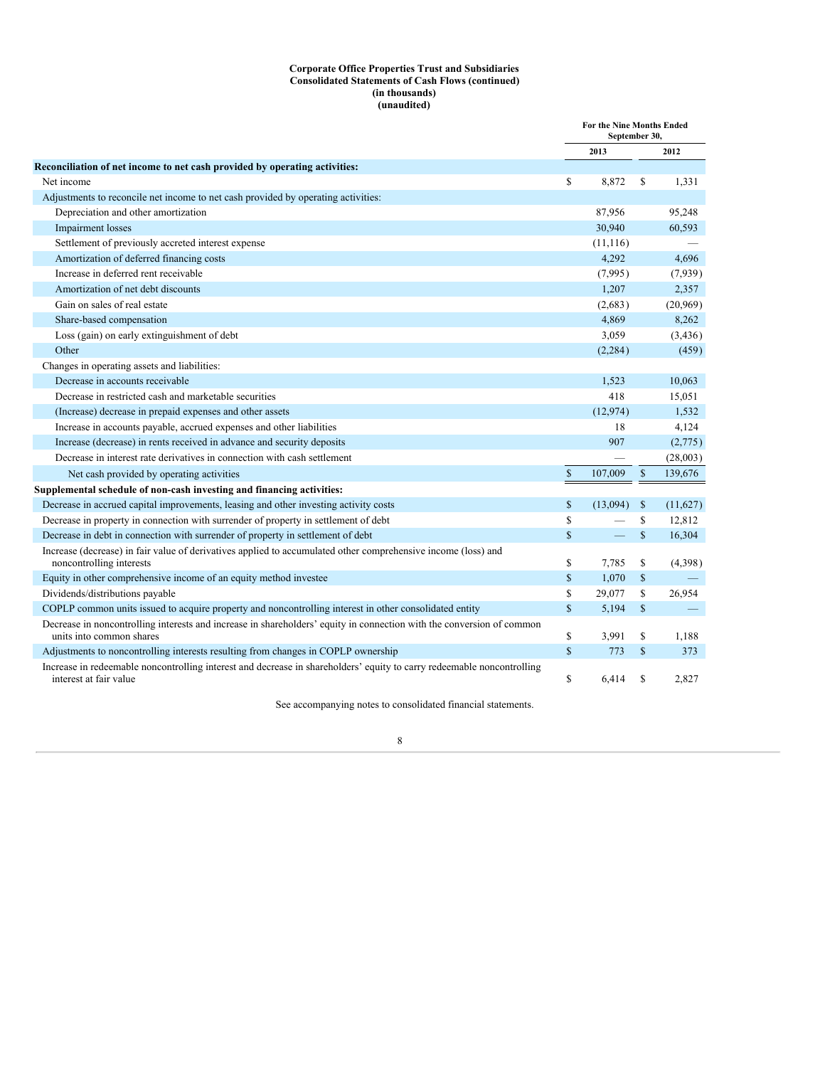#### **Corporate Office Properties Trust and Subsidiaries Consolidated Statements of Cash Flows (continued) (in thousands) (unaudited)**

|                                                                                                                                                   |                    | For the Nine Months Ended<br>September 30, |               |          |
|---------------------------------------------------------------------------------------------------------------------------------------------------|--------------------|--------------------------------------------|---------------|----------|
|                                                                                                                                                   |                    | 2013                                       |               | 2012     |
| Reconciliation of net income to net cash provided by operating activities:                                                                        |                    |                                            |               |          |
| Net income                                                                                                                                        | S                  | 8,872                                      | <sup>\$</sup> | 1,331    |
| Adjustments to reconcile net income to net cash provided by operating activities:                                                                 |                    |                                            |               |          |
| Depreciation and other amortization                                                                                                               |                    | 87,956                                     |               | 95,248   |
| <b>Impairment</b> losses                                                                                                                          |                    | 30,940                                     |               | 60,593   |
| Settlement of previously accreted interest expense                                                                                                |                    | (11, 116)                                  |               |          |
| Amortization of deferred financing costs                                                                                                          |                    | 4,292                                      |               | 4,696    |
| Increase in deferred rent receivable                                                                                                              |                    | (7,995)                                    |               | (7,939)  |
| Amortization of net debt discounts                                                                                                                |                    | 1,207                                      |               | 2,357    |
| Gain on sales of real estate                                                                                                                      |                    | (2,683)                                    |               | (20,969) |
| Share-based compensation                                                                                                                          |                    | 4,869                                      |               | 8,262    |
| Loss (gain) on early extinguishment of debt                                                                                                       |                    | 3,059                                      |               | (3, 436) |
| Other                                                                                                                                             |                    | (2, 284)                                   |               | (459)    |
| Changes in operating assets and liabilities:                                                                                                      |                    |                                            |               |          |
| Decrease in accounts receivable                                                                                                                   |                    | 1,523                                      |               | 10,063   |
| Decrease in restricted cash and marketable securities                                                                                             |                    | 418                                        |               | 15,051   |
| (Increase) decrease in prepaid expenses and other assets                                                                                          |                    | (12, 974)                                  |               | 1,532    |
| Increase in accounts payable, accrued expenses and other liabilities                                                                              |                    | 18                                         |               | 4,124    |
| Increase (decrease) in rents received in advance and security deposits                                                                            |                    | 907                                        |               | (2,775)  |
| Decrease in interest rate derivatives in connection with cash settlement                                                                          |                    |                                            |               | (28,003) |
| Net cash provided by operating activities                                                                                                         | $\mathbf S$        | 107,009                                    | $\mathbb{S}$  | 139,676  |
| Supplemental schedule of non-cash investing and financing activities:                                                                             |                    |                                            |               |          |
| Decrease in accrued capital improvements, leasing and other investing activity costs                                                              | $\mathbb{S}$       | (13,094)                                   | $\mathbb{S}$  | (11,627) |
| Decrease in property in connection with surrender of property in settlement of debt                                                               | \$                 |                                            | $\mathbf S$   | 12,812   |
| Decrease in debt in connection with surrender of property in settlement of debt                                                                   | $\mathbf{\hat{s}}$ |                                            | $\mathcal{S}$ | 16,304   |
| Increase (decrease) in fair value of derivatives applied to accumulated other comprehensive income (loss) and<br>noncontrolling interests         | \$                 | 7,785                                      | \$            | (4,398)  |
| Equity in other comprehensive income of an equity method investee                                                                                 | $\mathbb{S}$       | 1,070                                      | $\$$          |          |
| Dividends/distributions payable                                                                                                                   | \$                 | 29,077                                     | \$            | 26,954   |
| COPLP common units issued to acquire property and noncontrolling interest in other consolidated entity                                            | $\mathbb{S}$       | 5,194                                      | $\mathbb{S}$  |          |
| Decrease in noncontrolling interests and increase in shareholders' equity in connection with the conversion of common<br>units into common shares | \$                 | 3,991                                      | \$            | 1,188    |
| Adjustments to noncontrolling interests resulting from changes in COPLP ownership                                                                 | $\mathbf S$        | 773                                        | $\mathbf S$   | 373      |
| Increase in redeemable noncontrolling interest and decrease in shareholders' equity to carry redeemable noncontrolling<br>interest at fair value  | \$                 | 6.414                                      | <sup>\$</sup> | 2,827    |

See accompanying notes to consolidated financial statements.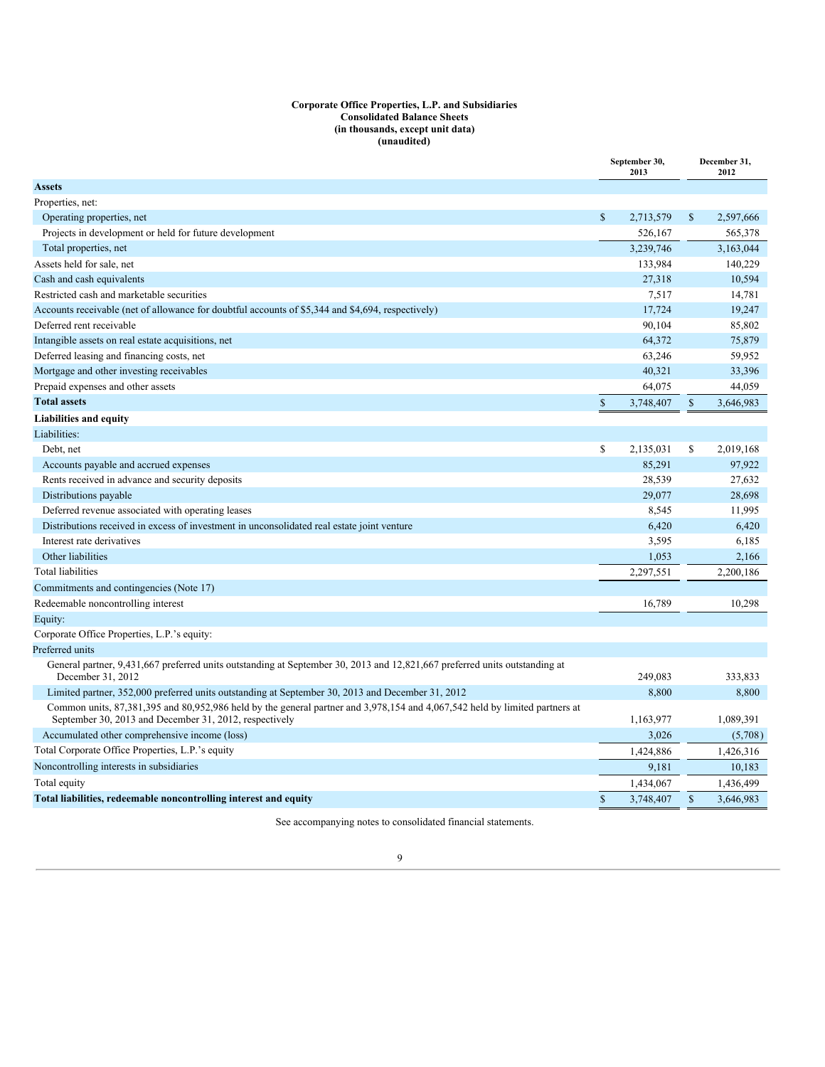#### **Corporate Office Properties, L.P. and Subsidiaries Consolidated Balance Sheets (in thousands, except unit data) (unaudited)**

<span id="page-10-0"></span>

|                                                                                                                                                                                       |              | September 30,<br>2013 |              | December 31,<br>2012 |
|---------------------------------------------------------------------------------------------------------------------------------------------------------------------------------------|--------------|-----------------------|--------------|----------------------|
| <b>Assets</b>                                                                                                                                                                         |              |                       |              |                      |
| Properties, net:                                                                                                                                                                      |              |                       |              |                      |
| Operating properties, net                                                                                                                                                             | $\mathbb{S}$ | 2,713,579             | $\mathbf S$  | 2,597,666            |
| Projects in development or held for future development                                                                                                                                |              | 526,167               |              | 565,378              |
| Total properties, net                                                                                                                                                                 |              | 3.239.746             |              | 3,163,044            |
| Assets held for sale, net                                                                                                                                                             |              | 133,984               |              | 140,229              |
| Cash and cash equivalents                                                                                                                                                             |              | 27,318                |              | 10,594               |
| Restricted cash and marketable securities                                                                                                                                             |              | 7,517                 |              | 14,781               |
| Accounts receivable (net of allowance for doubtful accounts of \$5,344 and \$4,694, respectively)                                                                                     |              | 17,724                |              | 19,247               |
| Deferred rent receivable                                                                                                                                                              |              | 90,104                |              | 85,802               |
| Intangible assets on real estate acquisitions, net                                                                                                                                    |              | 64,372                |              | 75,879               |
| Deferred leasing and financing costs, net                                                                                                                                             |              | 63,246                |              | 59,952               |
| Mortgage and other investing receivables                                                                                                                                              |              | 40,321                |              | 33,396               |
| Prepaid expenses and other assets                                                                                                                                                     |              | 64,075                |              | 44,059               |
| <b>Total assets</b>                                                                                                                                                                   | $\mathbb{S}$ | 3,748,407             | $\mathbb{S}$ | 3,646,983            |
| <b>Liabilities and equity</b>                                                                                                                                                         |              |                       |              |                      |
| Liabilities:                                                                                                                                                                          |              |                       |              |                      |
| Debt, net                                                                                                                                                                             | $\mathbb{S}$ | 2,135,031             | \$           | 2,019,168            |
| Accounts payable and accrued expenses                                                                                                                                                 |              | 85,291                |              | 97,922               |
| Rents received in advance and security deposits                                                                                                                                       |              | 28,539                |              | 27,632               |
| Distributions payable                                                                                                                                                                 |              | 29,077                |              | 28,698               |
| Deferred revenue associated with operating leases                                                                                                                                     |              | 8,545                 |              | 11,995               |
| Distributions received in excess of investment in unconsolidated real estate joint venture                                                                                            |              | 6,420                 |              | 6,420                |
| Interest rate derivatives                                                                                                                                                             |              | 3,595                 |              | 6.185                |
| Other liabilities                                                                                                                                                                     |              | 1,053                 |              | 2,166                |
| <b>Total liabilities</b>                                                                                                                                                              |              | 2,297,551             |              | 2,200,186            |
| Commitments and contingencies (Note 17)                                                                                                                                               |              |                       |              |                      |
| Redeemable noncontrolling interest                                                                                                                                                    |              | 16,789                |              | 10,298               |
| Equity:                                                                                                                                                                               |              |                       |              |                      |
| Corporate Office Properties, L.P.'s equity:                                                                                                                                           |              |                       |              |                      |
| Preferred units                                                                                                                                                                       |              |                       |              |                      |
| General partner, 9,431,667 preferred units outstanding at September 30, 2013 and 12,821,667 preferred units outstanding at<br>December 31, 2012                                       |              | 249,083               |              | 333,833              |
| Limited partner, 352,000 preferred units outstanding at September 30, 2013 and December 31, 2012                                                                                      |              | 8.800                 |              | 8,800                |
| Common units, 87,381,395 and 80,952,986 held by the general partner and 3,978,154 and 4,067,542 held by limited partners at<br>September 30, 2013 and December 31, 2012, respectively |              | 1,163,977             |              | 1,089,391            |
| Accumulated other comprehensive income (loss)                                                                                                                                         |              | 3,026                 |              | (5,708)              |
| Total Corporate Office Properties, L.P.'s equity                                                                                                                                      |              | 1,424,886             |              | 1,426,316            |
| Noncontrolling interests in subsidiaries                                                                                                                                              |              | 9,181                 |              | 10.183               |
| Total equity                                                                                                                                                                          |              | 1,434,067             |              | 1,436,499            |
| Total liabilities, redeemable noncontrolling interest and equity                                                                                                                      | $\mathbb{S}$ | 3,748,407             | $\mathbf S$  | 3,646,983            |
|                                                                                                                                                                                       |              |                       |              |                      |

See accompanying notes to consolidated financial statements.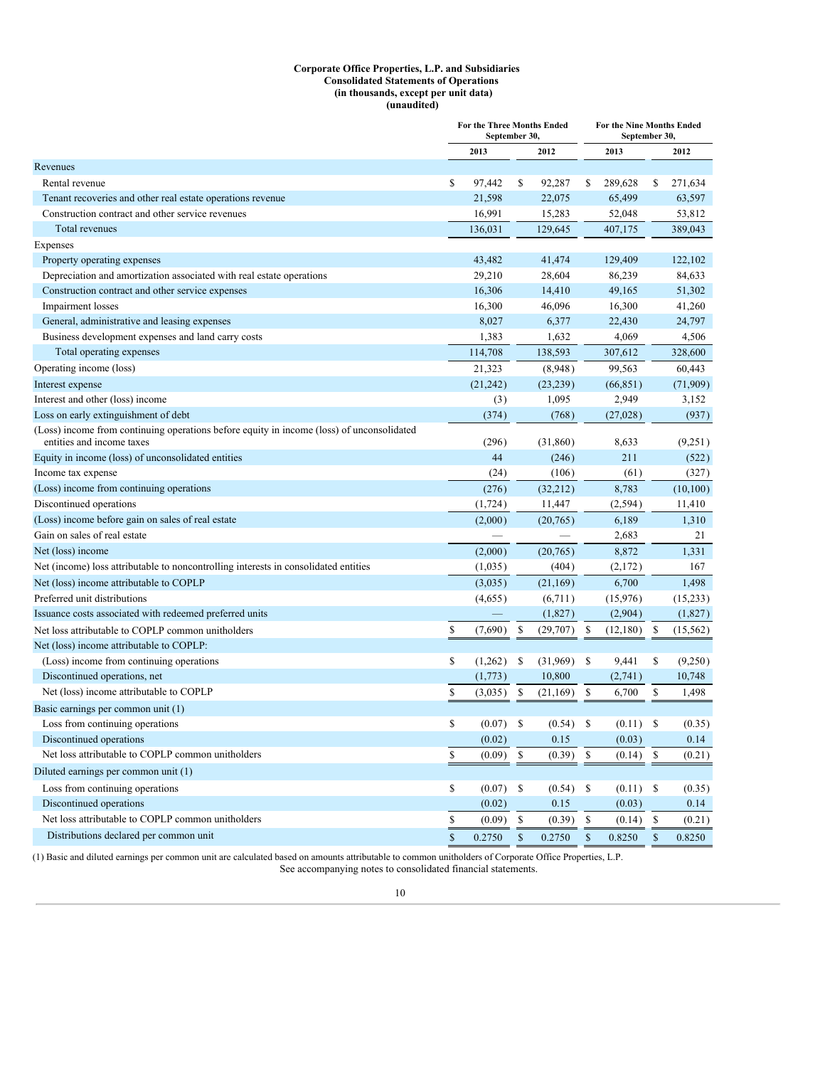#### **Corporate Office Properties, L.P. and Subsidiaries Consolidated Statements of Operations (in thousands, except per unit data) (unaudited)**

<span id="page-11-0"></span>

|                                                                                                                        | For the Three Months Ended<br>September 30, |      |             |               | For the Nine Months Ended | September 30, |           |  |
|------------------------------------------------------------------------------------------------------------------------|---------------------------------------------|------|-------------|---------------|---------------------------|---------------|-----------|--|
|                                                                                                                        | 2013                                        |      | 2012        |               | 2013                      |               | 2012      |  |
| Revenues                                                                                                               |                                             |      |             |               |                           |               |           |  |
| Rental revenue                                                                                                         | \$<br>97,442                                | \$   | 92,287      | \$            | 289,628                   | \$            | 271,634   |  |
| Tenant recoveries and other real estate operations revenue                                                             | 21,598                                      |      | 22,075      |               | 65,499                    |               | 63,597    |  |
| Construction contract and other service revenues                                                                       | 16,991                                      |      | 15,283      |               | 52,048                    |               | 53,812    |  |
| <b>Total revenues</b>                                                                                                  | 136,031                                     |      | 129,645     |               | 407,175                   |               | 389,043   |  |
| Expenses                                                                                                               |                                             |      |             |               |                           |               |           |  |
| Property operating expenses                                                                                            | 43,482                                      |      | 41,474      |               | 129,409                   |               | 122,102   |  |
| Depreciation and amortization associated with real estate operations                                                   | 29,210                                      |      | 28,604      |               | 86,239                    |               | 84,633    |  |
| Construction contract and other service expenses                                                                       | 16,306                                      |      | 14,410      |               | 49,165                    |               | 51,302    |  |
| <b>Impairment</b> losses                                                                                               | 16,300                                      |      | 46,096      |               | 16,300                    |               | 41,260    |  |
| General, administrative and leasing expenses                                                                           | 8,027                                       |      | 6,377       |               | 22,430                    |               | 24,797    |  |
| Business development expenses and land carry costs                                                                     | 1,383                                       |      | 1,632       |               | 4,069                     |               | 4,506     |  |
| Total operating expenses                                                                                               | 114,708                                     |      | 138,593     |               | 307,612                   |               | 328,600   |  |
| Operating income (loss)                                                                                                | 21,323                                      |      | (8,948)     |               | 99,563                    |               | 60,443    |  |
| Interest expense                                                                                                       | (21,242)                                    |      | (23, 239)   |               | (66, 851)                 |               | (71,909)  |  |
| Interest and other (loss) income                                                                                       | (3)                                         |      | 1,095       |               | 2,949                     |               | 3,152     |  |
| Loss on early extinguishment of debt                                                                                   | (374)                                       |      | (768)       |               | (27, 028)                 |               | (937)     |  |
| (Loss) income from continuing operations before equity in income (loss) of unconsolidated<br>entities and income taxes | (296)                                       |      | (31, 860)   |               | 8,633                     |               | (9,251)   |  |
| Equity in income (loss) of unconsolidated entities                                                                     | 44                                          |      | (246)       |               | 211                       |               | (522)     |  |
| Income tax expense                                                                                                     | (24)                                        |      | (106)       |               | (61)                      |               | (327)     |  |
| (Loss) income from continuing operations                                                                               | (276)                                       |      | (32,212)    |               | 8,783                     |               | (10, 100) |  |
| Discontinued operations                                                                                                | (1, 724)                                    |      | 11,447      |               | (2, 594)                  |               | 11,410    |  |
| (Loss) income before gain on sales of real estate                                                                      | (2,000)                                     |      | (20,765)    |               | 6,189                     |               | 1,310     |  |
| Gain on sales of real estate                                                                                           |                                             |      |             |               | 2,683                     |               | 21        |  |
| Net (loss) income                                                                                                      | (2,000)                                     |      | (20,765)    |               | 8,872                     |               | 1,331     |  |
| Net (income) loss attributable to noncontrolling interests in consolidated entities                                    | (1,035)                                     |      | (404)       |               | (2,172)                   |               | 167       |  |
| Net (loss) income attributable to COPLP                                                                                | (3,035)                                     |      | (21, 169)   |               | 6,700                     |               | 1,498     |  |
| Preferred unit distributions                                                                                           | (4,655)                                     |      | (6,711)     |               | (15,976)                  |               | (15,233)  |  |
| Issuance costs associated with redeemed preferred units                                                                |                                             |      | (1,827)     |               | (2,904)                   |               | (1,827)   |  |
| Net loss attributable to COPLP common unitholders                                                                      | \$<br>(7,690)                               | \$   | (29,707)    | \$            | (12, 180)                 | S             | (15, 562) |  |
| Net (loss) income attributable to COPLP:                                                                               |                                             |      |             |               |                           |               |           |  |
| (Loss) income from continuing operations                                                                               | \$<br>(1,262)                               | -\$  | (31,969)    | -S            | 9,441                     | \$            | (9,250)   |  |
| Discontinued operations, net                                                                                           | (1,773)                                     |      | 10,800      |               | (2,741)                   |               | 10,748    |  |
| Net (loss) income attributable to COPLP                                                                                | \$<br>(3,035)                               | \$   | (21,169)    | \$            | 6,700                     | \$            | 1,498     |  |
| Basic earnings per common unit (1)                                                                                     |                                             |      |             |               |                           |               |           |  |
| Loss from continuing operations                                                                                        | \$<br>(0.07)                                | - \$ | (0.54)      | $\mathcal{S}$ | (0.11)                    | S             | (0.35)    |  |
| Discontinued operations                                                                                                | (0.02)                                      |      | 0.15        |               | (0.03)                    |               | 0.14      |  |
| Net loss attributable to COPLP common unitholders                                                                      | \$<br>$(0.09)$ \$                           |      | (0.39)      | - \$          | (0.14)                    | - S           | (0.21)    |  |
| Diluted earnings per common unit (1)                                                                                   |                                             |      |             |               |                           |               |           |  |
| Loss from continuing operations                                                                                        | \$<br>$(0.07)$ \$                           |      | $(0.54)$ \$ |               | (0.11)                    | \$            | (0.35)    |  |
| Discontinued operations                                                                                                | (0.02)                                      |      | 0.15        |               | (0.03)                    |               | 0.14      |  |
| Net loss attributable to COPLP common unitholders                                                                      | \$<br>(0.09)                                | \$   | (0.39)      | \$            | (0.14)                    | \$            | (0.21)    |  |
| Distributions declared per common unit                                                                                 | \$<br>0.2750                                | \$   |             | \$            | 0.8250                    | \$            | 0.8250    |  |
|                                                                                                                        |                                             |      | 0.2750      |               |                           |               |           |  |

(1) Basic and diluted earnings per common unit are calculated based on amounts attributable to common unitholders of Corporate Office Properties, L.P. See accompanying notes to consolidated financial statements.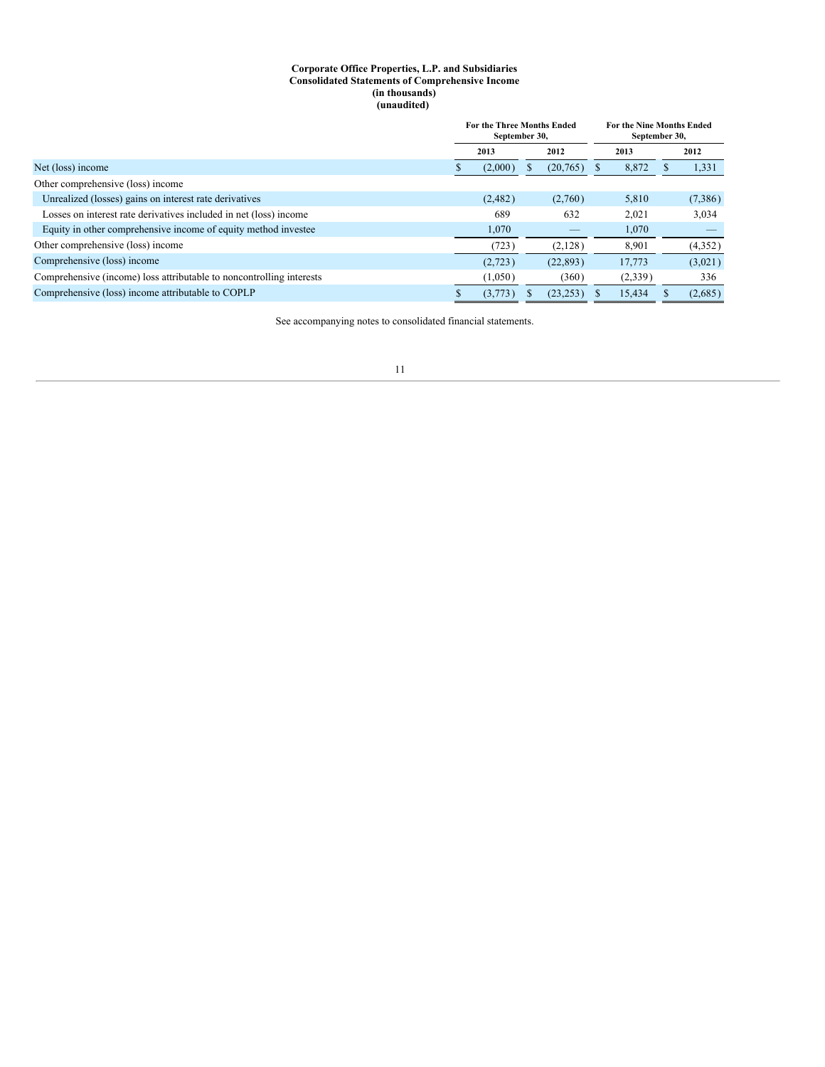#### **Corporate Office Properties, L.P. and Subsidiaries Consolidated Statements of Comprehensive Income (in thousands) (unaudited)**

<span id="page-12-0"></span>

|                                                                      |  | For the Three Months Ended<br>September 30, |          |           |   | <b>For the Nine Months Ended</b> | September 30, |         |  |      |
|----------------------------------------------------------------------|--|---------------------------------------------|----------|-----------|---|----------------------------------|---------------|---------|--|------|
|                                                                      |  | 2013                                        |          |           |   | 2012                             |               | 2013    |  | 2012 |
| Net (loss) income                                                    |  | (2,000)                                     | <b>J</b> | (20,765)  | S | 8,872                            |               | 1,331   |  |      |
| Other comprehensive (loss) income                                    |  |                                             |          |           |   |                                  |               |         |  |      |
| Unrealized (losses) gains on interest rate derivatives               |  | (2,482)                                     |          | (2,760)   |   | 5,810                            |               | (7,386) |  |      |
| Losses on interest rate derivatives included in net (loss) income    |  | 689                                         |          | 632       |   | 2,021                            |               | 3,034   |  |      |
| Equity in other comprehensive income of equity method investee       |  | 1,070                                       |          |           |   | 1,070                            |               |         |  |      |
| Other comprehensive (loss) income                                    |  | (723)                                       |          | (2,128)   |   | 8,901                            |               | (4,352) |  |      |
| Comprehensive (loss) income                                          |  | (2, 723)                                    |          | (22, 893) |   | 17,773                           |               | (3,021) |  |      |
| Comprehensive (income) loss attributable to noncontrolling interests |  | (1,050)                                     |          | (360)     |   | (2,339)                          |               | 336     |  |      |
| Comprehensive (loss) income attributable to COPLP                    |  | (3,773)                                     |          | (23, 253) |   | 15.434                           |               | (2,685) |  |      |

See accompanying notes to consolidated financial statements.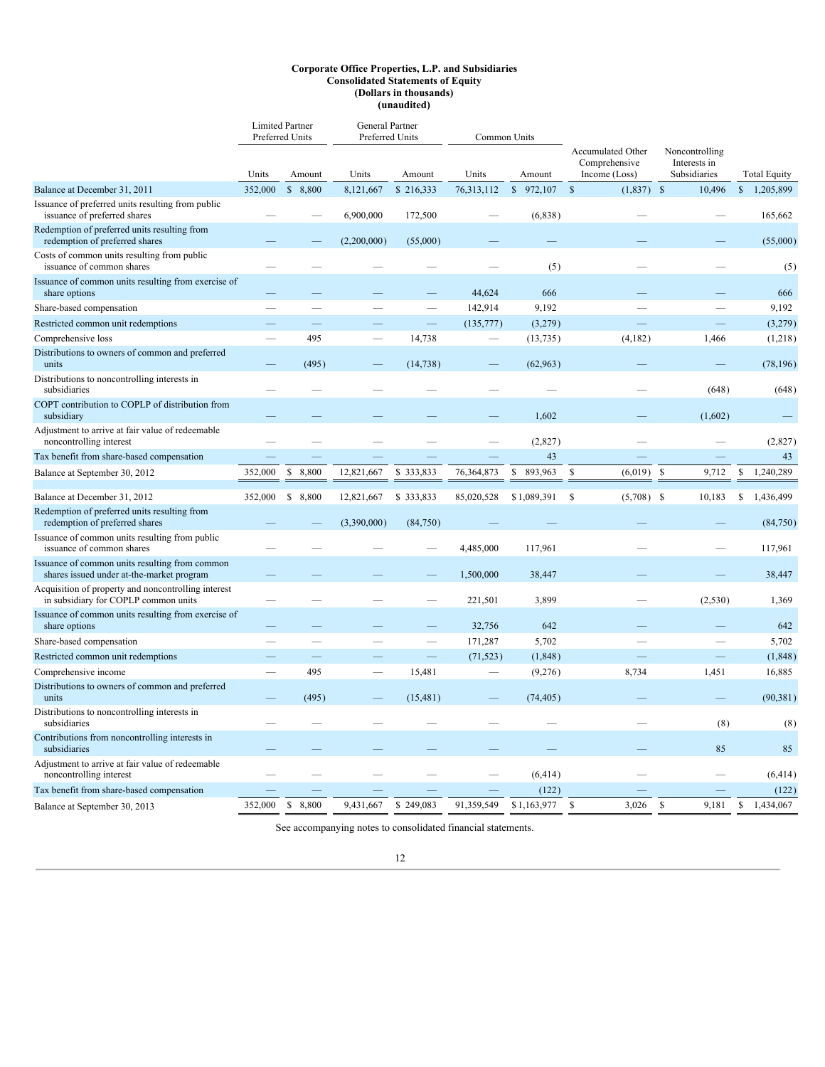#### **Corporate Office Properties, L.P. and Subsidiaries Consolidated Statements of Equity (Dollars in thousands) (unaudited)**

<span id="page-13-0"></span>

|                                                                                             | <b>Limited Partner</b><br>Preferred Units |                       | General Partner<br><b>Preferred Units</b> |           | Common Units |                         |                                                     |                                                |                           |
|---------------------------------------------------------------------------------------------|-------------------------------------------|-----------------------|-------------------------------------------|-----------|--------------|-------------------------|-----------------------------------------------------|------------------------------------------------|---------------------------|
|                                                                                             | Units                                     | Amount                | Units                                     | Amount    | Units        | Amount                  | Accumulated Other<br>Comprehensive<br>Income (Loss) | Noncontrolling<br>Interests in<br>Subsidiaries | <b>Total Equity</b>       |
| Balance at December 31, 2011                                                                | 352,000                                   | $\mathbb{S}$<br>8,800 | 8,121,667                                 | \$216,333 | 76,313,112   | $\mathbb{S}$<br>972,107 | $\mathcal{S}$<br>(1,837)                            | $\mathbb{S}$<br>10,496                         | $\mathbb{S}$<br>1,205,899 |
| Issuance of preferred units resulting from public<br>issuance of preferred shares           |                                           |                       | 6,900,000                                 | 172,500   |              | (6,838)                 |                                                     |                                                | 165,662                   |
| Redemption of preferred units resulting from                                                |                                           |                       |                                           |           |              |                         |                                                     |                                                |                           |
| redemption of preferred shares                                                              |                                           |                       | (2,200,000)                               | (55,000)  |              |                         |                                                     |                                                | (55,000)                  |
| Costs of common units resulting from public<br>issuance of common shares                    |                                           |                       |                                           |           |              | (5)                     |                                                     |                                                | (5)                       |
| Issuance of common units resulting from exercise of<br>share options                        |                                           |                       |                                           |           | 44,624       | 666                     |                                                     |                                                | 666                       |
| Share-based compensation                                                                    |                                           |                       |                                           |           | 142,914      | 9.192                   |                                                     |                                                | 9,192                     |
| Restricted common unit redemptions                                                          |                                           |                       |                                           |           | (135, 777)   | (3,279)                 |                                                     |                                                | (3,279)                   |
| Comprehensive loss                                                                          |                                           | 495                   |                                           | 14,738    |              | (13, 735)               | (4, 182)                                            | 1,466                                          | (1,218)                   |
| Distributions to owners of common and preferred<br>units                                    |                                           | (495)                 |                                           | (14, 738) |              | (62, 963)               |                                                     |                                                | (78, 196)                 |
| Distributions to noncontrolling interests in<br>subsidiaries                                |                                           |                       |                                           |           |              |                         |                                                     | (648)                                          | (648)                     |
| COPT contribution to COPLP of distribution from<br>subsidiary                               |                                           |                       |                                           |           |              | 1,602                   |                                                     | (1,602)                                        |                           |
| Adjustment to arrive at fair value of redeemable<br>noncontrolling interest                 |                                           |                       |                                           |           |              | (2,827)                 |                                                     |                                                | (2,827)                   |
| Tax benefit from share-based compensation                                                   |                                           |                       |                                           |           |              | 43                      |                                                     |                                                | 43                        |
| Balance at September 30, 2012                                                               | 352,000                                   | \$<br>8,800           | 12,821,667                                | \$333,833 | 76,364,873   | \$<br>893,963           | S<br>(6,019)                                        | $\mathbb{S}$<br>9,712                          | \$<br>1,240,289           |
| Balance at December 31, 2012                                                                | 352,000                                   | \$<br>8,800           | 12,821,667                                | \$333,833 | 85,020,528   | \$1,089,391             | -S<br>$(5,708)$ \$                                  | 10,183                                         | \$<br>1,436,499           |
| Redemption of preferred units resulting from                                                |                                           |                       |                                           |           |              |                         |                                                     |                                                |                           |
| redemption of preferred shares                                                              |                                           |                       | (3,390,000)                               | (84,750)  |              |                         |                                                     |                                                | (84,750)                  |
| Issuance of common units resulting from public<br>issuance of common shares                 |                                           |                       |                                           |           | 4,485,000    | 117,961                 |                                                     |                                                | 117,961                   |
| Issuance of common units resulting from common<br>shares issued under at-the-market program |                                           |                       |                                           |           | 1,500,000    | 38,447                  |                                                     |                                                | 38,447                    |
| Acquisition of property and noncontrolling interest<br>in subsidiary for COPLP common units |                                           |                       |                                           |           | 221,501      | 3,899                   |                                                     | (2,530)                                        | 1,369                     |
| Issuance of common units resulting from exercise of<br>share options                        |                                           |                       |                                           |           | 32,756       | 642                     |                                                     |                                                | 642                       |
| Share-based compensation                                                                    |                                           |                       |                                           |           | 171,287      | 5,702                   |                                                     |                                                | 5,702                     |
| Restricted common unit redemptions                                                          |                                           |                       |                                           |           | (71, 523)    | (1, 848)                |                                                     |                                                | (1, 848)                  |
| Comprehensive income                                                                        |                                           | 495                   | $\overline{\phantom{0}}$                  | 15,481    |              | (9,276)                 | 8,734                                               | 1,451                                          | 16,885                    |
| Distributions to owners of common and preferred<br>units                                    |                                           | (495)                 |                                           | (15, 481) |              | (74, 405)               |                                                     |                                                | (90, 381)                 |
| Distributions to noncontrolling interests in<br>subsidiaries                                |                                           |                       |                                           |           |              |                         |                                                     | (8)                                            | (8)                       |
| Contributions from noncontrolling interests in<br>subsidiaries                              |                                           |                       |                                           |           |              |                         |                                                     | 85                                             | 85                        |
| Adjustment to arrive at fair value of redeemable<br>noncontrolling interest                 |                                           |                       |                                           |           |              | (6, 414)                |                                                     |                                                | (6, 414)                  |
| Tax benefit from share-based compensation                                                   |                                           |                       |                                           |           |              | (122)                   |                                                     |                                                | (122)                     |
| Balance at September 30, 2013                                                               | 352,000                                   | 8,800<br>\$           | 9,431,667                                 | \$249,083 | 91,359,549   | \$1,163,977             | 3,026<br>S                                          | $\mathbb S$<br>9,181                           | \$<br>1,434,067           |

See accompanying notes to consolidated financial statements.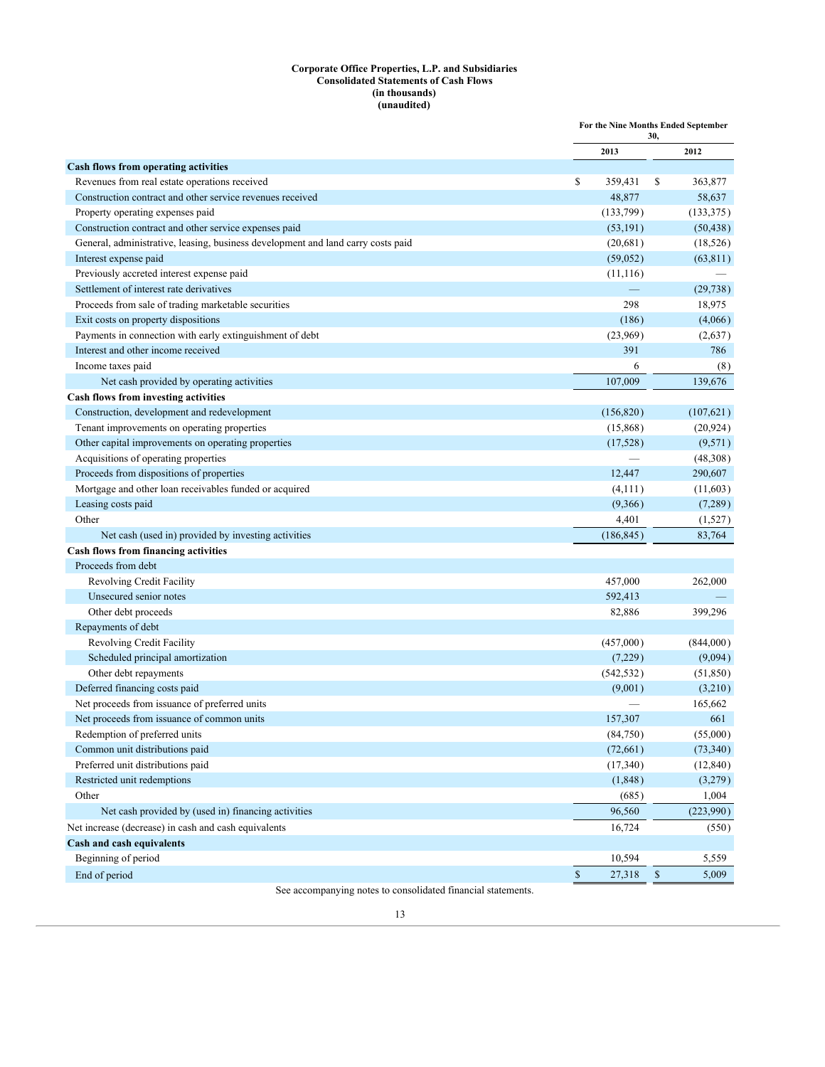#### **Corporate Office Properties, L.P. and Subsidiaries Consolidated Statements of Cash Flows (in thousands) (unaudited)**

<span id="page-14-0"></span>

|                                                                                  | For the Nine Months Ended September<br>30, |               |  |  |  |
|----------------------------------------------------------------------------------|--------------------------------------------|---------------|--|--|--|
|                                                                                  | 2013                                       | 2012          |  |  |  |
| Cash flows from operating activities                                             |                                            |               |  |  |  |
| Revenues from real estate operations received                                    | \$<br>359,431                              | \$<br>363,877 |  |  |  |
| Construction contract and other service revenues received                        | 48,877                                     | 58,637        |  |  |  |
| Property operating expenses paid                                                 | (133,799)                                  | (133, 375)    |  |  |  |
| Construction contract and other service expenses paid                            | (53, 191)                                  | (50, 438)     |  |  |  |
| General, administrative, leasing, business development and land carry costs paid | (20,681)                                   | (18, 526)     |  |  |  |
| Interest expense paid                                                            | (59,052)                                   | (63, 811)     |  |  |  |
| Previously accreted interest expense paid                                        | (11, 116)                                  |               |  |  |  |
| Settlement of interest rate derivatives                                          |                                            | (29, 738)     |  |  |  |
| Proceeds from sale of trading marketable securities                              | 298                                        | 18,975        |  |  |  |
| Exit costs on property dispositions                                              | (186)                                      | (4,066)       |  |  |  |
| Payments in connection with early extinguishment of debt                         | (23,969)                                   | (2,637)       |  |  |  |
| Interest and other income received                                               | 391                                        | 786           |  |  |  |
| Income taxes paid                                                                | 6                                          | (8)           |  |  |  |
| Net cash provided by operating activities                                        | 107,009                                    | 139,676       |  |  |  |
| Cash flows from investing activities                                             |                                            |               |  |  |  |
| Construction, development and redevelopment                                      | (156, 820)                                 | (107,621)     |  |  |  |
| Tenant improvements on operating properties                                      | (15,868)                                   | (20, 924)     |  |  |  |
| Other capital improvements on operating properties                               | (17,528)                                   | (9,571)       |  |  |  |
| Acquisitions of operating properties                                             |                                            | (48,308)      |  |  |  |
| Proceeds from dispositions of properties                                         | 12,447                                     | 290,607       |  |  |  |
| Mortgage and other loan receivables funded or acquired                           | (4,111)                                    | (11,603)      |  |  |  |
| Leasing costs paid                                                               | (9,366)                                    | (7,289)       |  |  |  |
| Other                                                                            | 4,401                                      | (1,527)       |  |  |  |
| Net cash (used in) provided by investing activities                              | (186, 845)                                 | 83,764        |  |  |  |
| <b>Cash flows from financing activities</b>                                      |                                            |               |  |  |  |
| Proceeds from debt                                                               |                                            |               |  |  |  |
| <b>Revolving Credit Facility</b>                                                 | 457,000                                    | 262,000       |  |  |  |
| Unsecured senior notes                                                           | 592,413                                    |               |  |  |  |
| Other debt proceeds                                                              | 82,886                                     | 399,296       |  |  |  |
| Repayments of debt                                                               |                                            |               |  |  |  |
| Revolving Credit Facility                                                        | (457,000)                                  | (844,000)     |  |  |  |
| Scheduled principal amortization                                                 | (7,229)                                    | (9,094)       |  |  |  |
| Other debt repayments                                                            | (542, 532)                                 | (51, 850)     |  |  |  |
| Deferred financing costs paid                                                    | (9,001)                                    | (3,210)       |  |  |  |
| Net proceeds from issuance of preferred units                                    |                                            | 165,662       |  |  |  |
| Net proceeds from issuance of common units                                       | 157,307                                    | 661           |  |  |  |
| Redemption of preferred units                                                    | (84,750)                                   | (55,000)      |  |  |  |
| Common unit distributions paid                                                   | (72,661)                                   | (73, 340)     |  |  |  |
| Preferred unit distributions paid                                                | (17,340)                                   | (12, 840)     |  |  |  |
| Restricted unit redemptions                                                      | (1,848)                                    | (3,279)       |  |  |  |
| Other                                                                            | (685)                                      | 1,004         |  |  |  |
|                                                                                  |                                            |               |  |  |  |
| Net cash provided by (used in) financing activities                              | 96,560                                     | (223,990)     |  |  |  |
| Net increase (decrease) in cash and cash equivalents                             | 16,724                                     | (550)         |  |  |  |
| Cash and cash equivalents                                                        |                                            |               |  |  |  |
| Beginning of period                                                              | 10,594                                     | 5,559         |  |  |  |
| End of period                                                                    | $\mathbb{S}$<br>27,318                     | $\$$<br>5,009 |  |  |  |

See accompanying notes to consolidated financial statements.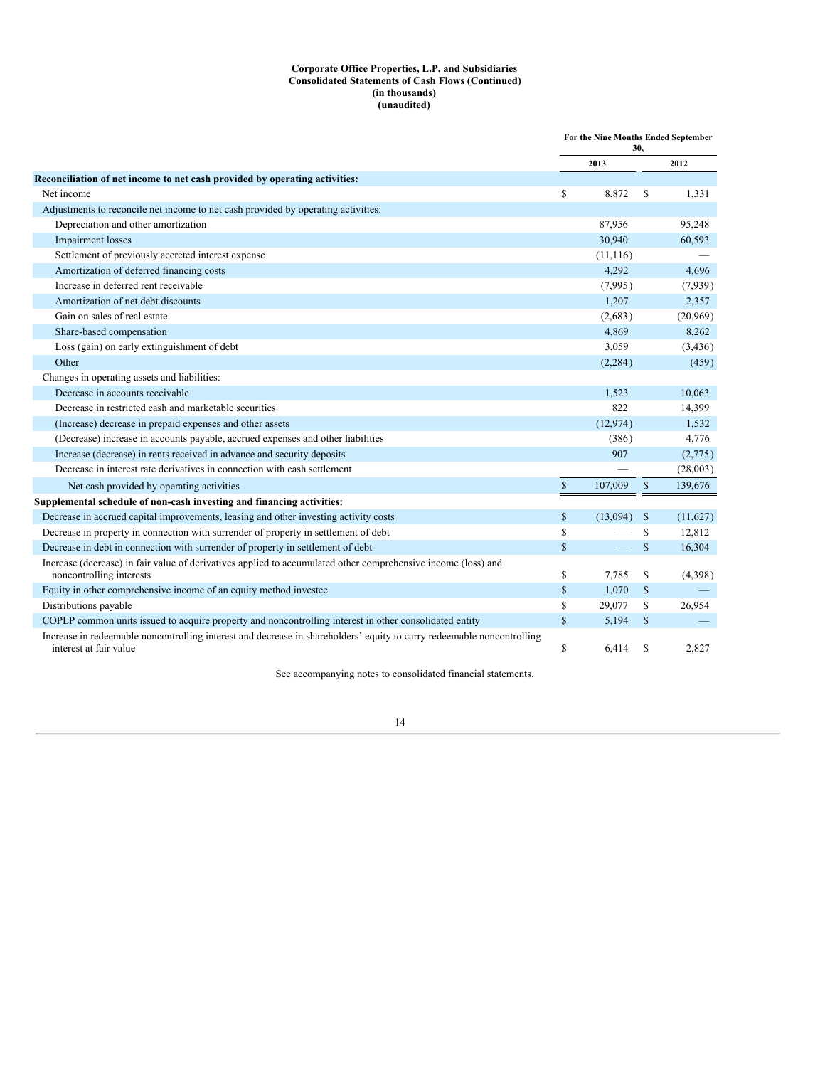#### **Corporate Office Properties, L.P. and Subsidiaries Consolidated Statements of Cash Flows (Continued) (in thousands) (unaudited)**

|                                                                                                                                                  |               | For the Nine Months Ended September | 30.                |          |
|--------------------------------------------------------------------------------------------------------------------------------------------------|---------------|-------------------------------------|--------------------|----------|
|                                                                                                                                                  |               | 2013                                |                    | 2012     |
| Reconciliation of net income to net cash provided by operating activities:                                                                       |               |                                     |                    |          |
| Net income                                                                                                                                       | \$            | 8,872                               | S                  | 1,331    |
| Adjustments to reconcile net income to net cash provided by operating activities:                                                                |               |                                     |                    |          |
| Depreciation and other amortization                                                                                                              |               | 87,956                              |                    | 95,248   |
| <b>Impairment</b> losses                                                                                                                         |               | 30,940                              |                    | 60,593   |
| Settlement of previously accreted interest expense                                                                                               |               | (11, 116)                           |                    |          |
| Amortization of deferred financing costs                                                                                                         |               | 4,292                               |                    | 4,696    |
| Increase in deferred rent receivable                                                                                                             |               | (7,995)                             |                    | (7,939)  |
| Amortization of net debt discounts                                                                                                               |               | 1,207                               |                    | 2,357    |
| Gain on sales of real estate                                                                                                                     |               | (2,683)                             |                    | (20,969) |
| Share-based compensation                                                                                                                         |               | 4,869                               |                    | 8,262    |
| Loss (gain) on early extinguishment of debt                                                                                                      |               | 3,059                               |                    | (3, 436) |
| Other                                                                                                                                            |               | (2, 284)                            |                    | (459)    |
| Changes in operating assets and liabilities:                                                                                                     |               |                                     |                    |          |
| Decrease in accounts receivable                                                                                                                  |               | 1.523                               |                    | 10.063   |
| Decrease in restricted cash and marketable securities                                                                                            |               | 822                                 |                    | 14,399   |
| (Increase) decrease in prepaid expenses and other assets                                                                                         |               | (12, 974)                           |                    | 1,532    |
| (Decrease) increase in accounts payable, accrued expenses and other liabilities                                                                  |               | (386)                               |                    | 4,776    |
| Increase (decrease) in rents received in advance and security deposits                                                                           |               | 907                                 |                    | (2,775)  |
| Decrease in interest rate derivatives in connection with cash settlement                                                                         |               |                                     |                    | (28,003) |
| Net cash provided by operating activities                                                                                                        | $\mathsf{\$}$ | 107,009                             | $\mathbb{S}$       | 139,676  |
| Supplemental schedule of non-cash investing and financing activities:                                                                            |               |                                     |                    |          |
| Decrease in accrued capital improvements, leasing and other investing activity costs                                                             | $\mathbb{S}$  | (13,094)                            | <sup>\$</sup>      | (11,627) |
| Decrease in property in connection with surrender of property in settlement of debt                                                              | \$            |                                     | S                  | 12,812   |
| Decrease in debt in connection with surrender of property in settlement of debt                                                                  | $\mathbf S$   |                                     | $\mathbf{\hat{s}}$ | 16,304   |
| Increase (decrease) in fair value of derivatives applied to accumulated other comprehensive income (loss) and                                    |               |                                     |                    |          |
| noncontrolling interests                                                                                                                         | \$            | 7,785                               | \$                 | (4,398)  |
| Equity in other comprehensive income of an equity method investee                                                                                | $\mathbf S$   | 1.070                               | $\mathbf S$        |          |
| Distributions payable                                                                                                                            | \$            | 29,077                              | $\mathbb{S}$       | 26,954   |
| COPLP common units issued to acquire property and noncontrolling interest in other consolidated entity                                           | $\mathbb{S}$  | 5,194                               | $\mathbf S$        |          |
| Increase in redeemable noncontrolling interest and decrease in shareholders' equity to carry redeemable noncontrolling<br>interest at fair value | \$            | 6,414                               | S                  | 2,827    |

See accompanying notes to consolidated financial statements.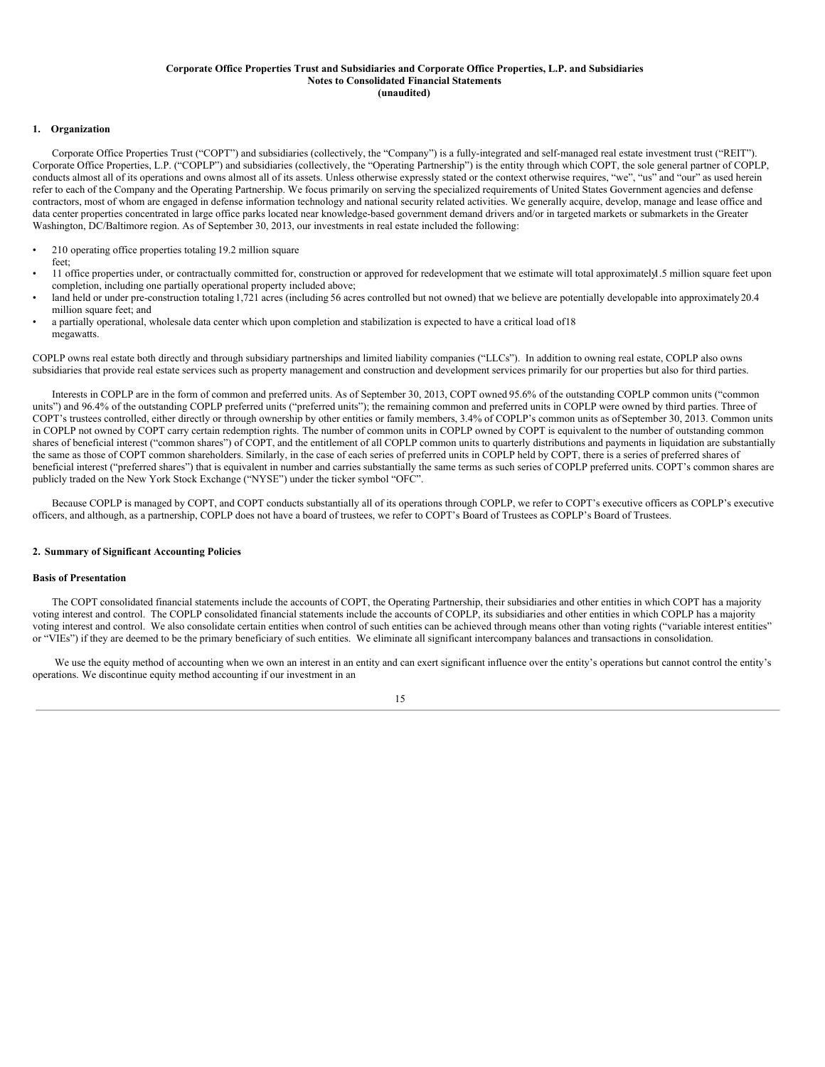#### **Corporate Office Properties Trust and Subsidiaries and Corporate Office Properties, L.P. and Subsidiaries Notes to Consolidated Financial Statements (unaudited)**

#### <span id="page-16-0"></span>**1. Organization**

Corporate Office Properties Trust ("COPT") and subsidiaries (collectively, the "Company") is a fully-integrated and self-managed real estate investment trust ("REIT"). Corporate Office Properties, L.P. ("COPLP") and subsidiaries (collectively, the "Operating Partnership") is the entity through which COPT, the sole general partner of COPLP, conducts almost all of its operations and owns almost all of its assets. Unless otherwise expressly stated or the context otherwise requires, "we", "us" and "our" as used herein refer to each of the Company and the Operating Partnership. We focus primarily on serving the specialized requirements of United States Government agencies and defense contractors, most of whom are engaged in defense information technology and national security related activities. We generally acquire, develop, manage and lease office and data center properties concentrated in large office parks located near knowledge-based government demand drivers and/or in targeted markets or submarkets in the Greater Washington, DC/Baltimore region. As of September 30, 2013, our investments in real estate included the following:

- 210 operating office properties totaling 19.2 million square
- feet;
- 11 office properties under, or contractually committed for, construction or approved for redevelopment that we estimate will total approximately1.5 million square feet upon completion, including one partially operational property included above;
- land held or under pre-construction totaling 1,721 acres (including 56 acres controlled but not owned) that we believe are potentially developable into approximately 20.4 million square feet; and
- a partially operational, wholesale data center which upon completion and stabilization is expected to have a critical load of18 megawatts.

COPLP owns real estate both directly and through subsidiary partnerships and limited liability companies ("LLCs"). In addition to owning real estate, COPLP also owns subsidiaries that provide real estate services such as property management and construction and development services primarily for our properties but also for third parties.

Interests in COPLP are in the form of common and preferred units. As of September 30, 2013, COPT owned 95.6% of the outstanding COPLP common units ("common units") and 96.4% of the outstanding COPLP preferred units ("preferred units"); the remaining common and preferred units in COPLP were owned by third parties. Three of COPT's trustees controlled, either directly or through ownership by other entities or family members, 3.4% of COPLP's common units as ofSeptember 30, 2013. Common units in COPLP not owned by COPT carry certain redemption rights. The number of common units in COPLP owned by COPT is equivalent to the number of outstanding common shares of beneficial interest ("common shares") of COPT, and the entitlement of all COPLP common units to quarterly distributions and payments in liquidation are substantially the same as those of COPT common shareholders. Similarly, in the case of each series of preferred units in COPLP held by COPT, there is a series of preferred shares of beneficial interest ("preferred shares") that is equivalent in number and carries substantially the same terms as such series of COPLP preferred units. COPT's common shares are publicly traded on the New York Stock Exchange ("NYSE") under the ticker symbol "OFC".

Because COPLP is managed by COPT, and COPT conducts substantially all of its operations through COPLP, we refer to COPT's executive officers as COPLP's executive officers, and although, as a partnership, COPLP does not have a board of trustees, we refer to COPT's Board of Trustees as COPLP's Board of Trustees.

#### **2. Summary of Significant Accounting Policies**

#### **Basis of Presentation**

The COPT consolidated financial statements include the accounts of COPT, the Operating Partnership, their subsidiaries and other entities in which COPT has a majority voting interest and control. The COPLP consolidated financial statements include the accounts of COPLP, its subsidiaries and other entities in which COPLP has a majority voting interest and control. We also consolidate certain entities when control of such entities can be achieved through means other than voting rights ("variable interest entities" or "VIEs") if they are deemed to be the primary beneficiary of such entities. We eliminate all significant intercompany balances and transactions in consolidation.

We use the equity method of accounting when we own an interest in an entity and can exert significant influence over the entity's operations but cannot control the entity's operations. We discontinue equity method accounting if our investment in an

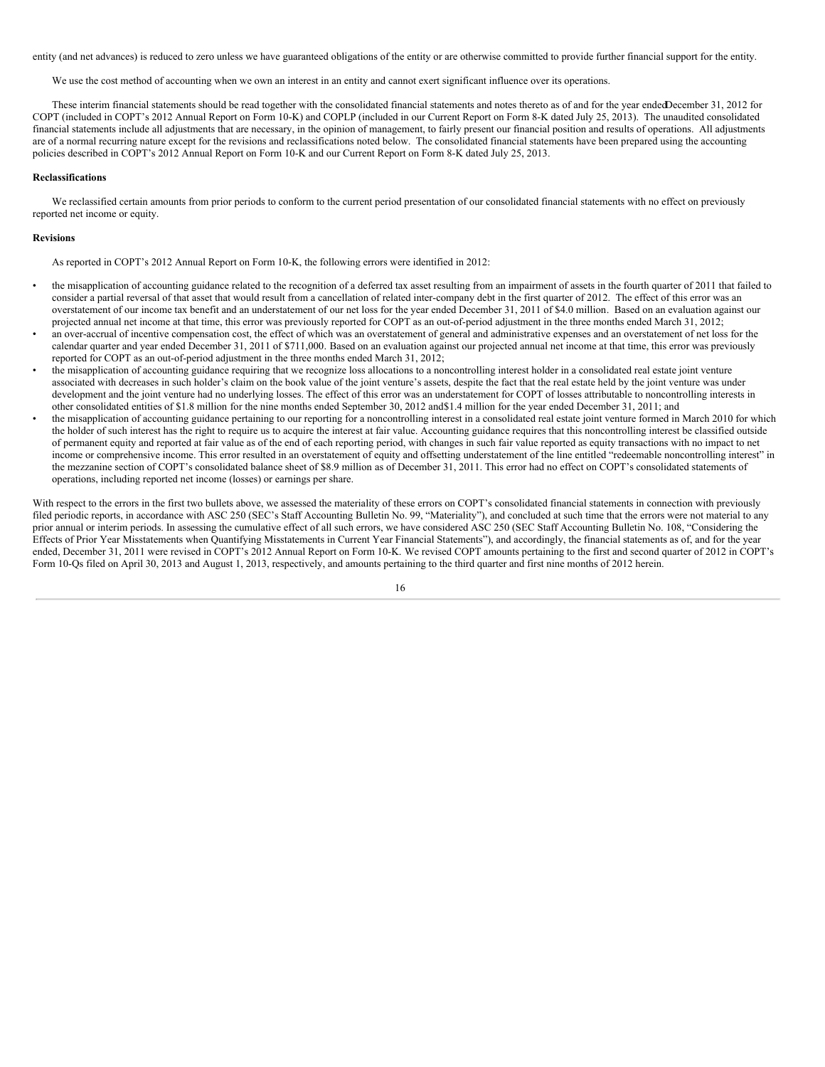entity (and net advances) is reduced to zero unless we have guaranteed obligations of the entity or are otherwise committed to provide further financial support for the entity.

We use the cost method of accounting when we own an interest in an entity and cannot exert significant influence over its operations.

These interim financial statements should be read together with the consolidated financial statements and notes thereto as of and for the year endedDecember 31, 2012 for COPT (included in COPT's 2012 Annual Report on Form 10-K) and COPLP (included in our Current Report on Form 8-K dated July 25, 2013). The unaudited consolidated financial statements include all adjustments that are necessary, in the opinion of management, to fairly present our financial position and results of operations. All adjustments are of a normal recurring nature except for the revisions and reclassifications noted below. The consolidated financial statements have been prepared using the accounting policies described in COPT's 2012 Annual Report on Form 10-K and our Current Report on Form 8-K dated July 25, 2013.

#### **Reclassifications**

We reclassified certain amounts from prior periods to conform to the current period presentation of our consolidated financial statements with no effect on previously reported net income or equity.

#### **Revisions**

As reported in COPT's 2012 Annual Report on Form 10-K, the following errors were identified in 2012:

- the misapplication of accounting guidance related to the recognition of a deferred tax asset resulting from an impairment of assets in the fourth quarter of 2011 that failed to consider a partial reversal of that asset that would result from a cancellation of related inter-company debt in the first quarter of 2012. The effect of this error was an overstatement of our income tax benefit and an understatement of our net loss for the year ended December 31, 2011 of \$4.0 million. Based on an evaluation against our projected annual net income at that time, this error was previously reported for COPT as an out-of-period adjustment in the three months ended March 31, 2012;
- an over-accrual of incentive compensation cost, the effect of which was an overstatement of general and administrative expenses and an overstatement of net loss for the calendar quarter and year ended December 31, 2011 of \$711,000. Based on an evaluation against our projected annual net income at that time, this error was previously reported for COPT as an out-of-period adjustment in the three months ended March 31, 2012;
- the misapplication of accounting guidance requiring that we recognize loss allocations to a noncontrolling interest holder in a consolidated real estate joint venture associated with decreases in such holder's claim on the book value of the joint venture's assets, despite the fact that the real estate held by the joint venture was under development and the joint venture had no underlying losses. The effect of this error was an understatement for COPT of losses attributable to noncontrolling interests in other consolidated entities of \$1.8 million for the nine months ended September 30, 2012 and\$1.4 million for the year ended December 31, 2011; and
- the misapplication of accounting guidance pertaining to our reporting for a noncontrolling interest in a consolidated real estate joint venture formed in March 2010 for which the holder of such interest has the right to require us to acquire the interest at fair value. Accounting guidance requires that this noncontrolling interest be classified outside of permanent equity and reported at fair value as of the end of each reporting period, with changes in such fair value reported as equity transactions with no impact to net income or comprehensive income. This error resulted in an overstatement of equity and offsetting understatement of the line entitled "redeemable noncontrolling interest" in the mezzanine section of COPT's consolidated balance sheet of \$8.9 million as of December 31, 2011. This error had no effect on COPT's consolidated statements of operations, including reported net income (losses) or earnings per share.

With respect to the errors in the first two bullets above, we assessed the materiality of these errors on COPT's consolidated financial statements in connection with previously filed periodic reports, in accordance with ASC 250 (SEC's Staff Accounting Bulletin No. 99, "Materiality"), and concluded at such time that the errors were not material to any prior annual or interim periods. In assessing the cumulative effect of all such errors, we have considered ASC 250 (SEC Staff Accounting Bulletin No. 108, "Considering the Effects of Prior Year Misstatements when Quantifying Misstatements in Current Year Financial Statements"), and accordingly, the financial statements as of, and for the year ended, December 31, 2011 were revised in COPT's 2012 Annual Report on Form 10-K. We revised COPT amounts pertaining to the first and second quarter of 2012 in COPT's Form 10-Qs filed on April 30, 2013 and August 1, 2013, respectively, and amounts pertaining to the third quarter and first nine months of 2012 herein.

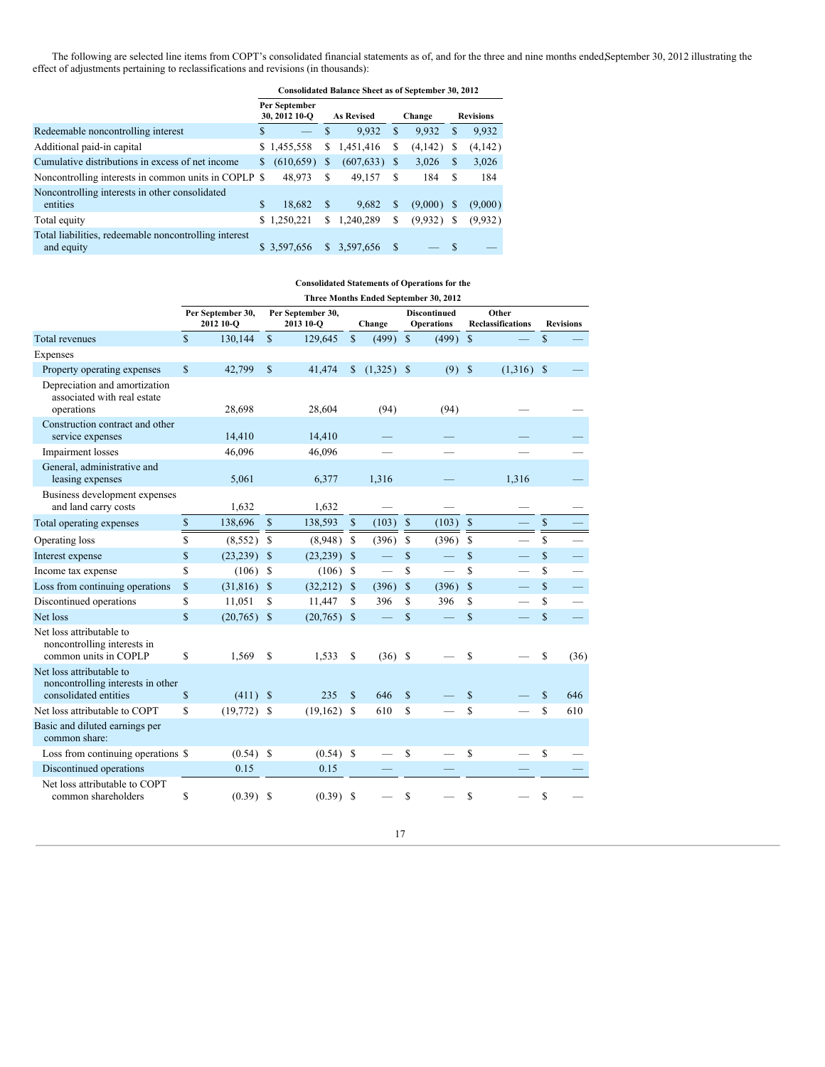The following are selected line items from COPT's consolidated financial statements as of, and for the three and nine months ended,September 30, 2012 illustrating the effect of adjustments pertaining to reclassifications and revisions (in thousands):

|                                                                     | Consolidated Balance Sheet as of September 30, 2012 |              |   |                   |          |              |    |                  |  |  |  |
|---------------------------------------------------------------------|-----------------------------------------------------|--------------|---|-------------------|----------|--------------|----|------------------|--|--|--|
|                                                                     | Per September<br>30, 2012 10-O                      |              |   | <b>As Revised</b> |          | Change       |    | <b>Revisions</b> |  |  |  |
| Redeemable noncontrolling interest                                  | S                                                   |              | S | 9.932             | S        | 9,932        | S  | 9,932            |  |  |  |
| Additional paid-in capital                                          |                                                     | \$1,455,558  | S | 1.451.416         | S        | (4,142)      | S  | (4,142)          |  |  |  |
| Cumulative distributions in excess of net income                    | S                                                   | (610, 659)   | S | (607, 633)        | <b>S</b> | 3.026        | S  | 3,026            |  |  |  |
| Noncontrolling interests in common units in COPLP \$                |                                                     | 48.973       | S | 49.157            | S        | 184          | S  | 184              |  |  |  |
| Noncontrolling interests in other consolidated<br>entities          | S                                                   | 18.682       | S | 9.682             | \$       | $(9,000)$ \$ |    | (9,000)          |  |  |  |
| Total equity                                                        | S.                                                  | 1,250,221    | S | 1,240,289         | S        | $(9.932)$ \$ |    | (9,932)          |  |  |  |
| Total liabilities, redeemable noncontrolling interest<br>and equity |                                                     | \$ 3.597,656 |   | \$ 3.597,656      | -\$      |              | -8 |                  |  |  |  |

# **Consolidated Statements of Operations for the**

|                                                                                        | Three Months Ended September 30, 2012 |                                |                    |                                |               |              |               |                                          |               |                                   |               |                  |
|----------------------------------------------------------------------------------------|---------------------------------------|--------------------------------|--------------------|--------------------------------|---------------|--------------|---------------|------------------------------------------|---------------|-----------------------------------|---------------|------------------|
|                                                                                        |                                       | Per September 30,<br>2012 10-Q |                    | Per September 30,<br>2013 10-O |               | Change       |               | <b>Discontinued</b><br><b>Operations</b> |               | Other<br><b>Reclassifications</b> |               | <b>Revisions</b> |
| Total revenues                                                                         | $\mathbb{S}$                          | 130,144                        | $\mathbf S$        | 129,645                        | <sup>\$</sup> | (499)        | $\mathcal{S}$ | (499)                                    | $\mathbf S$   |                                   | \$            |                  |
| Expenses                                                                               |                                       |                                |                    |                                |               |              |               |                                          |               |                                   |               |                  |
| Property operating expenses                                                            | $\mathbb{S}$                          | 42,799                         | $\mathbf S$        | 41,474                         | $\mathbb{S}$  | $(1,325)$ \$ |               | (9)                                      | $\mathbb{S}$  | $(1,316)$ \$                      |               |                  |
| Depreciation and amortization<br>associated with real estate<br>operations             |                                       | 28,698                         |                    | 28,604                         |               | (94)         |               | (94)                                     |               |                                   |               |                  |
| Construction contract and other<br>service expenses                                    |                                       | 14,410                         |                    | 14,410                         |               |              |               |                                          |               |                                   |               |                  |
| Impairment losses                                                                      |                                       | 46,096                         |                    | 46,096                         |               |              |               |                                          |               |                                   |               |                  |
| General, administrative and<br>leasing expenses                                        |                                       | 5,061                          |                    | 6,377                          |               | 1,316        |               |                                          |               | 1,316                             |               |                  |
| Business development expenses<br>and land carry costs                                  |                                       | 1,632                          |                    | 1,632                          |               |              |               |                                          |               |                                   |               |                  |
| Total operating expenses                                                               | \$                                    | 138,696                        | <sup>\$</sup>      | 138,593                        | $\mathbb{S}$  | (103)        | $\mathcal{S}$ | (103)                                    | $\mathbf S$   |                                   | $\mathbb{S}$  |                  |
| Operating loss                                                                         | \$                                    | $(8,552)$ \$                   |                    | (8,948)                        | <sup>\$</sup> | (396)        | \$            | (396)                                    | <sup>\$</sup> |                                   | $\mathbb S$   |                  |
| Interest expense                                                                       | \$                                    | (23, 239)                      | $\mathbf{\hat{s}}$ | $(23,239)$ \$                  |               |              | \$            |                                          | <sup>\$</sup> |                                   | <sup>\$</sup> |                  |
| Income tax expense                                                                     | \$                                    | (106)                          | <sup>\$</sup>      | (106)                          | \$            |              | \$            |                                          | S             |                                   | S             |                  |
| Loss from continuing operations                                                        | $\mathbb{S}$                          | $(31,816)$ \$                  |                    | (32,212)                       | \$            | (396)        | $\mathbb{S}$  | (396)                                    | $\mathbb{S}$  |                                   | <b>S</b>      |                  |
| Discontinued operations                                                                | \$                                    | 11,051                         | S                  | 11,447                         | S             | 396          | S             | 396                                      | S             |                                   | Ŝ             |                  |
| Net loss                                                                               | $\mathbf S$                           | $(20,765)$ \$                  |                    | (20,765)                       | $\mathbb{S}$  |              | <sup>\$</sup> |                                          | $\mathbf S$   |                                   | $\mathbf S$   |                  |
| Net loss attributable to<br>noncontrolling interests in<br>common units in COPLP       | \$                                    | 1,569                          | S                  | 1,533                          | S             | $(36)$ \$    |               |                                          | S             |                                   | S             | (36)             |
| Net loss attributable to<br>noncontrolling interests in other<br>consolidated entities | \$                                    | $(411)$ \$                     |                    | 235                            | S             | 646          | \$            |                                          | $\mathbb{S}$  |                                   | \$            | 646              |
| Net loss attributable to COPT                                                          | \$                                    | $(19,772)$ \$                  |                    | (19, 162)                      | \$            | 610          | \$            |                                          | S             |                                   | Ŝ             | 610              |
| Basic and diluted earnings per<br>common share:                                        |                                       |                                |                    |                                |               |              |               |                                          |               |                                   |               |                  |
| Loss from continuing operations \$                                                     |                                       | $(0.54)$ \$                    |                    | $(0.54)$ \$                    |               |              | \$            |                                          | S             |                                   | \$            |                  |
| Discontinued operations                                                                |                                       | 0.15                           |                    | 0.15                           |               |              |               |                                          |               |                                   |               |                  |
| Net loss attributable to COPT<br>common shareholders                                   | \$                                    | $(0.39)$ \$                    |                    | (0.39)                         | S             |              | <sup>\$</sup> |                                          | S             |                                   | S             |                  |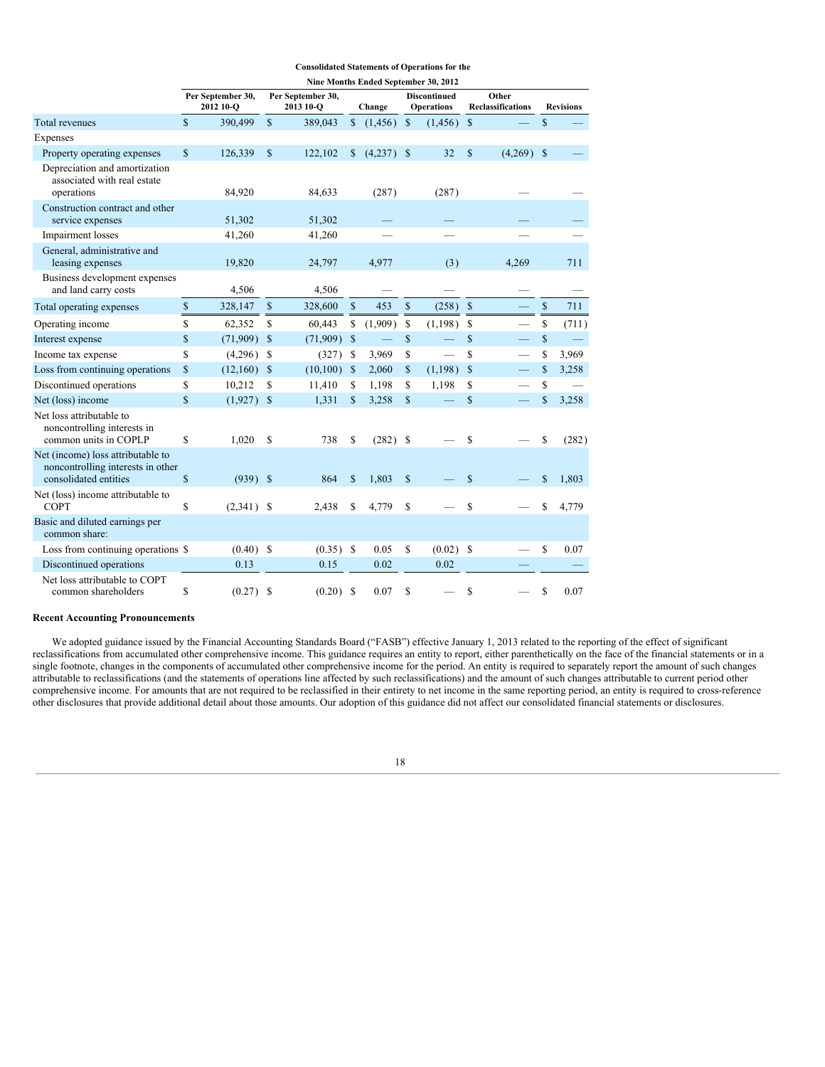#### **Consolidated Statements of Operations for the**

|  | Mine Months Fuded Containless 20, 2012 |  |
|--|----------------------------------------|--|

|                                                                                                 | The Months Ended September 50, 2012 |                                |               |                                |              |              |              |                                          |               |                                   |               |                  |
|-------------------------------------------------------------------------------------------------|-------------------------------------|--------------------------------|---------------|--------------------------------|--------------|--------------|--------------|------------------------------------------|---------------|-----------------------------------|---------------|------------------|
|                                                                                                 |                                     | Per September 30,<br>2012 10-O |               | Per September 30,<br>2013 10-O |              | Change       |              | <b>Discontinued</b><br><b>Operations</b> |               | Other<br><b>Reclassifications</b> |               | <b>Revisions</b> |
| Total revenues                                                                                  | $\mathbb{S}$                        | 390,499                        | $\mathbb{S}$  | 389,043                        |              |              |              | (1, 456)                                 | <sup>\$</sup> |                                   | \$            |                  |
| Expenses                                                                                        |                                     |                                |               |                                |              |              |              |                                          |               |                                   |               |                  |
| Property operating expenses                                                                     | $\mathsf{\$}$                       | 126,339                        | $\mathbf S$   | 122,102                        | $\mathbb{S}$ | $(4,237)$ \$ |              | 32                                       | $\mathbb{S}$  | (4,269)                           | <sup>\$</sup> |                  |
| Depreciation and amortization<br>associated with real estate<br>operations                      |                                     | 84,920                         |               | 84,633                         |              | (287)        |              | (287)                                    |               |                                   |               |                  |
| Construction contract and other<br>service expenses                                             |                                     | 51,302                         |               | 51,302                         |              |              |              |                                          |               |                                   |               |                  |
| Impairment losses                                                                               |                                     | 41,260                         |               | 41,260                         |              |              |              |                                          |               |                                   |               |                  |
| General, administrative and<br>leasing expenses                                                 |                                     | 19,820                         |               | 24,797                         |              | 4,977        |              | (3)                                      |               | 4,269                             |               | 711              |
| Business development expenses<br>and land carry costs                                           |                                     | 4,506                          |               | 4,506                          |              |              |              |                                          |               |                                   |               |                  |
| Total operating expenses                                                                        | $\mathbb{S}$                        | 328,147                        | $\mathbb{S}$  | 328,600                        | $\mathbb{S}$ | 453          | \$           | (258)                                    | $\mathbf S$   |                                   | $\mathbb{S}$  | 711              |
| Operating income                                                                                | \$                                  | 62,352                         | \$            | 60,443                         | \$           | (1,909)      | \$           | (1, 198)                                 | \$            |                                   | \$            | (711)            |
| Interest expense                                                                                | \$                                  | (71,909)                       | $\mathbf{s}$  | (71,909)                       | <b>S</b>     |              | $\mathbb{S}$ |                                          | <b>S</b>      | $\overline{\phantom{0}}$          | <b>S</b>      |                  |
| Income tax expense                                                                              | \$                                  | (4,296)                        | - \$          | (327)                          | S            | 3,969        | \$           | $\qquad \qquad$                          | S             |                                   | S             | 3,969            |
| Loss from continuing operations                                                                 | \$                                  | (12,160)                       | $\mathcal{S}$ | $(10,100)$ \$                  |              | 2,060        | \$           | (1,198)                                  | \$            |                                   | S             | 3,258            |
| Discontinued operations                                                                         | \$                                  | 10,212                         | \$            | 11,410                         | S            | 1,198        | \$           | 1,198                                    | S             |                                   | \$            |                  |
| Net (loss) income                                                                               | $\mathbb{S}$                        | $(1,927)$ \$                   |               | 1,331                          | \$           | 3,258        | \$           |                                          | $\mathbb{S}$  |                                   | \$            | 3,258            |
| Net loss attributable to<br>noncontrolling interests in<br>common units in COPLP                | \$                                  | 1,020                          | \$            | 738                            | S            | $(282)$ \$   |              |                                          | S             |                                   | \$            | (282)            |
| Net (income) loss attributable to<br>noncontrolling interests in other<br>consolidated entities | $\mathsf{\$}$                       | $(939)$ \$                     |               | 864                            | $\mathbb{S}$ | 1,803        | \$           |                                          | \$            |                                   | \$            | 1,803            |
| Net (loss) income attributable to<br><b>COPT</b>                                                | \$                                  | $(2,341)$ \$                   |               | 2,438                          | \$           | 4,779        | \$           |                                          | \$            |                                   | \$            | 4,779            |
| Basic and diluted earnings per<br>common share:                                                 |                                     |                                |               |                                |              |              |              |                                          |               |                                   |               |                  |
| Loss from continuing operations \$                                                              |                                     | $(0.40)$ \$                    |               | $(0.35)$ \$                    |              | 0.05         | S            | $(0.02)$ \$                              |               |                                   | \$            | 0.07             |
| Discontinued operations                                                                         |                                     | 0.13                           |               | 0.15                           |              | 0.02         |              | 0.02                                     |               |                                   |               |                  |
| Net loss attributable to COPT<br>common shareholders                                            | \$                                  | (0.27)                         | S             | (0.20)                         | S            | 0.07         | S            |                                          | S             |                                   | \$            | 0.07             |

#### **Recent Accounting Pronouncements**

We adopted guidance issued by the Financial Accounting Standards Board ("FASB") effective January 1, 2013 related to the reporting of the effect of significant reclassifications from accumulated other comprehensive income. This guidance requires an entity to report, either parenthetically on the face of the financial statements or in a single footnote, changes in the components of accumulated other comprehensive income for the period. An entity is required to separately report the amount of such changes attributable to reclassifications (and the statements of operations line affected by such reclassifications) and the amount of such changes attributable to current period other comprehensive income. For amounts that are not required to be reclassified in their entirety to net income in the same reporting period, an entity is required to cross-reference other disclosures that provide additional detail about those amounts. Our adoption of this guidance did not affect our consolidated financial statements or disclosures.

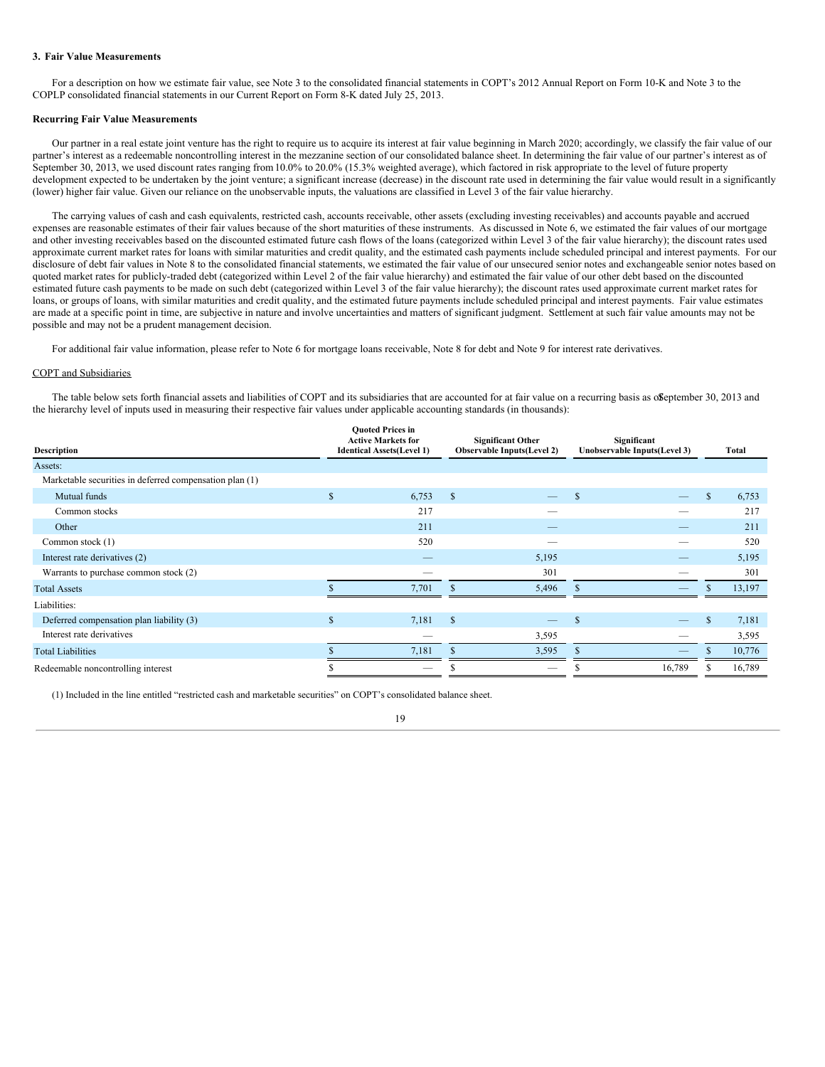#### **3. Fair Value Measurements**

For a description on how we estimate fair value, see Note 3 to the consolidated financial statements in COPT's 2012 Annual Report on Form 10-K and Note 3 to the COPLP consolidated financial statements in our Current Report on Form 8-K dated July 25, 2013.

#### **Recurring Fair Value Measurements**

Our partner in a real estate joint venture has the right to require us to acquire its interest at fair value beginning in March 2020; accordingly, we classify the fair value of our partner's interest as a redeemable noncontrolling interest in the mezzanine section of our consolidated balance sheet. In determining the fair value of our partner's interest as of September 30, 2013, we used discount rates ranging from 10.0% to 20.0% (15.3% weighted average), which factored in risk appropriate to the level of future property development expected to be undertaken by the joint venture; a significant increase (decrease) in the discount rate used in determining the fair value would result in a significantly (lower) higher fair value. Given our reliance on the unobservable inputs, the valuations are classified in Level 3 of the fair value hierarchy.

The carrying values of cash and cash equivalents, restricted cash, accounts receivable, other assets (excluding investing receivables) and accounts payable and accrued expenses are reasonable estimates of their fair values because of the short maturities of these instruments. As discussed in Note 6, we estimated the fair values of our mortgage and other investing receivables based on the discounted estimated future cash flows of the loans (categorized within Level 3 of the fair value hierarchy); the discount rates used approximate current market rates for loans with similar maturities and credit quality, and the estimated cash payments include scheduled principal and interest payments. For our disclosure of debt fair values in Note 8 to the consolidated financial statements, we estimated the fair value of our unsecured senior notes and exchangeable senior notes based on quoted market rates for publicly-traded debt (categorized within Level 2 of the fair value hierarchy) and estimated the fair value of our other debt based on the discounted estimated future cash payments to be made on such debt (categorized within Level 3 of the fair value hierarchy); the discount rates used approximate current market rates for loans, or groups of loans, with similar maturities and credit quality, and the estimated future payments include scheduled principal and interest payments. Fair value estimates are made at a specific point in time, are subjective in nature and involve uncertainties and matters of significant judgment. Settlement at such fair value amounts may not be possible and may not be a prudent management decision.

For additional fair value information, please refer to Note 6 for mortgage loans receivable, Note 8 for debt and Note 9 for interest rate derivatives.

#### COPT and Subsidiaries

The table below sets forth financial assets and liabilities of COPT and its subsidiaries that are accounted for at fair value on a recurring basis as offertember 30, 2013 and the hierarchy level of inputs used in measuring their respective fair values under applicable accounting standards (in thousands):

| <b>Description</b>                                      |               | <b>Ouoted Prices in</b><br><b>Active Markets for</b><br><b>Identical Assets(Level 1)</b> |               | <b>Significant Other</b><br><b>Observable Inputs(Level 2)</b> | Significant<br>Unobservable Inputs(Level 3) |        |          | Total  |
|---------------------------------------------------------|---------------|------------------------------------------------------------------------------------------|---------------|---------------------------------------------------------------|---------------------------------------------|--------|----------|--------|
| Assets:                                                 |               |                                                                                          |               |                                                               |                                             |        |          |        |
| Marketable securities in deferred compensation plan (1) |               |                                                                                          |               |                                                               |                                             |        |          |        |
| Mutual funds                                            | <sup>\$</sup> | 6,753                                                                                    | <sup>\$</sup> |                                                               | $\mathbf S$                                 |        | S        | 6,753  |
| Common stocks                                           |               | 217                                                                                      |               |                                                               |                                             |        |          | 217    |
| Other                                                   |               | 211                                                                                      |               |                                                               |                                             |        |          | 211    |
| Common stock (1)                                        |               | 520                                                                                      |               |                                                               |                                             |        |          | 520    |
| Interest rate derivatives (2)                           |               |                                                                                          |               | 5,195                                                         |                                             |        |          | 5,195  |
| Warrants to purchase common stock (2)                   |               | __                                                                                       |               | 301                                                           |                                             |        |          | 301    |
| <b>Total Assets</b>                                     |               | 7,701                                                                                    |               | 5,496                                                         |                                             |        |          | 13,197 |
| Liabilities:                                            |               |                                                                                          |               |                                                               |                                             |        |          |        |
| Deferred compensation plan liability (3)                | $\mathcal{S}$ | 7,181                                                                                    | <sup>\$</sup> |                                                               | $\mathbb{S}$                                |        | <b>S</b> | 7,181  |
| Interest rate derivatives                               |               |                                                                                          |               | 3,595                                                         |                                             |        |          | 3,595  |
| <b>Total Liabilities</b>                                |               | 7,181                                                                                    |               | 3,595                                                         |                                             |        |          | 10,776 |
| Redeemable noncontrolling interest                      |               |                                                                                          |               |                                                               |                                             | 16,789 |          | 16,789 |
|                                                         |               |                                                                                          |               |                                                               |                                             |        |          |        |

(1) Included in the line entitled "restricted cash and marketable securities" on COPT's consolidated balance sheet.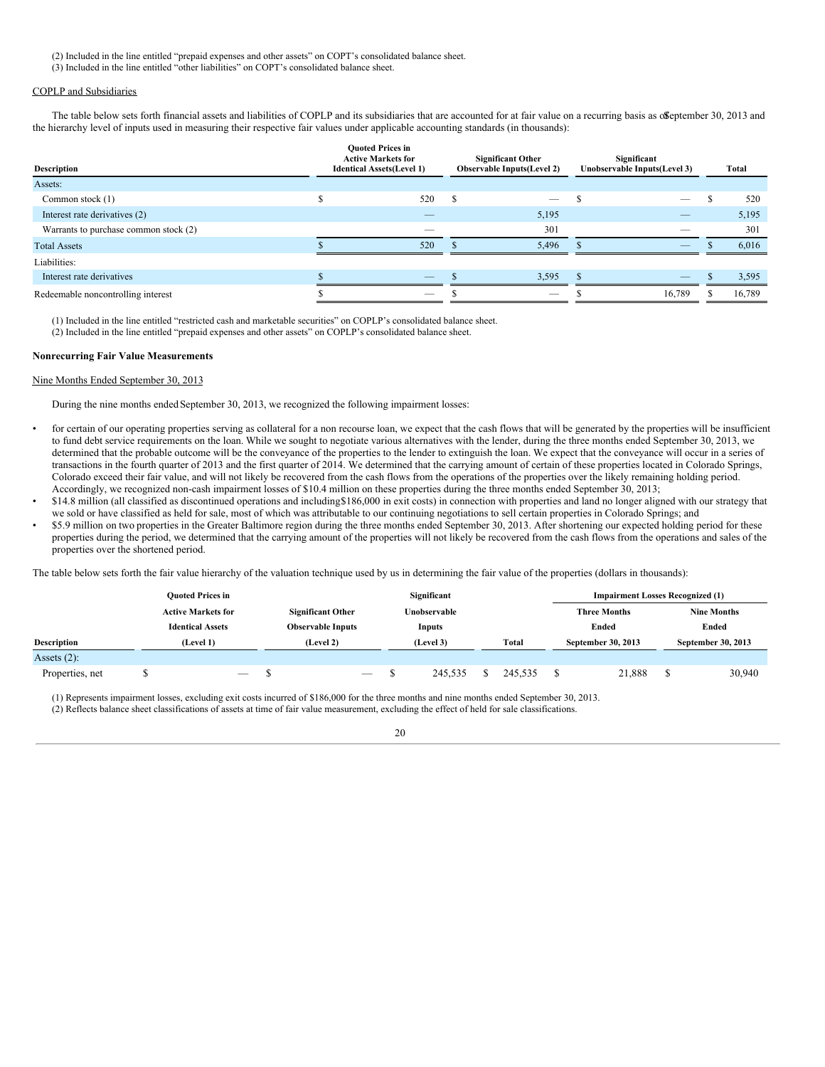(2) Included in the line entitled "prepaid expenses and other assets" on COPT's consolidated balance sheet. (3) Included in the line entitled "other liabilities" on COPT's consolidated balance sheet.

#### COPLP and Subsidiaries

The table below sets forth financial assets and liabilities of COPLP and its subsidiaries that are accounted for at fair value on a recurring basis as offeetember 30, 2013 and the hierarchy level of inputs used in measuring their respective fair values under applicable accounting standards (in thousands):

|        |                                                                                          | <b>Significant Other</b> | Significant<br>Unobservable Inputs(Level 3) |                          |  | Total  |
|--------|------------------------------------------------------------------------------------------|--------------------------|---------------------------------------------|--------------------------|--|--------|
|        |                                                                                          |                          |                                             |                          |  |        |
| 520    |                                                                                          |                          |                                             | $\overline{\phantom{0}}$ |  | 520    |
|        |                                                                                          | 5,195                    |                                             |                          |  | 5,195  |
| $\sim$ |                                                                                          | 301                      |                                             | $\overline{\phantom{a}}$ |  | 301    |
| 520    |                                                                                          | 5.496                    |                                             | $-$                      |  | 6,016  |
|        |                                                                                          |                          |                                             |                          |  |        |
| $-$    |                                                                                          | 3,595                    |                                             | $\frac{1}{2}$            |  | 3,595  |
|        |                                                                                          | $-$                      |                                             | 16,789                   |  | 16,789 |
|        | <b>Ouoted Prices in</b><br><b>Active Markets for</b><br><b>Identical Assets(Level 1)</b> |                          | <b>Observable Inputs(Level 2)</b>           |                          |  |        |

(1) Included in the line entitled "restricted cash and marketable securities" on COPLP's consolidated balance sheet.

(2) Included in the line entitled "prepaid expenses and other assets" on COPLP's consolidated balance sheet.

# **Nonrecurring Fair Value Measurements**

#### Nine Months Ended September 30, 2013

During the nine months endedSeptember 30, 2013, we recognized the following impairment losses:

- for certain of our operating properties serving as collateral for a non recourse loan, we expect that the cash flows that will be generated by the properties will be insufficient to fund debt service requirements on the loan. While we sought to negotiate various alternatives with the lender, during the three months ended September 30, 2013, we determined that the probable outcome will be the conveyance of the properties to the lender to extinguish the loan. We expect that the conveyance will occur in a series of transactions in the fourth quarter of 2013 and the first quarter of 2014. We determined that the carrying amount of certain of these properties located in Colorado Springs, Colorado exceed their fair value, and will not likely be recovered from the cash flows from the operations of the properties over the likely remaining holding period. Accordingly, we recognized non-cash impairment losses of \$10.4 million on these properties during the three months ended September 30, 2013;
- \$14.8 million (all classified as discontinued operations and including\$186,000 in exit costs) in connection with properties and land no longer aligned with our strategy that we sold or have classified as held for sale, most of which was attributable to our continuing negotiations to sell certain properties in Colorado Springs; and
- \$5.9 million on two properties in the Greater Baltimore region during the three months ended September 30, 2013. After shortening our expected holding period for these properties during the period, we determined that the carrying amount of the properties will not likely be recovered from the cash flows from the operations and sales of the properties over the shortened period.

The table below sets forth the fair value hierarchy of the valuation technique used by us in determining the fair value of the properties (dollars in thousands):

| <b>Ouoted Prices in</b> |                                                     |           |                                 |  |                          |                                 |        | Significant  |         | <b>Impairment Losses Recognized (1)</b> |                     |                    |        |  |
|-------------------------|-----------------------------------------------------|-----------|---------------------------------|--|--------------------------|---------------------------------|--------|--------------|---------|-----------------------------------------|---------------------|--------------------|--------|--|
|                         | <b>Active Markets for</b>                           |           |                                 |  | <b>Significant Other</b> |                                 |        | Unobservable |         |                                         | <b>Three Months</b> | <b>Nine Months</b> |        |  |
|                         | <b>Identical Assets</b><br><b>Observable Inputs</b> |           |                                 |  |                          |                                 | Inputs |              |         | Ended                                   | Ended               |                    |        |  |
| <b>Description</b>      |                                                     | (Level 1) |                                 |  | (Level 2)                | (Level 3)                       |        | <b>Total</b> |         | September 30, 2013                      |                     | September 30, 2013 |        |  |
| Assets $(2)$ :          |                                                     |           |                                 |  |                          |                                 |        |              |         |                                         |                     |                    |        |  |
| Properties, net         |                                                     |           | $\hspace{0.1mm}-\hspace{0.1mm}$ |  |                          | $\hspace{0.1mm}-\hspace{0.1mm}$ |        | 245.535      | 245.535 |                                         | 21,888              |                    | 30,940 |  |

(1) Represents impairment losses, excluding exit costs incurred of \$186,000 for the three months and nine months ended September 30, 2013.

(2) Reflects balance sheet classifications of assets at time of fair value measurement, excluding the effect of held for sale classifications.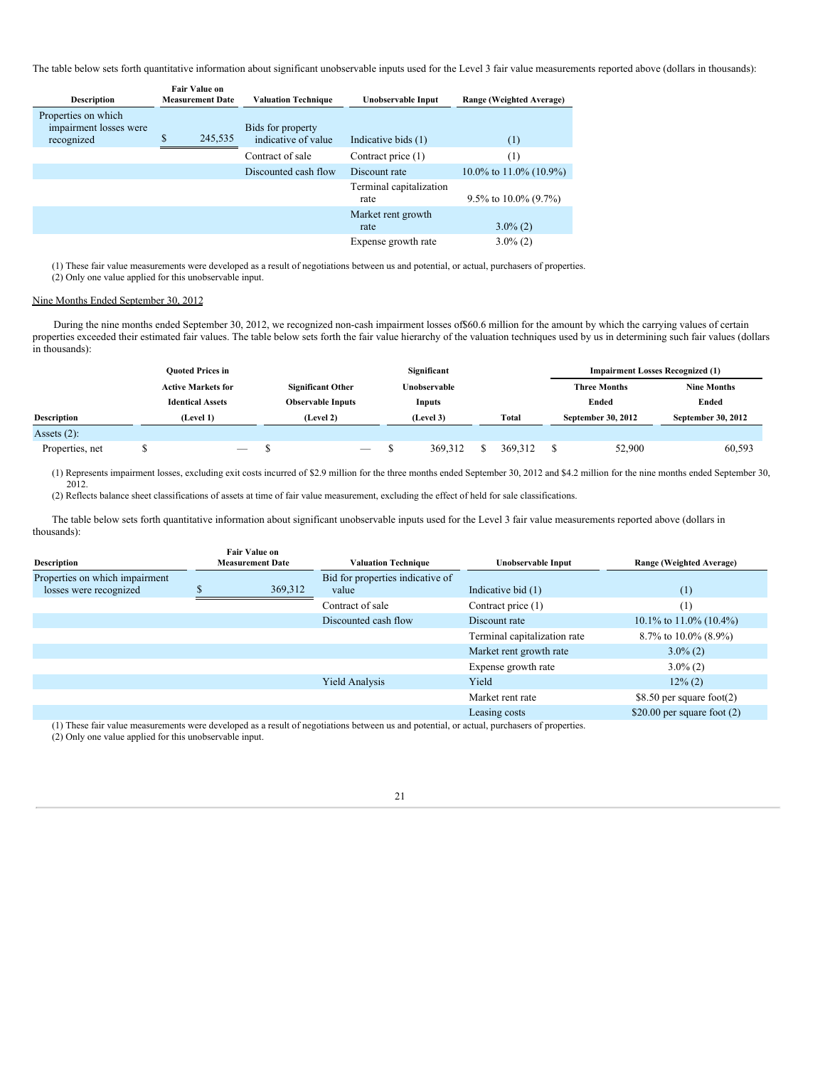The table below sets forth quantitative information about significant unobservable inputs used for the Level 3 fair value measurements reported above (dollars in thousands):

| <b>Description</b>                                          | ган уашсчи<br><b>Measurement Date</b> | <b>Valuation Technique</b>               | Unobservable Input              | Range (Weighted Average)  |
|-------------------------------------------------------------|---------------------------------------|------------------------------------------|---------------------------------|---------------------------|
| Properties on which<br>impairment losses were<br>recognized | \$<br>245,535                         | Bids for property<br>indicative of value | Indicative bids $(1)$           | (1)                       |
|                                                             |                                       | Contract of sale                         | Contract price (1)              | (1)                       |
|                                                             |                                       | Discounted cash flow                     | Discount rate                   | 10.0% to $11.0\%$ (10.9%) |
|                                                             |                                       |                                          | Terminal capitalization<br>rate | 9.5% to 10.0% $(9.7\%)$   |
|                                                             |                                       |                                          | Market rent growth<br>rate      | $3.0\%$ (2)               |
|                                                             |                                       |                                          | Expense growth rate             | $3.0\%$ (2)               |

(1) These fair value measurements were developed as a result of negotiations between us and potential, or actual, purchasers of properties. (2) Only one value applied for this unobservable input.

**Fair Value on**

### Nine Months Ended September 30, 2012

During the nine months ended September 30, 2012, we recognized non-cash impairment losses of\$60.6 million for the amount by which the carrying values of certain properties exceeded their estimated fair values. The table below sets forth the fair value hierarchy of the valuation techniques used by us in determining such fair values (dollars in thousands):

| <b>Ouoted Prices in</b>   |  |                         |                          |                          |  | Significant              |              |         |              |         |                     | <b>Impairment Losses Recognized (1)</b> |        |  |  |
|---------------------------|--|-------------------------|--------------------------|--------------------------|--|--------------------------|--------------|---------|--------------|---------|---------------------|-----------------------------------------|--------|--|--|
| <b>Active Markets for</b> |  |                         |                          | <b>Significant Other</b> |  |                          | Unobservable |         |              |         | <b>Three Months</b> | <b>Nine Months</b>                      |        |  |  |
|                           |  | <b>Identical Assets</b> |                          | <b>Observable Inputs</b> |  |                          | Inputs       |         |              |         |                     | <b>Ended</b>                            | Ended  |  |  |
| <b>Description</b>        |  | (Level 1)               | (Level 2)                |                          |  | (Level 3)                |              |         | <b>Total</b> |         | September 30, 2012  | September 30, 2012                      |        |  |  |
| Assets $(2)$ :            |  |                         |                          |                          |  |                          |              |         |              |         |                     |                                         |        |  |  |
| Properties, net           |  |                         | $\overline{\phantom{a}}$ |                          |  | $\overline{\phantom{a}}$ |              | 369.312 |              | 369.312 |                     | 52,900                                  | 60,593 |  |  |

(1) Represents impairment losses, excluding exit costs incurred of \$2.9 million for the three months ended September 30, 2012 and \$4.2 million for the nine months ended September 30, 2012.

(2) Reflects balance sheet classifications of assets at time of fair value measurement, excluding the effect of held for sale classifications.

The table below sets forth quantitative information about significant unobservable inputs used for the Level 3 fair value measurements reported above (dollars in thousands):

| <b>Description</b>                                       | <b>Fair Value on</b><br><b>Measurement Date</b> | <b>Valuation Technique</b>                | Unobservable Input           | Range (Weighted Average)      |
|----------------------------------------------------------|-------------------------------------------------|-------------------------------------------|------------------------------|-------------------------------|
| Properties on which impairment<br>losses were recognized | 369,312                                         | Bid for properties indicative of<br>value | Indicative bid $(1)$         | (1)                           |
|                                                          |                                                 | Contract of sale                          | Contract price (1)           | (1)                           |
|                                                          |                                                 | Discounted cash flow                      | Discount rate                | 10.1\% to 11.0\% $(10.4\%)$   |
|                                                          |                                                 |                                           | Terminal capitalization rate | 8.7% to 10.0% (8.9%)          |
|                                                          |                                                 |                                           | Market rent growth rate      | $3.0\%$ (2)                   |
|                                                          |                                                 |                                           | Expense growth rate          | $3.0\%$ (2)                   |
|                                                          |                                                 | <b>Yield Analysis</b>                     | Yield                        | $12\%$ (2)                    |
|                                                          |                                                 |                                           | Market rent rate             | \$8.50 per square foot $(2)$  |
|                                                          |                                                 |                                           | Leasing costs                | \$20.00 per square foot $(2)$ |
|                                                          |                                                 |                                           |                              |                               |

(1) These fair value measurements were developed as a result of negotiations between us and potential, or actual, purchasers of properties. (2) Only one value applied for this unobservable input.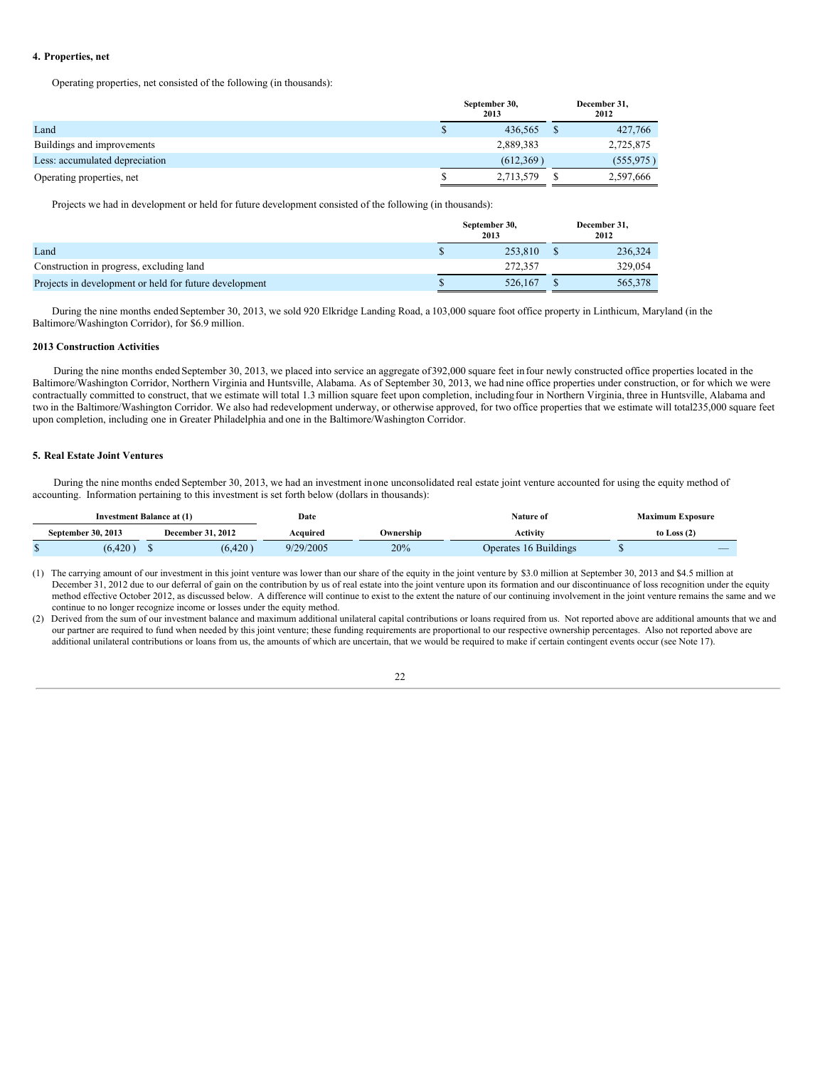#### **4. Properties, net**

Operating properties, net consisted of the following (in thousands):

|                                | September 30,<br>2013 | December 31,<br>2012 |
|--------------------------------|-----------------------|----------------------|
| Land                           | 436.565               | 427,766              |
| Buildings and improvements     | 2,889,383             | 2,725,875            |
| Less: accumulated depreciation | (612,369)             | (555, 975)           |
| Operating properties, net      | 2,713,579             | 2,597,666            |

Projects we had in development or held for future development consisted of the following (in thousands):

|                                                        | September 30,<br>2013 | December 31,<br>2012 |
|--------------------------------------------------------|-----------------------|----------------------|
| Land                                                   | 253,810               | 236,324              |
| Construction in progress, excluding land               | 272,357               | 329,054              |
| Projects in development or held for future development | 526,167               | 565,378              |

During the nine months ended September 30, 2013, we sold 920 Elkridge Landing Road, a 103,000 square foot office property in Linthicum, Maryland (in the Baltimore/Washington Corridor), for \$6.9 million.

#### **2013 Construction Activities**

During the nine months ended September 30, 2013, we placed into service an aggregate of392,000 square feet in four newly constructed office properties located in the Baltimore/Washington Corridor, Northern Virginia and Huntsville, Alabama. As of September 30, 2013, we had nine office properties under construction, or for which we were contractually committed to construct, that we estimate will total 1.3 million square feet upon completion, including four in Northern Virginia, three in Huntsville, Alabama and two in the Baltimore/Washington Corridor. We also had redevelopment underway, or otherwise approved, for two office properties that we estimate will total235,000 square feet upon completion, including one in Greater Philadelphia and one in the Baltimore/Washington Corridor.

#### **5. Real Estate Joint Ventures**

During the nine months ended September 30, 2013, we had an investment inone unconsolidated real estate joint venture accounted for using the equity method of accounting. Information pertaining to this investment is set forth below (dollars in thousands):

| Investment Balance at (1)                      |          | Date     |           | <b>Nature of</b> | <b>Maximum Exposure</b> |                       |  |
|------------------------------------------------|----------|----------|-----------|------------------|-------------------------|-----------------------|--|
| September 30, 2013<br><b>December 31, 2012</b> |          | Acauired | Ownership | Activity         | to Loss $(2)$           |                       |  |
|                                                | (6, 420) |          | (6, 420)  | 9/29/2005        | 20%                     | Operates 16 Buildings |  |

(1) The carrying amount of our investment in this joint venture was lower than our share of the equity in the joint venture by \$3.0 million at September 30, 2013 and \$4.5 million at December 31, 2012 due to our deferral of gain on the contribution by us of real estate into the joint venture upon its formation and our discontinuance of loss recognition under the equity method effective October 2012, as discussed below. A difference will continue to exist to the extent the nature of our continuing involvement in the joint venture remains the same and we continue to no longer recognize income or losses under the equity method.

(2) Derived from the sum of our investment balance and maximum additional unilateral capital contributions or loans required from us. Not reported above are additional amounts that we and our partner are required to fund when needed by this joint venture; these funding requirements are proportional to our respective ownership percentages. Also not reported above are additional unilateral contributions or loans from us, the amounts of which are uncertain, that we would be required to make if certain contingent events occur (see Note 17).

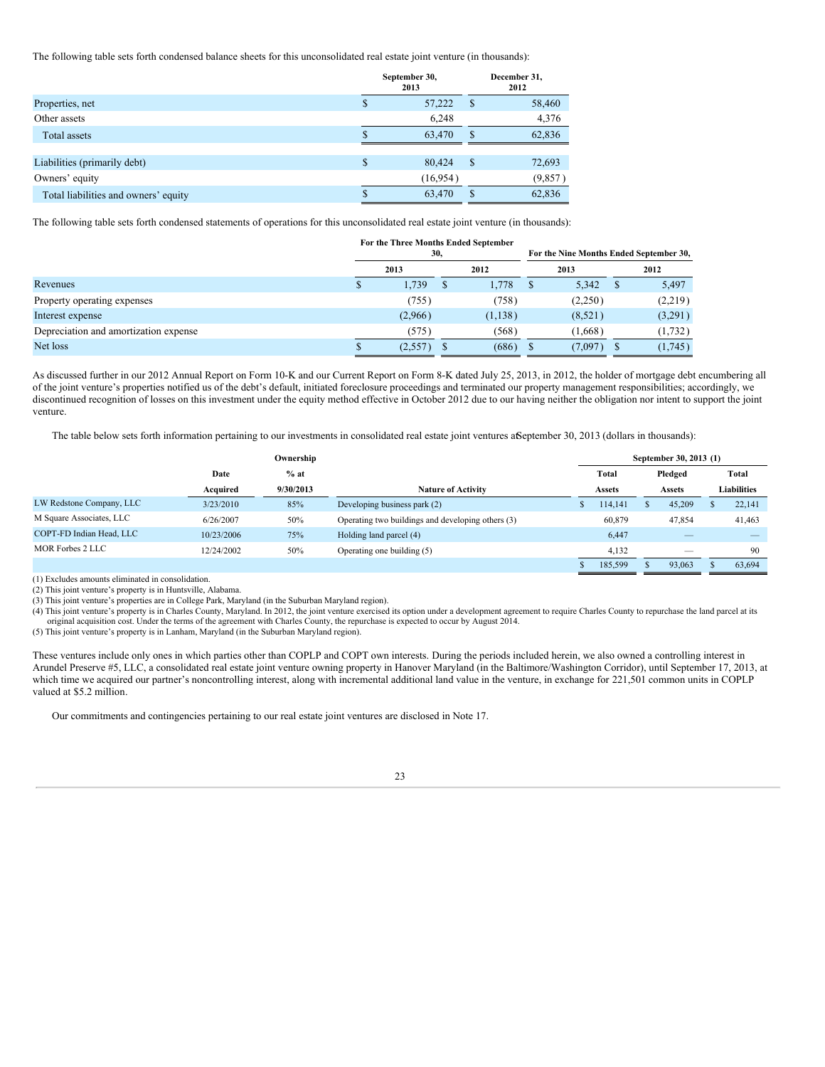The following table sets forth condensed balance sheets for this unconsolidated real estate joint venture (in thousands):

|                                      |   | September 30,<br>2013 |   | December 31,<br>2012 |
|--------------------------------------|---|-----------------------|---|----------------------|
| Properties, net                      | S | 57,222                | S | 58,460               |
| Other assets                         |   | 6.248                 |   | 4,376                |
| Total assets                         |   | 63,470<br>S           |   | 62,836               |
| Liabilities (primarily debt)         | S | 80,424                | S | 72,693               |
| Owners' equity                       |   | (16, 954)             |   | (9,857)              |
| Total liabilities and owners' equity |   | 63,470                |   | 62,836               |

The following table sets forth condensed statements of operations for this unconsolidated real estate joint venture (in thousands):

|                                       | For the Three Months Ended September<br>30, |         |   |          |      | For the Nine Months Ended September 30, |     |          |  |  |  |
|---------------------------------------|---------------------------------------------|---------|---|----------|------|-----------------------------------------|-----|----------|--|--|--|
|                                       | 2013                                        |         |   | 2012     | 2013 |                                         |     | 2012     |  |  |  |
| Revenues                              | S                                           | 1.739   | S | 1,778    | S    | 5,342                                   | - S | 5,497    |  |  |  |
| Property operating expenses           |                                             | (755)   |   | (758)    |      | (2,250)                                 |     | (2,219)  |  |  |  |
| Interest expense                      |                                             | (2,966) |   | (1, 138) |      | (8,521)                                 |     | (3,291)  |  |  |  |
| Depreciation and amortization expense |                                             | (575)   |   | (568)    |      | (1,668)                                 |     | (1, 732) |  |  |  |
| Net loss                              | $\cdot$ D                                   | (2,557) |   | (686)    | S    | (7,097)                                 |     | (1,745)  |  |  |  |

As discussed further in our 2012 Annual Report on Form 10-K and our Current Report on Form 8-K dated July 25, 2013, in 2012, the holder of mortgage debt encumbering all of the joint venture's properties notified us of the debt's default, initiated foreclosure proceedings and terminated our property management responsibilities; accordingly, we discontinued recognition of losses on this investment under the equity method effective in October 2012 due to our having neither the obligation nor intent to support the joint venture.

The table below sets forth information pertaining to our investments in consolidated real estate joint ventures aßeptember 30, 2013 (dollars in thousands):

|                          |            | Ownership |                                                   | September 30, 2013 (1) |  |               |      |                    |  |  |
|--------------------------|------------|-----------|---------------------------------------------------|------------------------|--|---------------|------|--------------------|--|--|
|                          | Date       | $%$ at    |                                                   | Total                  |  | Pledged       |      | Total              |  |  |
|                          | Acquired   | 9/30/2013 | <b>Nature of Activity</b>                         | Assets                 |  | <b>Assets</b> |      | <b>Liabilities</b> |  |  |
| LW Redstone Company, LLC | 3/23/2010  | 85%       | Developing business park (2)                      | 114,141                |  | 45,209        | - 79 | 22,141             |  |  |
| M Square Associates, LLC | 6/26/2007  | 50%       | Operating two buildings and developing others (3) | 60,879                 |  | 47,854        |      | 41,463             |  |  |
| COPT-FD Indian Head, LLC | 10/23/2006 | 75%       | Holding land parcel (4)                           | 6,447                  |  |               |      |                    |  |  |
| <b>MOR Forbes 2 LLC</b>  | 12/24/2002 | 50%       | Operating one building (5)                        | 4,132                  |  |               |      | 90                 |  |  |
|                          |            |           |                                                   | 185,599                |  | 93,063        |      | 63,694             |  |  |

(1) Excludes amounts eliminated in consolidation.

(2) This joint venture's property is in Huntsville, Alabama.

(3) This joint venture's properties are in College Park, Maryland (in the Suburban Maryland region).

(4) This joint venture's property is in Charles County, Maryland. In 2012, the joint venture exercised its option under a development agreement to require Charles County to repurchase the land parcel at its original acquisition cost. Under the terms of the agreement with Charles County, the repurchase is expected to occur by August 2014.

(5) This joint venture's property is in Lanham, Maryland (in the Suburban Maryland region).

These ventures include only ones in which parties other than COPLP and COPT own interests. During the periods included herein, we also owned a controlling interest in Arundel Preserve #5, LLC, a consolidated real estate joint venture owning property in Hanover Maryland (in the Baltimore/Washington Corridor), until September 17, 2013, at which time we acquired our partner's noncontrolling interest, along with incremental additional land value in the venture, in exchange for 221,501 common units in COPLP valued at \$5.2 million.

Our commitments and contingencies pertaining to our real estate joint ventures are disclosed in Note 17.

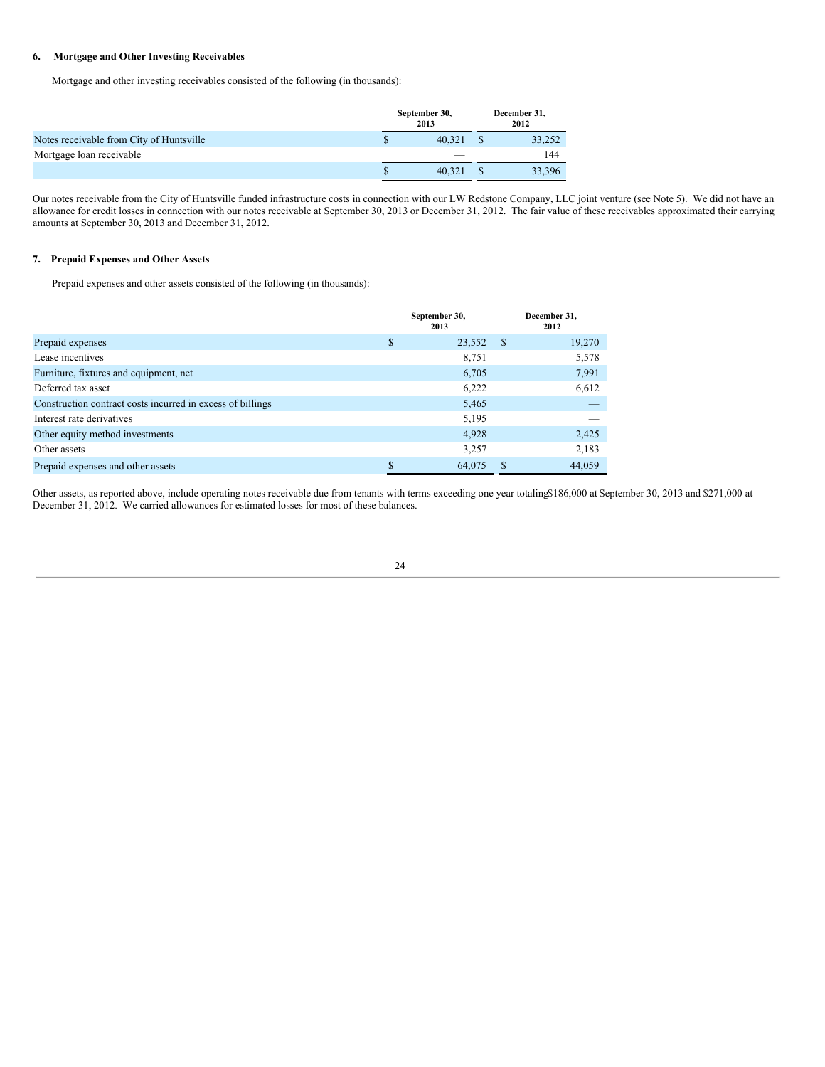### **6. Mortgage and Other Investing Receivables**

Mortgage and other investing receivables consisted of the following (in thousands):

|                                          | September 30,<br>2013 | December 31,<br>2012 |
|------------------------------------------|-----------------------|----------------------|
| Notes receivable from City of Huntsville | 40.321                | 33.252               |
| Mortgage loan receivable                 |                       | 144                  |
|                                          | 40.321                | 33.396               |

Our notes receivable from the City of Huntsville funded infrastructure costs in connection with our LW Redstone Company, LLC joint venture (see Note 5). We did not have an allowance for credit losses in connection with our notes receivable at September 30, 2013 or December 31, 2012. The fair value of these receivables approximated their carrying amounts at September 30, 2013 and December 31, 2012.

# **7. Prepaid Expenses and Other Assets**

Prepaid expenses and other assets consisted of the following (in thousands):

|                                                            |   | September 30,<br>2013 |     | December 31,<br>2012 |
|------------------------------------------------------------|---|-----------------------|-----|----------------------|
| Prepaid expenses                                           | S | 23,552                | - S | 19,270               |
| Lease incentives                                           |   | 8,751                 |     | 5,578                |
| Furniture, fixtures and equipment, net                     |   | 6,705                 |     | 7,991                |
| Deferred tax asset                                         |   | 6,222                 |     | 6,612                |
| Construction contract costs incurred in excess of billings |   | 5,465                 |     |                      |
| Interest rate derivatives                                  |   | 5,195                 |     |                      |
| Other equity method investments                            |   | 4,928                 |     | 2,425                |
| Other assets                                               |   | 3,257                 |     | 2,183                |
| Prepaid expenses and other assets                          |   | 64,075                |     | 44,059               |

Other assets, as reported above, include operating notes receivable due from tenants with terms exceeding one year totaling\$186,000 at September 30, 2013 and \$271,000 at December 31, 2012. We carried allowances for estimated losses for most of these balances.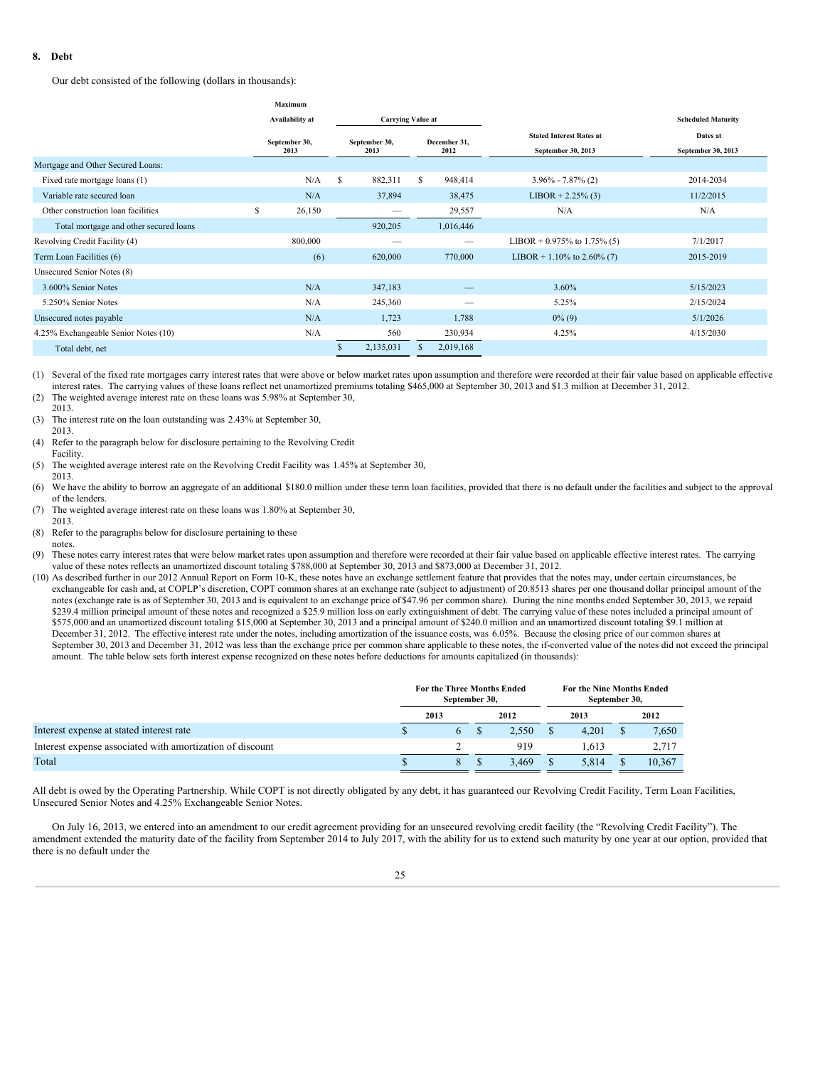#### **8. Debt**

Our debt consisted of the following (dollars in thousands):

| <b>Scheduled Maturity</b><br>Dates at<br>September 30, 2013<br>2014-2034 |
|--------------------------------------------------------------------------|
|                                                                          |
|                                                                          |
|                                                                          |
|                                                                          |
| 11/2/2015                                                                |
| N/A                                                                      |
|                                                                          |
| 7/1/2017                                                                 |
| 2015-2019                                                                |
|                                                                          |
| 5/15/2023                                                                |
| 2/15/2024                                                                |
| 5/1/2026                                                                 |
| 4/15/2030                                                                |
|                                                                          |
|                                                                          |

(1) Several of the fixed rate mortgages carry interest rates that were above or below market rates upon assumption and therefore were recorded at their fair value based on applicable effective interest rates. The carrying values of these loans reflect net unamortized premiums totaling \$465,000 at September 30, 2013 and \$1.3 million at December 31, 2012. (2) The weighted average interest rate on these loans was 5.98% at September 30,

2013.

(3) The interest rate on the loan outstanding was 2.43% at September 30, 2013.

(4) Refer to the paragraph below for disclosure pertaining to the Revolving Credit

**Facility** (5) The weighted average interest rate on the Revolving Credit Facility was 1.45% at September 30,

2013.

(6) We have the ability to borrow an aggregate of an additional \$180.0 million under these term loan facilities, provided that there is no default under the facilities and subject to the approval of the lenders.

(7) The weighted average interest rate on these loans was 1.80% at September 30,

- 2013.
- (8) Refer to the paragraphs below for disclosure pertaining to these

notes.

(9) These notes carry interest rates that were below market rates upon assumption and therefore were recorded at their fair value based on applicable effective interest rates. The carrying value of these notes reflects an unamortized discount totaling \$788,000 at September 30, 2013 and \$873,000 at December 31, 2012.

(10) As described further in our 2012 Annual Report on Form 10-K, these notes have an exchange settlement feature that provides that the notes may, under certain circumstances, be exchangeable for cash and, at COPLP's discretion, COPT common shares at an exchange rate (subject to adjustment) of 20.8513 shares per one thousand dollar principal amount of the notes (exchange rate is as of September 30, 2013 and is equivalent to an exchange price of\$47.96 per common share). During the nine months ended September 30, 2013, we repaid \$239.4 million principal amount of these notes and recognized a \$25.9 million loss on early extinguishment of debt. The carrying value of these notes included a principal amount of \$575,000 and an unamortized discount totaling \$15,000 at September 30, 2013 and a principal amount of \$240.0 million and an unamortized discount totaling \$9.1 million at December 31, 2012. The effective interest rate under the notes, including amortization of the issuance costs, was 6.05%. Because the closing price of our common shares at September 30, 2013 and December 31, 2012 was less than the exchange price per common share applicable to these notes, the if-converted value of the notes did not exceed the principal amount. The table below sets forth interest expense recognized on these notes before deductions for amounts capitalized (in thousands):

|                                                           | <b>For the Three Months Ended</b><br>September 30, |       | For the Nine Months Ended<br>September 30, |  |        |  |
|-----------------------------------------------------------|----------------------------------------------------|-------|--------------------------------------------|--|--------|--|
|                                                           | 2013                                               | 2012  | 2013                                       |  | 2012   |  |
| Interest expense at stated interest rate                  | 6.                                                 | 2.550 | 4.201                                      |  | 7,650  |  |
| Interest expense associated with amortization of discount |                                                    | 919   | 1.613                                      |  | 2.717  |  |
| Total                                                     |                                                    | 3.469 | 5.814                                      |  | 10.367 |  |

All debt is owed by the Operating Partnership. While COPT is not directly obligated by any debt, it has guaranteed our Revolving Credit Facility, Term Loan Facilities, Unsecured Senior Notes and 4.25% Exchangeable Senior Notes.

On July 16, 2013, we entered into an amendment to our credit agreement providing for an unsecured revolving credit facility (the "Revolving Credit Facility"). The amendment extended the maturity date of the facility from September 2014 to July 2017, with the ability for us to extend such maturity by one year at our option, provided that there is no default under the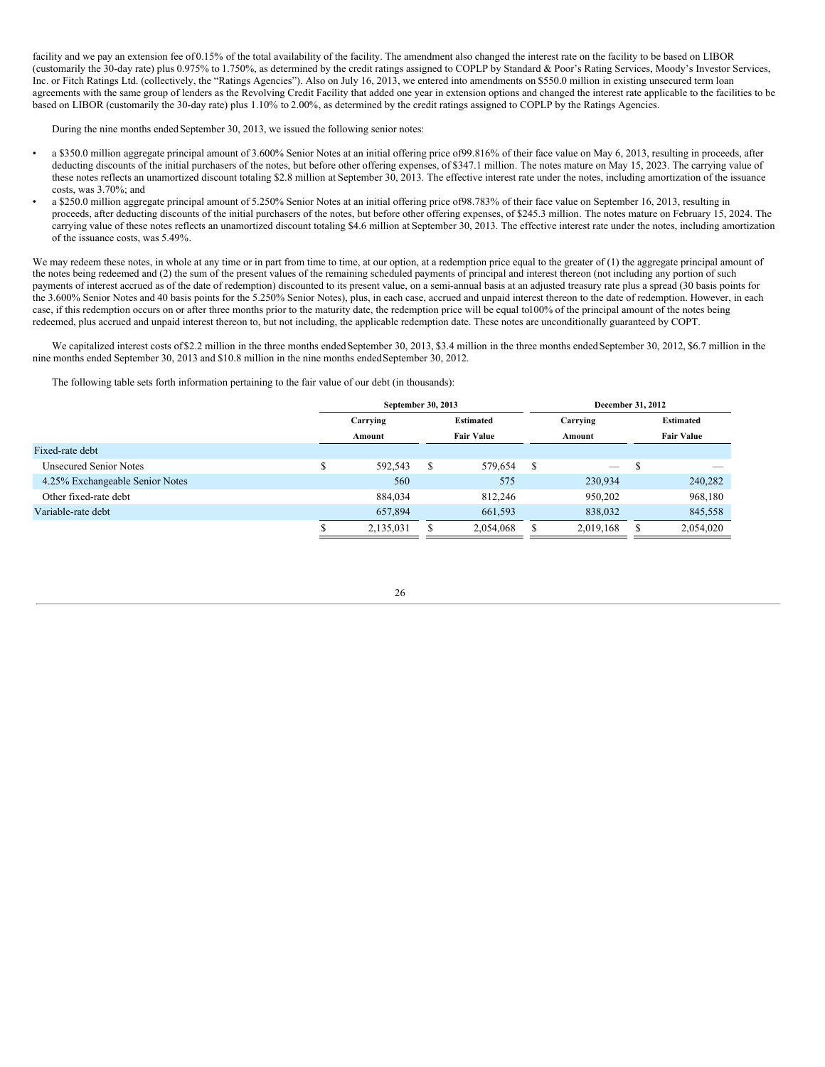facility and we pay an extension fee of 0.15% of the total availability of the facility. The amendment also changed the interest rate on the facility to be based on LIBOR (customarily the 30-day rate) plus 0.975% to 1.750%, as determined by the credit ratings assigned to COPLP by Standard & Poor's Rating Services, Moody's Investor Services, Inc. or Fitch Ratings Ltd. (collectively, the "Ratings Agencies"). Also on July 16, 2013, we entered into amendments on \$550.0 million in existing unsecured term loan agreements with the same group of lenders as the Revolving Credit Facility that added one year in extension options and changed the interest rate applicable to the facilities to be based on LIBOR (customarily the 30-day rate) plus 1.10% to 2.00%, as determined by the credit ratings assigned to COPLP by the Ratings Agencies.

During the nine months ended September 30, 2013, we issued the following senior notes:

- a \$350.0 million aggregate principal amount of 3.600% Senior Notes at an initial offering price of 99.816% of their face value on May 6, 2013, resulting in proceeds, after deducting discounts of the initial purchasers of the notes, but before other offering expenses, of \$347.1 million. The notes mature on May 15, 2023. The carrying value of these notes reflects an unamortized discount totaling \$2.8 million at September 30, 2013. The effective interest rate under the notes, including amortization of the issuance costs, was  $3.70\%$ ; and
- a \$250.0 million aggregate principal amount of 5.250% Senior Notes at an initial offering price of98.783% of their face value on September 16, 2013, resulting in proceeds, after deducting discounts of the initial purchasers of the notes, but before other offering expenses, of \$245.3 million. The notes mature on February 15, 2024. The carrying value of these notes reflects an unamortized discount totaling \$4.6 million at September 30, 2013. The effective interest rate under the notes, including amortization of the issuance costs, was 5.49%.

We may redeem these notes, in whole at any time or in part from time to time, at our option, at a redemption price equal to the greater of (1) the aggregate principal amount of the notes being redeemed and (2) the sum of the present values of the remaining scheduled payments of principal and interest thereon (not including any portion of such payments of interest accrued as of the date of redemption) discounted to its present value, on a semi-annual basis at an adjusted treasury rate plus a spread (30 basis points for the 3.600% Senior Notes and 40 basis points for the 5.250% Senior Notes), plus, in each case, accrued and unpaid interest thereon to the date of redemption. However, in each case, if this redemption occurs on or after three months prior to the maturity date, the redemption price will be equal to100% of the principal amount of the notes being redeemed, plus accrued and unpaid interest thereon to, but not including, the applicable redemption date. These notes are unconditionally guaranteed by COPT.

We capitalized interest costs of \$2.2 million in the three months ended September 30, 2013, \$3.4 million in the three months ended September 30, 2012, \$6.7 million in the nine months ended September 30, 2013 and \$10.8 million in the nine months endedSeptember 30, 2012.

The following table sets forth information pertaining to the fair value of our debt (in thousands):

|                                 | September 30, 2013           |                |                   |           | December 31, 2012             |           |                   |  |  |  |         |
|---------------------------------|------------------------------|----------------|-------------------|-----------|-------------------------------|-----------|-------------------|--|--|--|---------|
|                                 | <b>Estimated</b><br>Carrying |                |                   | Carrying  |                               |           | <b>Estimated</b>  |  |  |  |         |
|                                 | Amount                       |                | <b>Fair Value</b> |           | Amount                        |           | <b>Fair Value</b> |  |  |  |         |
| Fixed-rate debt                 |                              |                |                   |           |                               |           |                   |  |  |  |         |
| <b>Unsecured Senior Notes</b>   | 592.543                      | S              | 579,654           | S         | $\overbrace{\phantom{13333}}$ | æ         |                   |  |  |  |         |
| 4.25% Exchangeable Senior Notes | 560                          |                | 575               |           | 230.934                       |           | 240,282           |  |  |  |         |
| Other fixed-rate debt           | 884,034                      |                | 812,246           |           | 950,202                       |           | 968,180           |  |  |  |         |
| Variable-rate debt              | 657.894                      | 661,593        |                   |           |                               | 838,032   |                   |  |  |  | 845,558 |
|                                 | 2.135.031                    | 2.054.068<br>S |                   | 2,019,168 | ð.                            | 2.054.020 |                   |  |  |  |         |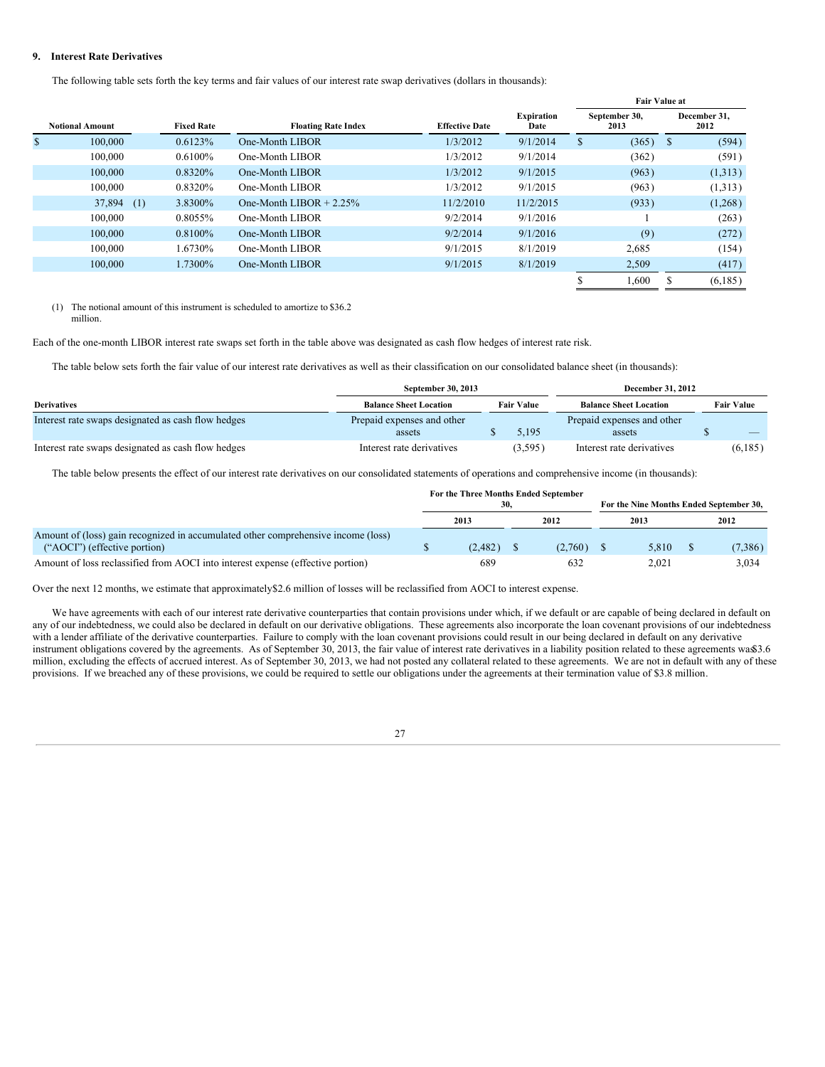#### **9. Interest Rate Derivatives**

The following table sets forth the key terms and fair values of our interest rate swap derivatives (dollars in thousands):

|                        |              |                                                 |                            |                       |                           |              | rair vaiue at         |  |                      |  |  |  |
|------------------------|--------------|-------------------------------------------------|----------------------------|-----------------------|---------------------------|--------------|-----------------------|--|----------------------|--|--|--|
| <b>Notional Amount</b> |              | <b>Fixed Rate</b><br><b>Floating Rate Index</b> |                            | <b>Effective Date</b> | <b>Expiration</b><br>Date |              | September 30,<br>2013 |  | December 31,<br>2012 |  |  |  |
| $\mathbb{S}$           | 100,000      | 0.6123%                                         | One-Month LIBOR            | 1/3/2012              | 9/1/2014                  | <sup>S</sup> | $(365)$ \$            |  | (594)                |  |  |  |
|                        | 100,000      | $0.6100\%$                                      | One-Month LIBOR            | 1/3/2012              | 9/1/2014                  |              | (362)                 |  | (591)                |  |  |  |
|                        | 100,000      | 0.8320%                                         | One-Month LIBOR            | 1/3/2012              | 9/1/2015                  |              | (963)                 |  | (1,313)              |  |  |  |
|                        | 100,000      | 0.8320%                                         | One-Month LIBOR            | 1/3/2012              | 9/1/2015                  |              | (963)                 |  | (1,313)              |  |  |  |
|                        | $37,894$ (1) | 3.8300%                                         | One-Month LIBOR $+ 2.25\%$ | 11/2/2010             | 11/2/2015                 |              | (933)                 |  | (1,268)              |  |  |  |
|                        | 100,000      | 0.8055%                                         | One-Month LIBOR            | 9/2/2014              | 9/1/2016                  |              |                       |  | (263)                |  |  |  |
|                        | 100,000      | $0.8100\%$                                      | One-Month LIBOR            | 9/2/2014              | 9/1/2016                  |              | (9)                   |  | (272)                |  |  |  |
|                        | 100,000      | 1.6730%                                         | One-Month LIBOR            | 9/1/2015              | 8/1/2019                  |              | 2,685                 |  | (154)                |  |  |  |
|                        | 100,000      | 1.7300%                                         | One-Month LIBOR            | 9/1/2015              | 8/1/2019                  |              | 2,509                 |  | (417)                |  |  |  |
|                        |              |                                                 |                            |                       |                           |              | 1,600                 |  | (6, 185)             |  |  |  |

**Fair Value at**

(1) The notional amount of this instrument is scheduled to amortize to\$36.2 million.

Each of the one-month LIBOR interest rate swaps set forth in the table above was designated as cash flow hedges of interest rate risk.

The table below sets forth the fair value of our interest rate derivatives as well as their classification on our consolidated balance sheet (in thousands):

|                                                    | September 30, 2013                   |                   | <b>December 31, 2012</b>             |  |                   |  |  |
|----------------------------------------------------|--------------------------------------|-------------------|--------------------------------------|--|-------------------|--|--|
| <b>Derivatives</b>                                 | <b>Balance Sheet Location</b>        | <b>Fair Value</b> | <b>Balance Sheet Location</b>        |  | <b>Fair Value</b> |  |  |
| Interest rate swaps designated as cash flow hedges | Prepaid expenses and other<br>assets | 5.195             | Prepaid expenses and other<br>assets |  |                   |  |  |
| Interest rate swaps designated as cash flow hedges | Interest rate derivatives            | (3.595)           | Interest rate derivatives            |  | (6,185)           |  |  |

The table below presents the effect of our interest rate derivatives on our consolidated statements of operations and comprehensive income (in thousands):

|                                                                                                                   | For the Three Months Ended September<br>30. |         | For the Nine Months Ended September 30, |         |
|-------------------------------------------------------------------------------------------------------------------|---------------------------------------------|---------|-----------------------------------------|---------|
|                                                                                                                   | 2013                                        | 2012    | 2013                                    | 2012    |
| Amount of (loss) gain recognized in accumulated other comprehensive income (loss)<br>("AOCI") (effective portion) | (2, 482)                                    | (2.760) | 5.810                                   | (7,386) |
| Amount of loss reclassified from AOCI into interest expense (effective portion)                                   | 689                                         | 632     | 2.021                                   | 3.034   |

Over the next 12 months, we estimate that approximately\$2.6 million of losses will be reclassified from AOCI to interest expense.

We have agreements with each of our interest rate derivative counterparties that contain provisions under which, if we default or are capable of being declared in default on any of our indebtedness, we could also be declared in default on our derivative obligations. These agreements also incorporate the loan covenant provisions of our indebtedness with a lender affiliate of the derivative counterparties. Failure to comply with the loan covenant provisions could result in our being declared in default on any derivative instrument obligations covered by the agreements. As of September 30, 2013, the fair value of interest rate derivatives in a liability position related to these agreements was\$3.6 million, excluding the effects of accrued interest. As of September 30, 2013, we had not posted any collateral related to these agreements. We are not in default with any of these provisions. If we breached any of these provisions, we could be required to settle our obligations under the agreements at their termination value of \$3.8 million.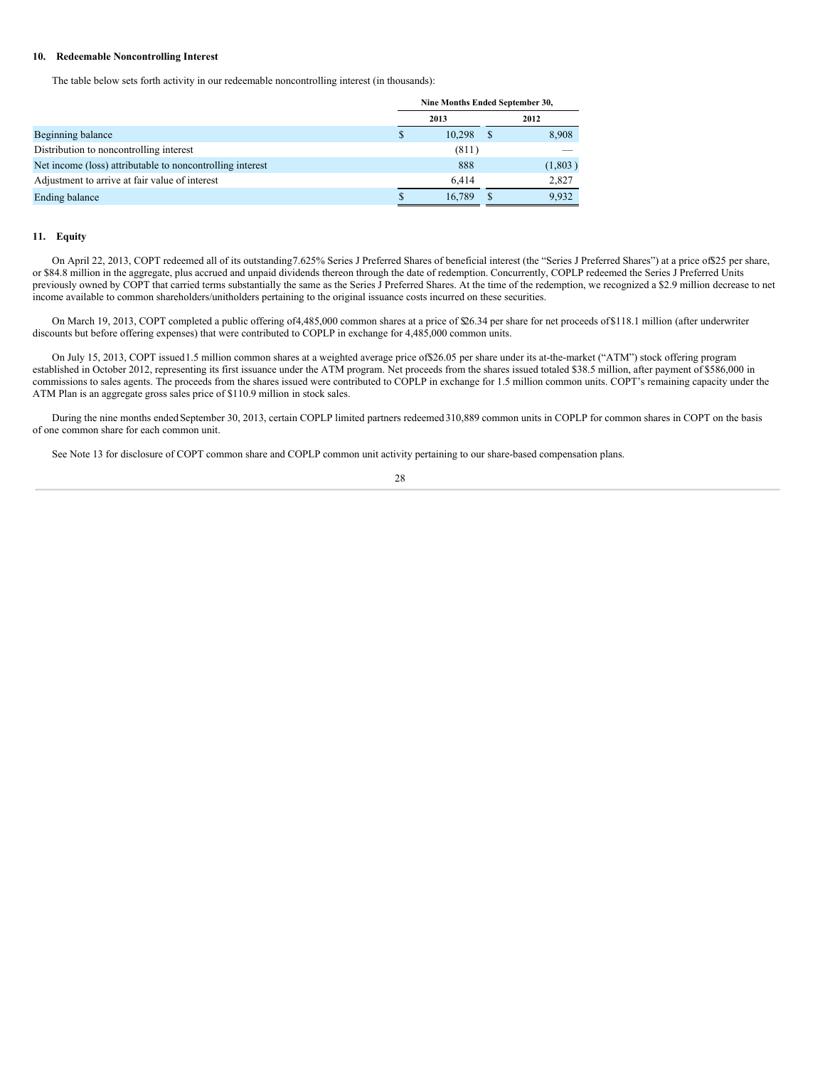#### **10. Redeemable Noncontrolling Interest**

The table below sets forth activity in our redeemable noncontrolling interest (in thousands):

|                                                           | Nine Months Ended September 30, |        |    |         |  |  |  |  |  |
|-----------------------------------------------------------|---------------------------------|--------|----|---------|--|--|--|--|--|
|                                                           |                                 | 2013   |    | 2012    |  |  |  |  |  |
| Beginning balance                                         | S                               | 10.298 | -S | 8,908   |  |  |  |  |  |
| Distribution to noncontrolling interest                   |                                 | (811)  |    |         |  |  |  |  |  |
| Net income (loss) attributable to noncontrolling interest |                                 | 888    |    | (1,803) |  |  |  |  |  |
| Adjustment to arrive at fair value of interest            |                                 | 6.414  |    | 2,827   |  |  |  |  |  |
| Ending balance                                            |                                 | 16.789 |    | 9.932   |  |  |  |  |  |

#### **11. Equity**

On April 22, 2013, COPT redeemed all of its outstanding 7.625% Series J Preferred Shares of beneficial interest (the "Series J Preferred Shares") at a price of \$25 per share, or \$84.8 million in the aggregate, plus accrued and unpaid dividends thereon through the date of redemption. Concurrently, COPLP redeemed the Series J Preferred Units previously owned by COPT that carried terms substantially the same as the Series J Preferred Shares. At the time of the redemption, we recognized a \$2.9 million decrease to net income available to common shareholders/unitholders pertaining to the original issuance costs incurred on these securities.

On March 19, 2013, COPT completed a public offering of 4,485,000 common shares at a price of \$26.34 per share for net proceeds of \$118.1 million (after underwriter discounts but before offering expenses) that were contributed to COPLP in exchange for 4,485,000 common units.

On July 15, 2013, COPT issued1.5 million common shares at a weighted average price of\$26.05 per share under its at-the-market ("ATM") stock offering program established in October 2012, representing its first issuance under the ATM program. Net proceeds from the shares issued totaled \$38.5 million, after payment of \$586,000 in commissions to sales agents. The proceeds from the shares issued were contributed to COPLP in exchange for 1.5 million common units. COPT's remaining capacity under the ATM Plan is an aggregate gross sales price of \$110.9 million in stock sales.

During the nine months endedSeptember 30, 2013, certain COPLP limited partners redeemed 310,889 common units in COPLP for common shares in COPT on the basis of one common share for each common unit.

See Note 13 for disclosure of COPT common share and COPLP common unit activity pertaining to our share-based compensation plans.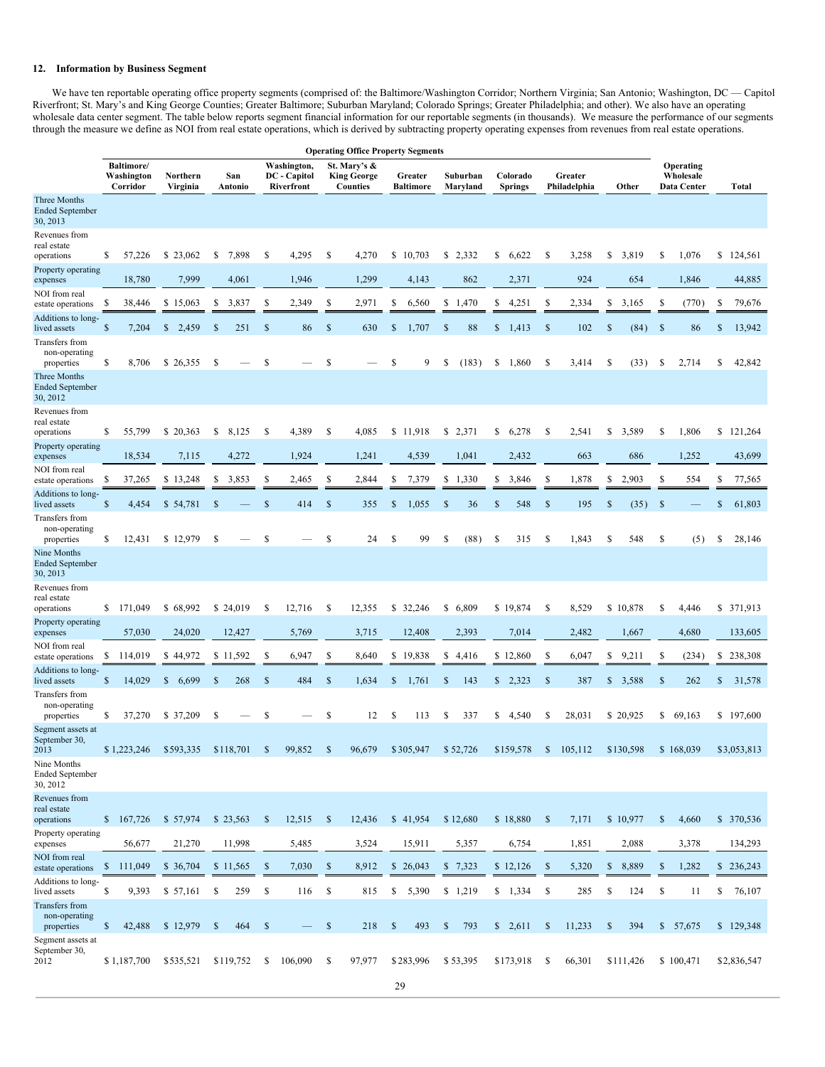# **12. Information by Business Segment**

We have ten reportable operating office property segments (comprised of: the Baltimore/Washington Corridor; Northern Virginia; San Antonio; Washington, DC — Capitol Riverfront; St. Mary's and King George Counties; Greater Baltimore; Suburban Maryland; Colorado Springs; Greater Philadelphia; and other). We also have an operating wholesale data center segment. The table below reports segment financial information for our reportable segments (in thousands). We measure the performance of our segments through the measure we define as NOI from real estate operations, which is derived by subtracting property operating expenses from revenues from real estate operations.

|                                                                 | <b>Operating Office Property Segments</b> |                                      |                      |               |                |               |                                           |              |                                                       |    |                             |                      |    |                            |               |                         |               |           |              |                                       |              |              |
|-----------------------------------------------------------------|-------------------------------------------|--------------------------------------|----------------------|---------------|----------------|---------------|-------------------------------------------|--------------|-------------------------------------------------------|----|-----------------------------|----------------------|----|----------------------------|---------------|-------------------------|---------------|-----------|--------------|---------------------------------------|--------------|--------------|
|                                                                 |                                           | Baltimore/<br>Washington<br>Corridor | Northern<br>Virginia |               | San<br>Antonio |               | Washington,<br>DC - Capitol<br>Riverfront |              | St. Mary's &<br><b>King George</b><br><b>Counties</b> |    | Greater<br><b>Baltimore</b> | Suburban<br>Maryland |    | Colorado<br><b>Springs</b> |               | Greater<br>Philadelphia |               | Other     |              | Operating<br>Wholesale<br>Data Center |              | <b>Total</b> |
| Three Months<br><b>Ended September</b><br>30, 2013              |                                           |                                      |                      |               |                |               |                                           |              |                                                       |    |                             |                      |    |                            |               |                         |               |           |              |                                       |              |              |
| Revenues from<br>real estate<br>operations                      | \$                                        | 57,226                               | \$23,062             | \$            | 7,898          | S             | 4,295                                     | \$           | 4,270                                                 | S  | 10,703                      | \$2,332              | \$ | 6,622                      | \$            | 3,258                   | S             | 3,819     | \$           | 1,076                                 |              | \$124,561    |
| Property operating<br>expenses                                  |                                           | 18,780                               | 7,999                |               | 4,061          |               | 1,946                                     |              | 1,299                                                 |    | 4,143                       | 862                  |    | 2,371                      |               | 924                     |               | 654       |              | 1,846                                 |              | 44,885       |
| NOI from real<br>estate operations                              | S                                         | 38,446                               | \$15,063             | \$            | 3,837          | S             | 2,349                                     | \$           | 2,971                                                 | S  | 6,560                       | \$<br>1,470          | \$ | 4,251                      | S             | 2,334                   | \$            | 3,165     | \$           | (770)                                 | \$           | 79,676       |
| Additions to long-<br>lived assets                              | \$                                        | 7,204                                | \$2,459              | <sup>\$</sup> | 251            | $\mathcal{S}$ | 86                                        | $\mathbb{S}$ | 630                                                   | S  | 1,707                       | \$<br>88             | \$ | 1,413                      | $\mathbb{S}$  | 102                     | S             | (84)      | $\mathbf S$  | 86                                    | $\mathbb{S}$ | 13,942       |
| Transfers from<br>non-operating<br>properties                   | S                                         | 8,706                                | \$26,355             | \$            |                | S             |                                           | \$           |                                                       | S  | 9                           | \$<br>(183)          | \$ | 1,860                      | \$            | 3,414                   | S             | (33)      | \$           | 2,714                                 | \$           | 42,842       |
| Three Months<br><b>Ended September</b><br>30, 2012              |                                           |                                      |                      |               |                |               |                                           |              |                                                       |    |                             |                      |    |                            |               |                         |               |           |              |                                       |              |              |
| Revenues from<br>real estate                                    | \$                                        | 55,799                               | \$20,363             | \$            | 8,125          | <b>S</b>      | 4,389                                     | \$           | 4,085                                                 | S  | 11,918                      | \$<br>2,371          | \$ | 6,278                      | \$            | 2,541                   | s             | 3,589     | \$           | 1,806                                 |              | \$121,264    |
| operations<br>Property operating<br>expenses                    |                                           | 18,534                               | 7,115                |               | 4,272          |               | 1,924                                     |              | 1,241                                                 |    | 4,539                       | 1,041                |    | 2,432                      |               | 663                     |               | 686       |              | 1,252                                 |              | 43,699       |
| NOI from real<br>estate operations                              | S                                         | 37,265                               | \$13,248             | \$            | 3,853          | -S            | 2,465                                     | \$           | 2,844                                                 | S  | 7,379                       | \$<br>1,330          | \$ | 3,846                      | \$            | 1,878                   | \$            | 2,903     | \$           | 554                                   | \$           | 77,565       |
| Additions to long-<br>lived assets                              | $\mathbb{S}$                              | 4,454                                | \$54,781             | S             |                | <sup>\$</sup> | 414                                       | $\mathbb{S}$ | 355                                                   | \$ | 1,055                       | \$<br>36             | \$ | 548                        | \$            | 195                     | $\mathbb{S}$  | (35)      | - \$         |                                       | \$           | 61,803       |
| Transfers from<br>non-operating                                 |                                           |                                      | \$12,979             | \$            |                | S             |                                           | \$           | 24                                                    | S  | 99                          | \$<br>(88)           | \$ | 315                        | \$            | 1,843                   | S             | 548       | $\mathbb{S}$ | (5)                                   | \$           | 28,146       |
| properties<br>Nine Months<br><b>Ended September</b><br>30, 2013 | \$                                        | 12,431                               |                      |               |                |               |                                           |              |                                                       |    |                             |                      |    |                            |               |                         |               |           |              |                                       |              |              |
| Revenues from<br>real estate<br>operations                      | \$                                        | 171,049                              | \$68,992             |               | \$24,019       | -S            | 12,716                                    | -S           | 12,355                                                |    | \$ 32,246                   | \$<br>6,809          |    | \$19,874                   | \$            | 8,529                   |               | \$10,878  | \$           | 4,446                                 |              | \$ 371,913   |
| Property operating<br>expenses                                  |                                           | 57,030                               | 24,020               |               | 12,427         |               | 5,769                                     |              | 3,715                                                 |    | 12,408                      | 2,393                |    | 7,014                      |               | 2,482                   |               | 1,667     |              | 4,680                                 |              | 133,605      |
| NOI from real<br>estate operations                              | S                                         | 114,019                              | \$44,972             |               | \$11,592       | S             | 6,947                                     | \$           | 8,640                                                 | S  | 19,838                      | \$<br>4,416          |    | \$12,860                   | \$            | 6,047                   | s             | 9,211     | \$           | (234)                                 | \$           | 238,308      |
| Additions to long-<br>lived assets                              | $\mathbb{S}$                              | 14,029                               | \$<br>6,699          | \$            | 268            | $\mathcal{S}$ | 484                                       | \$           | 1,634                                                 | S  | 1,761                       | \$<br>143            | \$ | 2,323                      | \$            | 387                     | \$            | 3,588     | \$           | 262                                   | $\mathbb{S}$ | 31,578       |
| Transfers from<br>non-operating<br>properties                   | \$                                        | 37,270                               | \$ 37,209            | \$            |                | S             |                                           | \$           | 12                                                    | s  | 113                         | \$<br>337            | \$ | 4,540                      | \$            | 28,031                  |               | \$20,925  | \$           | 69,163                                |              | \$197,600    |
| Segment assets at<br>September 30,<br>2013                      |                                           | \$1,223,246                          | \$593.335            |               | \$118,701      | \$            | 99.852                                    | S            | 96,679                                                |    | \$305,947                   | \$52,726             |    | \$159,578                  | <sup>\$</sup> | 105,112                 |               | \$130,598 |              | \$168,039                             |              | \$3,053,813  |
| Nine Months<br><b>Ended September</b><br>30, 2012               |                                           |                                      |                      |               |                |               |                                           |              |                                                       |    |                             |                      |    |                            |               |                         |               |           |              |                                       |              |              |
| Revenues from<br>real estate<br>operations                      |                                           | \$167,726                            | \$57,974             |               | \$23,563       | -S            | 12,515                                    | $\mathbf{s}$ | 12,436                                                |    | \$41,954                    | \$12,680             |    | \$18,880                   | $\mathbb{S}$  | 7,171                   |               | \$10,977  | \$           | 4,660                                 |              | \$ 370,536   |
| Property operating<br>expenses                                  |                                           | 56,677                               | 21,270               |               | 11,998         |               | 5,485                                     |              | 3,524                                                 |    | 15,911                      | 5,357                |    | 6,754                      |               | 1,851                   |               | 2,088     |              | 3,378                                 |              | 134,293      |
| NOI from real<br>estate operations                              | -S                                        | 111,049                              | \$36,704             |               | \$11,565       | -S            | 7,030                                     | \$           | 8,912                                                 |    | \$26,043                    | \$7,323              |    | \$12,126                   | \$            | 5,320                   | \$            | 8,889     | \$           | 1,282                                 |              | \$236,243    |
| Additions to long-<br>lived assets                              | S                                         | 9,393                                | \$57,161             | \$            | 259            | -S            | 116                                       | - S          | 815                                                   | S  | 5,390                       | \$1,219              | \$ | 1,334                      | \$            | 285                     | s             | 124       | \$           | 11                                    | \$           | 76,107       |
| Transfers from<br>non-operating<br>properties                   | $\$$                                      | 42,488                               | \$12,979             | <sup>\$</sup> | 464            | - \$          |                                           | $\mathbb{S}$ | 218                                                   | -S | 493                         | $\mathbb{S}$<br>793  |    | \$2,611                    | \$            | 11,233                  | <sup>\$</sup> | 394       |              | \$57,675                              |              | \$129,348    |
| Segment assets at<br>September 30,<br>2012                      |                                           | \$1,187,700                          | \$535,521            |               | \$119,752      | \$            | 106,090                                   | \$           | 97,977                                                |    | \$283,996                   | \$53,395             |    | \$173,918                  | \$            | 66,301                  |               | \$111,426 |              | \$100,471                             |              | \$2,836,547  |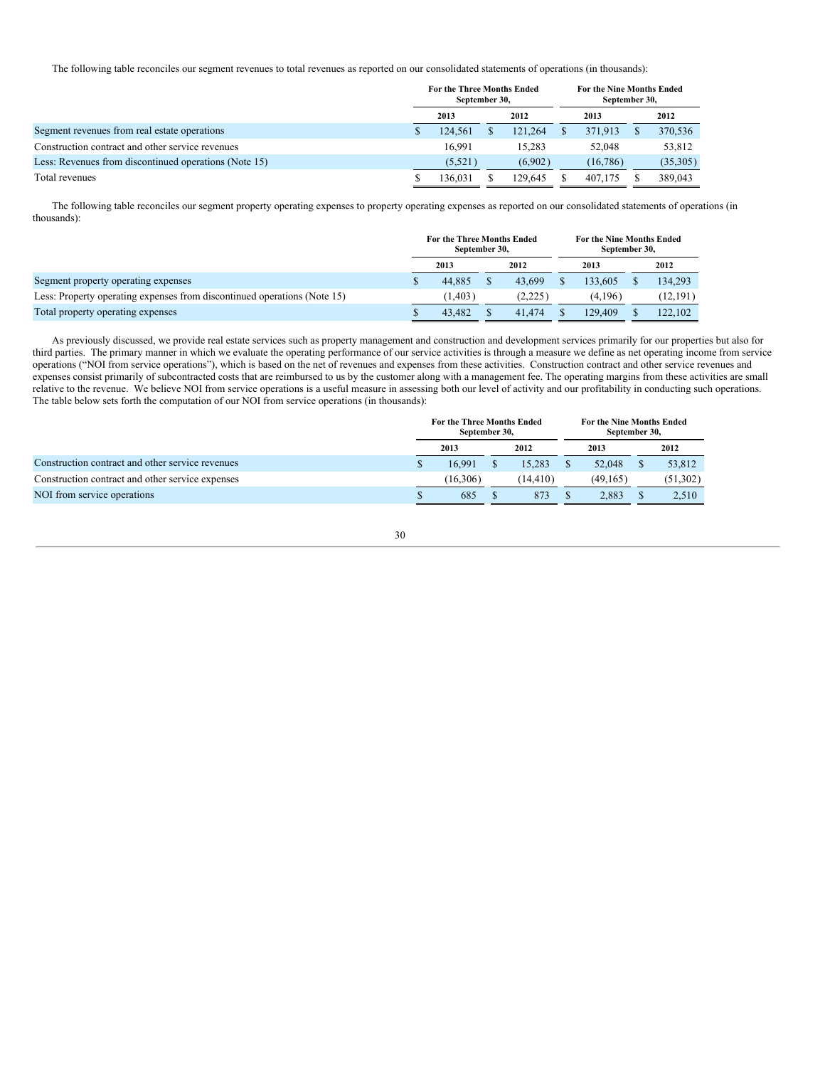The following table reconciles our segment revenues to total revenues as reported on our consolidated statements of operations (in thousands):

|                                                       | <b>For the Three Months Ended</b><br>September 30, |         |  |         |  | <b>For the Nine Months Ended</b><br>September 30, |  |          |  |
|-------------------------------------------------------|----------------------------------------------------|---------|--|---------|--|---------------------------------------------------|--|----------|--|
|                                                       |                                                    | 2013    |  | 2012    |  | 2013                                              |  | 2012     |  |
| Segment revenues from real estate operations          |                                                    | 124.561 |  | 121.264 |  | 371.913                                           |  | 370,536  |  |
| Construction contract and other service revenues      |                                                    | 16.991  |  | 15.283  |  | 52,048                                            |  | 53,812   |  |
| Less: Revenues from discontinued operations (Note 15) |                                                    | (5,521) |  | (6.902) |  | (16.786)                                          |  | (35,305) |  |
| Total revenues                                        |                                                    | 136.031 |  | 129.645 |  | 407.175                                           |  | 389,043  |  |

The following table reconciles our segment property operating expenses to property operating expenses as reported on our consolidated statements of operations (in thousands):

|                                                                          |      | <b>For the Three Months Ended</b><br>September 30, |  |         | For the Nine Months Ended<br>September 30, |  |           |
|--------------------------------------------------------------------------|------|----------------------------------------------------|--|---------|--------------------------------------------|--|-----------|
|                                                                          | 2013 |                                                    |  | 2012    | 2013                                       |  | 2012      |
| Segment property operating expenses                                      |      | 44,885                                             |  | 43.699  | 133,605                                    |  | 134.293   |
| Less: Property operating expenses from discontinued operations (Note 15) |      | (1.403)                                            |  | (2,225) | (4,196)                                    |  | (12, 191) |
| Total property operating expenses                                        |      | 43.482                                             |  | 41,474  | 129.409                                    |  | 122.102   |

As previously discussed, we provide real estate services such as property management and construction and development services primarily for our properties but also for third parties. The primary manner in which we evaluate the operating performance of our service activities is through a measure we define as net operating income from service operations ("NOI from service operations"), which is based on the net of revenues and expenses from these activities. Construction contract and other service revenues and expenses consist primarily of subcontracted costs that are reimbursed to us by the customer along with a management fee. The operating margins from these activities are small relative to the revenue. We believe NOI from service operations is a useful measure in assessing both our level of activity and our profitability in conducting such operations. The table below sets forth the computation of our NOI from service operations (in thousands):

|                                                  | <b>For the Three Months Ended</b><br>September 30, |          | <b>For the Nine Months Ended</b><br>September 30, |          |
|--------------------------------------------------|----------------------------------------------------|----------|---------------------------------------------------|----------|
|                                                  | 2013                                               | 2012     | 2013                                              | 2012     |
| Construction contract and other service revenues | 16.991                                             | 15.283   | 52,048                                            | 53,812   |
| Construction contract and other service expenses | (16.306)                                           | (14.410) | (49.165)                                          | (51,302) |
| NOI from service operations                      | 685                                                | 873      | 2.883                                             | 2.510    |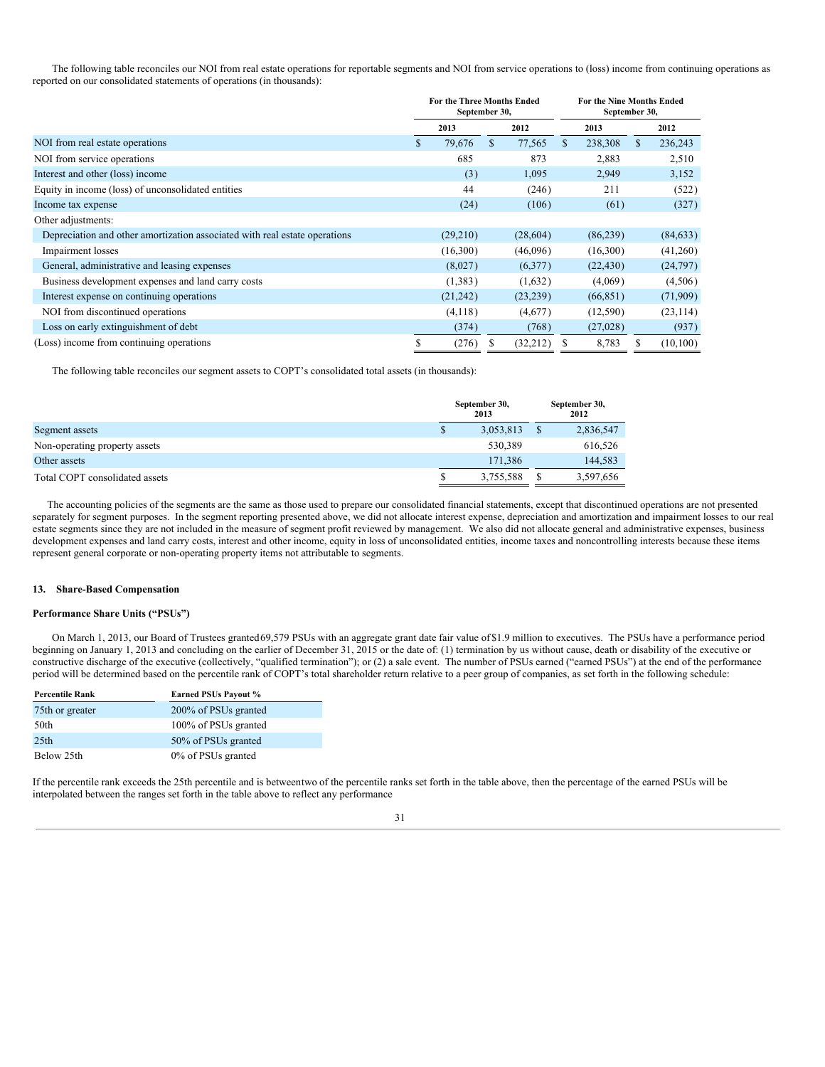The following table reconciles our NOI from real estate operations for reportable segments and NOI from service operations to (loss) income from continuing operations as reported on our consolidated statements of operations (in thousands):

|                                                                            | <b>For the Three Months Ended</b><br>September 30, |          |   |           |     | For the Nine Months Ended<br>September 30, |    |           |  |
|----------------------------------------------------------------------------|----------------------------------------------------|----------|---|-----------|-----|--------------------------------------------|----|-----------|--|
|                                                                            |                                                    | 2013     |   | 2012      |     | 2013                                       |    | 2012      |  |
| NOI from real estate operations                                            | S                                                  | 79,676   | S | 77,565    | \$. | 238,308                                    | S. | 236,243   |  |
| NOI from service operations                                                |                                                    | 685      |   | 873       |     | 2,883                                      |    | 2,510     |  |
| Interest and other (loss) income                                           |                                                    | (3)      |   | 1,095     |     | 2,949                                      |    | 3,152     |  |
| Equity in income (loss) of unconsolidated entities                         |                                                    | 44       |   | (246)     |     | 211                                        |    | (522)     |  |
| Income tax expense                                                         |                                                    | (24)     |   | (106)     |     | (61)                                       |    | (327)     |  |
| Other adjustments:                                                         |                                                    |          |   |           |     |                                            |    |           |  |
| Depreciation and other amortization associated with real estate operations |                                                    | (29,210) |   | (28,604)  |     | (86,239)                                   |    | (84, 633) |  |
| Impairment losses                                                          |                                                    | (16,300) |   | (46,096)  |     | (16,300)                                   |    | (41,260)  |  |
| General, administrative and leasing expenses                               |                                                    | (8,027)  |   | (6,377)   |     | (22, 430)                                  |    | (24,797)  |  |
| Business development expenses and land carry costs                         |                                                    | (1,383)  |   | (1,632)   |     | (4,069)                                    |    | (4,506)   |  |
| Interest expense on continuing operations                                  |                                                    | (21,242) |   | (23, 239) |     | (66, 851)                                  |    | (71,909)  |  |
| NOI from discontinued operations                                           |                                                    | (4,118)  |   | (4,677)   |     | (12,590)                                   |    | (23, 114) |  |
| Loss on early extinguishment of debt                                       |                                                    | (374)    |   | (768)     |     | (27,028)                                   |    | (937)     |  |
| (Loss) income from continuing operations                                   | S                                                  | (276)    |   | (32, 212) |     | 8,783                                      |    | (10, 100) |  |

The following table reconciles our segment assets to COPT's consolidated total assets (in thousands):

|                                | September 30,<br>2013 |   | September 30,<br>2012 |  |  |
|--------------------------------|-----------------------|---|-----------------------|--|--|
| Segment assets                 | \$<br>3,053,813       | S | 2,836,547             |  |  |
| Non-operating property assets  | 530.389               |   | 616.526               |  |  |
| Other assets                   | 171.386               |   | 144,583               |  |  |
| Total COPT consolidated assets | 3,755,588             |   | 3,597,656             |  |  |

The accounting policies of the segments are the same as those used to prepare our consolidated financial statements, except that discontinued operations are not presented separately for segment purposes. In the segment reporting presented above, we did not allocate interest expense, depreciation and amortization and impairment losses to our real estate segments since they are not included in the measure of segment profit reviewed by management. We also did not allocate general and administrative expenses, business development expenses and land carry costs, interest and other income, equity in loss of unconsolidated entities, income taxes and noncontrolling interests because these items represent general corporate or non-operating property items not attributable to segments.

#### **13. Share-Based Compensation**

#### **Performance Share Units ("PSUs")**

On March 1, 2013, our Board of Trustees granted69,579 PSUs with an aggregate grant date fair value of \$1.9 million to executives. The PSUs have a performance period beginning on January 1, 2013 and concluding on the earlier of December 31, 2015 or the date of: (1) termination by us without cause, death or disability of the executive or constructive discharge of the executive (collectively, "qualified termination"); or (2) a sale event. The number of PSUs earned ("earned PSUs") at the end of the performance period will be determined based on the percentile rank of COPT's total shareholder return relative to a peer group of companies, as set forth in the following schedule:

| <b>Percentile Rank</b> | <b>Earned PSUs Payout %</b> |
|------------------------|-----------------------------|
| 75th or greater        | 200% of PSUs granted        |
| 50th                   | 100% of PSUs granted        |
| 25 <sub>th</sub>       | 50% of PSUs granted         |
| Below 25th             | 0% of PSUs granted          |

If the percentile rank exceeds the 25th percentile and is betweentwo of the percentile ranks set forth in the table above, then the percentage of the earned PSUs will be interpolated between the ranges set forth in the table above to reflect any performance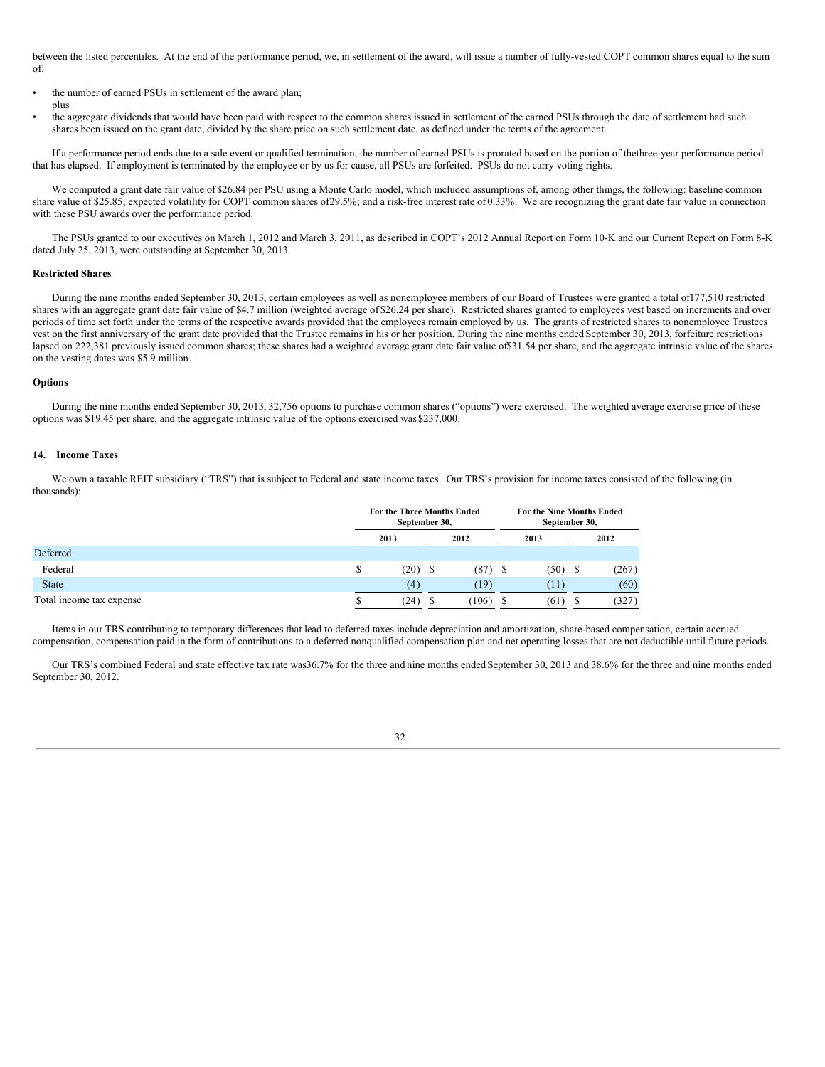between the listed percentiles. At the end of the performance period, we, in settlement of the award, will issue a number of fully-vested COPT common shares equal to the sum of:

- the number of earned PSUs in settlement of the award plan;
- the aggregate dividends that would have been paid with respect to the common shares issued in settlement of the earned PSUs through the date of settlement had such shares been issued on the grant date, divided by the share price on such settlement date, as defined under the terms of the agreement.

If a performance period ends due to a sale event or qualified termination, the number of earned PSUs is prorated based on the portion of thethree-year performance period that has elapsed. If employment is terminated by the employee or by us for cause, all PSUs are forfeited. PSUs do not carry voting rights.

We computed a grant date fair value of \$26.84 per PSU using a Monte Carlo model, which included assumptions of, among other things, the following: baseline common share value of \$25.85; expected volatility for COPT common shares of 29.5%; and a risk-free interest rate of 0.33%. We are recognizing the grant date fair value in connection with these PSU awards over the performance period.

The PSUs granted to our executives on March 1, 2012 and March 3, 2011, as described in COPT's 2012 Annual Report on Form 10-K and our Current Report on Form 8-K dated July 25, 2013, were outstanding at September 30, 2013.

#### **Restricted Shares**

plus

During the nine months ended September 30, 2013, certain employees as well as nonemployee members of our Board of Trustees were granted a total of177,510 restricted shares with an aggregate grant date fair value of \$4.7 million (weighted average of \$26.24 per share). Restricted shares granted to employees vest based on increments and over periods of time set forth under the terms of the respective awards provided that the employees remain employed by us. The grants of restricted shares to nonemployee Trustees vest on the first anniversary of the grant date provided that the Trustee remains in his or her position. During the nine months ended September 30, 2013, forfeiture restrictions lapsed on 222,381 previously issued common shares; these shares had a weighted average grant date fair value of\$31.54 per share, and the aggregate intrinsic value of the shares on the vesting dates was \$5.9 million.

#### **Options**

During the nine months ended September 30, 2013, 32,756 options to purchase common shares ("options") were exercised. The weighted average exercise price of these options was \$19.45 per share, and the aggregate intrinsic value of the options exercised was \$237,000.

#### **14. Income Taxes**

We own a taxable REIT subsidiary ("TRS") that is subject to Federal and state income taxes. Our TRS's provision for income taxes consisted of the following (in thousands):

|                          |      | For the Three Months Ended<br>September 30, |     |            |      | For the Nine Months Ended<br>September 30, |  |       |
|--------------------------|------|---------------------------------------------|-----|------------|------|--------------------------------------------|--|-------|
|                          | 2013 |                                             |     | 2012       | 2013 |                                            |  | 2012  |
| Deferred                 |      |                                             |     |            |      |                                            |  |       |
| Federal                  | S    | (20)                                        | - S | $(87)$ \$  |      | (50)                                       |  | (267) |
| <b>State</b>             |      | (4)                                         |     | (19)       |      | (11)                                       |  | (60)  |
| Total income tax expense |      | (24)                                        | - S | $(106)$ \$ |      | (61)                                       |  | (327) |

Items in our TRS contributing to temporary differences that lead to deferred taxes include depreciation and amortization, share-based compensation, certain accrued compensation, compensation paid in the form of contributions to a deferred nonqualified compensation plan and net operating losses that are not deductible until future periods.

Our TRS's combined Federal and state effective tax rate was36.7% for the three and nine months ended September 30, 2013 and 38.6% for the three and nine months ended September 30, 2012.

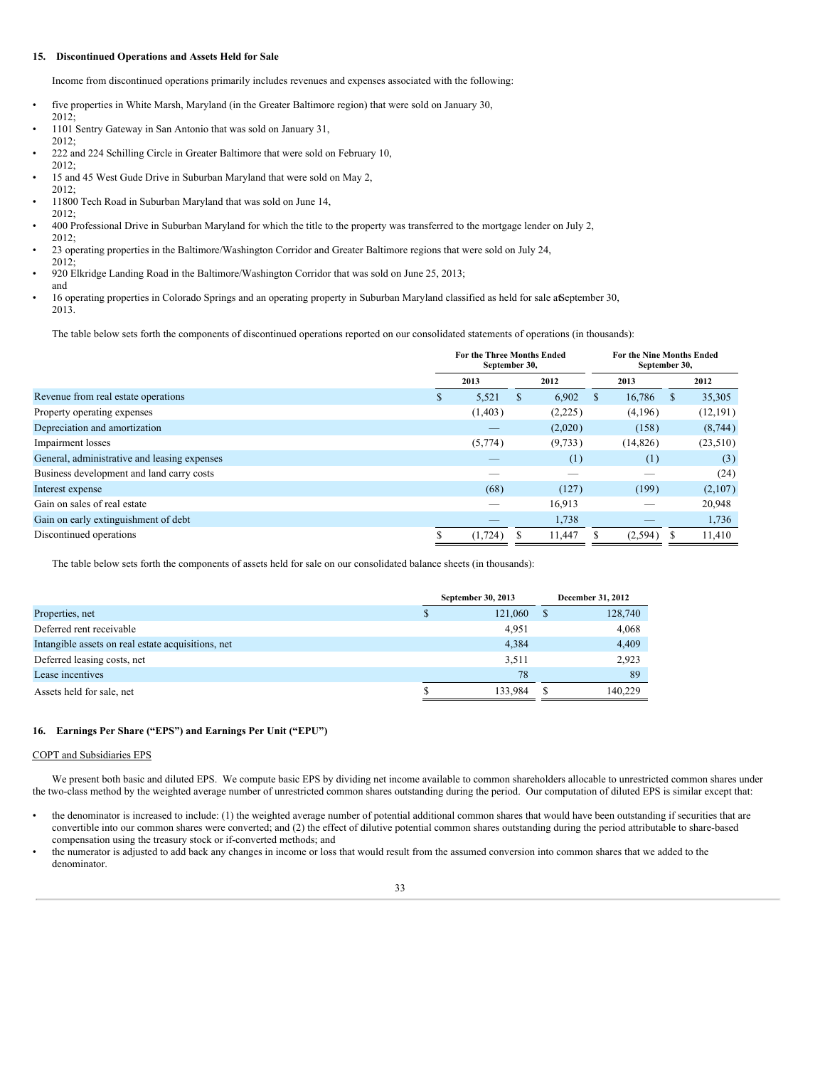#### **15. Discontinued Operations and Assets Held for Sale**

Income from discontinued operations primarily includes revenues and expenses associated with the following:

- five properties in White Marsh, Maryland (in the Greater Baltimore region) that were sold on January 30,
- $2012;$
- 1101 Sentry Gateway in San Antonio that was sold on January 31,
- 2012;
- 222 and 224 Schilling Circle in Greater Baltimore that were sold on February 10, 2012;
- 15 and 45 West Gude Drive in Suburban Maryland that were sold on May 2,
- $2012$

2013.

- 11800 Tech Road in Suburban Maryland that was sold on June 14, 2012;
- 400 Professional Drive in Suburban Maryland for which the title to the property was transferred to the mortgage lender on July 2,
- 2012; • 23 operating properties in the Baltimore/Washington Corridor and Greater Baltimore regions that were sold on July 24,
- 2012; • 920 Elkridge Landing Road in the Baltimore/Washington Corridor that was sold on June 25, 2013;
- and • 16 operating properties in Colorado Springs and an operating property in Suburban Maryland classified as held for sale atSeptember 30,

The table below sets forth the components of discontinued operations reported on our consolidated statements of operations (in thousands):

|                                              | <b>For the Three Months Ended</b><br>September 30, |   |         |   |          | For the Nine Months Ended<br>September 30, |           |  |  |
|----------------------------------------------|----------------------------------------------------|---|---------|---|----------|--------------------------------------------|-----------|--|--|
|                                              | 2013                                               |   | 2012    |   | 2013     |                                            | 2012      |  |  |
| Revenue from real estate operations          | 5,521                                              | S | 6,902   | S | 16,786   | S.                                         | 35,305    |  |  |
| Property operating expenses                  | (1, 403)                                           |   | (2,225) |   | (4,196)  |                                            | (12, 191) |  |  |
| Depreciation and amortization                |                                                    |   | (2,020) |   | (158)    |                                            | (8,744)   |  |  |
| <b>Impairment</b> losses                     | (5,774)                                            |   | (9,733) |   | (14,826) |                                            | (23,510)  |  |  |
| General, administrative and leasing expenses |                                                    |   | (1)     |   | (1)      |                                            | (3)       |  |  |
| Business development and land carry costs    |                                                    |   |         |   |          |                                            | (24)      |  |  |
| Interest expense                             | (68)                                               |   | (127)   |   | (199)    |                                            | (2,107)   |  |  |
| Gain on sales of real estate                 |                                                    |   | 16,913  |   |          |                                            | 20,948    |  |  |
| Gain on early extinguishment of debt         |                                                    |   | 1,738   |   |          |                                            | 1,736     |  |  |
| Discontinued operations                      | (1, 724)                                           |   | 11,447  |   | (2,594)  |                                            | 11,410    |  |  |

The table below sets forth the components of assets held for sale on our consolidated balance sheets (in thousands):

|                                                    | September 30, 2013 | December 31, 2012 |
|----------------------------------------------------|--------------------|-------------------|
| Properties, net                                    | 121,060<br>S       | 128,740           |
| Deferred rent receivable                           | 4,951              | 4,068             |
| Intangible assets on real estate acquisitions, net | 4,384              | 4,409             |
| Deferred leasing costs, net                        | 3,511              | 2,923             |
| Lease incentives                                   | 78                 | 89                |
| Assets held for sale, net                          | 133.984            | 140.229           |

#### **16. Earnings Per Share ("EPS") and Earnings Per Unit ("EPU")**

# COPT and Subsidiaries EPS

We present both basic and diluted EPS. We compute basic EPS by dividing net income available to common shareholders allocable to unrestricted common shares under the two-class method by the weighted average number of unrestricted common shares outstanding during the period. Our computation of diluted EPS is similar except that:

- the denominator is increased to include: (1) the weighted average number of potential additional common shares that would have been outstanding if securities that are convertible into our common shares were converted; and (2) the effect of dilutive potential common shares outstanding during the period attributable to share-based compensation using the treasury stock or if-converted methods; and
- the numerator is adjusted to add back any changes in income or loss that would result from the assumed conversion into common shares that we added to the denominator.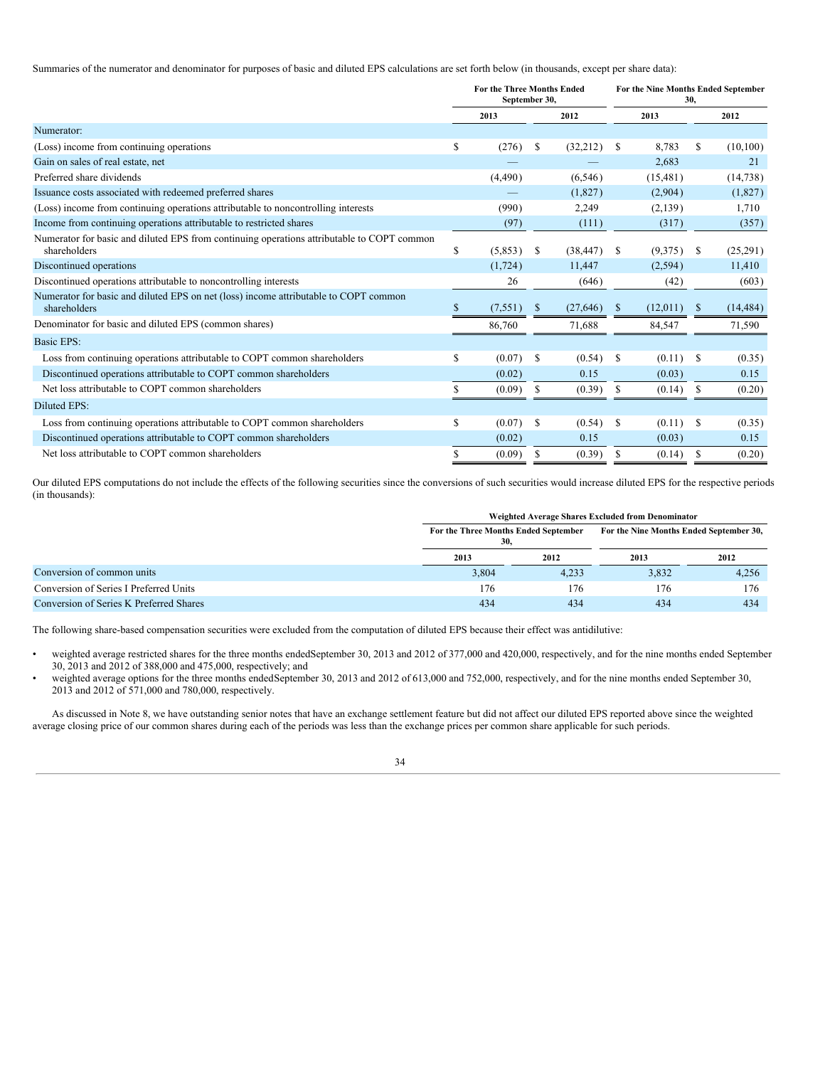Summaries of the numerator and denominator for purposes of basic and diluted EPS calculations are set forth below (in thousands, except per share data):

|                                                                                                            | <b>For the Three Months Ended</b><br>September 30, |          |      |           | For the Nine Months Ended September<br>30, |           |               |           |
|------------------------------------------------------------------------------------------------------------|----------------------------------------------------|----------|------|-----------|--------------------------------------------|-----------|---------------|-----------|
|                                                                                                            |                                                    | 2013     | 2012 |           | 2013                                       |           |               | 2012      |
| Numerator:                                                                                                 |                                                    |          |      |           |                                            |           |               |           |
| (Loss) income from continuing operations                                                                   | S                                                  | (276)    | S    | (32,212)  | S                                          | 8,783     | S             | (10,100)  |
| Gain on sales of real estate, net                                                                          |                                                    |          |      |           |                                            | 2,683     |               | 21        |
| Preferred share dividends                                                                                  |                                                    | (4,490)  |      | (6, 546)  |                                            | (15, 481) |               | (14, 738) |
| Issuance costs associated with redeemed preferred shares                                                   |                                                    |          |      | (1,827)   |                                            | (2,904)   |               | (1,827)   |
| (Loss) income from continuing operations attributable to noncontrolling interests                          |                                                    | (990)    |      | 2,249     |                                            | (2,139)   |               | 1,710     |
| Income from continuing operations attributable to restricted shares                                        |                                                    | (97)     |      | (111)     |                                            | (317)     |               | (357)     |
| Numerator for basic and diluted EPS from continuing operations attributable to COPT common<br>shareholders | S                                                  | (5,853)  | -S   | (38, 447) | S                                          | (9,375)   | -S            | (25,291)  |
| Discontinued operations                                                                                    |                                                    | (1, 724) |      | 11,447    |                                            | (2,594)   |               | 11,410    |
| Discontinued operations attributable to noncontrolling interests                                           |                                                    | 26       |      | (646)     |                                            | (42)      |               | (603)     |
| Numerator for basic and diluted EPS on net (loss) income attributable to COPT common<br>shareholders       | S                                                  | (7,551)  | -S   | (27, 646) | S                                          | (12,011)  | <sup>\$</sup> | (14, 484) |
| Denominator for basic and diluted EPS (common shares)                                                      |                                                    | 86,760   |      | 71,688    |                                            | 84,547    |               | 71,590    |
| Basic EPS:                                                                                                 |                                                    |          |      |           |                                            |           |               |           |
| Loss from continuing operations attributable to COPT common shareholders                                   | S                                                  | (0.07)   | -S   | (0.54)    | S                                          | (0.11)    | - \$          | (0.35)    |
| Discontinued operations attributable to COPT common shareholders                                           |                                                    | (0.02)   |      | 0.15      |                                            | (0.03)    |               | 0.15      |
| Net loss attributable to COPT common shareholders                                                          |                                                    | (0.09)   | -S   | (0.39)    | S                                          | (0.14)    | <sup>\$</sup> | (0.20)    |
| Diluted EPS:                                                                                               |                                                    |          |      |           |                                            |           |               |           |
| Loss from continuing operations attributable to COPT common shareholders                                   | \$                                                 | (0.07)   | -S   | (0.54)    | S                                          | (0.11)    | - \$          | (0.35)    |
| Discontinued operations attributable to COPT common shareholders                                           |                                                    | (0.02)   |      | 0.15      |                                            | (0.03)    |               | 0.15      |
| Net loss attributable to COPT common shareholders                                                          | \$                                                 | (0.09)   | -S   | (0.39)    | S                                          | (0.14)    | <sup>\$</sup> | (0.20)    |

Our diluted EPS computations do not include the effects of the following securities since the conversions of such securities would increase diluted EPS for the respective periods (in thousands):

|                                         |       | Weighted Average Shares Excluded from Denominator |                                         |       |  |  |  |  |  |
|-----------------------------------------|-------|---------------------------------------------------|-----------------------------------------|-------|--|--|--|--|--|
|                                         |       | For the Three Months Ended September<br>30,       | For the Nine Months Ended September 30, |       |  |  |  |  |  |
|                                         | 2013  | 2012                                              | 2013                                    | 2012  |  |  |  |  |  |
| Conversion of common units              | 3,804 | 4.233                                             | 3,832                                   | 4.256 |  |  |  |  |  |
| Conversion of Series I Preferred Units  | 176   | 176                                               | 176                                     | 176   |  |  |  |  |  |
| Conversion of Series K Preferred Shares | 434   | 434                                               | 434                                     | 434   |  |  |  |  |  |

The following share-based compensation securities were excluded from the computation of diluted EPS because their effect was antidilutive:

- weighted average restricted shares for the three months endedSeptember 30, 2013 and 2012 of 377,000 and 420,000, respectively, and for the nine months ended September 30, 2013 and 2012 of 388,000 and 475,000, respectively; and
- weighted average options for the three months endedSeptember 30, 2013 and 2012 of 613,000 and 752,000, respectively, and for the nine months ended September 30, 2013 and 2012 of 571,000 and 780,000, respectively.

As discussed in Note 8, we have outstanding senior notes that have an exchange settlement feature but did not affect our diluted EPS reported above since the weighted average closing price of our common shares during each of the periods was less than the exchange prices per common share applicable for such periods.

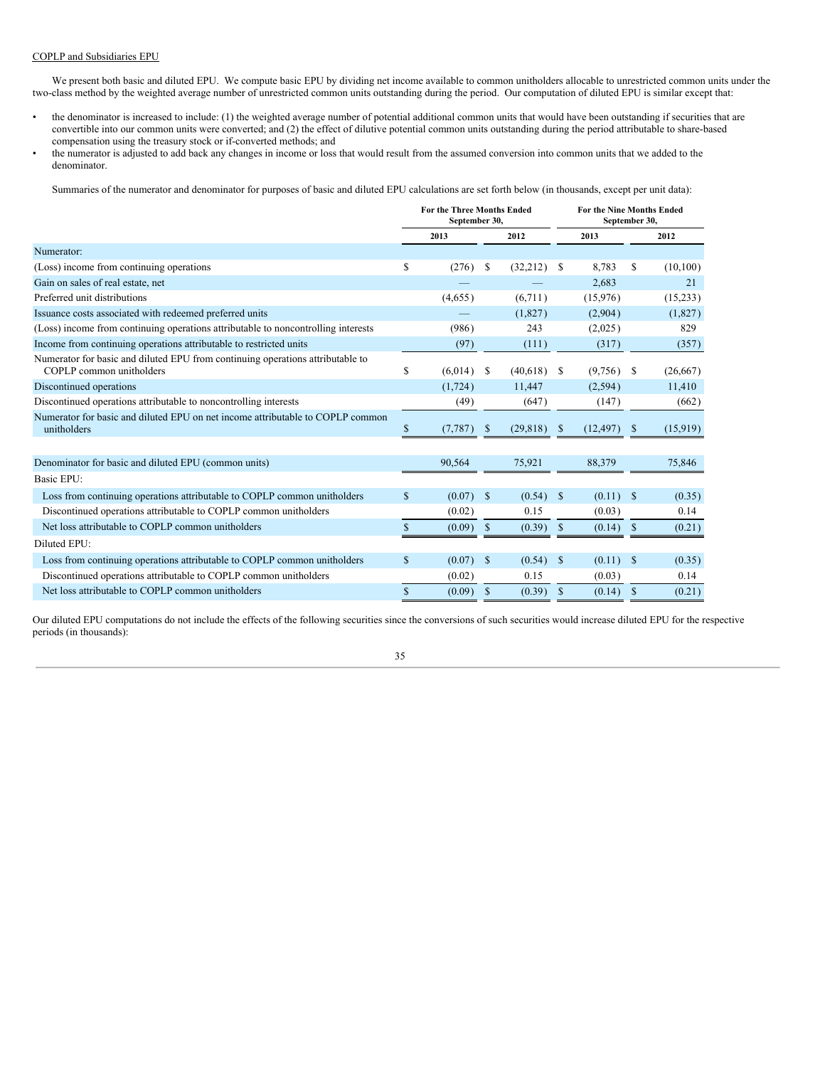#### COPLP and Subsidiaries EPU

We present both basic and diluted EPU. We compute basic EPU by dividing net income available to common unitholders allocable to unrestricted common units under the two-class method by the weighted average number of unrestricted common units outstanding during the period. Our computation of diluted EPU is similar except that:

- the denominator is increased to include: (1) the weighted average number of potential additional common units that would have been outstanding if securities that are convertible into our common units were converted; and (2) the effect of dilutive potential common units outstanding during the period attributable to share-based compensation using the treasury stock or if-converted methods; and
- the numerator is adjusted to add back any changes in income or loss that would result from the assumed conversion into common units that we added to the denominator.

Summaries of the numerator and denominator for purposes of basic and diluted EPU calculations are set forth below (in thousands, except per unit data):

|                                                                                                            | <b>For the Three Months Ended</b><br>September 30, |          |               |           | For the Nine Months Ended<br>September 30, |             |              |           |
|------------------------------------------------------------------------------------------------------------|----------------------------------------------------|----------|---------------|-----------|--------------------------------------------|-------------|--------------|-----------|
|                                                                                                            |                                                    | 2013     |               | 2012      | 2013                                       |             |              | 2012      |
| Numerator:                                                                                                 |                                                    |          |               |           |                                            |             |              |           |
| (Loss) income from continuing operations                                                                   | \$                                                 | (276)    | S             | (32,212)  | -S                                         | 8,783       | S            | (10,100)  |
| Gain on sales of real estate, net                                                                          |                                                    |          |               |           |                                            | 2,683       |              | 21        |
| Preferred unit distributions                                                                               |                                                    | (4,655)  |               | (6,711)   |                                            | (15,976)    |              | (15, 233) |
| Issuance costs associated with redeemed preferred units                                                    |                                                    |          |               | (1,827)   |                                            | (2,904)     |              | (1,827)   |
| (Loss) income from continuing operations attributable to noncontrolling interests                          |                                                    | (986)    |               | 243       |                                            | (2,025)     |              | 829       |
| Income from continuing operations attributable to restricted units                                         |                                                    | (97)     |               | (111)     |                                            | (317)       |              | (357)     |
| Numerator for basic and diluted EPU from continuing operations attributable to<br>COPLP common unitholders | \$                                                 | (6,014)  | S             | (40,618)  | -S                                         | (9,756)     | - S          | (26,667)  |
| Discontinued operations                                                                                    |                                                    | (1, 724) |               | 11,447    |                                            | (2, 594)    |              | 11,410    |
| Discontinued operations attributable to noncontrolling interests                                           |                                                    | (49)     |               | (647)     |                                            | (147)       |              | (662)     |
| Numerator for basic and diluted EPU on net income attributable to COPLP common<br>unitholders              | $\mathbb{S}$                                       | (7, 787) | S             | (29, 818) | <sup>\$</sup>                              | (12, 497)   | -S           | (15,919)  |
|                                                                                                            |                                                    |          |               |           |                                            |             |              |           |
| Denominator for basic and diluted EPU (common units)                                                       |                                                    | 90,564   |               | 75,921    |                                            | 88,379      |              | 75,846    |
| Basic EPU:                                                                                                 |                                                    |          |               |           |                                            |             |              |           |
| Loss from continuing operations attributable to COPLP common unitholders                                   | $\mathbf S$                                        | (0.07)   | S             | (0.54)    | -S                                         | $(0.11)$ \$ |              | (0.35)    |
| Discontinued operations attributable to COPLP common unitholders                                           |                                                    | (0.02)   |               | 0.15      |                                            | (0.03)      |              | 0.14      |
| Net loss attributable to COPLP common unitholders                                                          | $\mathbb{S}$                                       | (0.09)   | $\mathbb{S}$  | (0.39)    | -S                                         | $(0.14)$ \$ |              | (0.21)    |
| Diluted EPU:                                                                                               |                                                    |          |               |           |                                            |             |              |           |
| Loss from continuing operations attributable to COPLP common unitholders                                   | $\mathbb{S}$                                       | (0.07)   | S             | (0.54)    | - S                                        | $(0.11)$ \$ |              | (0.35)    |
| Discontinued operations attributable to COPLP common unitholders                                           |                                                    | (0.02)   |               | 0.15      |                                            | (0.03)      |              | 0.14      |
| Net loss attributable to COPLP common unitholders                                                          | \$                                                 | (0.09)   | <sup>\$</sup> | (0.39)    | $\mathbf S$                                | (0.14)      | <sup>S</sup> | (0.21)    |

Our diluted EPU computations do not include the effects of the following securities since the conversions of such securities would increase diluted EPU for the respective periods (in thousands):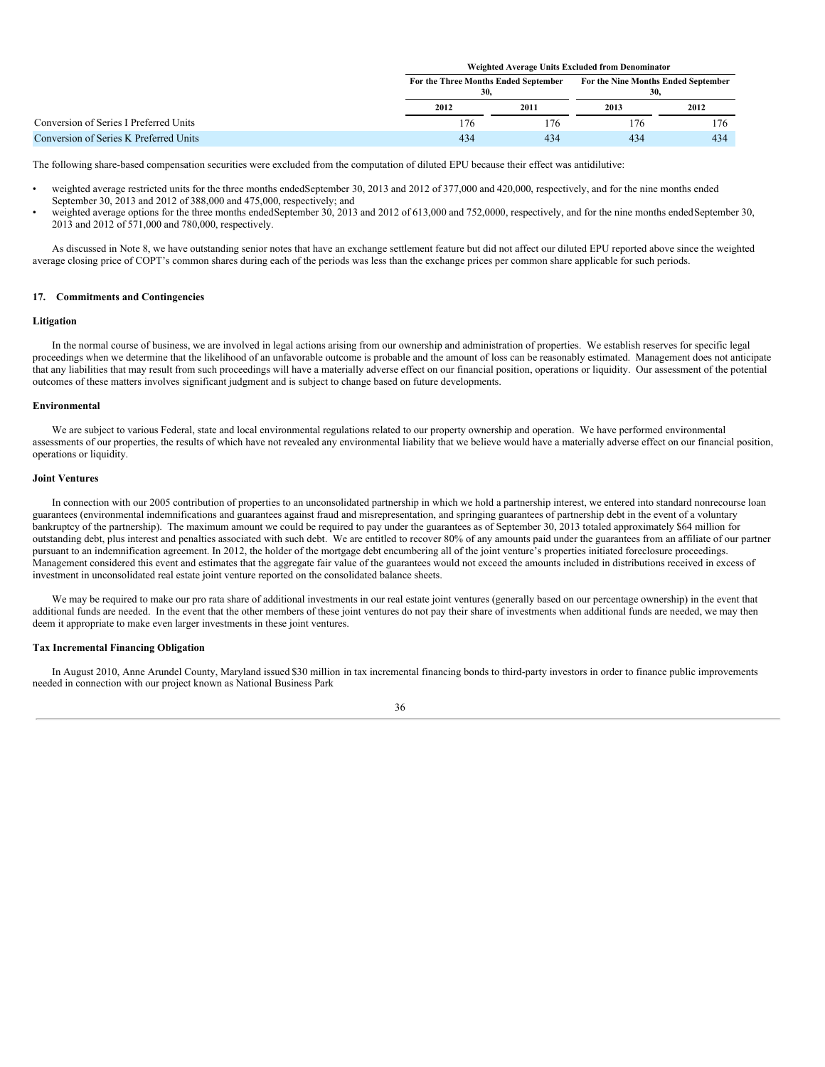**Weighted Average Units Excluded from Denominator For the Three Months Ended September 30, For the Nine Months Ended September 30, 2012 2011 2013 2012** Conversion of Series I Preferred Units 176 176 176 176 Conversion of Series K Preferred Units 434 434 434 434

The following share-based compensation securities were excluded from the computation of diluted EPU because their effect was antidilutive:

- weighted average restricted units for the three months endedSeptember 30, 2013 and 2012 of 377,000 and 420,000, respectively, and for the nine months ended September 30, 2013 and 2012 of 388,000 and 475,000, respectively; and
- weighted average options for the three months endedSeptember 30, 2013 and 2012 of 613,000 and 752,0000, respectively, and for the nine months endedSeptember 30, 2013 and 2012 of 571,000 and 780,000, respectively.

As discussed in Note 8, we have outstanding senior notes that have an exchange settlement feature but did not affect our diluted EPU reported above since the weighted average closing price of COPT's common shares during each of the periods was less than the exchange prices per common share applicable for such periods.

#### **17. Commitments and Contingencies**

#### **Litigation**

In the normal course of business, we are involved in legal actions arising from our ownership and administration of properties. We establish reserves for specific legal proceedings when we determine that the likelihood of an unfavorable outcome is probable and the amount of loss can be reasonably estimated. Management does not anticipate that any liabilities that may result from such proceedings will have a materially adverse effect on our financial position, operations or liquidity. Our assessment of the potential outcomes of these matters involves significant judgment and is subject to change based on future developments.

#### **Environmental**

We are subject to various Federal, state and local environmental regulations related to our property ownership and operation. We have performed environmental assessments of our properties, the results of which have not revealed any environmental liability that we believe would have a materially adverse effect on our financial position, operations or liquidity.

#### **Joint Ventures**

In connection with our 2005 contribution of properties to an unconsolidated partnership in which we hold a partnership interest, we entered into standard nonrecourse loan guarantees (environmental indemnifications and guarantees against fraud and misrepresentation, and springing guarantees of partnership debt in the event of a voluntary bankruptcy of the partnership). The maximum amount we could be required to pay under the guarantees as of September 30, 2013 totaled approximately \$64 million for outstanding debt, plus interest and penalties associated with such debt. We are entitled to recover 80% of any amounts paid under the guarantees from an affiliate of our partner pursuant to an indemnification agreement. In 2012, the holder of the mortgage debt encumbering all of the joint venture's properties initiated foreclosure proceedings. Management considered this event and estimates that the aggregate fair value of the guarantees would not exceed the amounts included in distributions received in excess of investment in unconsolidated real estate joint venture reported on the consolidated balance sheets.

We may be required to make our pro rata share of additional investments in our real estate joint ventures (generally based on our percentage ownership) in the event that additional funds are needed. In the event that the other members of these joint ventures do not pay their share of investments when additional funds are needed, we may then deem it appropriate to make even larger investments in these joint ventures.

#### **Tax Incremental Financing Obligation**

In August 2010, Anne Arundel County, Maryland issued \$30 million in tax incremental financing bonds to third-party investors in order to finance public improvements needed in connection with our project known as National Business Park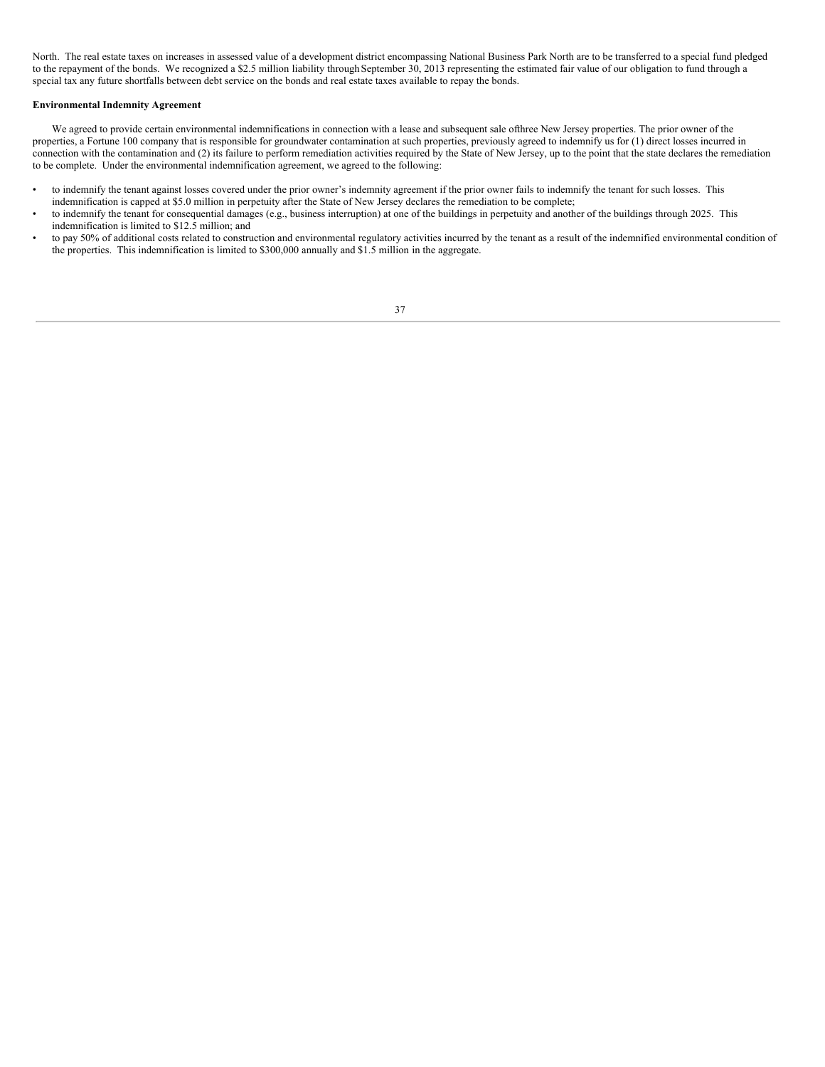North. The real estate taxes on increases in assessed value of a development district encompassing National Business Park North are to be transferred to a special fund pledged to the repayment of the bonds. We recognized a \$2.5 million liability through September  $30$ ,  $2013$  representing the estimated fair value of our obligation to fund through a special tax any future shortfalls between debt service on the bonds and real estate taxes available to repay the bonds.

#### **Environmental Indemnity Agreement**

We agreed to provide certain environmental indemnifications in connection with a lease and subsequent sale ofthree New Jersey properties. The prior owner of the properties, a Fortune 100 company that is responsible for groundwater contamination at such properties, previously agreed to indemnify us for (1) direct losses incurred in connection with the contamination and (2) its failure to perform remediation activities required by the State of New Jersey, up to the point that the state declares the remediation to be complete. Under the environmental indemnification agreement, we agreed to the following:

- to indemnify the tenant against losses covered under the prior owner's indemnity agreement if the prior owner fails to indemnify the tenant for such losses. This indemnification is capped at \$5.0 million in perpetuity after the State of New Jersey declares the remediation to be complete;
- to indemnify the tenant for consequential damages (e.g., business interruption) at one of the buildings in perpetuity and another of the buildings through 2025. This indemnification is limited to \$12.5 million; and
- <span id="page-38-0"></span>• to pay 50% of additional costs related to construction and environmental regulatory activities incurred by the tenant as a result of the indemnified environmental condition of the properties. This indemnification is limited to \$300,000 annually and \$1.5 million in the aggregate.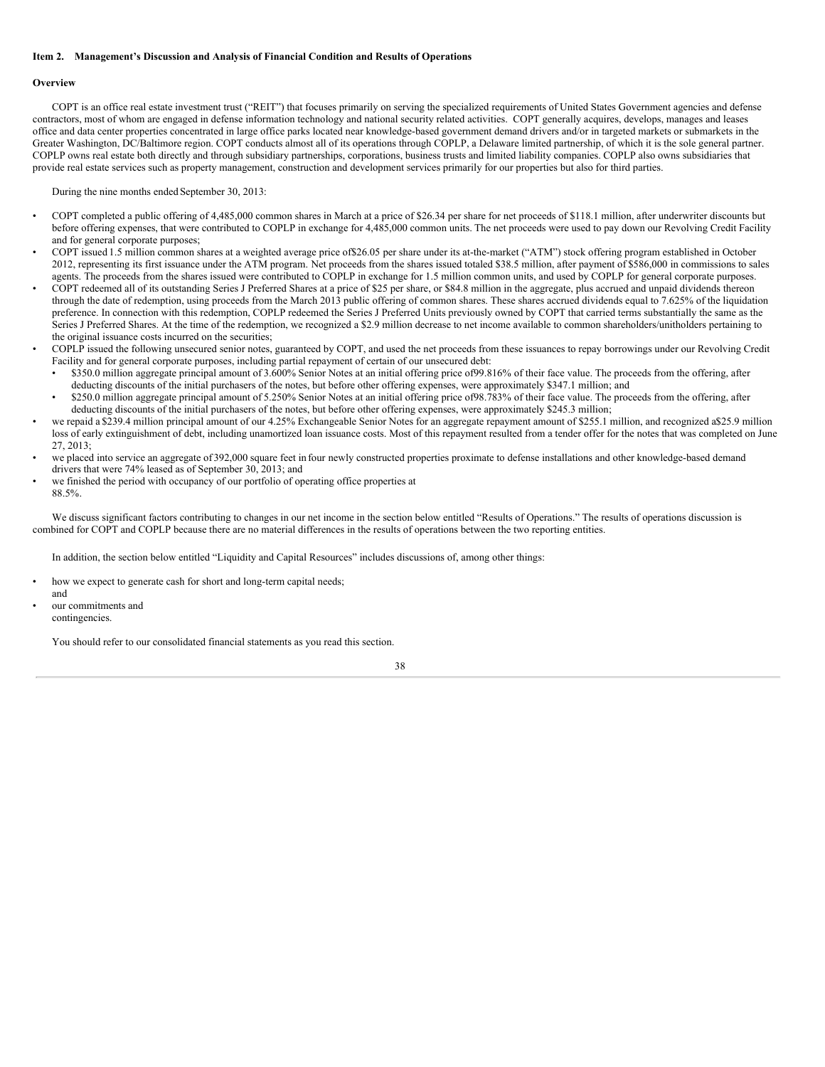#### **Item 2. Management's Discussion and Analysis of Financial Condition and Results of Operations**

#### **Overview**

COPT is an office real estate investment trust ("REIT") that focuses primarily on serving the specialized requirements of United States Government agencies and defense contractors, most of whom are engaged in defense information technology and national security related activities. COPT generally acquires, develops, manages and leases office and data center properties concentrated in large office parks located near knowledge-based government demand drivers and/or in targeted markets or submarkets in the Greater Washington, DC/Baltimore region. COPT conducts almost all of its operations through COPLP, a Delaware limited partnership, of which it is the sole general partner. COPLP owns real estate both directly and through subsidiary partnerships, corporations, business trusts and limited liability companies. COPLP also owns subsidiaries that provide real estate services such as property management, construction and development services primarily for our properties but also for third parties.

During the nine months ended September 30, 2013:

- COPT completed a public offering of 4,485,000 common shares in March at a price of \$26.34 per share for net proceeds of \$118.1 million, after underwriter discounts but before offering expenses, that were contributed to COPLP in exchange for 4,485,000 common units. The net proceeds were used to pay down our Revolving Credit Facility and for general corporate purposes;
- COPT issued 1.5 million common shares at a weighted average price of\$26.05 per share under its at-the-market ("ATM") stock offering program established in October 2012, representing its first issuance under the ATM program. Net proceeds from the shares issued totaled \$38.5 million, after payment of \$586,000 in commissions to sales agents. The proceeds from the shares issued were contributed to COPLP in exchange for 1.5 million common units, and used by COPLP for general corporate purposes.
- COPT redeemed all of its outstanding Series J Preferred Shares at a price of \$25 per share, or \$84.8 million in the aggregate, plus accrued and unpaid dividends thereon through the date of redemption, using proceeds from the March 2013 public offering of common shares. These shares accrued dividends equal to 7.625% of the liquidation preference. In connection with this redemption, COPLP redeemed the Series J Preferred Units previously owned by COPT that carried terms substantially the same as the Series J Preferred Shares. At the time of the redemption, we recognized a \$2.9 million decrease to net income available to common shareholders/unitholders pertaining to the original issuance costs incurred on the securities;
- COPLP issued the following unsecured senior notes, guaranteed by COPT, and used the net proceeds from these issuances to repay borrowings under our Revolving Credit Facility and for general corporate purposes, including partial repayment of certain of our unsecured debt:
	- \$350.0 million aggregate principal amount of 3.600% Senior Notes at an initial offering price of99.816% of their face value. The proceeds from the offering, after deducting discounts of the initial purchasers of the notes, but before other offering expenses, were approximately \$347.1 million; and
	- \$250.0 million aggregate principal amount of 5.250% Senior Notes at an initial offering price of98.783% of their face value. The proceeds from the offering, after deducting discounts of the initial purchasers of the notes, but before other offering expenses, were approximately \$245.3 million;
- we repaid a \$239.4 million principal amount of our 4.25% Exchangeable Senior Notes for an aggregate repayment amount of \$255.1 million, and recognized a\$25.9 million loss of early extinguishment of debt, including unamortized loan issuance costs. Most of this repayment resulted from a tender offer for the notes that was completed on June 27, 2013;
- we placed into service an aggregate of 392,000 square feet in four newly constructed properties proximate to defense installations and other knowledge-based demand drivers that were 74% leased as of September 30, 2013; and
- we finished the period with occupancy of our portfolio of operating office properties at 88.5%.

We discuss significant factors contributing to changes in our net income in the section below entitled "Results of Operations." The results of operations discussion is combined for COPT and COPLP because there are no material differences in the results of operations between the two reporting entities.

In addition, the section below entitled "Liquidity and Capital Resources" includes discussions of, among other things:

- how we expect to generate cash for short and long-term capital needs;
- and our commitments and contingencies.

You should refer to our consolidated financial statements as you read this section.

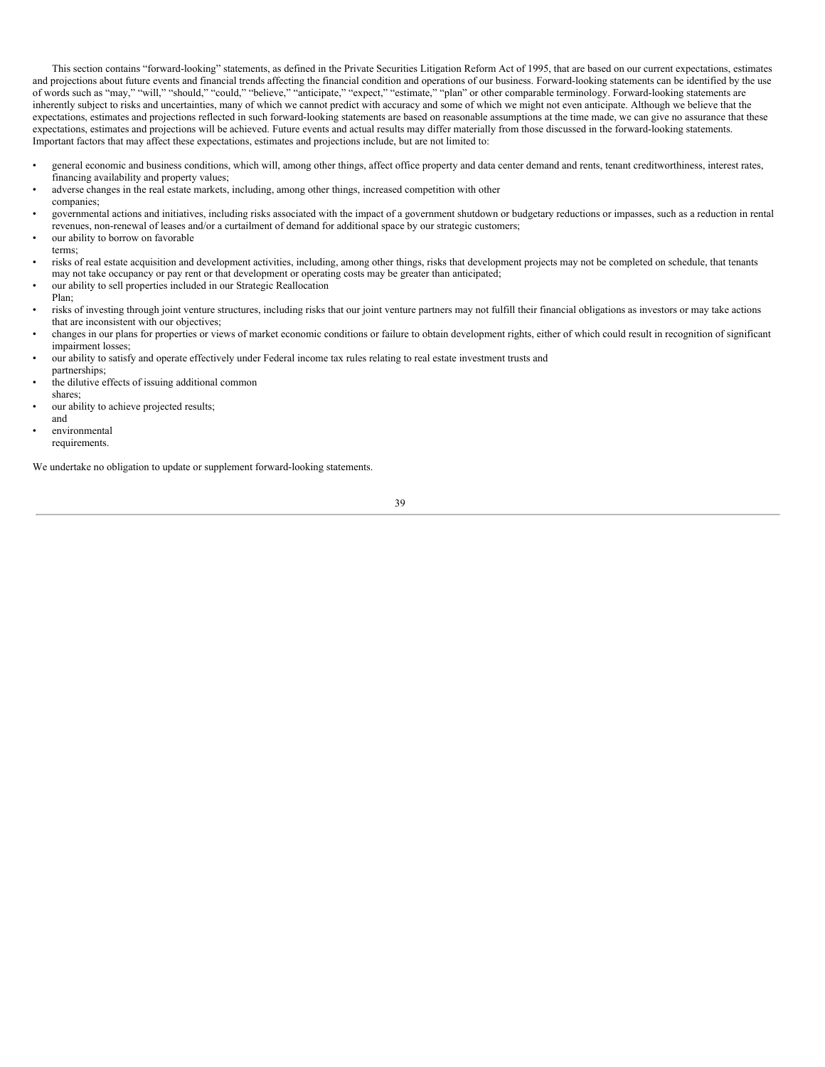This section contains "forward-looking" statements, as defined in the Private Securities Litigation Reform Act of 1995, that are based on our current expectations, estimates and projections about future events and financial trends affecting the financial condition and operations of our business. Forward-looking statements can be identified by the use of words such as "may," "will," "should," "could," "believe," "anticipate," "expect," "estimate," "plan" or other comparable terminology. Forward-looking statements are inherently subject to risks and uncertainties, many of which we cannot predict with accuracy and some of which we might not even anticipate. Although we believe that the expectations, estimates and projections reflected in such forward-looking statements are based on reasonable assumptions at the time made, we can give no assurance that these expectations, estimates and projections will be achieved. Future events and actual results may differ materially from those discussed in the forward-looking statements. Important factors that may affect these expectations, estimates and projections include, but are not limited to:

- general economic and business conditions, which will, among other things, affect office property and data center demand and rents, tenant creditworthiness, interest rates, financing availability and property values;
- adverse changes in the real estate markets, including, among other things, increased competition with other companies;
- governmental actions and initiatives, including risks associated with the impact of a government shutdown or budgetary reductions or impasses, such as a reduction in rental revenues, non-renewal of leases and/or a curtailment of demand for additional space by our strategic customers;
- our ability to borrow on favorable
- terms;
- risks of real estate acquisition and development activities, including, among other things, risks that development projects may not be completed on schedule, that tenants may not take occupancy or pay rent or that development or operating costs may be greater than anticipated;
- our ability to sell properties included in our Strategic Reallocation
- Plan;
- risks of investing through joint venture structures, including risks that our joint venture partners may not fulfill their financial obligations as investors or may take actions that are inconsistent with our objectives;
- changes in our plans for properties or views of market economic conditions or failure to obtain development rights, either of which could result in recognition of significant impairment losses;
- our ability to satisfy and operate effectively under Federal income tax rules relating to real estate investment trusts and partnerships;
- the dilutive effects of issuing additional common
- shares; our ability to achieve projected results;
- and
- environmental requirements.
- 

We undertake no obligation to update or supplement forward-looking statements.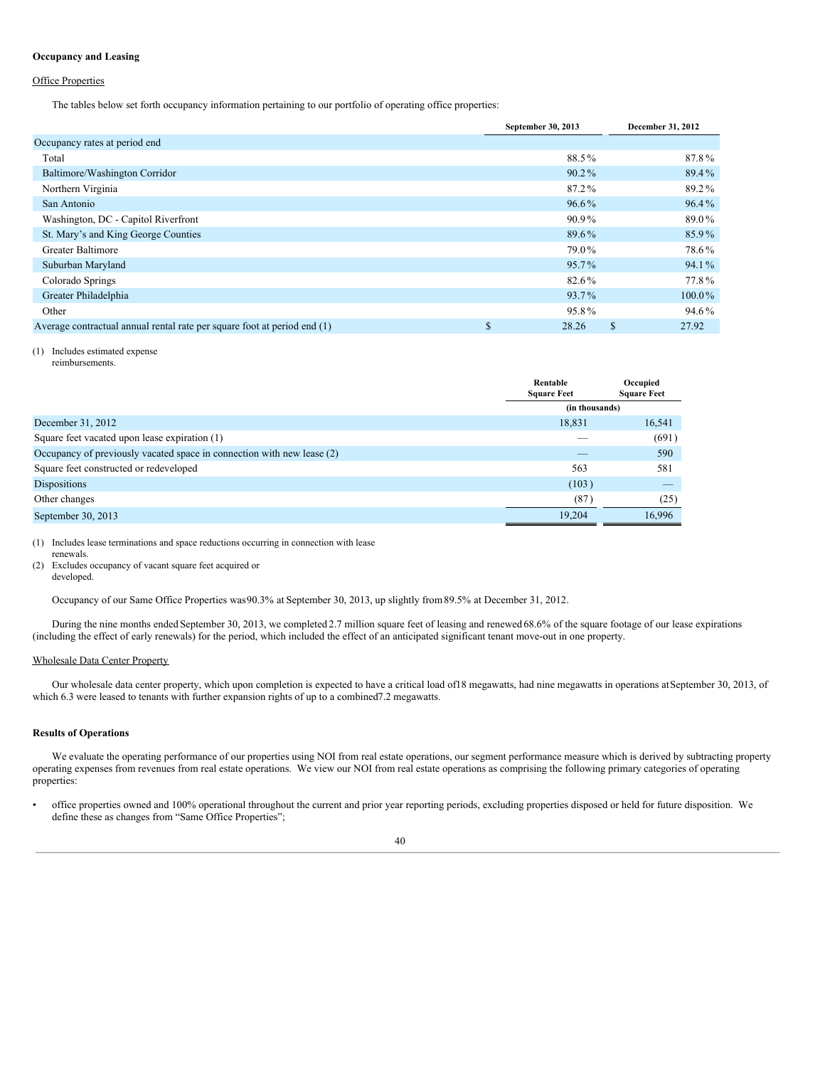#### **Occupancy and Leasing**

# **Office Properties**

The tables below set forth occupancy information pertaining to our portfolio of operating office properties:

|                                                                          | September 30, 2013 | December 31, 2012 |
|--------------------------------------------------------------------------|--------------------|-------------------|
| Occupancy rates at period end                                            |                    |                   |
| Total                                                                    | 88.5%              | 87.8%             |
| Baltimore/Washington Corridor                                            | $90.2\%$           | 89.4%             |
| Northern Virginia                                                        | 87.2%              | 89.2%             |
| San Antonio                                                              | $96.6\%$           | $96.4\%$          |
| Washington, DC - Capitol Riverfront                                      | $90.9\%$           | 89.0%             |
| St. Mary's and King George Counties                                      | 89.6%              | 85.9%             |
| <b>Greater Baltimore</b>                                                 | 79.0%              | 78.6%             |
| Suburban Maryland                                                        | 95.7%              | $94.1\%$          |
| Colorado Springs                                                         | 82.6%              | 77.8%             |
| Greater Philadelphia                                                     | 93.7%              | $100.0\%$         |
| Other                                                                    | 95.8%              | 94.6%             |
| Average contractual annual rental rate per square foot at period end (1) | \$<br>28.26        | \$<br>27.92       |

(1) Includes estimated expense

reimbursements.

|                                                                        | Rentable<br><b>Square Feet</b> | Occupied<br><b>Square Feet</b> |
|------------------------------------------------------------------------|--------------------------------|--------------------------------|
|                                                                        | (in thousands)                 |                                |
| December 31, 2012                                                      | 18,831                         | 16,541                         |
| Square feet vacated upon lease expiration (1)                          |                                | (691)                          |
| Occupancy of previously vacated space in connection with new lease (2) |                                | 590                            |
| Square feet constructed or redeveloped                                 | 563                            | 581                            |
| <b>Dispositions</b>                                                    | (103)                          |                                |
| Other changes                                                          | (87)                           | (25)                           |
| September 30, 2013                                                     | 19.204                         | 16,996                         |

(1) Includes lease terminations and space reductions occurring in connection with lease

renewals. (2) Excludes occupancy of vacant square feet acquired or developed.

Occupancy of our Same Office Properties was90.3% at September 30, 2013, up slightly from89.5% at December 31, 2012.

During the nine months ended September 30, 2013, we completed 2.7 million square feet of leasing and renewed 68.6% of the square footage of our lease expirations (including the effect of early renewals) for the period, which included the effect of an anticipated significant tenant move-out in one property.

#### Wholesale Data Center Property

Our wholesale data center property, which upon completion is expected to have a critical load of18 megawatts, had nine megawatts in operations atSeptember 30, 2013, of which 6.3 were leased to tenants with further expansion rights of up to a combined7.2 megawatts.

#### **Results of Operations**

We evaluate the operating performance of our properties using NOI from real estate operations, our segment performance measure which is derived by subtracting property operating expenses from revenues from real estate operations. We view our NOI from real estate operations as comprising the following primary categories of operating properties:

• office properties owned and 100% operational throughout the current and prior year reporting periods, excluding properties disposed or held for future disposition. We define these as changes from "Same Office Properties";

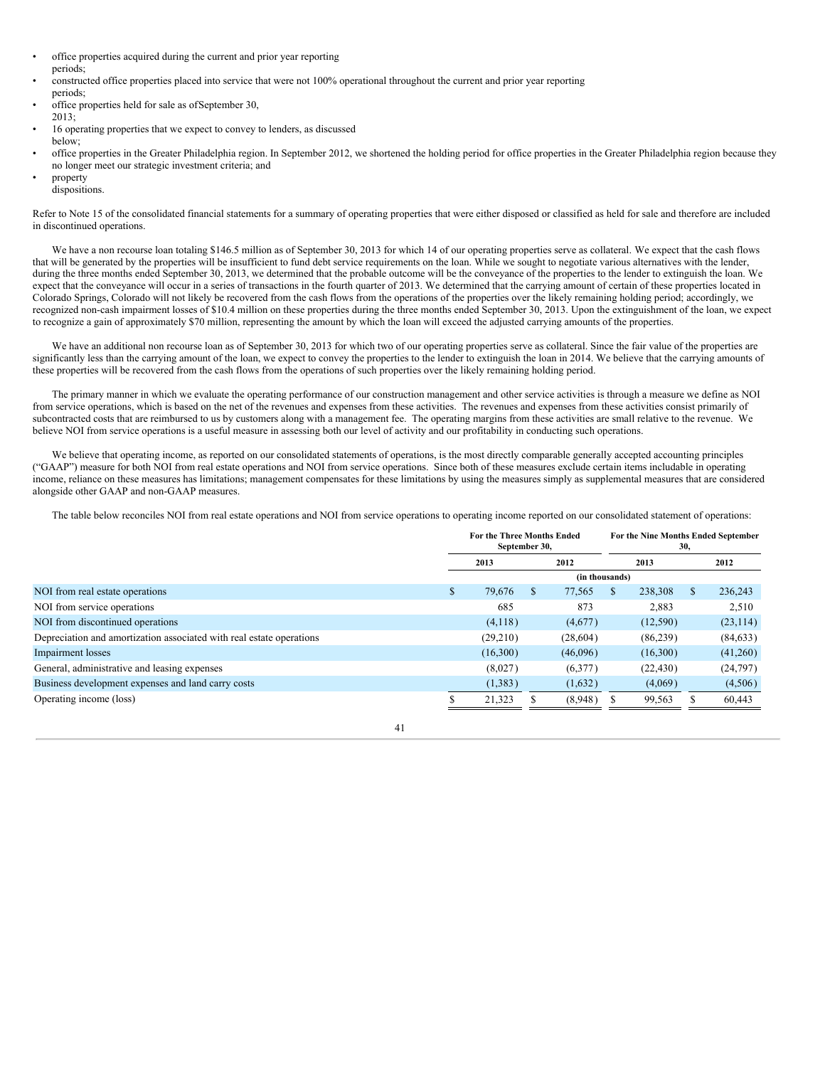- office properties acquired during the current and prior year reporting periods;
- constructed office properties placed into service that were not 100% operational throughout the current and prior year reporting
- periods; • office properties held for sale as ofSeptember 30,
- 2013;
- 16 operating properties that we expect to convey to lenders, as discussed below;
- office properties in the Greater Philadelphia region. In September 2012, we shortened the holding period for office properties in the Greater Philadelphia region because they no longer meet our strategic investment criteria; and
- property dispositions.

Refer to Note 15 of the consolidated financial statements for a summary of operating properties that were either disposed or classified as held for sale and therefore are included in discontinued operations.

We have a non recourse loan totaling \$146.5 million as of September 30, 2013 for which 14 of our operating properties serve as collateral. We expect that the cash flows that will be generated by the properties will be insufficient to fund debt service requirements on the loan. While we sought to negotiate various alternatives with the lender, during the three months ended September 30, 2013, we determined that the probable outcome will be the conveyance of the properties to the lender to extinguish the loan. We expect that the conveyance will occur in a series of transactions in the fourth quarter of 2013. We determined that the carrying amount of certain of these properties located in Colorado Springs, Colorado will not likely be recovered from the cash flows from the operations of the properties over the likely remaining holding period; accordingly, we recognized non-cash impairment losses of \$10.4 million on these properties during the three months ended September 30, 2013. Upon the extinguishment of the loan, we expect to recognize a gain of approximately \$70 million, representing the amount by which the loan will exceed the adjusted carrying amounts of the properties.

We have an additional non recourse loan as of September 30, 2013 for which two of our operating properties serve as collateral. Since the fair value of the properties are significantly less than the carrying amount of the loan, we expect to convey the properties to the lender to extinguish the loan in 2014. We believe that the carrying amounts of these properties will be recovered from the cash flows from the operations of such properties over the likely remaining holding period.

The primary manner in which we evaluate the operating performance of our construction management and other service activities is through a measure we define as NOI from service operations, which is based on the net of the revenues and expenses from these activities. The revenues and expenses from these activities consist primarily of subcontracted costs that are reimbursed to us by customers along with a management fee. The operating margins from these activities are small relative to the revenue. We believe NOI from service operations is a useful measure in assessing both our level of activity and our profitability in conducting such operations.

We believe that operating income, as reported on our consolidated statements of operations, is the most directly comparable generally accepted accounting principles ("GAAP") measure for both NOI from real estate operations and NOI from service operations. Since both of these measures exclude certain items includable in operating income, reliance on these measures has limitations; management compensates for these limitations by using the measures simply as supplemental measures that are considered alongside other GAAP and non-GAAP measures.

The table below reconciles NOI from real estate operations and NOI from service operations to operating income reported on our consolidated statement of operations:

|                                                                      |      | <b>For the Three Months Ended</b><br>September 30, |   |                | For the Nine Months Ended September<br>30, |           |               |           |  |
|----------------------------------------------------------------------|------|----------------------------------------------------|---|----------------|--------------------------------------------|-----------|---------------|-----------|--|
|                                                                      | 2013 |                                                    |   | 2012           | 2013                                       |           |               | 2012      |  |
|                                                                      |      |                                                    |   | (in thousands) |                                            |           |               |           |  |
| NOI from real estate operations                                      | S    | 79,676                                             | S | 77,565         | S                                          | 238,308   | <sup>\$</sup> | 236,243   |  |
| NOI from service operations                                          |      | 685                                                |   | 873            |                                            | 2,883     |               | 2,510     |  |
| NOI from discontinued operations                                     |      | (4,118)                                            |   | (4,677)        |                                            | (12,590)  |               | (23, 114) |  |
| Depreciation and amortization associated with real estate operations |      | (29,210)                                           |   | (28, 604)      |                                            | (86, 239) |               | (84, 633) |  |
| <b>Impairment</b> losses                                             |      | (16,300)                                           |   | (46,096)       |                                            | (16,300)  |               | (41,260)  |  |
| General, administrative and leasing expenses                         |      | (8,027)                                            |   | (6,377)        |                                            | (22, 430) |               | (24, 797) |  |
| Business development expenses and land carry costs                   |      | (1,383)                                            |   | (1,632)        |                                            | (4,069)   |               | (4,506)   |  |
| Operating income (loss)                                              |      | 21,323                                             |   | (8,948)        |                                            | 99,563    |               | 60,443    |  |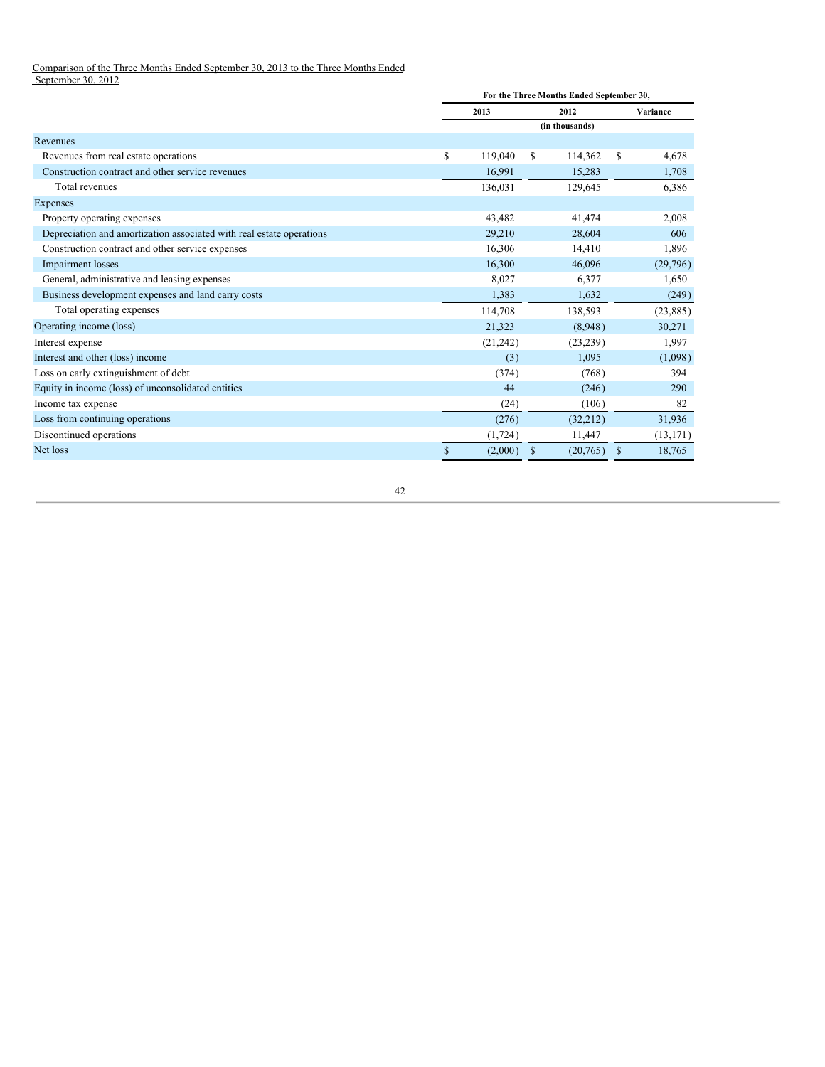#### Comparison of the Three Months Ended September 30, 2013 to the Three Months Ended September 30, 2012

|                                                                      | For the Three Months Ended September 30, |               |                |    |           |  |
|----------------------------------------------------------------------|------------------------------------------|---------------|----------------|----|-----------|--|
|                                                                      | 2013                                     |               | 2012           |    | Variance  |  |
|                                                                      |                                          |               | (in thousands) |    |           |  |
| Revenues                                                             |                                          |               |                |    |           |  |
| Revenues from real estate operations                                 | \$<br>119,040                            | S             | 114,362        | S  | 4,678     |  |
| Construction contract and other service revenues                     | 16,991                                   |               | 15,283         |    | 1,708     |  |
| Total revenues                                                       | 136,031                                  |               | 129,645        |    | 6,386     |  |
| Expenses                                                             |                                          |               |                |    |           |  |
| Property operating expenses                                          | 43,482                                   |               | 41,474         |    | 2,008     |  |
| Depreciation and amortization associated with real estate operations | 29,210                                   |               | 28,604         |    | 606       |  |
| Construction contract and other service expenses                     | 16,306                                   |               | 14,410         |    | 1,896     |  |
| Impairment losses                                                    | 16,300                                   |               | 46,096         |    | (29,796)  |  |
| General, administrative and leasing expenses                         | 8,027                                    |               | 6,377          |    | 1,650     |  |
| Business development expenses and land carry costs                   | 1,383                                    |               | 1,632          |    | (249)     |  |
| Total operating expenses                                             | 114,708                                  |               | 138,593        |    | (23, 885) |  |
| Operating income (loss)                                              | 21,323                                   |               | (8,948)        |    | 30,271    |  |
| Interest expense                                                     | (21,242)                                 |               | (23, 239)      |    | 1,997     |  |
| Interest and other (loss) income                                     | (3)                                      |               | 1,095          |    | (1,098)   |  |
| Loss on early extinguishment of debt                                 | (374)                                    |               | (768)          |    | 394       |  |
| Equity in income (loss) of unconsolidated entities                   | 44                                       |               | (246)          |    | 290       |  |
| Income tax expense                                                   | (24)                                     |               | (106)          |    | 82        |  |
| Loss from continuing operations                                      | (276)                                    |               | (32,212)       |    | 31,936    |  |
| Discontinued operations                                              | (1, 724)                                 |               | 11,447         |    | (13, 171) |  |
| Net loss                                                             | \$<br>(2,000)                            | <sup>\$</sup> | (20, 765)      | \$ | 18,765    |  |
|                                                                      |                                          |               |                |    |           |  |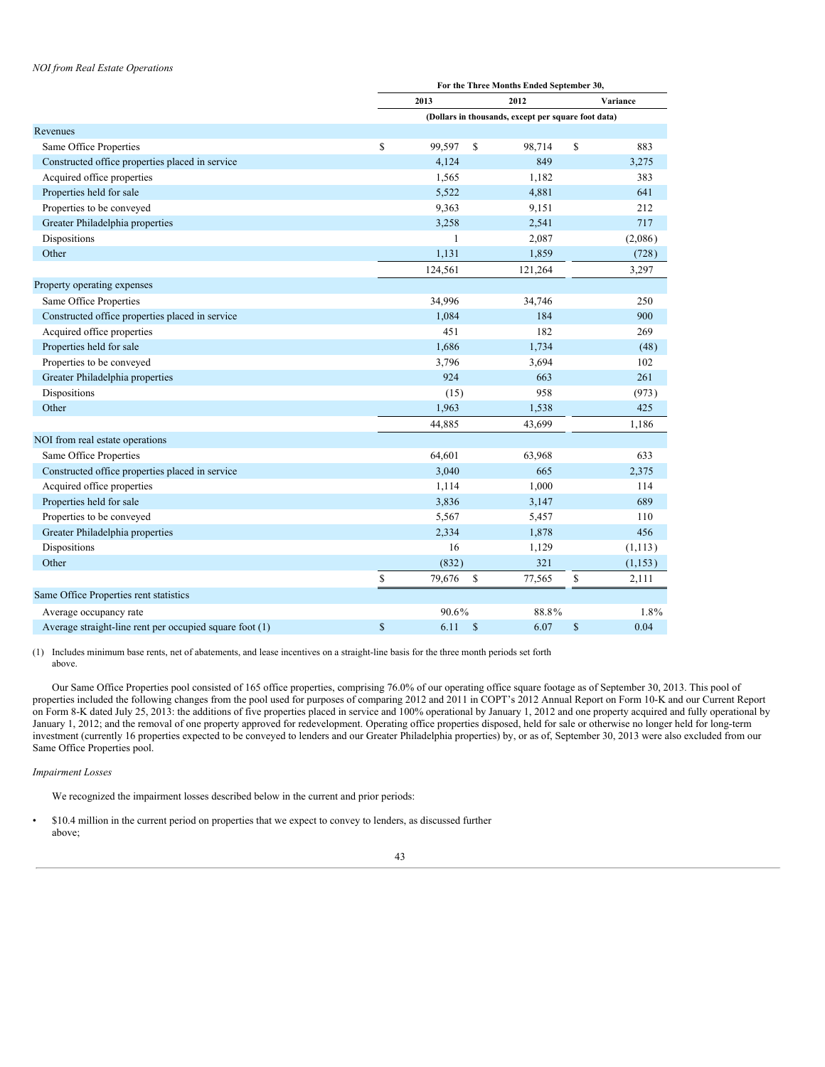### *NOI from Real Estate Operations*

|                                                         |                                                     | For the Three Months Ended September 30, |    |         |              |          |  |  |  |  |
|---------------------------------------------------------|-----------------------------------------------------|------------------------------------------|----|---------|--------------|----------|--|--|--|--|
|                                                         |                                                     | 2013                                     |    | 2012    |              | Variance |  |  |  |  |
|                                                         | (Dollars in thousands, except per square foot data) |                                          |    |         |              |          |  |  |  |  |
| Revenues                                                |                                                     |                                          |    |         |              |          |  |  |  |  |
| Same Office Properties                                  | \$                                                  | 99,597                                   | \$ | 98,714  | \$           | 883      |  |  |  |  |
| Constructed office properties placed in service         |                                                     | 4,124                                    |    | 849     |              | 3.275    |  |  |  |  |
| Acquired office properties                              |                                                     | 1,565                                    |    | 1,182   |              | 383      |  |  |  |  |
| Properties held for sale                                |                                                     | 5,522                                    |    | 4,881   |              | 641      |  |  |  |  |
| Properties to be conveyed                               |                                                     | 9,363                                    |    | 9,151   |              | 212      |  |  |  |  |
| Greater Philadelphia properties                         |                                                     | 3,258                                    |    | 2,541   |              | 717      |  |  |  |  |
| Dispositions                                            |                                                     | $\mathbf{1}$                             |    | 2,087   |              | (2,086)  |  |  |  |  |
| Other                                                   |                                                     | 1,131                                    |    | 1,859   |              | (728)    |  |  |  |  |
|                                                         |                                                     | 124,561                                  |    | 121,264 |              | 3,297    |  |  |  |  |
| Property operating expenses                             |                                                     |                                          |    |         |              |          |  |  |  |  |
| Same Office Properties                                  |                                                     | 34,996                                   |    | 34,746  |              | 250      |  |  |  |  |
| Constructed office properties placed in service         |                                                     | 1,084                                    |    | 184     |              | 900      |  |  |  |  |
| Acquired office properties                              |                                                     | 451                                      |    | 182     |              | 269      |  |  |  |  |
| Properties held for sale                                |                                                     | 1,686                                    |    | 1,734   |              | (48)     |  |  |  |  |
| Properties to be conveyed                               |                                                     | 3,796                                    |    | 3,694   |              | 102      |  |  |  |  |
| Greater Philadelphia properties                         |                                                     | 924                                      |    | 663     |              | 261      |  |  |  |  |
| Dispositions                                            |                                                     | (15)                                     |    | 958     |              | (973)    |  |  |  |  |
| Other                                                   |                                                     | 1,963                                    |    | 1,538   |              | 425      |  |  |  |  |
|                                                         |                                                     | 44,885                                   |    | 43,699  |              | 1,186    |  |  |  |  |
| NOI from real estate operations                         |                                                     |                                          |    |         |              |          |  |  |  |  |
| Same Office Properties                                  |                                                     | 64,601                                   |    | 63,968  |              | 633      |  |  |  |  |
| Constructed office properties placed in service         |                                                     | 3,040                                    |    | 665     |              | 2,375    |  |  |  |  |
| Acquired office properties                              |                                                     | 1,114                                    |    | 1,000   |              | 114      |  |  |  |  |
| Properties held for sale                                |                                                     | 3,836                                    |    | 3,147   |              | 689      |  |  |  |  |
| Properties to be conveyed                               |                                                     | 5,567                                    |    | 5,457   |              | 110      |  |  |  |  |
| Greater Philadelphia properties                         |                                                     | 2,334                                    |    | 1,878   |              | 456      |  |  |  |  |
| Dispositions                                            |                                                     | 16                                       |    | 1,129   |              | (1, 113) |  |  |  |  |
| Other                                                   |                                                     | (832)                                    |    | 321     |              | (1, 153) |  |  |  |  |
|                                                         | \$                                                  | 79,676                                   | \$ | 77,565  | \$           | 2,111    |  |  |  |  |
| Same Office Properties rent statistics                  |                                                     |                                          |    |         |              |          |  |  |  |  |
| Average occupancy rate                                  |                                                     | 90.6%                                    |    | 88.8%   |              | 1.8%     |  |  |  |  |
| Average straight-line rent per occupied square foot (1) | \$                                                  | 6.11                                     | \$ | 6.07    | $\mathbb{S}$ | 0.04     |  |  |  |  |

(1) Includes minimum base rents, net of abatements, and lease incentives on a straight-line basis for the three month periods set forth above.

Our Same Office Properties pool consisted of 165 office properties, comprising 76.0% of our operating office square footage as of September 30, 2013. This pool of properties included the following changes from the pool used for purposes of comparing 2012 and 2011 in COPT's 2012 Annual Report on Form 10-K and our Current Report on Form 8-K dated July 25, 2013: the additions of five properties placed in service and 100% operational by January 1, 2012 and one property acquired and fully operational by January 1, 2012; and the removal of one property approved for redevelopment. Operating office properties disposed, held for sale or otherwise no longer held for long-term investment (currently 16 properties expected to be conveyed to lenders and our Greater Philadelphia properties) by, or as of, September 30, 2013 were also excluded from our Same Office Properties pool.

### *Impairment Losses*

We recognized the impairment losses described below in the current and prior periods:

• \$10.4 million in the current period on properties that we expect to convey to lenders, as discussed further above;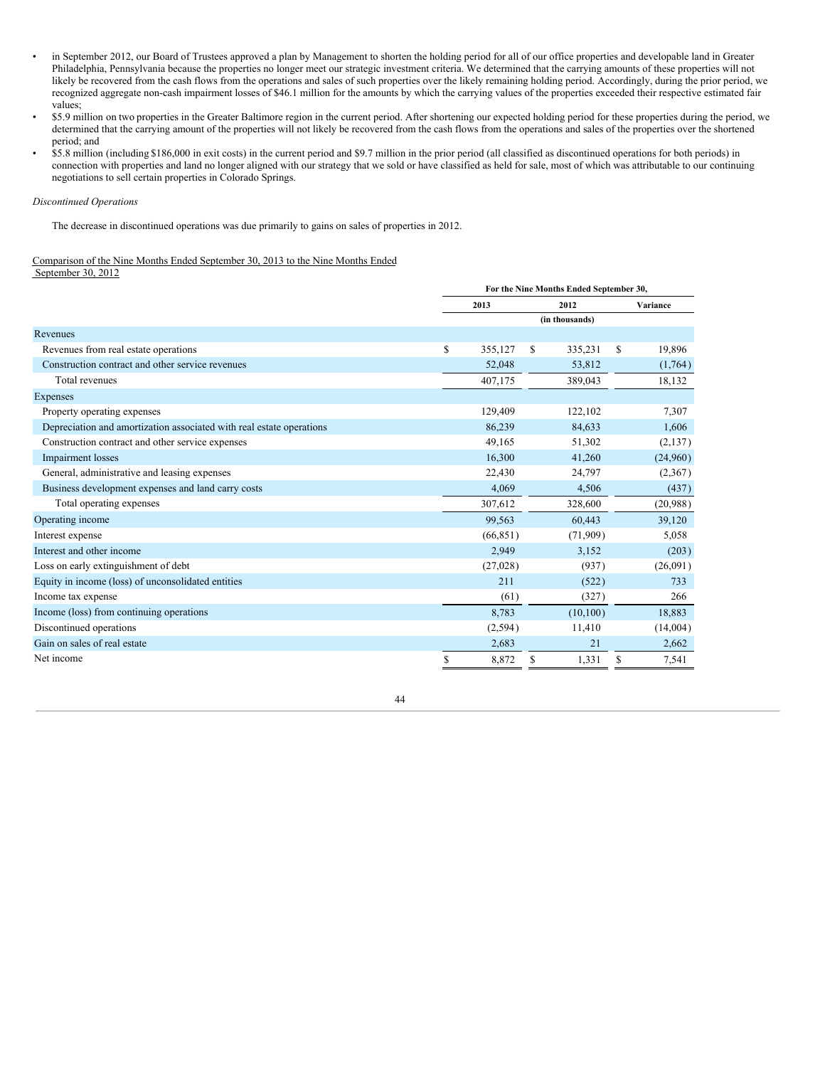- in September 2012, our Board of Trustees approved a plan by Management to shorten the holding period for all of our office properties and developable land in Greater Philadelphia, Pennsylvania because the properties no longer meet our strategic investment criteria. We determined that the carrying amounts of these properties will not likely be recovered from the cash flows from the operations and sales of such properties over the likely remaining holding period. Accordingly, during the prior period, we recognized aggregate non-cash impairment losses of \$46.1 million for the amounts by which the carrying values of the properties exceeded their respective estimated fair values;
- \$5.9 million on two properties in the Greater Baltimore region in the current period. After shortening our expected holding period for these properties during the period, we determined that the carrying amount of the properties will not likely be recovered from the cash flows from the operations and sales of the properties over the shortened period; and
- \$5.8 million (including \$186,000 in exit costs) in the current period and \$9.7 million in the prior period (all classified as discontinued operations for both periods) in connection with properties and land no longer aligned with our strategy that we sold or have classified as held for sale, most of which was attributable to our continuing negotiations to sell certain properties in Colorado Springs.

**For the Nine Months Ended September 30,**

#### *Discontinued Operations*

The decrease in discontinued operations was due primarily to gains on sales of properties in 2012.

### Comparison of the Nine Months Ended September 30, 2013 to the Nine Months Ended

September 30, 2012

|                                                                      | For the Nine Months Ended September 30, |      |                |    |           |
|----------------------------------------------------------------------|-----------------------------------------|------|----------------|----|-----------|
|                                                                      | 2013                                    | 2012 |                |    | Variance  |
|                                                                      |                                         |      | (in thousands) |    |           |
| Revenues                                                             |                                         |      |                |    |           |
| Revenues from real estate operations                                 | \$<br>355,127                           | \$   | 335,231        | S  | 19,896    |
| Construction contract and other service revenues                     | 52,048                                  |      | 53,812         |    | (1,764)   |
| Total revenues                                                       | 407,175                                 |      | 389,043        |    | 18,132    |
| Expenses                                                             |                                         |      |                |    |           |
| Property operating expenses                                          | 129,409                                 |      | 122,102        |    | 7,307     |
| Depreciation and amortization associated with real estate operations | 86,239                                  |      | 84,633         |    | 1,606     |
| Construction contract and other service expenses                     | 49,165                                  |      | 51,302         |    | (2,137)   |
| Impairment losses                                                    | 16,300                                  |      | 41,260         |    | (24,960)  |
| General, administrative and leasing expenses                         | 22,430                                  |      | 24,797         |    | (2,367)   |
| Business development expenses and land carry costs                   | 4,069                                   |      | 4,506          |    | (437)     |
| Total operating expenses                                             | 307,612                                 |      | 328,600        |    | (20, 988) |
| Operating income                                                     | 99,563                                  |      | 60,443         |    | 39,120    |
| Interest expense                                                     | (66, 851)                               |      | (71,909)       |    | 5,058     |
| Interest and other income                                            | 2,949                                   |      | 3,152          |    | (203)     |
| Loss on early extinguishment of debt                                 | (27,028)                                |      | (937)          |    | (26,091)  |
| Equity in income (loss) of unconsolidated entities                   | 211                                     |      | (522)          |    | 733       |
| Income tax expense                                                   | (61)                                    |      | (327)          |    | 266       |
| Income (loss) from continuing operations                             | 8,783                                   |      | (10, 100)      |    | 18,883    |
| Discontinued operations                                              | (2, 594)                                |      | 11,410         |    | (14,004)  |
| Gain on sales of real estate                                         | 2,683                                   |      | 21             |    | 2,662     |
| Net income                                                           | \$<br>8,872                             | \$   | 1,331          | \$ | 7,541     |
|                                                                      |                                         |      |                |    |           |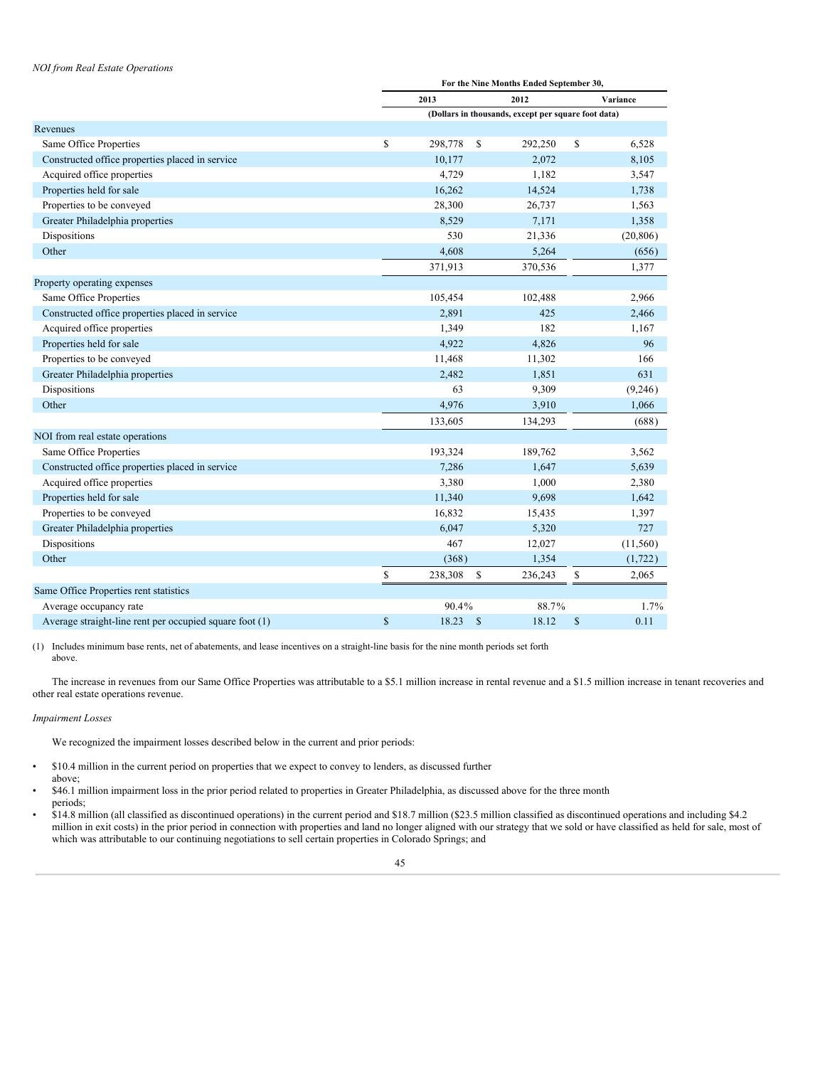#### *NOI from Real Estate Operations*

|                                                         | For the Nine Months Ended September 30, |               |                                                     |          |           |  |
|---------------------------------------------------------|-----------------------------------------|---------------|-----------------------------------------------------|----------|-----------|--|
|                                                         | 2013                                    |               | 2012                                                | Variance |           |  |
|                                                         |                                         |               | (Dollars in thousands, except per square foot data) |          |           |  |
| Revenues                                                |                                         |               |                                                     |          |           |  |
| Same Office Properties                                  | \$<br>298,778                           | \$            | 292,250                                             | \$       | 6,528     |  |
| Constructed office properties placed in service         | 10,177                                  |               | 2,072                                               |          | 8,105     |  |
| Acquired office properties                              | 4,729                                   |               | 1,182                                               |          | 3,547     |  |
| Properties held for sale                                | 16,262                                  |               | 14,524                                              |          | 1,738     |  |
| Properties to be conveyed                               | 28,300                                  |               | 26,737                                              |          | 1,563     |  |
| Greater Philadelphia properties                         | 8,529                                   |               | 7,171                                               |          | 1,358     |  |
| Dispositions                                            | 530                                     |               | 21,336                                              |          | (20, 806) |  |
| Other                                                   | 4,608                                   |               | 5,264                                               |          | (656)     |  |
|                                                         | 371,913                                 |               | 370,536                                             |          | 1,377     |  |
| Property operating expenses                             |                                         |               |                                                     |          |           |  |
| Same Office Properties                                  | 105,454                                 |               | 102,488                                             |          | 2,966     |  |
| Constructed office properties placed in service         | 2,891                                   |               | 425                                                 |          | 2,466     |  |
| Acquired office properties                              | 1,349                                   |               | 182                                                 |          | 1,167     |  |
| Properties held for sale                                | 4,922                                   |               | 4,826                                               |          | 96        |  |
| Properties to be conveyed                               | 11,468                                  |               | 11,302                                              |          | 166       |  |
| Greater Philadelphia properties                         | 2,482                                   |               | 1,851                                               |          | 631       |  |
| Dispositions                                            | 63                                      |               | 9,309                                               |          | (9,246)   |  |
| Other                                                   | 4,976                                   |               | 3,910                                               |          | 1,066     |  |
|                                                         | 133,605                                 |               | 134,293                                             |          | (688)     |  |
| NOI from real estate operations                         |                                         |               |                                                     |          |           |  |
| Same Office Properties                                  | 193,324                                 |               | 189,762                                             |          | 3,562     |  |
| Constructed office properties placed in service         | 7,286                                   |               | 1,647                                               |          | 5,639     |  |
| Acquired office properties                              | 3,380                                   |               | 1,000                                               |          | 2,380     |  |
| Properties held for sale                                | 11,340                                  |               | 9,698                                               |          | 1,642     |  |
| Properties to be conveyed                               | 16,832                                  |               | 15,435                                              |          | 1,397     |  |
| Greater Philadelphia properties                         | 6,047                                   |               | 5,320                                               |          | 727       |  |
| Dispositions                                            | 467                                     |               | 12,027                                              |          | (11, 560) |  |
| Other                                                   | (368)                                   |               | 1,354                                               |          | (1, 722)  |  |
|                                                         | \$<br>238,308                           | \$            | 236,243                                             | \$       | 2,065     |  |
| Same Office Properties rent statistics                  |                                         |               |                                                     |          |           |  |
| Average occupancy rate                                  | 90.4%                                   |               | 88.7%                                               |          | 1.7%      |  |
| Average straight-line rent per occupied square foot (1) | \$<br>18.23                             | $\mathcal{S}$ | 18.12                                               | \$       | 0.11      |  |

(1) Includes minimum base rents, net of abatements, and lease incentives on a straight-line basis for the nine month periods set forth above.

The increase in revenues from our Same Office Properties was attributable to a \$5.1 million increase in rental revenue and a \$1.5 million increase in tenant recoveries and other real estate operations revenue.

#### *Impairment Losses*

We recognized the impairment losses described below in the current and prior periods:

- \$10.4 million in the current period on properties that we expect to convey to lenders, as discussed further above;
- \$46.1 million impairment loss in the prior period related to properties in Greater Philadelphia, as discussed above for the three month periods;
- \$14.8 million (all classified as discontinued operations) in the current period and \$18.7 million (\$23.5 million classified as discontinued operations and including \$4.2 million in exit costs) in the prior period in connection with properties and land no longer aligned with our strategy that we sold or have classified as held for sale, most of which was attributable to our continuing negotiations to sell certain properties in Colorado Springs; and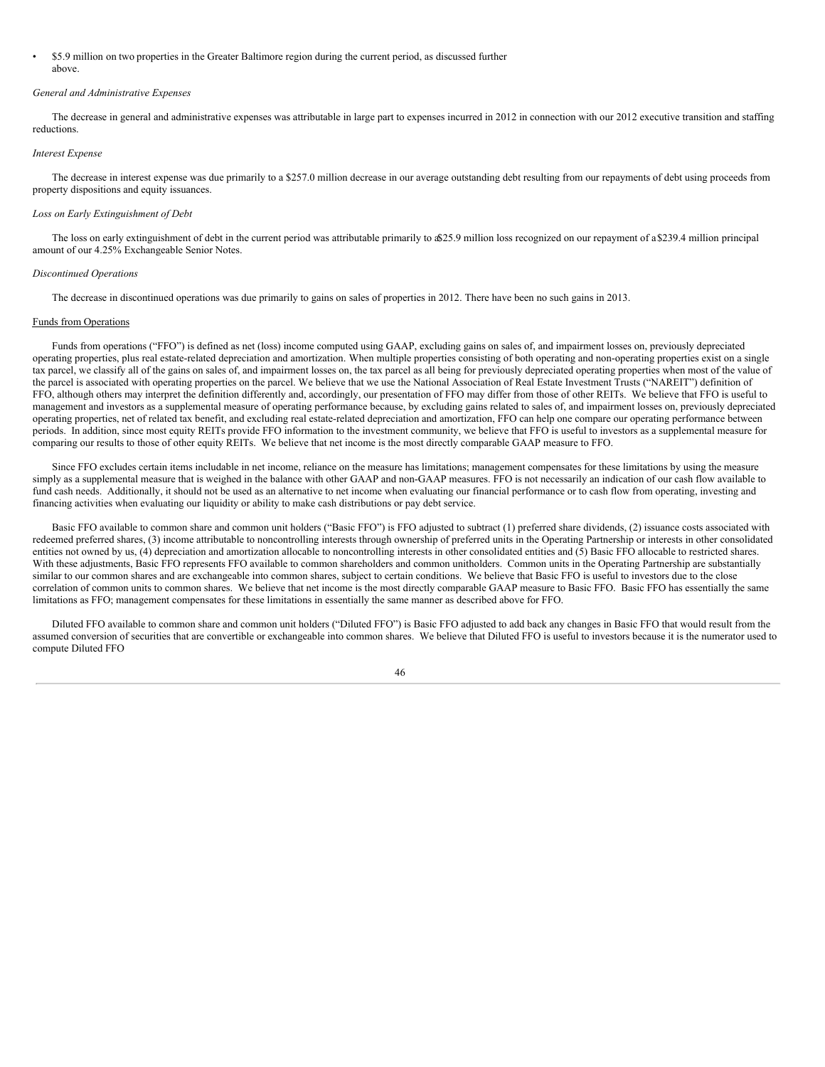• \$5.9 million on two properties in the Greater Baltimore region during the current period, as discussed further above.

#### *General and Administrative Expenses*

The decrease in general and administrative expenses was attributable in large part to expenses incurred in 2012 in connection with our 2012 executive transition and staffing reductions.

#### *Interest Expense*

The decrease in interest expense was due primarily to a \$257.0 million decrease in our average outstanding debt resulting from our repayments of debt using proceeds from property dispositions and equity issuances.

#### *Loss on Early Extinguishment of Debt*

The loss on early extinguishment of debt in the current period was attributable primarily to a\$25.9 million loss recognized on our repayment of a\$239.4 million principal amount of our 4.25% Exchangeable Senior Notes.

#### *Discontinued Operations*

The decrease in discontinued operations was due primarily to gains on sales of properties in 2012. There have been no such gains in 2013.

#### Funds from Operations

Funds from operations ("FFO") is defined as net (loss) income computed using GAAP, excluding gains on sales of, and impairment losses on, previously depreciated operating properties, plus real estate-related depreciation and amortization. When multiple properties consisting of both operating and non-operating properties exist on a single tax parcel, we classify all of the gains on sales of, and impairment losses on, the tax parcel as all being for previously depreciated operating properties when most of the value of the parcel is associated with operating properties on the parcel. We believe that we use the National Association of Real Estate Investment Trusts ("NAREIT") definition of FFO, although others may interpret the definition differently and, accordingly, our presentation of FFO may differ from those of other REITs. We believe that FFO is useful to management and investors as a supplemental measure of operating performance because, by excluding gains related to sales of, and impairment losses on, previously depreciated operating properties, net of related tax benefit, and excluding real estate-related depreciation and amortization, FFO can help one compare our operating performance between periods. In addition, since most equity REITs provide FFO information to the investment community, we believe that FFO is useful to investors as a supplemental measure for comparing our results to those of other equity REITs. We believe that net income is the most directly comparable GAAP measure to FFO.

Since FFO excludes certain items includable in net income, reliance on the measure has limitations; management compensates for these limitations by using the measure simply as a supplemental measure that is weighed in the balance with other GAAP and non-GAAP measures. FFO is not necessarily an indication of our cash flow available to fund cash needs. Additionally, it should not be used as an alternative to net income when evaluating our financial performance or to cash flow from operating, investing and financing activities when evaluating our liquidity or ability to make cash distributions or pay debt service.

Basic FFO available to common share and common unit holders ("Basic FFO") is FFO adjusted to subtract (1) preferred share dividends, (2) issuance costs associated with redeemed preferred shares, (3) income attributable to noncontrolling interests through ownership of preferred units in the Operating Partnership or interests in other consolidated entities not owned by us, (4) depreciation and amortization allocable to noncontrolling interests in other consolidated entities and (5) Basic FFO allocable to restricted shares. With these adjustments, Basic FFO represents FFO available to common shareholders and common unitholders. Common units in the Operating Partnership are substantially similar to our common shares and are exchangeable into common shares, subject to certain conditions. We believe that Basic FFO is useful to investors due to the close correlation of common units to common shares. We believe that net income is the most directly comparable GAAP measure to Basic FFO. Basic FFO has essentially the same limitations as FFO; management compensates for these limitations in essentially the same manner as described above for FFO.

Diluted FFO available to common share and common unit holders ("Diluted FFO") is Basic FFO adjusted to add back any changes in Basic FFO that would result from the assumed conversion of securities that are convertible or exchangeable into common shares. We believe that Diluted FFO is useful to investors because it is the numerator used to compute Diluted FFO

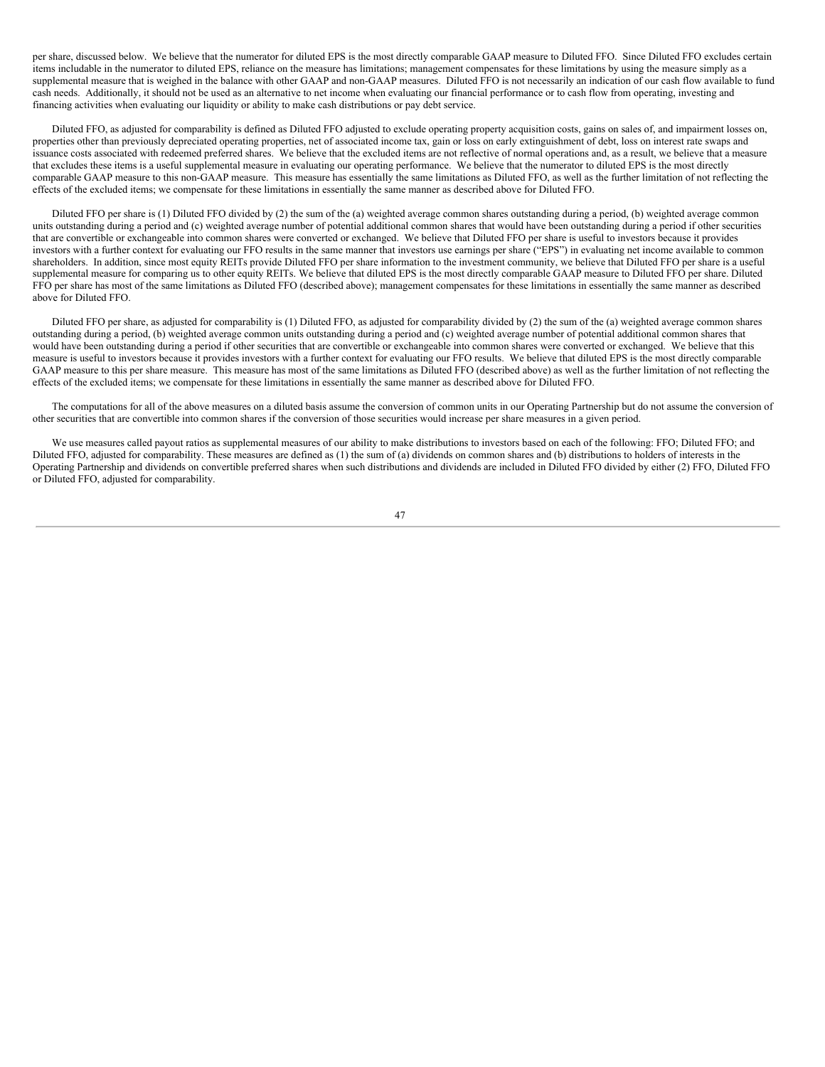per share, discussed below. We believe that the numerator for diluted EPS is the most directly comparable GAAP measure to Diluted FFO. Since Diluted FFO excludes certain items includable in the numerator to diluted EPS, reliance on the measure has limitations; management compensates for these limitations by using the measure simply as a supplemental measure that is weighed in the balance with other GAAP and non-GAAP measures. Diluted FFO is not necessarily an indication of our cash flow available to fund cash needs. Additionally, it should not be used as an alternative to net income when evaluating our financial performance or to cash flow from operating, investing and financing activities when evaluating our liquidity or ability to make cash distributions or pay debt service.

Diluted FFO, as adjusted for comparability is defined as Diluted FFO adjusted to exclude operating property acquisition costs, gains on sales of, and impairment losses on, properties other than previously depreciated operating properties, net of associated income tax, gain or loss on early extinguishment of debt, loss on interest rate swaps and issuance costs associated with redeemed preferred shares. We believe that the excluded items are not reflective of normal operations and, as a result, we believe that a measure that excludes these items is a useful supplemental measure in evaluating our operating performance. We believe that the numerator to diluted EPS is the most directly comparable GAAP measure to this non-GAAP measure. This measure has essentially the same limitations as Diluted FFO, as well as the further limitation of not reflecting the effects of the excluded items; we compensate for these limitations in essentially the same manner as described above for Diluted FFO.

Diluted FFO per share is (1) Diluted FFO divided by (2) the sum of the (a) weighted average common shares outstanding during a period, (b) weighted average common units outstanding during a period and (c) weighted average number of potential additional common shares that would have been outstanding during a period if other securities that are convertible or exchangeable into common shares were converted or exchanged. We believe that Diluted FFO per share is useful to investors because it provides investors with a further context for evaluating our FFO results in the same manner that investors use earnings per share ("EPS") in evaluating net income available to common shareholders. In addition, since most equity REITs provide Diluted FFO per share information to the investment community, we believe that Diluted FFO per share is a useful supplemental measure for comparing us to other equity REITs. We believe that diluted EPS is the most directly comparable GAAP measure to Diluted FFO per share. Diluted FFO per share has most of the same limitations as Diluted FFO (described above); management compensates for these limitations in essentially the same manner as described above for Diluted FFO.

Diluted FFO per share, as adjusted for comparability is (1) Diluted FFO, as adjusted for comparability divided by (2) the sum of the (a) weighted average common shares outstanding during a period, (b) weighted average common units outstanding during a period and (c) weighted average number of potential additional common shares that would have been outstanding during a period if other securities that are convertible or exchangeable into common shares were converted or exchanged. We believe that this measure is useful to investors because it provides investors with a further context for evaluating our FFO results. We believe that diluted EPS is the most directly comparable GAAP measure to this per share measure. This measure has most of the same limitations as Diluted FFO (described above) as well as the further limitation of not reflecting the effects of the excluded items; we compensate for these limitations in essentially the same manner as described above for Diluted FFO.

The computations for all of the above measures on a diluted basis assume the conversion of common units in our Operating Partnership but do not assume the conversion of other securities that are convertible into common shares if the conversion of those securities would increase per share measures in a given period.

We use measures called payout ratios as supplemental measures of our ability to make distributions to investors based on each of the following: FFO; Diluted FFO; and Diluted FFO, adjusted for comparability. These measures are defined as (1) the sum of (a) dividends on common shares and (b) distributions to holders of interests in the Operating Partnership and dividends on convertible preferred shares when such distributions and dividends are included in Diluted FFO divided by either (2) FFO, Diluted FFO or Diluted FFO, adjusted for comparability.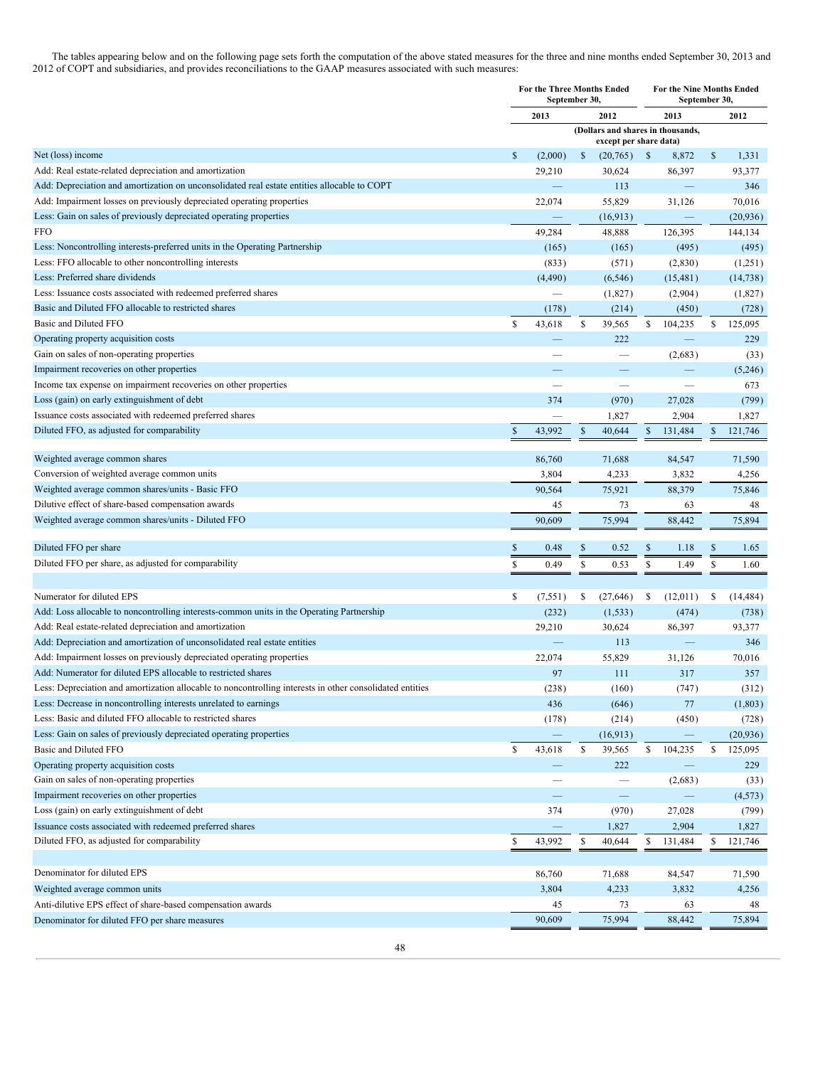The tables appearing below and on the following page sets forth the computation of the above stated measures for the three and nine months ended September 30, 2013 and 2012 of COPT and subsidiaries, and provides reconciliations to the GAAP measures associated with such measures:

|                                                                                                          | For the Three Months Ended<br>September 30, |                          |               |                                                             |      | For the Nine Months Ended<br>September 30, |              |           |  |
|----------------------------------------------------------------------------------------------------------|---------------------------------------------|--------------------------|---------------|-------------------------------------------------------------|------|--------------------------------------------|--------------|-----------|--|
|                                                                                                          |                                             | 2013                     |               | 2012                                                        | 2013 |                                            |              | 2012      |  |
|                                                                                                          |                                             |                          |               | (Dollars and shares in thousands,<br>except per share data) |      |                                            |              |           |  |
| Net (loss) income                                                                                        | \$                                          | (2,000)                  | <sup>\$</sup> | (20,765)                                                    | -\$  | 8,872                                      | $\mathbb{S}$ | 1,331     |  |
| Add: Real estate-related depreciation and amortization                                                   |                                             | 29,210                   |               | 30,624                                                      |      | 86,397                                     |              | 93,377    |  |
| Add: Depreciation and amortization on unconsolidated real estate entities allocable to COPT              |                                             |                          |               | 113                                                         |      |                                            |              | 346       |  |
| Add: Impairment losses on previously depreciated operating properties                                    |                                             | 22,074                   |               | 55,829                                                      |      | 31,126                                     |              | 70,016    |  |
| Less: Gain on sales of previously depreciated operating properties                                       |                                             |                          |               | (16,913)                                                    |      | $\overline{\phantom{0}}$                   |              | (20,936)  |  |
| <b>FFO</b>                                                                                               |                                             | 49,284                   |               | 48,888                                                      |      | 126,395                                    |              | 144,134   |  |
| Less: Noncontrolling interests-preferred units in the Operating Partnership                              |                                             | (165)                    |               | (165)                                                       |      | (495)                                      |              | (495)     |  |
| Less: FFO allocable to other noncontrolling interests                                                    |                                             | (833)                    |               | (571)                                                       |      | (2,830)                                    |              | (1,251)   |  |
| Less: Preferred share dividends                                                                          |                                             | (4,490)                  |               | (6, 546)                                                    |      | (15, 481)                                  |              | (14, 738) |  |
| Less: Issuance costs associated with redeemed preferred shares                                           |                                             | $\overline{\phantom{0}}$ |               | (1,827)                                                     |      | (2,904)                                    |              | (1,827)   |  |
| Basic and Diluted FFO allocable to restricted shares                                                     |                                             | (178)                    |               | (214)                                                       |      | (450)                                      |              | (728)     |  |
| <b>Basic and Diluted FFO</b>                                                                             | $\mathbb{S}$                                | 43,618                   | \$            | 39,565                                                      | \$   | 104,235                                    | \$           | 125,095   |  |
| Operating property acquisition costs                                                                     |                                             |                          |               | 222                                                         |      |                                            |              | 229       |  |
| Gain on sales of non-operating properties                                                                |                                             |                          |               |                                                             |      | (2,683)                                    |              | (33)      |  |
| Impairment recoveries on other properties                                                                |                                             |                          |               |                                                             |      | $\overline{\phantom{0}}$                   |              | (5,246)   |  |
| Income tax expense on impairment recoveries on other properties                                          |                                             |                          |               |                                                             |      |                                            |              | 673       |  |
| Loss (gain) on early extinguishment of debt                                                              |                                             | 374                      |               |                                                             |      | 27,028                                     |              | (799)     |  |
| Issuance costs associated with redeemed preferred shares                                                 |                                             |                          |               | (970)                                                       |      | 2,904                                      |              |           |  |
| Diluted FFO, as adjusted for comparability                                                               | $\mathbb{S}$                                |                          |               | 1,827                                                       |      |                                            |              | 1,827     |  |
|                                                                                                          |                                             | 43,992                   | $\mathbb{S}$  | 40,644                                                      | \$   | 131,484                                    | $\mathbb{S}$ | 121,746   |  |
| Weighted average common shares                                                                           |                                             | 86,760                   |               | 71,688                                                      |      | 84,547                                     |              | 71,590    |  |
| Conversion of weighted average common units                                                              |                                             | 3,804                    |               | 4,233                                                       |      | 3,832                                      |              | 4,256     |  |
| Weighted average common shares/units - Basic FFO                                                         |                                             | 90,564                   |               | 75,921                                                      |      | 88,379                                     |              | 75,846    |  |
| Dilutive effect of share-based compensation awards                                                       |                                             | 45                       |               | 73                                                          |      | 63                                         |              | 48        |  |
| Weighted average common shares/units - Diluted FFO                                                       |                                             | 90,609                   |               | 75,994                                                      |      | 88,442                                     |              | 75,894    |  |
|                                                                                                          |                                             |                          |               |                                                             |      |                                            |              |           |  |
| Diluted FFO per share                                                                                    | \$                                          | 0.48                     | \$            | 0.52                                                        | \$   | 1.18                                       | \$           | 1.65      |  |
| Diluted FFO per share, as adjusted for comparability                                                     | $\mathbb{S}$                                | 0.49                     | \$            | 0.53                                                        | \$   | 1.49                                       | $\mathbb{S}$ | 1.60      |  |
|                                                                                                          |                                             |                          |               |                                                             |      |                                            |              |           |  |
| Numerator for diluted EPS                                                                                | \$                                          | (7, 551)                 | \$            | (27, 646)                                                   | \$   | (12,011)                                   | \$           | (14, 484) |  |
| Add: Loss allocable to noncontrolling interests-common units in the Operating Partnership                |                                             | (232)                    |               | (1, 533)                                                    |      | (474)                                      |              | (738)     |  |
| Add: Real estate-related depreciation and amortization                                                   |                                             | 29,210                   |               | 30,624                                                      |      | 86,397                                     |              | 93,377    |  |
| Add: Depreciation and amortization of unconsolidated real estate entities                                |                                             |                          |               | 113                                                         |      |                                            |              | 346       |  |
| Add: Impairment losses on previously depreciated operating properties                                    |                                             | 22,074                   |               | 55,829                                                      |      | 31,126                                     |              | 70,016    |  |
| Add: Numerator for diluted EPS allocable to restricted shares                                            |                                             | 97                       |               | 111                                                         |      | 317                                        |              | 357       |  |
| Less: Depreciation and amortization allocable to noncontrolling interests in other consolidated entities |                                             | (238)                    |               | (160)                                                       |      | (747)                                      |              | (312)     |  |
| Less: Decrease in noncontrolling interests unrelated to earnings                                         |                                             | 436                      |               | (646)                                                       |      | 77                                         |              | (1,803)   |  |
| Less: Basic and diluted FFO allocable to restricted shares                                               |                                             | (178)                    |               | (214)                                                       |      | (450)                                      |              | (728)     |  |
| Less: Gain on sales of previously depreciated operating properties                                       |                                             |                          |               | (16, 913)                                                   |      |                                            |              | (20, 936) |  |
| <b>Basic and Diluted FFO</b>                                                                             | \$                                          | 43,618                   | $\mathbb S$   | 39,565                                                      | \$   | 104,235                                    | \$           | 125,095   |  |
| Operating property acquisition costs                                                                     |                                             |                          |               | 222                                                         |      |                                            |              | 229       |  |
| Gain on sales of non-operating properties                                                                |                                             |                          |               |                                                             |      | (2,683)                                    |              | (33)      |  |
| Impairment recoveries on other properties                                                                |                                             |                          |               |                                                             |      |                                            |              | (4,573)   |  |
| Loss (gain) on early extinguishment of debt                                                              |                                             | 374                      |               | (970)                                                       |      | 27,028                                     |              | (799)     |  |
| Issuance costs associated with redeemed preferred shares                                                 |                                             |                          |               | 1,827                                                       |      | 2,904                                      |              | 1,827     |  |
| Diluted FFO, as adjusted for comparability                                                               | $\mathbb S$                                 | 43,992                   | \$            | 40,644                                                      | \$   | 131,484                                    | \$           | 121,746   |  |
|                                                                                                          |                                             |                          |               |                                                             |      |                                            |              |           |  |
| Denominator for diluted EPS                                                                              |                                             | 86,760                   |               | 71,688                                                      |      | 84,547                                     |              | 71,590    |  |
| Weighted average common units                                                                            |                                             | 3,804                    |               | 4,233                                                       |      | 3,832                                      |              | 4,256     |  |
| Anti-dilutive EPS effect of share-based compensation awards                                              |                                             | 45                       |               | 73                                                          |      | 63                                         |              | 48        |  |
| Denominator for diluted FFO per share measures                                                           |                                             | 90,609                   |               | 75,994                                                      |      | 88,442                                     |              | 75,894    |  |
|                                                                                                          |                                             |                          |               |                                                             |      |                                            |              |           |  |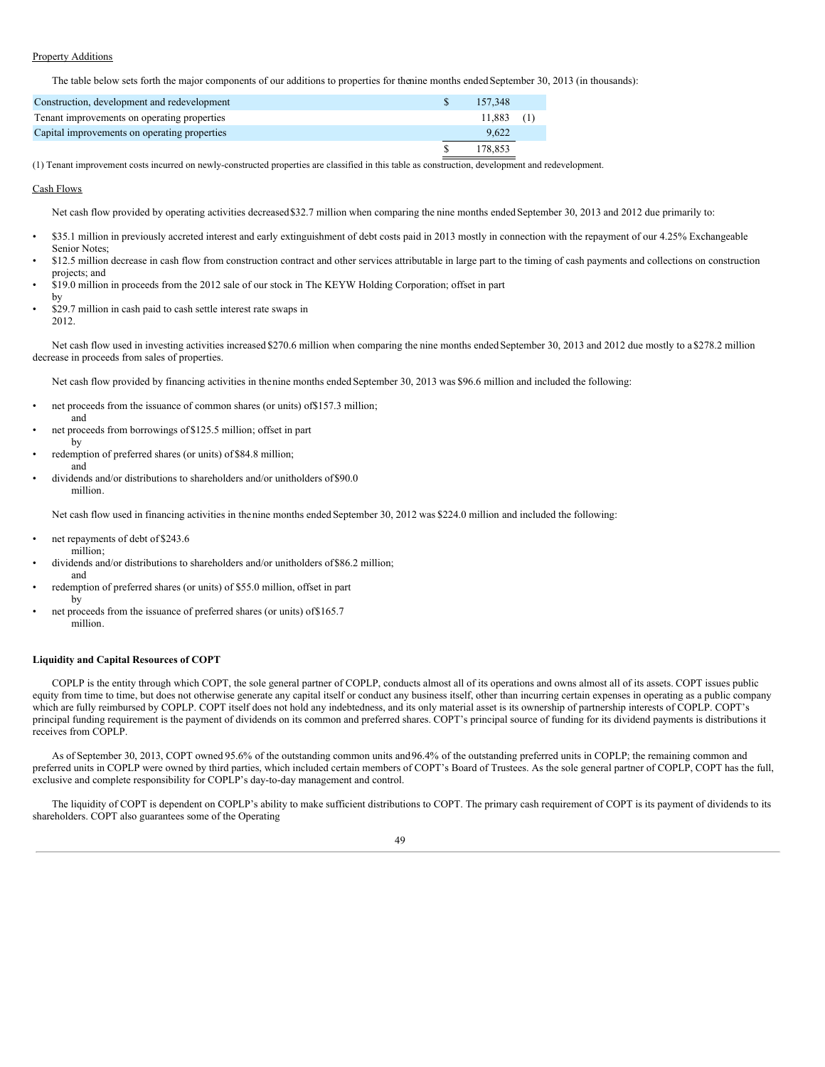#### Property Additions

The table below sets forth the major components of our additions to properties for thenine months ended September 30, 2013 (in thousands):

| Construction, development and redevelopment  | 157.348      |  |
|----------------------------------------------|--------------|--|
| Tenant improvements on operating properties  | $11,883$ (1) |  |
| Capital improvements on operating properties | 9.622        |  |
|                                              | 178,853      |  |

(1) Tenant improvement costs incurred on newly-constructed properties are classified in this table as construction, development and redevelopment.

#### Cash Flows

Net cash flow provided by operating activities decreased\$32.7 million when comparing the nine months ended September 30, 2013 and 2012 due primarily to:

- \$35.1 million in previously accreted interest and early extinguishment of debt costs paid in 2013 mostly in connection with the repayment of our 4.25% Exchangeable Senior Notes;
- \$12.5 million decrease in cash flow from construction contract and other services attributable in large part to the timing of cash payments and collections on construction projects; and
- \$19.0 million in proceeds from the 2012 sale of our stock in The KEYW Holding Corporation; offset in part
- by

• \$29.7 million in cash paid to cash settle interest rate swaps in 2012.

Net cash flow used in investing activities increased \$270.6 million when comparing the nine months ended September 30, 2013 and 2012 due mostly to a \$278.2 million decrease in proceeds from sales of properties.

Net cash flow provided by financing activities in thenine months ended September 30, 2013 was \$96.6 million and included the following:

- net proceeds from the issuance of common shares (or units) of \$157.3 million;
- net proceeds from borrowings of \$125.5 million; offset in part
- by

and

- redemption of preferred shares (or units) of \$84.8 million; and
- dividends and/or distributions to shareholders and/or unitholders of\$90.0 million.

Net cash flow used in financing activities in thenine months ended September 30, 2012 was \$224.0 million and included the following:

- net repayments of debt of \$243.6 million;
- dividends and/or distributions to shareholders and/or unitholders of\$86.2 million;
- and • redemption of preferred shares (or units) of \$55.0 million, offset in part by
- net proceeds from the issuance of preferred shares (or units) of \$165.7 million.

#### **Liquidity and Capital Resources of COPT**

COPLP is the entity through which COPT, the sole general partner of COPLP, conducts almost all of its operations and owns almost all of its assets. COPT issues public equity from time to time, but does not otherwise generate any capital itself or conduct any business itself, other than incurring certain expenses in operating as a public company which are fully reimbursed by COPLP. COPT itself does not hold any indebtedness, and its only material asset is its ownership of partnership interests of COPLP. COPT's principal funding requirement is the payment of dividends on its common and preferred shares. COPT's principal source of funding for its dividend payments is distributions it receives from COPLP.

As of September 30, 2013, COPT owned 95.6% of the outstanding common units and 96.4% of the outstanding preferred units in COPLP; the remaining common and preferred units in COPLP were owned by third parties, which included certain members of COPT's Board of Trustees. As the sole general partner of COPLP, COPT has the full, exclusive and complete responsibility for COPLP's day-to-day management and control.

The liquidity of COPT is dependent on COPLP's ability to make sufficient distributions to COPT. The primary cash requirement of COPT is its payment of dividends to its shareholders. COPT also guarantees some of the Operating

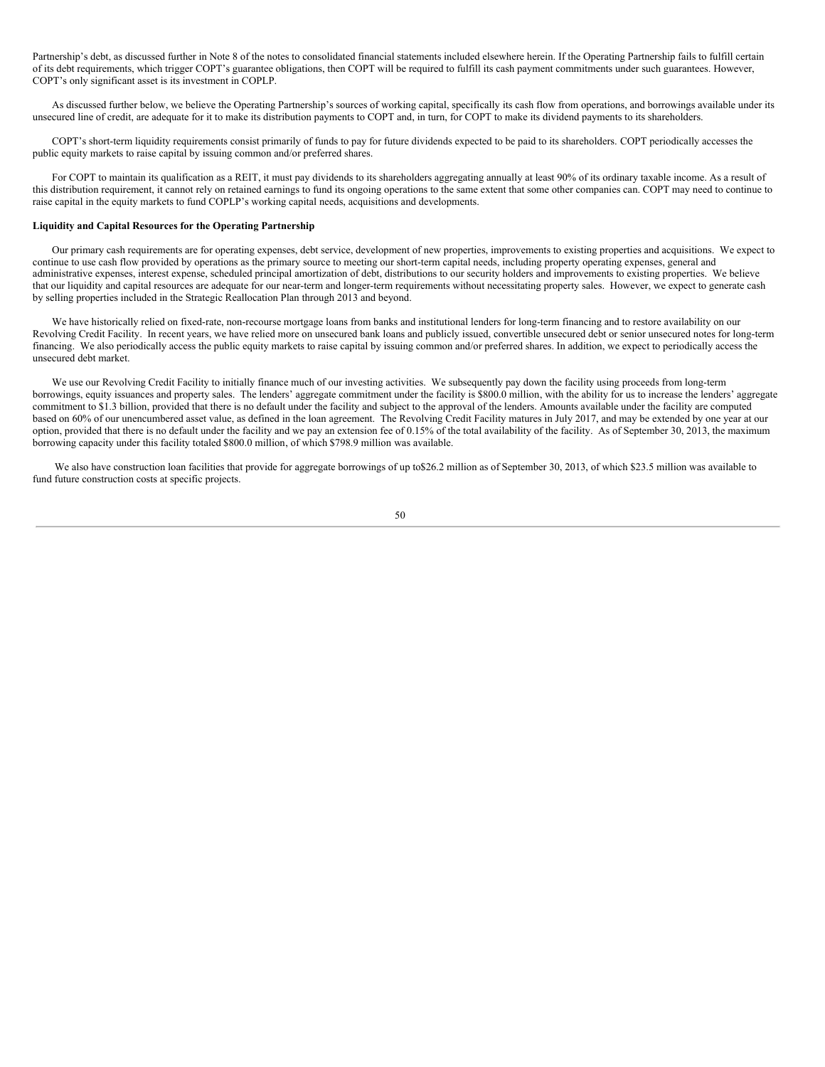Partnership's debt, as discussed further in Note 8 of the notes to consolidated financial statements included elsewhere herein. If the Operating Partnership fails to fulfill certain of its debt requirements, which trigger COPT's guarantee obligations, then COPT will be required to fulfill its cash payment commitments under such guarantees. However, COPT's only significant asset is its investment in COPLP.

As discussed further below, we believe the Operating Partnership's sources of working capital, specifically its cash flow from operations, and borrowings available under its unsecured line of credit, are adequate for it to make its distribution payments to COPT and, in turn, for COPT to make its dividend payments to its shareholders.

COPT's short-term liquidity requirements consist primarily of funds to pay for future dividends expected to be paid to its shareholders. COPT periodically accesses the public equity markets to raise capital by issuing common and/or preferred shares.

For COPT to maintain its qualification as a REIT, it must pay dividends to its shareholders aggregating annually at least 90% of its ordinary taxable income. As a result of this distribution requirement, it cannot rely on retained earnings to fund its ongoing operations to the same extent that some other companies can. COPT may need to continue to raise capital in the equity markets to fund COPLP's working capital needs, acquisitions and developments.

#### **Liquidity and Capital Resources for the Operating Partnership**

Our primary cash requirements are for operating expenses, debt service, development of new properties, improvements to existing properties and acquisitions. We expect to continue to use cash flow provided by operations as the primary source to meeting our short-term capital needs, including property operating expenses, general and administrative expenses, interest expense, scheduled principal amortization of debt, distributions to our security holders and improvements to existing properties. We believe that our liquidity and capital resources are adequate for our near-term and longer-term requirements without necessitating property sales. However, we expect to generate cash by selling properties included in the Strategic Reallocation Plan through 2013 and beyond.

We have historically relied on fixed-rate, non-recourse mortgage loans from banks and institutional lenders for long-term financing and to restore availability on our Revolving Credit Facility. In recent years, we have relied more on unsecured bank loans and publicly issued, convertible unsecured debt or senior unsecured notes for long-term financing. We also periodically access the public equity markets to raise capital by issuing common and/or preferred shares. In addition, we expect to periodically access the unsecured debt market.

We use our Revolving Credit Facility to initially finance much of our investing activities. We subsequently pay down the facility using proceeds from long-term borrowings, equity issuances and property sales. The lenders' aggregate commitment under the facility is \$800.0 million, with the ability for us to increase the lenders' aggregate commitment to \$1.3 billion, provided that there is no default under the facility and subject to the approval of the lenders. Amounts available under the facility are computed based on 60% of our unencumbered asset value, as defined in the loan agreement. The Revolving Credit Facility matures in July 2017, and may be extended by one year at our option, provided that there is no default under the facility and we pay an extension fee of 0.15% of the total availability of the facility. As of September 30, 2013, the maximum borrowing capacity under this facility totaled \$800.0 million, of which \$798.9 million was available.

We also have construction loan facilities that provide for aggregate borrowings of up to \$26.2 million as of September 30, 2013, of which \$23.5 million was available to fund future construction costs at specific projects.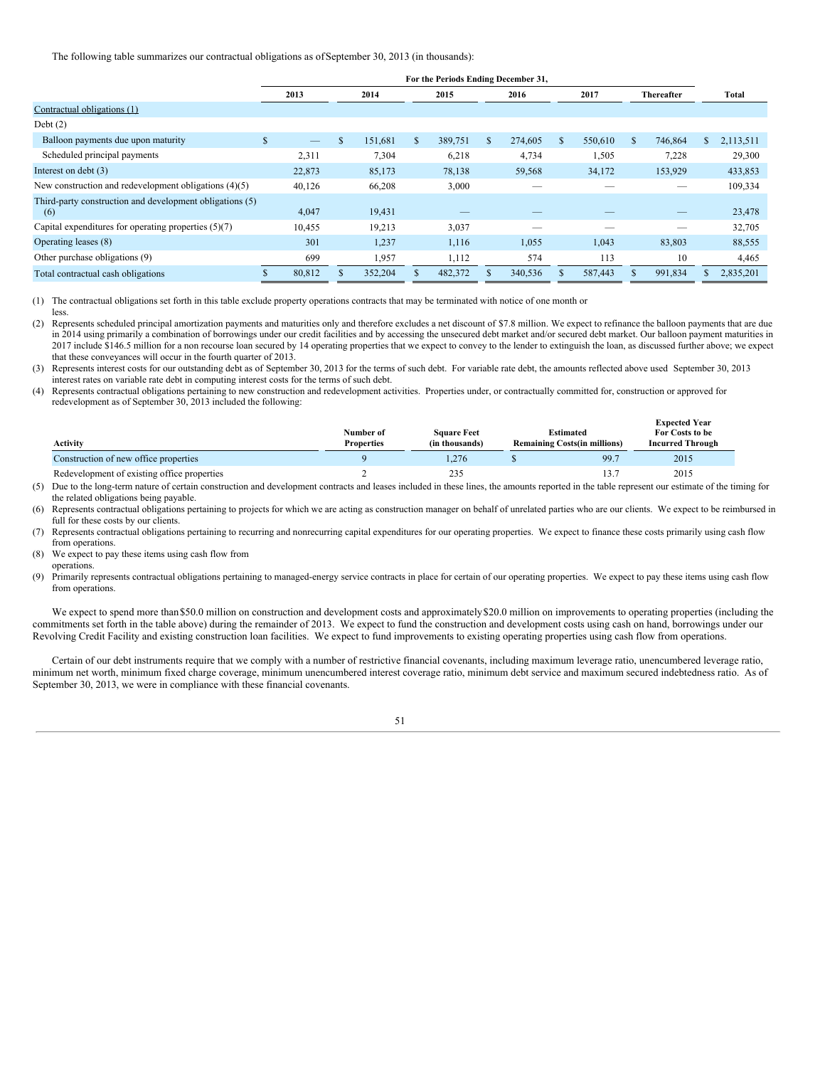The following table summarizes our contractual obligations as ofSeptember 30, 2013 (in thousands):

|                                                                 | For the Periods Ending December 31, |                          |    |         |   |         |   |         |    |         |    |            |   |           |
|-----------------------------------------------------------------|-------------------------------------|--------------------------|----|---------|---|---------|---|---------|----|---------|----|------------|---|-----------|
|                                                                 |                                     | 2013                     |    | 2014    |   | 2015    |   | 2016    |    | 2017    |    | Thereafter |   | Total     |
| Contractual obligations (1)                                     |                                     |                          |    |         |   |         |   |         |    |         |    |            |   |           |
| Debt(2)                                                         |                                     |                          |    |         |   |         |   |         |    |         |    |            |   |           |
| Balloon payments due upon maturity                              | $\mathbf{s}$                        | $\overline{\phantom{m}}$ | \$ | 151,681 | S | 389,751 | S | 274,605 | -S | 550,610 | S. | 746,864    | S | 2,113,511 |
| Scheduled principal payments                                    |                                     | 2,311                    |    | 7,304   |   | 6,218   |   | 4,734   |    | 1,505   |    | 7,228      |   | 29,300    |
| Interest on debt $(3)$                                          |                                     | 22,873                   |    | 85,173  |   | 78,138  |   | 59,568  |    | 34,172  |    | 153,929    |   | 433,853   |
| New construction and redevelopment obligations $(4)(5)$         |                                     | 40,126                   |    | 66,208  |   | 3,000   |   | __      |    |         |    | $-$        |   | 109,334   |
| Third-party construction and development obligations (5)<br>(6) |                                     | 4,047                    |    | 19,431  |   | --      |   |         |    |         |    | __         |   | 23,478    |
| Capital expenditures for operating properties $(5)(7)$          |                                     | 10,455                   |    | 19,213  |   | 3,037   |   |         |    |         |    |            |   | 32,705    |
| Operating leases (8)                                            |                                     | 301                      |    | 1,237   |   | 1,116   |   | 1,055   |    | 1,043   |    | 83,803     |   | 88,555    |
| Other purchase obligations (9)                                  |                                     | 699                      |    | 1,957   |   | 1,112   |   | 574     |    | 113     |    | 10         |   | 4,465     |
| Total contractual cash obligations                              |                                     | 80,812                   |    | 352,204 |   | 482,372 |   | 340,536 |    | 587,443 |    | 991,834    |   | 2,835,201 |

(1) The contractual obligations set forth in this table exclude property operations contracts that may be terminated with notice of one month or

less. (2) Represents scheduled principal amortization payments and maturities only and therefore excludes a net discount of \$7.8 million. We expect to refinance the balloon payments that are due in 2014 using primarily a combination of borrowings under our credit facilities and by accessing the unsecured debt market and/or secured debt market. Our balloon payment maturities in 2017 include \$146.5 million for a non recourse loan secured by 14 operating properties that we expect to convey to the lender to extinguish the loan, as discussed further above; we expect that these conveyances will occur in the fourth quarter of 2013.

(3) Represents interest costs for our outstanding debt as of September 30, 2013 for the terms of such debt. For variable rate debt, the amounts reflected above used September 30, 2013 interest rates on variable rate debt in computing interest costs for the terms of such debt.

(4) Represents contractual obligations pertaining to new construction and redevelopment activities. Properties under, or contractually committed for, construction or approved for redevelopment as of September 30, 2013 included the following:

| <b>Activity</b>                             | Number of<br><b>Properties</b> | <b>Square Feet</b><br>(in thousands) | <b>Estimated</b><br><b>Remaining Costs (in millions)</b> | <b>Expected Year</b><br>For Costs to be<br><b>Incurred Through</b> |
|---------------------------------------------|--------------------------------|--------------------------------------|----------------------------------------------------------|--------------------------------------------------------------------|
| Construction of new office properties       |                                | 1.276                                | 99.7                                                     | 2015                                                               |
| Redevelopment of existing office properties |                                | 235                                  | 13.7                                                     | 2015                                                               |

(5) Due to the long-term nature of certain construction and development contracts and leases included in these lines, the amounts reported in the table represent our estimate of the timing for the related obligations being payable.

(6) Represents contractual obligations pertaining to projects for which we are acting as construction manager on behalf of unrelated parties who are our clients. We expect to be reimbursed in full for these costs by our clients.

(7) Represents contractual obligations pertaining to recurring and nonrecurring capital expenditures for our operating properties. We expect to finance these costs primarily using cash flow from operations.

(8) We expect to pay these items using cash flow from

operations. (9) Primarily represents contractual obligations pertaining to managed-energy service contracts in place for certain of our operating properties. We expect to pay these items using cash flow from operations.

We expect to spend more than \$50.0 million on construction and development costs and approximately \$20.0 million on improvements to operating properties (including the commitments set forth in the table above) during the remainder of 2013. We expect to fund the construction and development costs using cash on hand, borrowings under our Revolving Credit Facility and existing construction loan facilities. We expect to fund improvements to existing operating properties using cash flow from operations.

Certain of our debt instruments require that we comply with a number of restrictive financial covenants, including maximum leverage ratio, unencumbered leverage ratio, minimum net worth, minimum fixed charge coverage, minimum unencumbered interest coverage ratio, minimum debt service and maximum secured indebtedness ratio. As of September 30, 2013, we were in compliance with these financial covenants.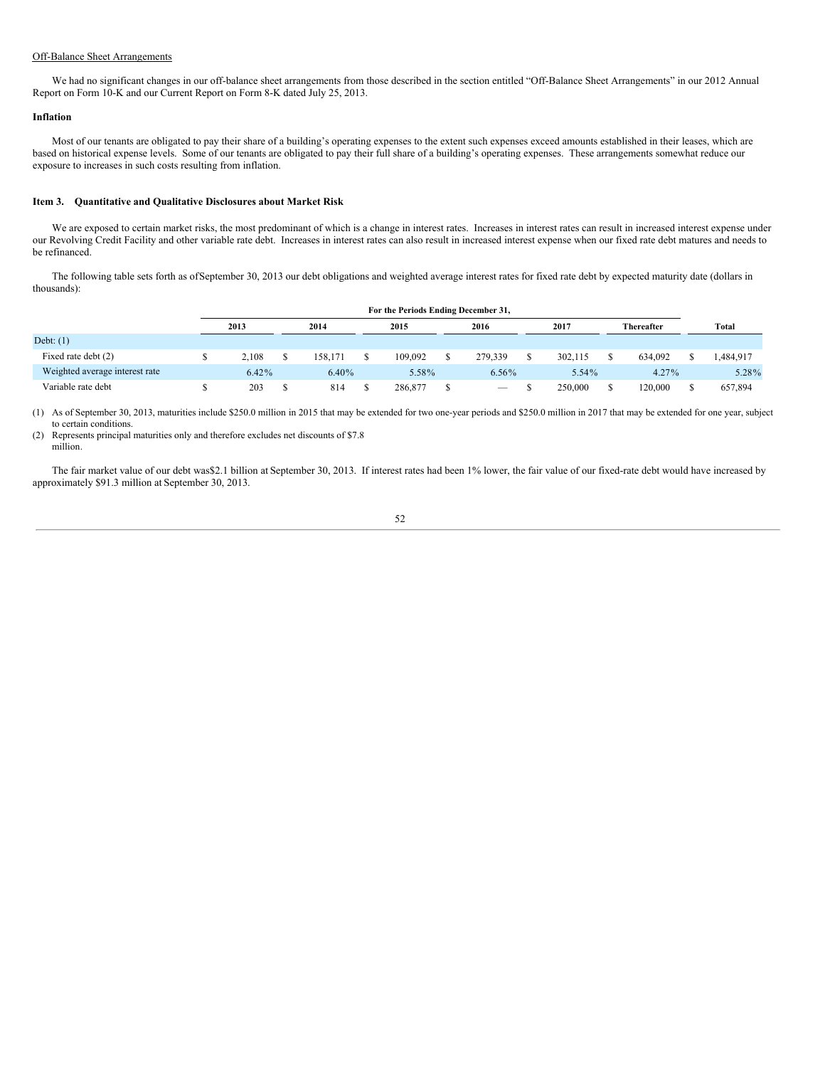#### Off-Balance Sheet Arrangements

We had no significant changes in our off-balance sheet arrangements from those described in the section entitled "Off-Balance Sheet Arrangements" in our 2012 Annual Report on Form 10-K and our Current Report on Form 8-K dated July 25, 2013.

#### **Inflation**

Most of our tenants are obligated to pay their share of a building's operating expenses to the extent such expenses exceed amounts established in their leases, which are based on historical expense levels. Some of our tenants are obligated to pay their full share of a building's operating expenses. These arrangements somewhat reduce our exposure to increases in such costs resulting from inflation.

#### <span id="page-53-0"></span>**Item 3. Quantitative and Qualitative Disclosures about Market Risk**

We are exposed to certain market risks, the most predominant of which is a change in interest rates. Increases in interest rates can result in increased interest expense under our Revolving Credit Facility and other variable rate debt. Increases in interest rates can also result in increased interest expense when our fixed rate debt matures and needs to be refinanced.

The following table sets forth as ofSeptember 30, 2013 our debt obligations and weighted average interest rates for fixed rate debt by expected maturity date (dollars in thousands):

|                                | For the Periods Ending December 31, |  |         |  |         |  |                   |  |         |  |            |              |
|--------------------------------|-------------------------------------|--|---------|--|---------|--|-------------------|--|---------|--|------------|--------------|
|                                | 2013                                |  | 2014    |  | 2015    |  | 2016              |  | 2017    |  | Thereafter | <b>Total</b> |
| Debt: $(1)$                    |                                     |  |         |  |         |  |                   |  |         |  |            |              |
| Fixed rate debt (2)            | 2.108                               |  | 158.171 |  | 109,092 |  | 279.339           |  | 302,115 |  | 634.092    | .484,917     |
| Weighted average interest rate | $6.42\%$                            |  | 6.40%   |  | 5.58%   |  | $6.56\%$          |  | 5.54%   |  | 4.27%      | 5.28%        |
| Variable rate debt             | 203                                 |  | 814     |  | 286,877 |  | $\hspace{0.05cm}$ |  | 250,000 |  | 120,000    | 657,894      |

(1) As of September 30, 2013, maturities include \$250.0 million in 2015 that may be extended for two one-year periods and \$250.0 million in 2017 that may be extended for one year, subject to certain conditions.

(2) Represents principal maturities only and therefore excludes net discounts of \$7.8 million.

The fair market value of our debt was\$2.1 billion at September 30, 2013. If interest rates had been 1% lower, the fair value of our fixed-rate debt would have increased by approximately \$91.3 million at September 30, 2013.

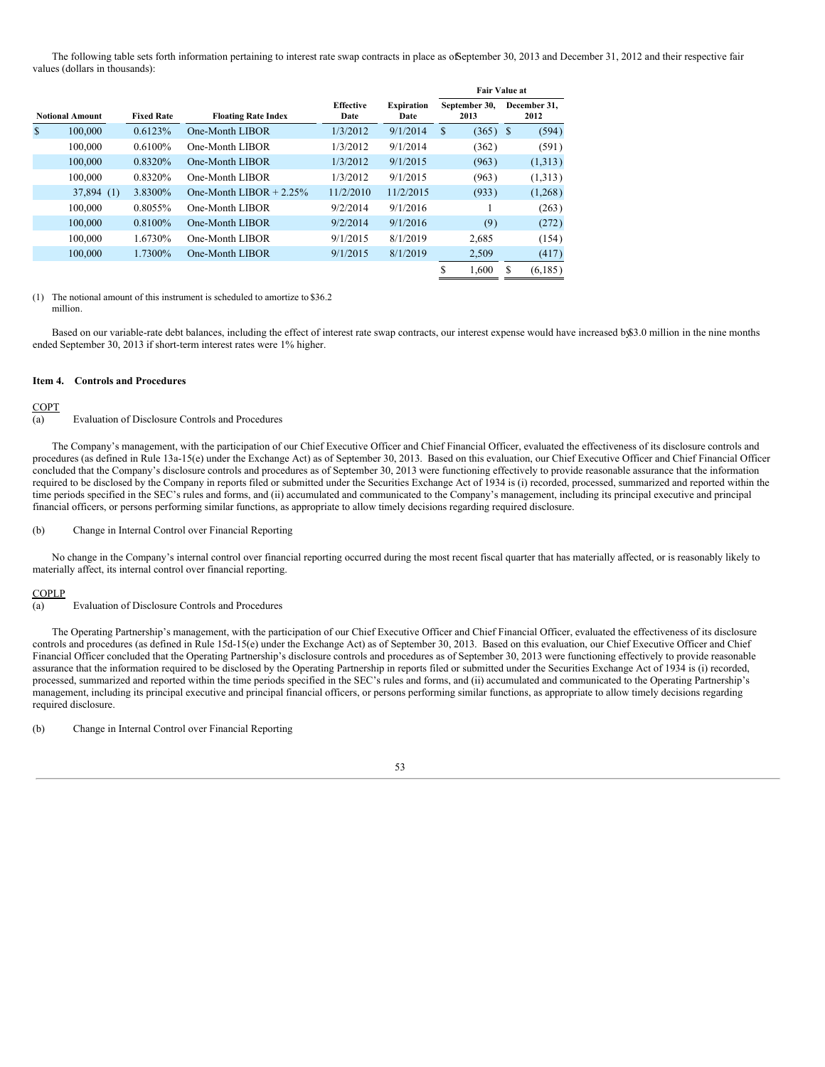The following table sets forth information pertaining to interest rate swap contracts in place as ofSeptember 30, 2013 and December 31, 2012 and their respective fair values (dollars in thousands):

|                        |           |                   |                            |                                                       |           |                       | <b>Fair Value at</b> |                      |
|------------------------|-----------|-------------------|----------------------------|-------------------------------------------------------|-----------|-----------------------|----------------------|----------------------|
| <b>Notional Amount</b> |           | <b>Fixed Rate</b> | <b>Floating Rate Index</b> | <b>Effective</b><br><b>Expiration</b><br>Date<br>Date |           | September 30,<br>2013 |                      | December 31,<br>2012 |
| $\mathbb{S}$           | 100,000   | 0.6123%           | One-Month LIBOR            | 1/3/2012                                              | 9/1/2014  | \$                    | $(365)$ \$           | (594)                |
|                        | 100,000   | $0.6100\%$        | One-Month LIBOR            | 1/3/2012                                              | 9/1/2014  |                       | (362)                | (591)                |
|                        | 100,000   | 0.8320%           | One-Month LIBOR            | 1/3/2012                                              | 9/1/2015  |                       | (963)                | (1,313)              |
|                        | 100,000   | 0.8320%           | One-Month LIBOR            | 1/3/2012                                              | 9/1/2015  |                       | (963)                | (1,313)              |
|                        | 37,894(1) | 3.8300%           | One-Month LIBOR $+ 2.25\%$ | 11/2/2010                                             | 11/2/2015 |                       | (933)                | (1,268)              |
|                        | 100,000   | 0.8055%           | One-Month LIBOR            | 9/2/2014                                              | 9/1/2016  |                       | 1                    | (263)                |
|                        | 100,000   | $0.8100\%$        | One-Month LIBOR            | 9/2/2014                                              | 9/1/2016  |                       | (9)                  | (272)                |
|                        | 100,000   | 1.6730%           | One-Month LIBOR            | 9/1/2015                                              | 8/1/2019  |                       | 2,685                | (154)                |
|                        | 100,000   | 1.7300%           | One-Month LIBOR            | 9/1/2015                                              | 8/1/2019  |                       | 2,509                | (417)                |
|                        |           |                   |                            |                                                       |           | S                     | 1.600                | (6, 185)             |

(1) The notional amount of this instrument is scheduled to amortize to\$36.2 million.

Based on our variable-rate debt balances, including the effect of interest rate swap contracts, our interest expense would have increased by\$3.0 million in the nine months ended September 30, 2013 if short-term interest rates were 1% higher.

#### <span id="page-54-0"></span>**Item 4. Controls and Procedures**

#### **COPT**

# (a) Evaluation of Disclosure Controls and Procedures

The Company's management, with the participation of our Chief Executive Officer and Chief Financial Officer, evaluated the effectiveness of its disclosure controls and procedures (as defined in Rule 13a-15(e) under the Exchange Act) as of September 30, 2013. Based on this evaluation, our Chief Executive Officer and Chief Financial Officer concluded that the Company's disclosure controls and procedures as of September 30, 2013 were functioning effectively to provide reasonable assurance that the information required to be disclosed by the Company in reports filed or submitted under the Securities Exchange Act of 1934 is (i) recorded, processed, summarized and reported within the time periods specified in the SEC's rules and forms, and (ii) accumulated and communicated to the Company's management, including its principal executive and principal financial officers, or persons performing similar functions, as appropriate to allow timely decisions regarding required disclosure.

# (b) Change in Internal Control over Financial Reporting

No change in the Company's internal control over financial reporting occurred during the most recent fiscal quarter that has materially affected, or is reasonably likely to materially affect, its internal control over financial reporting.

#### COPLP

# (a) Evaluation of Disclosure Controls and Procedures

The Operating Partnership's management, with the participation of our Chief Executive Officer and Chief Financial Officer, evaluated the effectiveness of its disclosure controls and procedures (as defined in Rule 15d-15(e) under the Exchange Act) as of September 30, 2013. Based on this evaluation, our Chief Executive Officer and Chief Financial Officer concluded that the Operating Partnership's disclosure controls and procedures as of September 30, 2013 were functioning effectively to provide reasonable assurance that the information required to be disclosed by the Operating Partnership in reports filed or submitted under the Securities Exchange Act of 1934 is (i) recorded, processed, summarized and reported within the time periods specified in the SEC's rules and forms, and (ii) accumulated and communicated to the Operating Partnership's management, including its principal executive and principal financial officers, or persons performing similar functions, as appropriate to allow timely decisions regarding required disclosure.

(b) Change in Internal Control over Financial Reporting

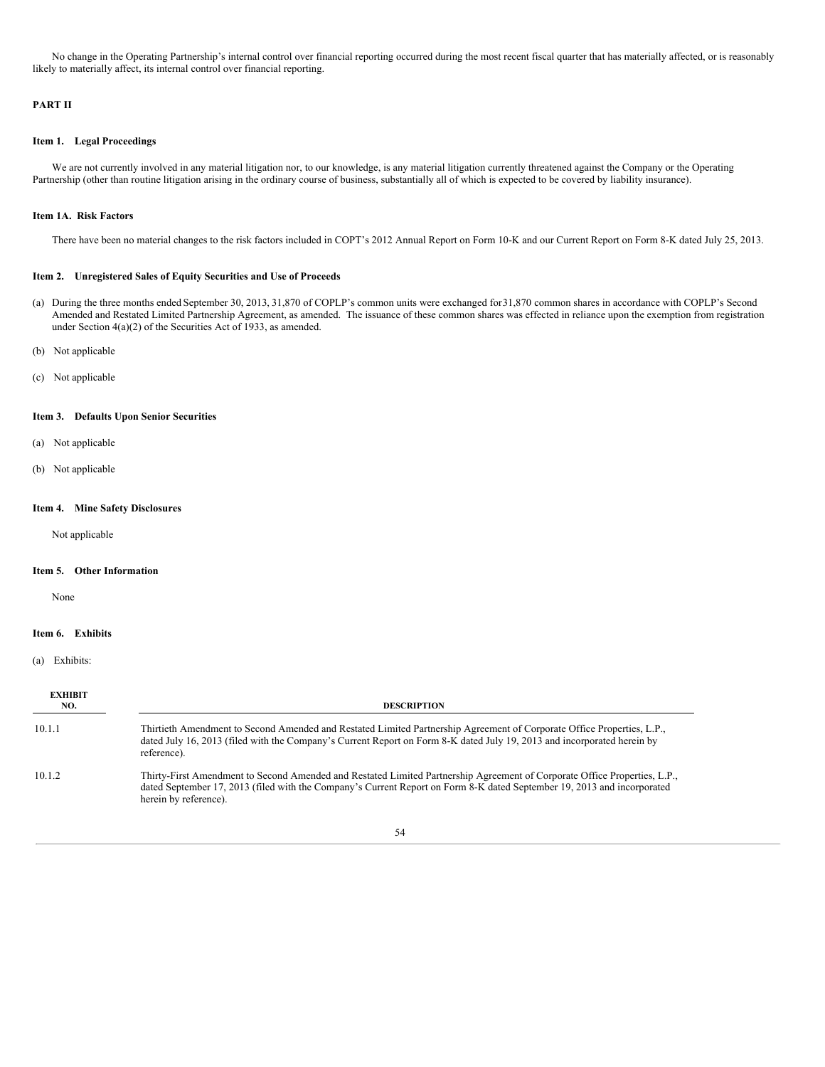No change in the Operating Partnership's internal control over financial reporting occurred during the most recent fiscal quarter that has materially affected, or is reasonably likely to materially affect, its internal control over financial reporting.

# <span id="page-55-0"></span>**PART II**

#### <span id="page-55-1"></span>**Item 1. Legal Proceedings**

We are not currently involved in any material litigation nor, to our knowledge, is any material litigation currently threatened against the Company or the Operating Partnership (other than routine litigation arising in the ordinary course of business, substantially all of which is expected to be covered by liability insurance).

# <span id="page-55-2"></span>**Item 1A. Risk Factors**

There have been no material changes to the risk factors included in COPT's 2012 Annual Report on Form 10-K and our Current Report on Form 8-K dated July 25, 2013.

#### <span id="page-55-3"></span>**Item 2. Unregistered Sales of Equity Securities and Use of Proceeds**

- (a) During the three months ended September 30, 2013, 31,870 of COPLP's common units were exchanged for31,870 common shares in accordance with COPLP's Second Amended and Restated Limited Partnership Agreement, as amended. The issuance of these common shares was effected in reliance upon the exemption from registration under Section 4(a)(2) of the Securities Act of 1933, as amended.
- (b) Not applicable
- (c) Not applicable

#### <span id="page-55-4"></span>**Item 3. Defaults Upon Senior Securities**

- (a) Not applicable
- (b) Not applicable

#### <span id="page-55-5"></span>**Item 4. Mine Safety Disclosures**

Not applicable

#### <span id="page-55-6"></span>**Item 5. Other Information**

None

#### <span id="page-55-7"></span>**Item 6. Exhibits**

(a) Exhibits:

| <b>EXHIBIT</b><br>NO. | <b>DESCRIPTION</b>                                                                                                                                                                                                                                                            |
|-----------------------|-------------------------------------------------------------------------------------------------------------------------------------------------------------------------------------------------------------------------------------------------------------------------------|
| 10.1.1                | Thirtieth Amendment to Second Amended and Restated Limited Partnership Agreement of Corporate Office Properties, L.P.,<br>dated July 16, 2013 (filed with the Company's Current Report on Form 8-K dated July 19, 2013 and incorporated herein by<br>reference).              |
| 10.1.2                | Thirty-First Amendment to Second Amended and Restated Limited Partnership Agreement of Corporate Office Properties, L.P.,<br>dated September 17, 2013 (filed with the Company's Current Report on Form 8-K dated September 19, 2013 and incorporated<br>herein by reference). |

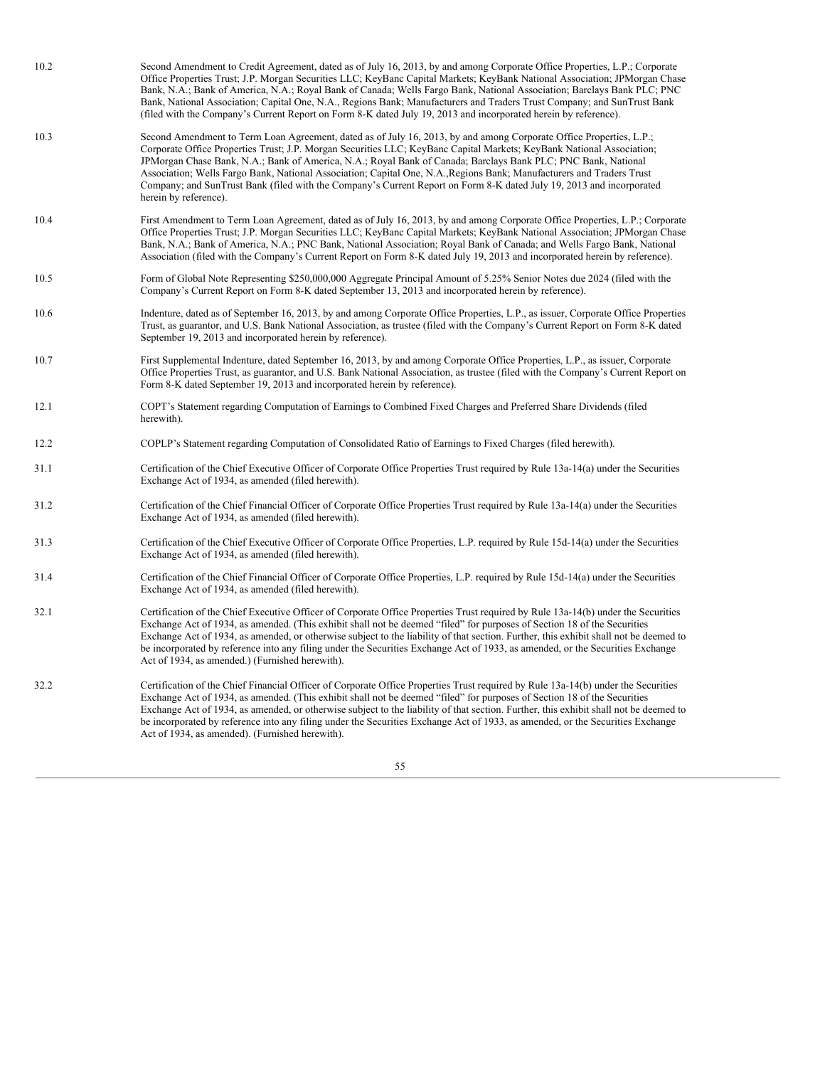| 10.2 | Second Amendment to Credit Agreement, dated as of July 16, 2013, by and among Corporate Office Properties, L.P.; Corporate<br>Office Properties Trust; J.P. Morgan Securities LLC; KeyBanc Capital Markets; KeyBank National Association; JPMorgan Chase<br>Bank, N.A.; Bank of America, N.A.; Royal Bank of Canada; Wells Fargo Bank, National Association; Barclays Bank PLC; PNC<br>Bank, National Association; Capital One, N.A., Regions Bank; Manufacturers and Traders Trust Company; and SunTrust Bank<br>(filed with the Company's Current Report on Form 8-K dated July 19, 2013 and incorporated herein by reference).       |
|------|-----------------------------------------------------------------------------------------------------------------------------------------------------------------------------------------------------------------------------------------------------------------------------------------------------------------------------------------------------------------------------------------------------------------------------------------------------------------------------------------------------------------------------------------------------------------------------------------------------------------------------------------|
| 10.3 | Second Amendment to Term Loan Agreement, dated as of July 16, 2013, by and among Corporate Office Properties, L.P.;<br>Corporate Office Properties Trust; J.P. Morgan Securities LLC; KeyBanc Capital Markets; KeyBank National Association;<br>JPMorgan Chase Bank, N.A.; Bank of America, N.A.; Royal Bank of Canada; Barclays Bank PLC; PNC Bank, National<br>Association; Wells Fargo Bank, National Association; Capital One, N.A., Regions Bank; Manufacturers and Traders Trust<br>Company; and SunTrust Bank (filed with the Company's Current Report on Form 8-K dated July 19, 2013 and incorporated<br>herein by reference). |
| 10.4 | First Amendment to Term Loan Agreement, dated as of July 16, 2013, by and among Corporate Office Properties, L.P.; Corporate<br>Office Properties Trust; J.P. Morgan Securities LLC; KeyBanc Capital Markets; KeyBank National Association; JPMorgan Chase<br>Bank, N.A.; Bank of America, N.A.; PNC Bank, National Association; Royal Bank of Canada; and Wells Fargo Bank, National<br>Association (filed with the Company's Current Report on Form 8-K dated July 19, 2013 and incorporated herein by reference).                                                                                                                    |
| 10.5 | Form of Global Note Representing \$250,000,000 Aggregate Principal Amount of 5.25% Senior Notes due 2024 (filed with the<br>Company's Current Report on Form 8-K dated September 13, 2013 and incorporated herein by reference).                                                                                                                                                                                                                                                                                                                                                                                                        |
| 10.6 | Indenture, dated as of September 16, 2013, by and among Corporate Office Properties, L.P., as issuer, Corporate Office Properties<br>Trust, as guarantor, and U.S. Bank National Association, as trustee (filed with the Company's Current Report on Form 8-K dated<br>September 19, 2013 and incorporated herein by reference).                                                                                                                                                                                                                                                                                                        |
| 10.7 | First Supplemental Indenture, dated September 16, 2013, by and among Corporate Office Properties, L.P., as issuer, Corporate<br>Office Properties Trust, as guarantor, and U.S. Bank National Association, as trustee (filed with the Company's Current Report on<br>Form 8-K dated September 19, 2013 and incorporated herein by reference).                                                                                                                                                                                                                                                                                           |
| 12.1 | COPT's Statement regarding Computation of Earnings to Combined Fixed Charges and Preferred Share Dividends (filed<br>herewith).                                                                                                                                                                                                                                                                                                                                                                                                                                                                                                         |
| 12.2 | COPLP's Statement regarding Computation of Consolidated Ratio of Earnings to Fixed Charges (filed herewith).                                                                                                                                                                                                                                                                                                                                                                                                                                                                                                                            |
| 31.1 | Certification of the Chief Executive Officer of Corporate Office Properties Trust required by Rule 13a-14(a) under the Securities<br>Exchange Act of 1934, as amended (filed herewith).                                                                                                                                                                                                                                                                                                                                                                                                                                                 |
| 31.2 | Certification of the Chief Financial Officer of Corporate Office Properties Trust required by Rule 13a-14(a) under the Securities<br>Exchange Act of 1934, as amended (filed herewith).                                                                                                                                                                                                                                                                                                                                                                                                                                                 |
| 31.3 | Certification of the Chief Executive Officer of Corporate Office Properties, L.P. required by Rule 15d-14(a) under the Securities<br>Exchange Act of 1934, as amended (filed herewith).                                                                                                                                                                                                                                                                                                                                                                                                                                                 |
| 31.4 | Certification of the Chief Financial Officer of Corporate Office Properties, L.P. required by Rule 15d-14(a) under the Securities<br>Exchange Act of 1934, as amended (filed herewith).                                                                                                                                                                                                                                                                                                                                                                                                                                                 |
| 32.1 | Certification of the Chief Executive Officer of Corporate Office Properties Trust required by Rule 13a-14(b) under the Securities<br>Exchange Act of 1934, as amended. (This exhibit shall not be deemed "filed" for purposes of Section 18 of the Securities<br>Exchange Act of 1934, as amended, or otherwise subject to the liability of that section. Further, this exhibit shall not be deemed to<br>be incorporated by reference into any filing under the Securities Exchange Act of 1933, as amended, or the Securities Exchange<br>Act of 1934, as amended.) (Furnished herewith).                                             |
| 32.2 | Certification of the Chief Financial Officer of Corporate Office Properties Trust required by Rule 13a-14(b) under the Securities<br>Exchange Act of 1934, as amended. (This exhibit shall not be deemed "filed" for purposes of Section 18 of the Securities<br>Exchange Act of 1934, as amended, or otherwise subject to the liability of that section. Further, this exhibit shall not be deemed to<br>be incorporated by reference into any filing under the Securities Exchange Act of 1933, as amended, or the Securities Exchange<br>Act of 1934, as amended). (Furnished herewith).                                             |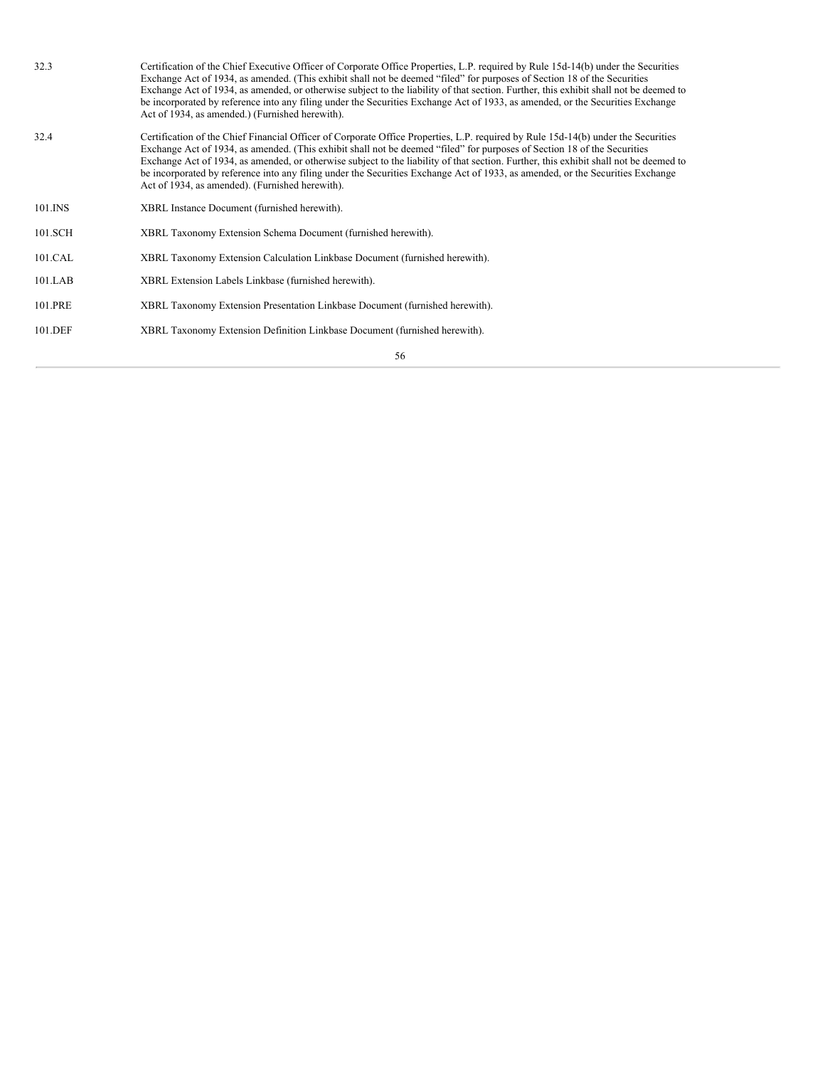| 32.3       | Certification of the Chief Executive Officer of Corporate Office Properties, L.P. required by Rule 15d-14(b) under the Securities<br>Exchange Act of 1934, as amended. (This exhibit shall not be deemed "filed" for purposes of Section 18 of the Securities<br>Exchange Act of 1934, as amended, or otherwise subject to the liability of that section. Further, this exhibit shall not be deemed to<br>be incorporated by reference into any filing under the Securities Exchange Act of 1933, as amended, or the Securities Exchange<br>Act of 1934, as amended.) (Furnished herewith). |
|------------|---------------------------------------------------------------------------------------------------------------------------------------------------------------------------------------------------------------------------------------------------------------------------------------------------------------------------------------------------------------------------------------------------------------------------------------------------------------------------------------------------------------------------------------------------------------------------------------------|
| 32.4       | Certification of the Chief Financial Officer of Corporate Office Properties, L.P. required by Rule 15d-14(b) under the Securities<br>Exchange Act of 1934, as amended. (This exhibit shall not be deemed "filed" for purposes of Section 18 of the Securities<br>Exchange Act of 1934, as amended, or otherwise subject to the liability of that section. Further, this exhibit shall not be deemed to<br>be incorporated by reference into any filing under the Securities Exchange Act of 1933, as amended, or the Securities Exchange<br>Act of 1934, as amended). (Furnished herewith). |
| 101.INS    | XBRL Instance Document (furnished herewith).                                                                                                                                                                                                                                                                                                                                                                                                                                                                                                                                                |
| 101.SCH    | XBRL Taxonomy Extension Schema Document (furnished herewith).                                                                                                                                                                                                                                                                                                                                                                                                                                                                                                                               |
| 101.CAL    | XBRL Taxonomy Extension Calculation Linkbase Document (furnished herewith).                                                                                                                                                                                                                                                                                                                                                                                                                                                                                                                 |
| $101$ .LAB | XBRL Extension Labels Linkbase (furnished herewith).                                                                                                                                                                                                                                                                                                                                                                                                                                                                                                                                        |
| 101.PRE    | XBRL Taxonomy Extension Presentation Linkbase Document (furnished herewith).                                                                                                                                                                                                                                                                                                                                                                                                                                                                                                                |
| 101.DEF    | XBRL Taxonomy Extension Definition Linkbase Document (furnished herewith).                                                                                                                                                                                                                                                                                                                                                                                                                                                                                                                  |
|            |                                                                                                                                                                                                                                                                                                                                                                                                                                                                                                                                                                                             |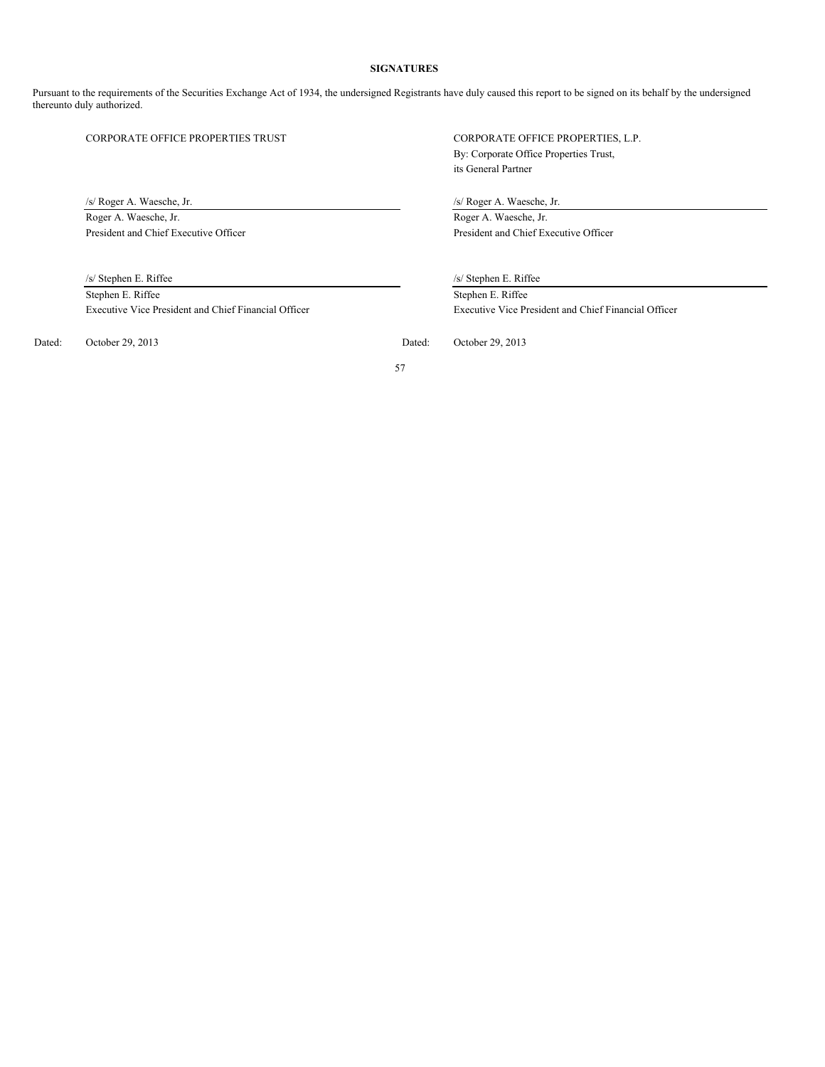# **SIGNATURES**

<span id="page-58-0"></span>Pursuant to the requirements of the Securities Exchange Act of 1934, the undersigned Registrants have duly caused this report to be signed on its behalf by the undersigned thereunto duly authorized.

/s/ Roger A. Waesche, Jr. /s/ Roger A. Waesche, Jr.

Roger A. Waesche, Jr.  $R_{Q}$  Roger A. Waesche, Jr. Roger A. Waesche, Jr.  $R_{Q}$ 

/s/ Stephen E. Riffee /s/ Stephen E. Riffee

Stephen E. Riffee Stephen E. Riffee

Dated: October 29, 2013 Dated: October 29, 2013

CORPORATE OFFICE PROPERTIES TRUST CORPORATE OFFICE PROPERTIES, L.P. By: Corporate Office Properties Trust, its General Partner

President and Chief Executive Officer President and Chief Executive Officer

Executive Vice President and Chief Financial Officer Executive Vice President and Chief Financial Officer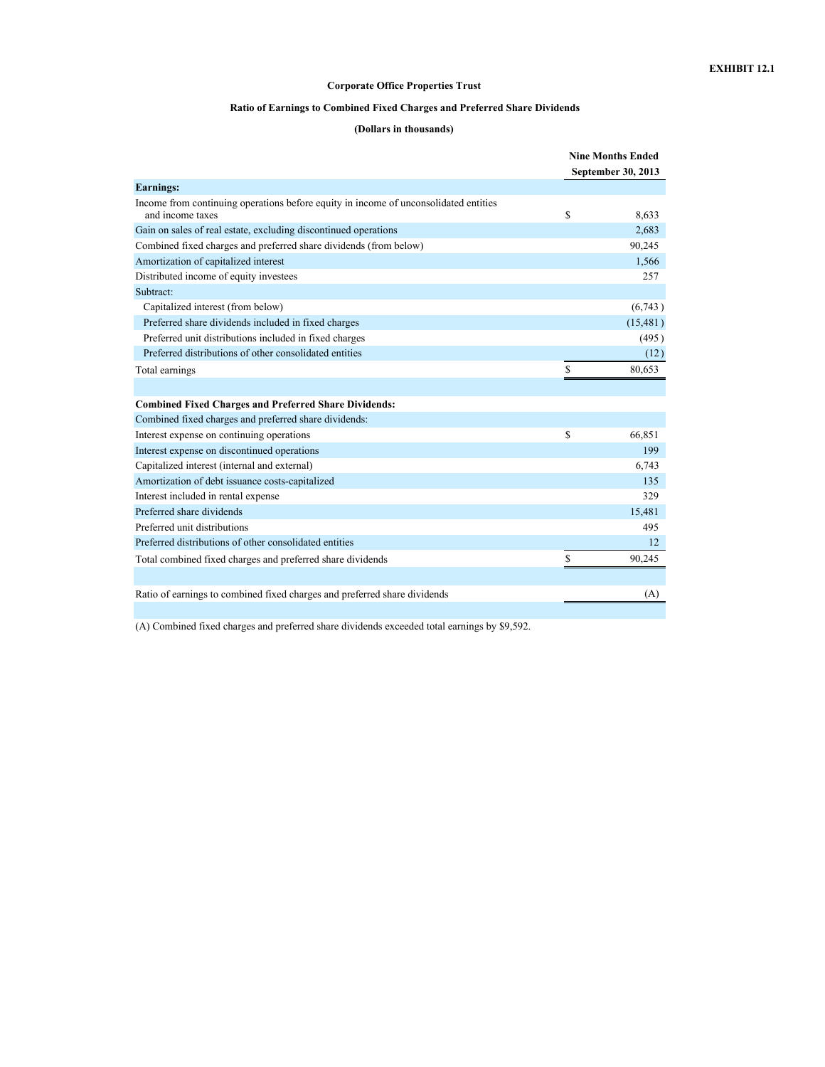# **Corporate Office Properties Trust**

# **Ratio of Earnings to Combined Fixed Charges and Preferred Share Dividends**

# **(Dollars in thousands)**

|                                                                                                          | <b>Nine Months Ended</b> |                    |  |
|----------------------------------------------------------------------------------------------------------|--------------------------|--------------------|--|
|                                                                                                          |                          | September 30, 2013 |  |
| <b>Earnings:</b>                                                                                         |                          |                    |  |
| Income from continuing operations before equity in income of unconsolidated entities<br>and income taxes | S                        | 8.633              |  |
| Gain on sales of real estate, excluding discontinued operations                                          |                          | 2,683              |  |
| Combined fixed charges and preferred share dividends (from below)                                        |                          | 90,245             |  |
| Amortization of capitalized interest                                                                     |                          | 1,566              |  |
| Distributed income of equity investees                                                                   |                          | 257                |  |
| Subtract:                                                                                                |                          |                    |  |
| Capitalized interest (from below)                                                                        |                          | (6,743)            |  |
| Preferred share dividends included in fixed charges                                                      |                          | (15, 481)          |  |
| Preferred unit distributions included in fixed charges                                                   |                          | (495)              |  |
| Preferred distributions of other consolidated entities                                                   |                          | (12)               |  |
| Total earnings                                                                                           | S                        | 80,653             |  |
|                                                                                                          |                          |                    |  |
| <b>Combined Fixed Charges and Preferred Share Dividends:</b>                                             |                          |                    |  |
| Combined fixed charges and preferred share dividends:                                                    |                          |                    |  |
| Interest expense on continuing operations                                                                | \$                       | 66,851             |  |
| Interest expense on discontinued operations                                                              |                          | 199                |  |
| Capitalized interest (internal and external)                                                             |                          | 6,743              |  |
| Amortization of debt issuance costs-capitalized                                                          |                          | 135                |  |
| Interest included in rental expense                                                                      |                          | 329                |  |
| Preferred share dividends                                                                                |                          | 15,481             |  |
| Preferred unit distributions                                                                             |                          | 495                |  |
| Preferred distributions of other consolidated entities                                                   |                          | 12                 |  |
| Total combined fixed charges and preferred share dividends                                               | S                        | 90,245             |  |
|                                                                                                          |                          |                    |  |
| Ratio of earnings to combined fixed charges and preferred share dividends                                |                          | (A)                |  |
|                                                                                                          |                          |                    |  |

(A) Combined fixed charges and preferred share dividends exceeded total earnings by \$9,592.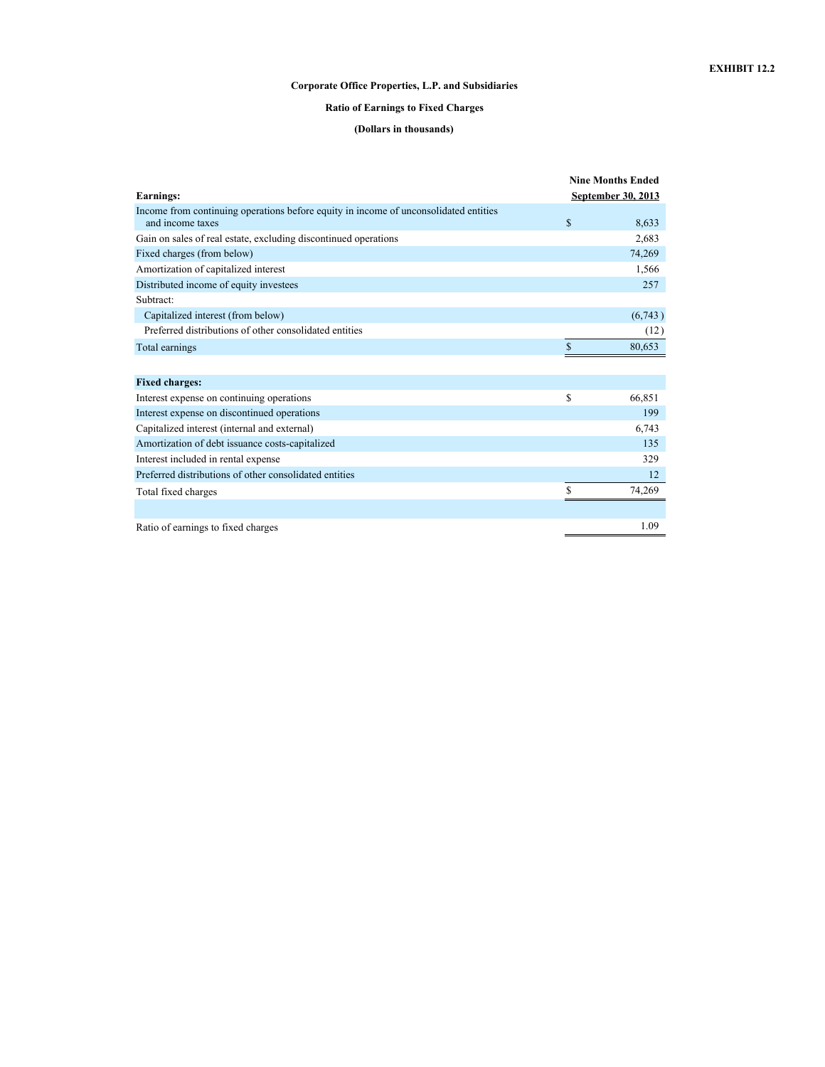# **Corporate Office Properties, L.P. and Subsidiaries**

# **Ratio of Earnings to Fixed Charges**

# **(Dollars in thousands)**

|                                                                                                          |                           | <b>Nine Months Ended</b> |  |  |  |
|----------------------------------------------------------------------------------------------------------|---------------------------|--------------------------|--|--|--|
| Earnings:                                                                                                | <b>September 30, 2013</b> |                          |  |  |  |
| Income from continuing operations before equity in income of unconsolidated entities<br>and income taxes | \$                        | 8,633                    |  |  |  |
| Gain on sales of real estate, excluding discontinued operations                                          |                           | 2,683                    |  |  |  |
| Fixed charges (from below)                                                                               |                           | 74,269                   |  |  |  |
| Amortization of capitalized interest                                                                     |                           | 1,566                    |  |  |  |
| Distributed income of equity investees                                                                   |                           | 257                      |  |  |  |
| Subtract:                                                                                                |                           |                          |  |  |  |
| Capitalized interest (from below)                                                                        |                           | (6,743)                  |  |  |  |
| Preferred distributions of other consolidated entities                                                   |                           | (12)                     |  |  |  |
| Total earnings                                                                                           | \$                        | 80,653                   |  |  |  |
|                                                                                                          |                           |                          |  |  |  |
| <b>Fixed charges:</b>                                                                                    |                           |                          |  |  |  |
| Interest expense on continuing operations                                                                | \$                        | 66,851                   |  |  |  |
| Interest expense on discontinued operations                                                              |                           | 199                      |  |  |  |
| Capitalized interest (internal and external)                                                             |                           | 6,743                    |  |  |  |
| Amortization of debt issuance costs-capitalized                                                          |                           | 135                      |  |  |  |
| Interest included in rental expense                                                                      |                           | 329                      |  |  |  |
| Preferred distributions of other consolidated entities                                                   |                           | 12                       |  |  |  |
| Total fixed charges                                                                                      | S                         | 74,269                   |  |  |  |
|                                                                                                          |                           |                          |  |  |  |
| Ratio of earnings to fixed charges                                                                       |                           | 1.09                     |  |  |  |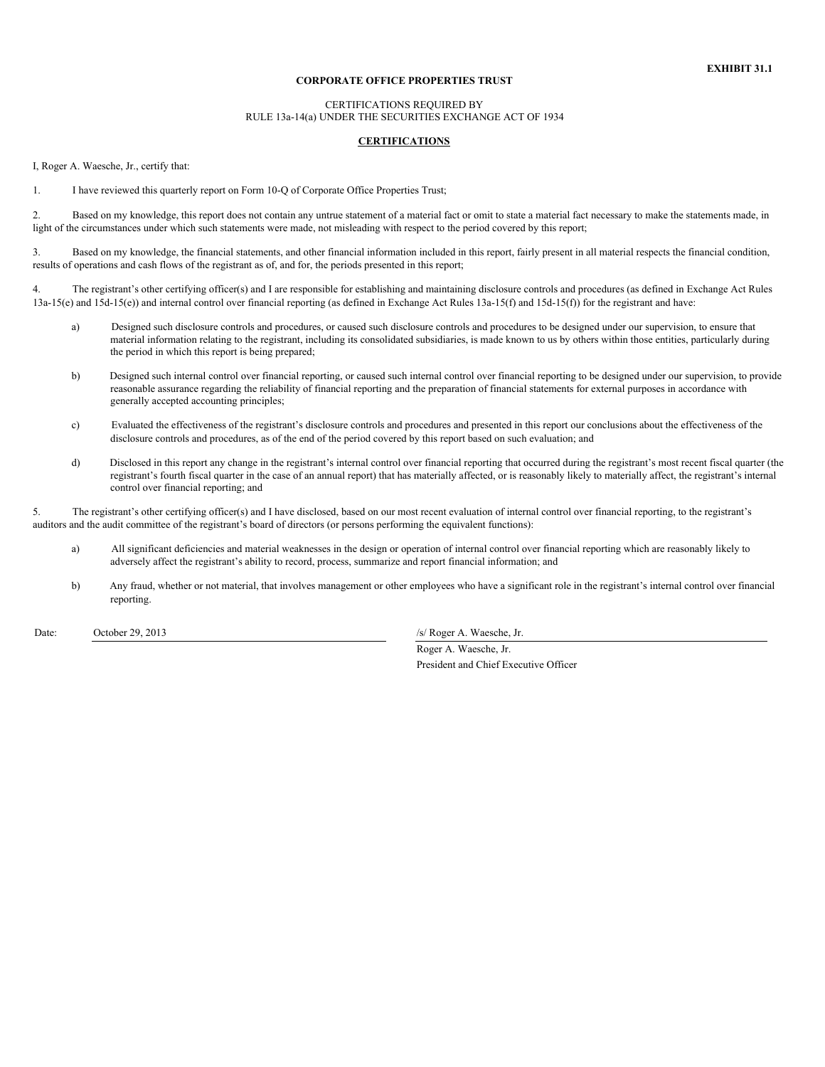#### **CORPORATE OFFICE PROPERTIES TRUST**

#### CERTIFICATIONS REQUIRED BY RULE 13a-14(a) UNDER THE SECURITIES EXCHANGE ACT OF 1934

#### **CERTIFICATIONS**

I, Roger A. Waesche, Jr., certify that:

1. I have reviewed this quarterly report on Form 10-Q of Corporate Office Properties Trust;

2. Based on my knowledge, this report does not contain any untrue statement of a material fact or omit to state a material fact necessary to make the statements made, in light of the circumstances under which such statements were made, not misleading with respect to the period covered by this report;

3. Based on my knowledge, the financial statements, and other financial information included in this report, fairly present in all material respects the financial condition, results of operations and cash flows of the registrant as of, and for, the periods presented in this report;

4. The registrant's other certifying officer(s) and I are responsible for establishing and maintaining disclosure controls and procedures (as defined in Exchange Act Rules  $13a-15(e)$  and  $15d-15(e)$ ) and internal control over financial reporting (as defined in Exchange Act Rules  $13a-15(f)$  and  $15d-15(f)$ ) for the registrant and have:

- a) Designed such disclosure controls and procedures, or caused such disclosure controls and procedures to be designed under our supervision, to ensure that material information relating to the registrant, including its consolidated subsidiaries, is made known to us by others within those entities, particularly during the period in which this report is being prepared;
- b) Designed such internal control over financial reporting, or caused such internal control over financial reporting to be designed under our supervision, to provide reasonable assurance regarding the reliability of financial reporting and the preparation of financial statements for external purposes in accordance with generally accepted accounting principles;
- c) Evaluated the effectiveness of the registrant's disclosure controls and procedures and presented in this report our conclusions about the effectiveness of the disclosure controls and procedures, as of the end of the period covered by this report based on such evaluation; and
- d) Disclosed in this report any change in the registrant's internal control over financial reporting that occurred during the registrant's most recent fiscal quarter (the registrant's fourth fiscal quarter in the case of an annual report) that has materially affected, or is reasonably likely to materially affect, the registrant's internal control over financial reporting; and

5. The registrant's other certifying officer(s) and I have disclosed, based on our most recent evaluation of internal control over financial reporting, to the registrant's auditors and the audit committee of the registrant's board of directors (or persons performing the equivalent functions):

- a) All significant deficiencies and material weaknesses in the design or operation of internal control over financial reporting which are reasonably likely to adversely affect the registrant's ability to record, process, summarize and report financial information; and
- b) Any fraud, whether or not material, that involves management or other employees who have a significant role in the registrant's internal control over financial reporting.

Date: October 29, 2013 /s/ Roger A. Waesche, Jr.

Roger A. Waesche, Jr. President and Chief Executive Officer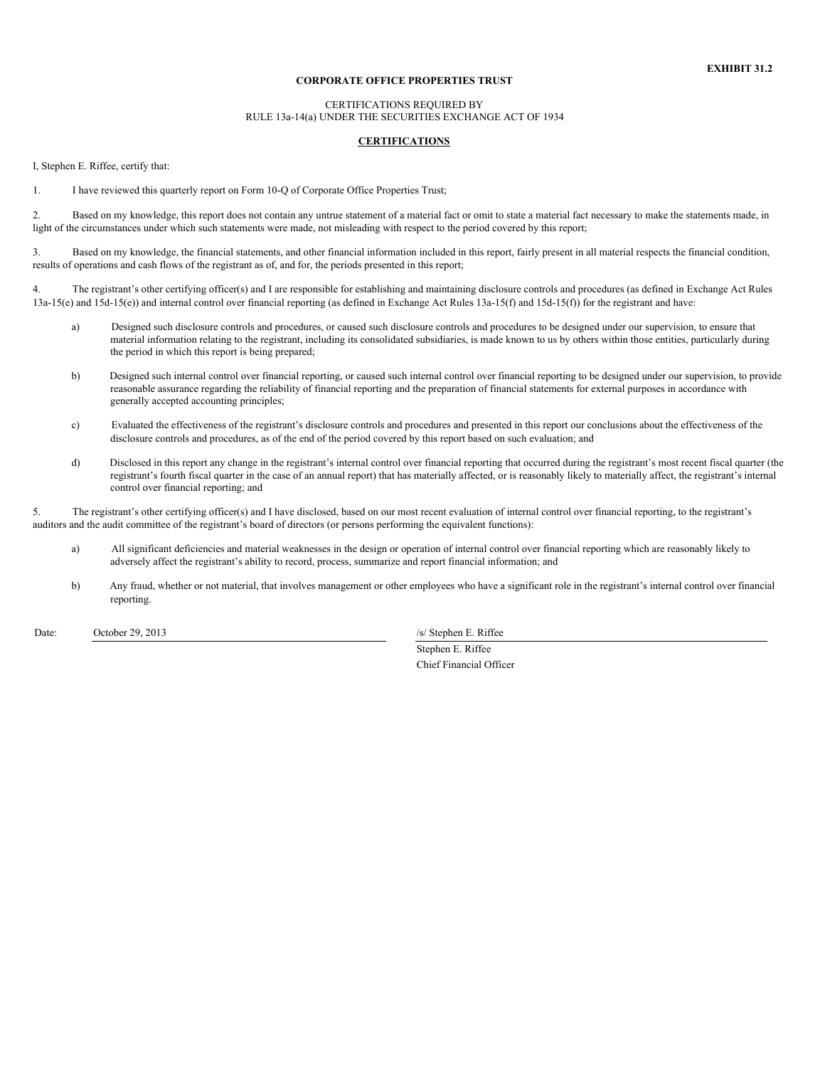#### **CORPORATE OFFICE PROPERTIES TRUST**

#### CERTIFICATIONS REQUIRED BY RULE 13a-14(a) UNDER THE SECURITIES EXCHANGE ACT OF 1934

#### **CERTIFICATIONS**

I, Stephen E. Riffee, certify that:

1. I have reviewed this quarterly report on Form 10-Q of Corporate Office Properties Trust;

2. Based on my knowledge, this report does not contain any untrue statement of a material fact or omit to state a material fact necessary to make the statements made, in light of the circumstances under which such statements were made, not misleading with respect to the period covered by this report;

3. Based on my knowledge, the financial statements, and other financial information included in this report, fairly present in all material respects the financial condition, results of operations and cash flows of the registrant as of, and for, the periods presented in this report;

4. The registrant's other certifying officer(s) and I are responsible for establishing and maintaining disclosure controls and procedures (as defined in Exchange Act Rules  $13a-15(e)$  and  $15d-15(e)$ ) and internal control over financial reporting (as defined in Exchange Act Rules  $13a-15(f)$  and  $15d-15(f)$ ) for the registrant and have:

- a) Designed such disclosure controls and procedures, or caused such disclosure controls and procedures to be designed under our supervision, to ensure that material information relating to the registrant, including its consolidated subsidiaries, is made known to us by others within those entities, particularly during the period in which this report is being prepared;
- b) Designed such internal control over financial reporting, or caused such internal control over financial reporting to be designed under our supervision, to provide reasonable assurance regarding the reliability of financial reporting and the preparation of financial statements for external purposes in accordance with generally accepted accounting principles;
- c) Evaluated the effectiveness of the registrant's disclosure controls and procedures and presented in this report our conclusions about the effectiveness of the disclosure controls and procedures, as of the end of the period covered by this report based on such evaluation; and
- d) Disclosed in this report any change in the registrant's internal control over financial reporting that occurred during the registrant's most recent fiscal quarter (the registrant's fourth fiscal quarter in the case of an annual report) that has materially affected, or is reasonably likely to materially affect, the registrant's internal control over financial reporting; and

5. The registrant's other certifying officer(s) and I have disclosed, based on our most recent evaluation of internal control over financial reporting, to the registrant's auditors and the audit committee of the registrant's board of directors (or persons performing the equivalent functions):

- a) All significant deficiencies and material weaknesses in the design or operation of internal control over financial reporting which are reasonably likely to adversely affect the registrant's ability to record, process, summarize and report financial information; and
- b) Any fraud, whether or not material, that involves management or other employees who have a significant role in the registrant's internal control over financial reporting.

Date: October 29, 2013 /s/ Stephen E. Riffee

Stephen E. Riffee Chief Financial Officer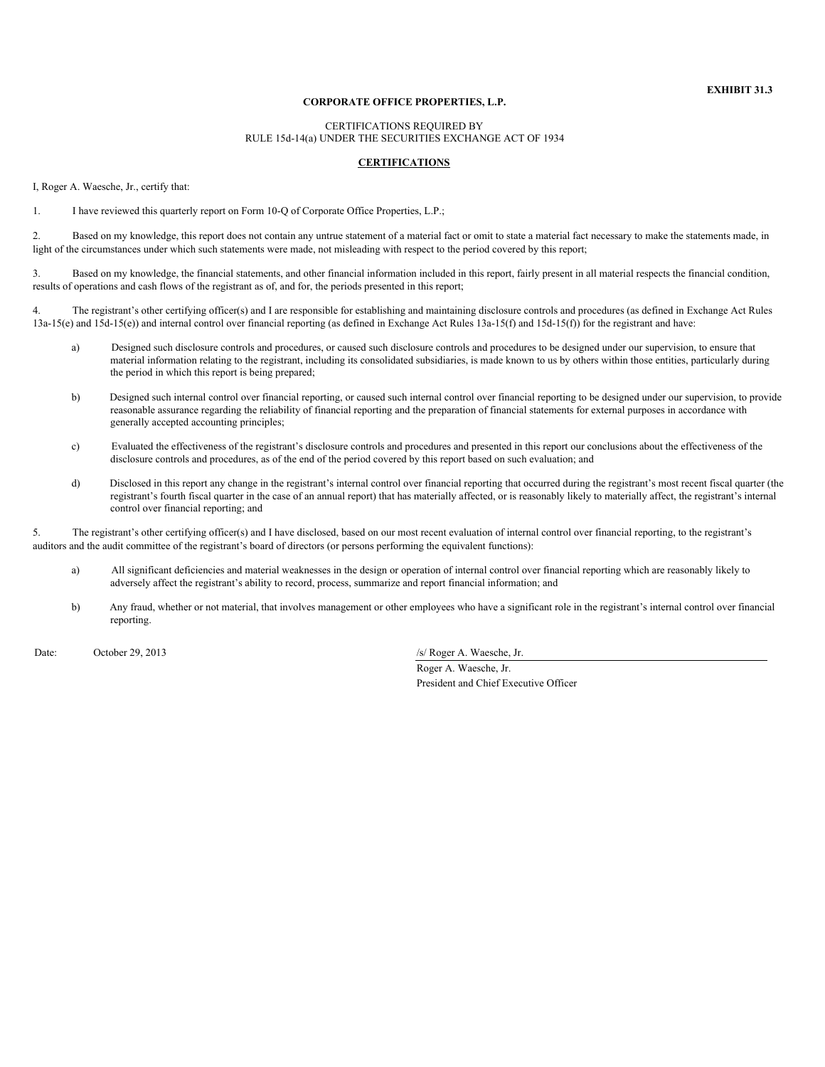#### **CORPORATE OFFICE PROPERTIES, L.P.**

CERTIFICATIONS REQUIRED BY RULE 15d-14(a) UNDER THE SECURITIES EXCHANGE ACT OF 1934

#### **CERTIFICATIONS**

I, Roger A. Waesche, Jr., certify that:

1. I have reviewed this quarterly report on Form 10-Q of Corporate Office Properties, L.P.;

2. Based on my knowledge, this report does not contain any untrue statement of a material fact or omit to state a material fact necessary to make the statements made, in light of the circumstances under which such statements were made, not misleading with respect to the period covered by this report;

3. Based on my knowledge, the financial statements, and other financial information included in this report, fairly present in all material respects the financial condition, results of operations and cash flows of the registrant as of, and for, the periods presented in this report;

4. The registrant's other certifying officer(s) and I are responsible for establishing and maintaining disclosure controls and procedures (as defined in Exchange Act Rules 13a-15(e) and 15d-15(e)) and internal control over financial reporting (as defined in Exchange Act Rules 13a-15(f) and 15d-15(f)) for the registrant and have:

- a) Designed such disclosure controls and procedures, or caused such disclosure controls and procedures to be designed under our supervision, to ensure that material information relating to the registrant, including its consolidated subsidiaries, is made known to us by others within those entities, particularly during the period in which this report is being prepared;
- b) Designed such internal control over financial reporting, or caused such internal control over financial reporting to be designed under our supervision, to provide reasonable assurance regarding the reliability of financial reporting and the preparation of financial statements for external purposes in accordance with generally accepted accounting principles;
- c) Evaluated the effectiveness of the registrant's disclosure controls and procedures and presented in this report our conclusions about the effectiveness of the disclosure controls and procedures, as of the end of the period covered by this report based on such evaluation; and
- d) Disclosed in this report any change in the registrant's internal control over financial reporting that occurred during the registrant's most recent fiscal quarter (the registrant's fourth fiscal quarter in the case of an annual report) that has materially affected, or is reasonably likely to materially affect, the registrant's internal control over financial reporting; and

5. The registrant's other certifying officer(s) and I have disclosed, based on our most recent evaluation of internal control over financial reporting, to the registrant's auditors and the audit committee of the registrant's board of directors (or persons performing the equivalent functions):

- a) All significant deficiencies and material weaknesses in the design or operation of internal control over financial reporting which are reasonably likely to adversely affect the registrant's ability to record, process, summarize and report financial information; and
- b) Any fraud, whether or not material, that involves management or other employees who have a significant role in the registrant's internal control over financial reporting.

Date: October 29, 2013 /s/ Roger A. Waesche, Jr.

Roger A. Waesche, Jr. President and Chief Executive Officer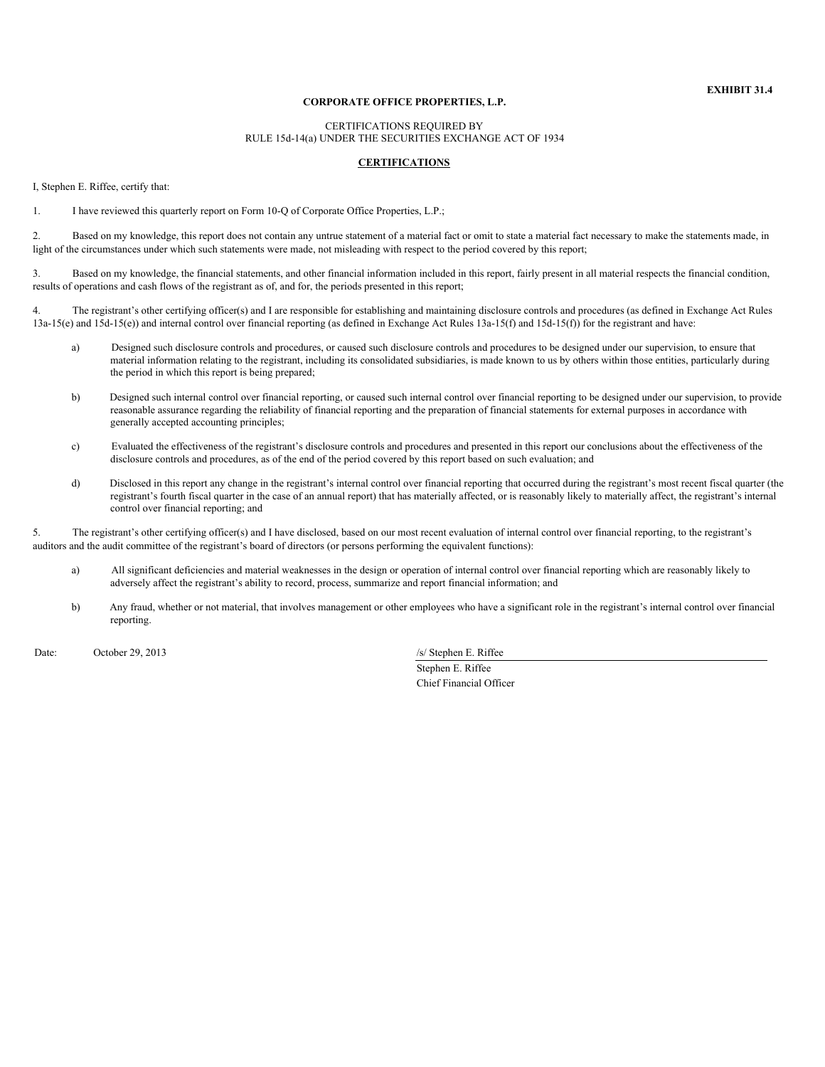#### **CORPORATE OFFICE PROPERTIES, L.P.**

# CERTIFICATIONS REQUIRED BY RULE 15d-14(a) UNDER THE SECURITIES EXCHANGE ACT OF 1934

#### **CERTIFICATIONS**

I, Stephen E. Riffee, certify that:

1. I have reviewed this quarterly report on Form 10-Q of Corporate Office Properties, L.P.;

2. Based on my knowledge, this report does not contain any untrue statement of a material fact or omit to state a material fact necessary to make the statements made, in light of the circumstances under which such statements were made, not misleading with respect to the period covered by this report;

3. Based on my knowledge, the financial statements, and other financial information included in this report, fairly present in all material respects the financial condition, results of operations and cash flows of the registrant as of, and for, the periods presented in this report;

4. The registrant's other certifying officer(s) and I are responsible for establishing and maintaining disclosure controls and procedures (as defined in Exchange Act Rules 13a-15(e) and 15d-15(e)) and internal control over financial reporting (as defined in Exchange Act Rules 13a-15(f) and 15d-15(f)) for the registrant and have:

- a) Designed such disclosure controls and procedures, or caused such disclosure controls and procedures to be designed under our supervision, to ensure that material information relating to the registrant, including its consolidated subsidiaries, is made known to us by others within those entities, particularly during the period in which this report is being prepared;
- b) Designed such internal control over financial reporting, or caused such internal control over financial reporting to be designed under our supervision, to provide reasonable assurance regarding the reliability of financial reporting and the preparation of financial statements for external purposes in accordance with generally accepted accounting principles;
- c) Evaluated the effectiveness of the registrant's disclosure controls and procedures and presented in this report our conclusions about the effectiveness of the disclosure controls and procedures, as of the end of the period covered by this report based on such evaluation; and
- d) Disclosed in this report any change in the registrant's internal control over financial reporting that occurred during the registrant's most recent fiscal quarter (the registrant's fourth fiscal quarter in the case of an annual report) that has materially affected, or is reasonably likely to materially affect, the registrant's internal control over financial reporting; and

5. The registrant's other certifying officer(s) and I have disclosed, based on our most recent evaluation of internal control over financial reporting, to the registrant's auditors and the audit committee of the registrant's board of directors (or persons performing the equivalent functions):

- a) All significant deficiencies and material weaknesses in the design or operation of internal control over financial reporting which are reasonably likely to adversely affect the registrant's ability to record, process, summarize and report financial information; and
- b) Any fraud, whether or not material, that involves management or other employees who have a significant role in the registrant's internal control over financial reporting.

Date: October 29, 2013 /s/ Stephen E. Riffee

Stephen E. Riffee Chief Financial Officer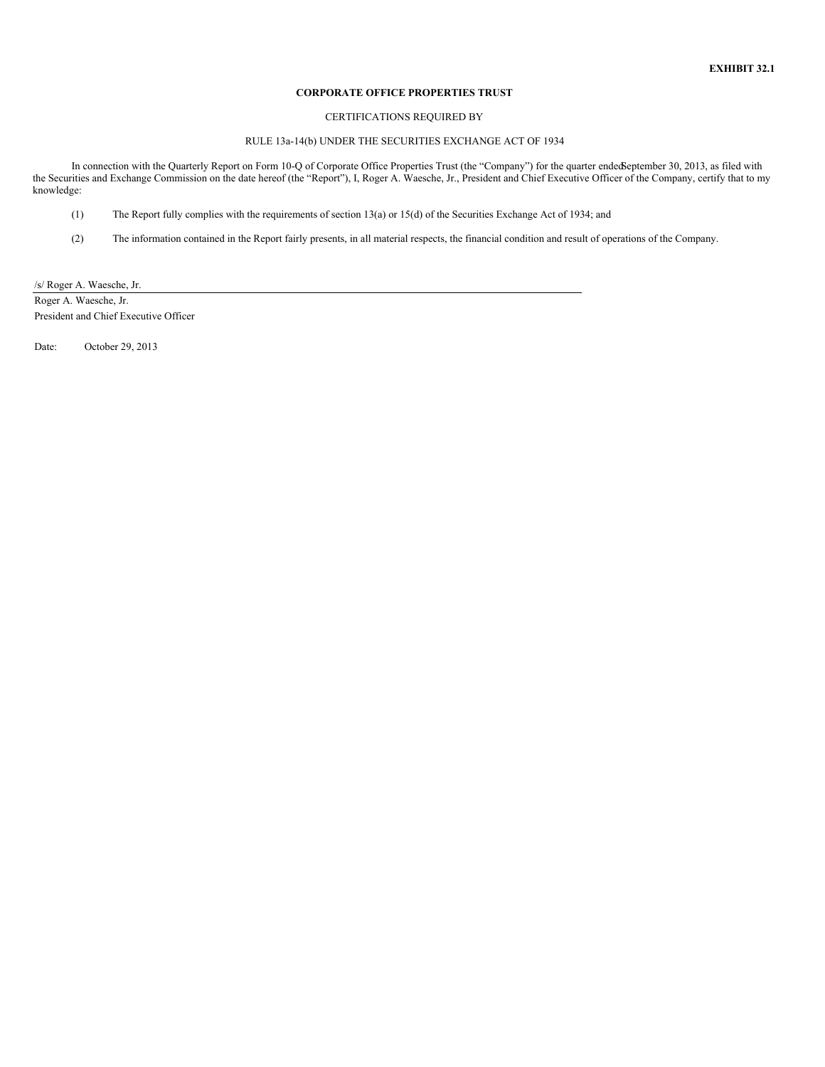# **CORPORATE OFFICE PROPERTIES TRUST**

# CERTIFICATIONS REQUIRED BY

# RULE 13a-14(b) UNDER THE SECURITIES EXCHANGE ACT OF 1934

In connection with the Quarterly Report on Form 10-Q of Corporate Office Properties Trust (the "Company") for the quarter endedSeptember 30, 2013, as filed with the Securities and Exchange Commission on the date hereof (the "Report"), I, Roger A. Waesche, Jr., President and Chief Executive Officer of the Company, certify that to my knowledge:

- (1) The Report fully complies with the requirements of section 13(a) or 15(d) of the Securities Exchange Act of 1934; and
- (2) The information contained in the Report fairly presents, in all material respects, the financial condition and result of operations of the Company.

/s/ Roger A. Waesche, Jr.

Roger A. Waesche, Jr. President and Chief Executive Officer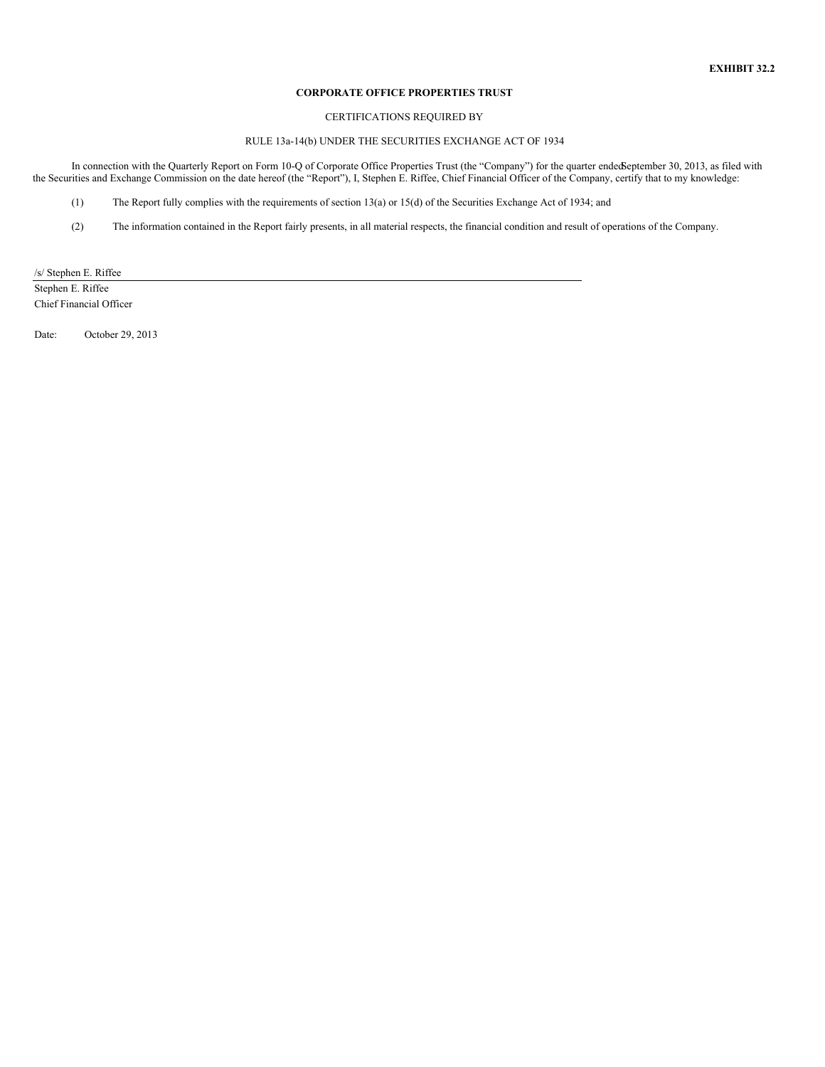# **CORPORATE OFFICE PROPERTIES TRUST**

# CERTIFICATIONS REQUIRED BY

# RULE 13a-14(b) UNDER THE SECURITIES EXCHANGE ACT OF 1934

In connection with the Quarterly Report on Form 10-Q of Corporate Office Properties Trust (the "Company") for the quarter endedSeptember 30, 2013, as filed with the Securities and Exchange Commission on the date hereof (the "Report"), I, Stephen E. Riffee, Chief Financial Officer of the Company, certify that to my knowledge:

- (1) The Report fully complies with the requirements of section 13(a) or 15(d) of the Securities Exchange Act of 1934; and
- (2) The information contained in the Report fairly presents, in all material respects, the financial condition and result of operations of the Company.

/s/ Stephen E. Riffee

Stephen E. Riffee Chief Financial Officer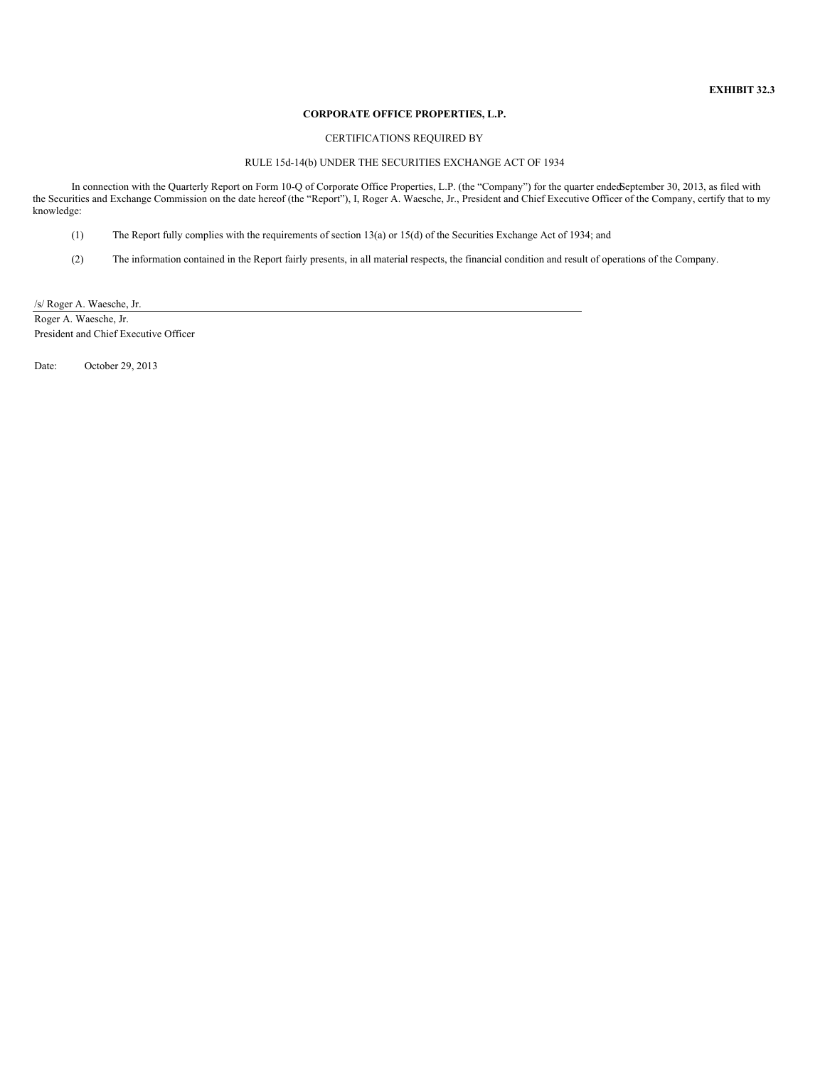# **CORPORATE OFFICE PROPERTIES, L.P.**

#### CERTIFICATIONS REQUIRED BY

# RULE 15d-14(b) UNDER THE SECURITIES EXCHANGE ACT OF 1934

In connection with the Quarterly Report on Form 10-Q of Corporate Office Properties, L.P. (the "Company") for the quarter endedSeptember 30, 2013, as filed with the Securities and Exchange Commission on the date hereof (the "Report"), I, Roger A. Waesche, Jr., President and Chief Executive Officer of the Company, certify that to my knowledge:

- (1) The Report fully complies with the requirements of section 13(a) or 15(d) of the Securities Exchange Act of 1934; and
- (2) The information contained in the Report fairly presents, in all material respects, the financial condition and result of operations of the Company.

/s/ Roger A. Waesche, Jr.

Roger A. Waesche, Jr. President and Chief Executive Officer